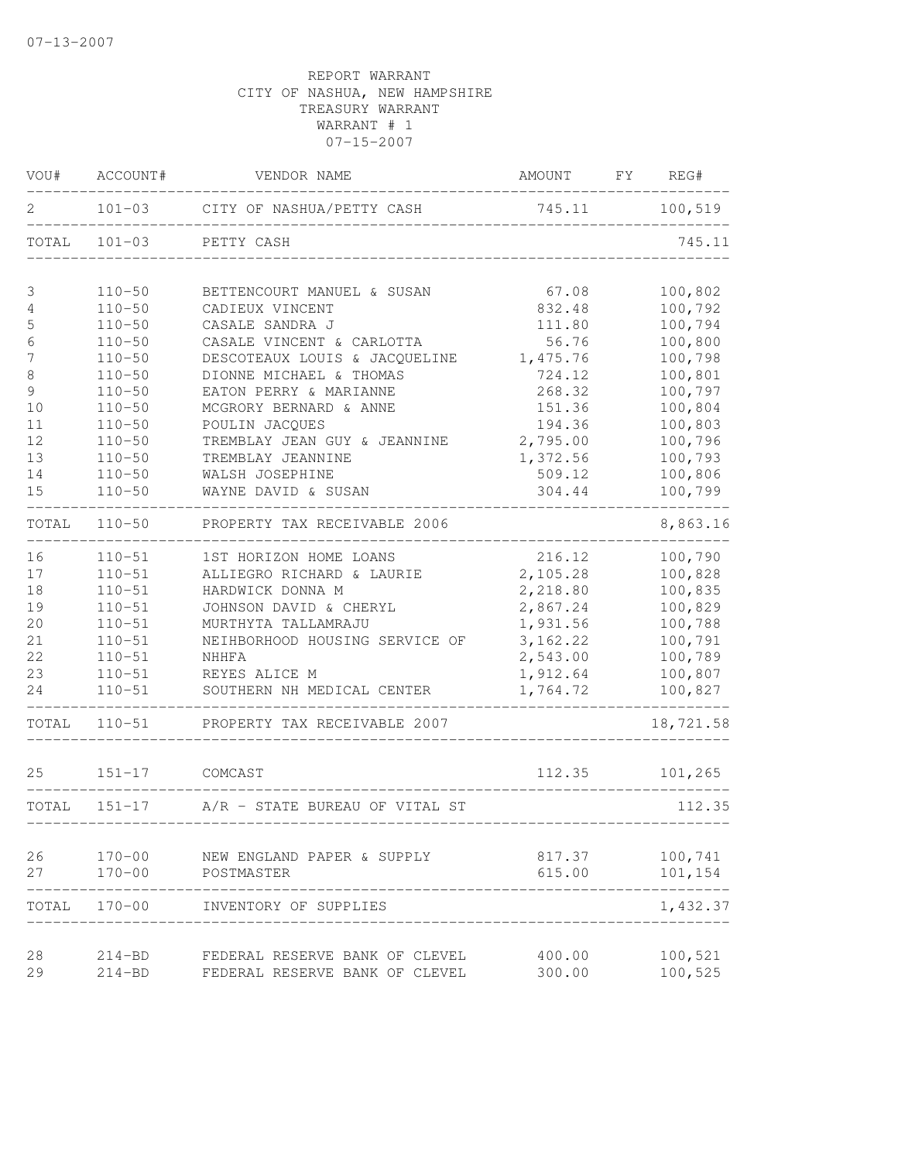| VOU#       | ACCOUNT#                 | VENDOR NAME                                                      | AMOUNT                      | FY | REG#               |
|------------|--------------------------|------------------------------------------------------------------|-----------------------------|----|--------------------|
| 2          |                          | 101-03 CITY OF NASHUA/PETTY CASH                                 | 745.11 100,519              |    |                    |
| TOTAL      | $101 - 03$               | PETTY CASH                                                       |                             |    | 745.11             |
| 3          | $110 - 50$               | BETTENCOURT MANUEL & SUSAN                                       | 67.08                       |    | 100,802            |
| 4          | $110 - 50$               | CADIEUX VINCENT                                                  | 832.48                      |    | 100,792            |
| 5          | $110 - 50$               | CASALE SANDRA J                                                  | 111.80                      |    | 100,794            |
| $\epsilon$ | $110 - 50$               | CASALE VINCENT & CARLOTTA                                        | 56.76                       |    | 100,800            |
| 7          | $110 - 50$               | DESCOTEAUX LOUIS & JACQUELINE                                    | 1,475.76                    |    | 100,798            |
| $\,8\,$    | $110 - 50$               | DIONNE MICHAEL & THOMAS                                          | 724.12                      |    | 100,801            |
| 9          | $110 - 50$               | EATON PERRY & MARIANNE                                           | 268.32                      |    | 100,797            |
| 10         | $110 - 50$               | MCGRORY BERNARD & ANNE                                           | 151.36                      |    | 100,804            |
| 11         | $110 - 50$               | POULIN JACQUES                                                   | 194.36                      |    | 100,803            |
| 12         | $110 - 50$               | TREMBLAY JEAN GUY & JEANNINE                                     | 2,795.00                    |    | 100,796            |
| 13         | $110 - 50$               | TREMBLAY JEANNINE                                                | 1,372.56                    |    | 100,793            |
| 14         | $110 - 50$               | WALSH JOSEPHINE                                                  | 509.12                      |    | 100,806            |
| 15         | $110 - 50$               | WAYNE DAVID & SUSAN                                              | 304.44                      |    | 100,799            |
| TOTAL      | $110 - 50$               | PROPERTY TAX RECEIVABLE 2006                                     |                             |    | 8,863.16           |
| 16         | $110 - 51$               | 1ST HORIZON HOME LOANS                                           | 216.12                      |    | 100,790            |
| 17         | $110 - 51$               | ALLIEGRO RICHARD & LAURIE                                        | 2,105.28                    |    | 100,828            |
| 18         | $110 - 51$               | HARDWICK DONNA M                                                 | 2,218.80                    |    | 100,835            |
| 19         | $110 - 51$               | JOHNSON DAVID & CHERYL                                           | 2,867.24                    |    | 100,829            |
| 20         | $110 - 51$               | MURTHYTA TALLAMRAJU                                              | 1,931.56                    |    | 100,788            |
| 21         | $110 - 51$               | NEIHBORHOOD HOUSING SERVICE OF                                   | 3,162.22                    |    | 100,791            |
| 22         | $110 - 51$               | NHHFA                                                            | 2,543.00                    |    | 100,789            |
| 23         | $110 - 51$               | REYES ALICE M                                                    | 1,912.64                    |    | 100,807            |
| 24         | $110 - 51$               | SOUTHERN NH MEDICAL CENTER                                       | 1,764.72                    |    | 100,827            |
| TOTAL      | $110 - 51$               | PROPERTY TAX RECEIVABLE 2007                                     |                             |    | 18,721.58          |
| 25         | $151 - 17$               | COMCAST                                                          | 112.35                      |    | 101,265            |
| TOTAL      |                          | 151-17 A/R - STATE BUREAU OF VITAL ST                            |                             |    | 112.35             |
|            |                          | ---------------------------                                      | --------------------------- |    |                    |
| 26         | $170 - 00$               | NEW ENGLAND PAPER & SUPPLY                                       | 817.37                      |    | 100,741            |
| 27         | $170 - 00$               | POSTMASTER                                                       | 615.00                      |    | 101,154            |
| TOTAL      | $170 - 00$               | INVENTORY OF SUPPLIES                                            |                             |    | 1,432.37           |
|            |                          |                                                                  |                             |    |                    |
| 28<br>29   | $214 - BD$<br>$214 - BD$ | FEDERAL RESERVE BANK OF CLEVEL<br>FEDERAL RESERVE BANK OF CLEVEL | 400.00<br>300.00            |    | 100,521<br>100,525 |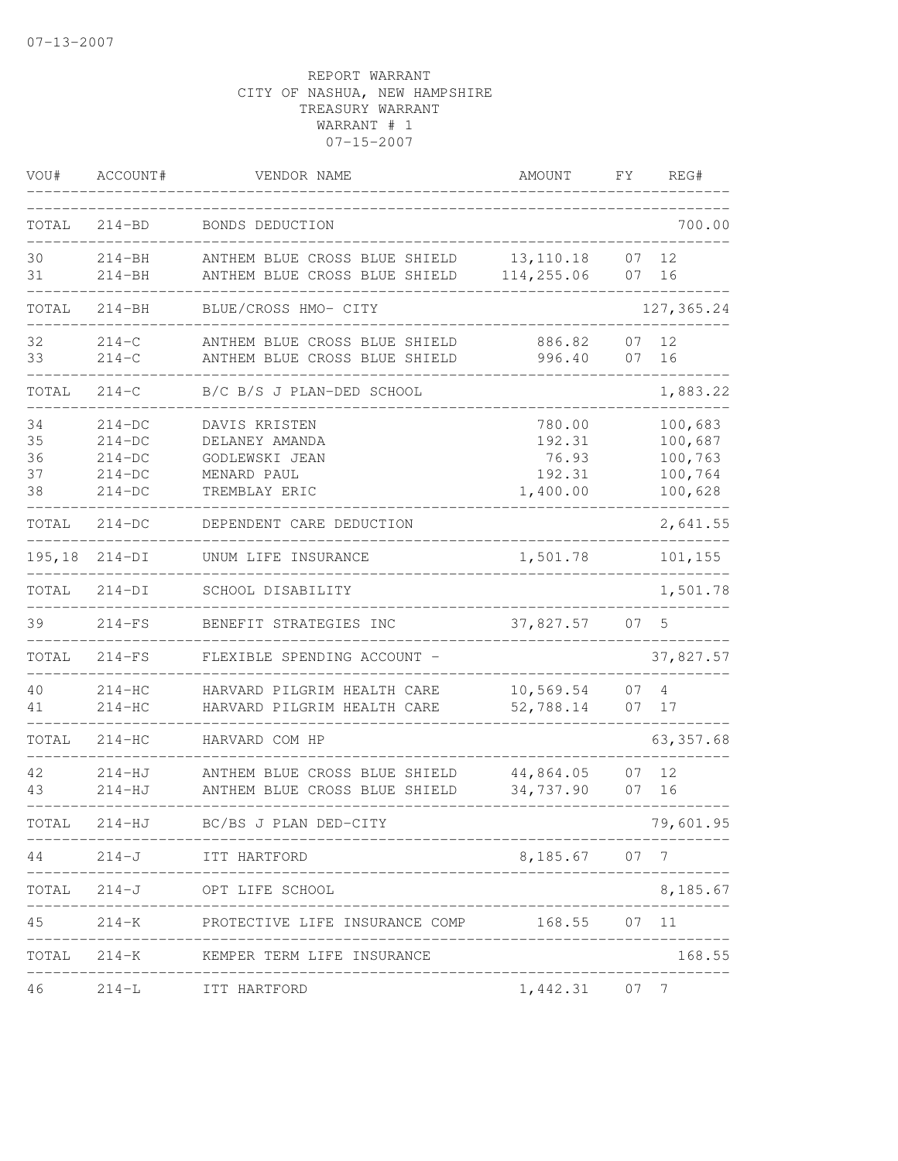| VOU#                       | ACCOUNT#                                                 | VENDOR NAME                                                                       | <b>AMOUNT</b>                                   | FΥ       | REG#                                                |
|----------------------------|----------------------------------------------------------|-----------------------------------------------------------------------------------|-------------------------------------------------|----------|-----------------------------------------------------|
| TOTAL                      | $214 - BD$                                               | BONDS DEDUCTION                                                                   |                                                 |          | 700.00                                              |
| 30<br>31                   | $214 - BH$<br>$214 - BH$                                 | ANTHEM BLUE CROSS BLUE SHIELD<br>ANTHEM BLUE CROSS BLUE SHIELD                    | 13, 110.18<br>114,255.06                        | 07<br>07 | 12<br>16                                            |
| TOTAL                      | $214 - BH$                                               | BLUE/CROSS HMO- CITY                                                              |                                                 |          | 127,365.24                                          |
| 32<br>33                   | $214 - C$<br>$214 - C$                                   | ANTHEM BLUE CROSS BLUE SHIELD<br>ANTHEM BLUE CROSS BLUE SHIELD                    | 886.82<br>996.40                                | 07<br>07 | 12<br>16                                            |
| TOTAL                      | $214 - C$                                                | B/C B/S J PLAN-DED SCHOOL                                                         |                                                 |          | 1,883.22                                            |
| 34<br>35<br>36<br>37<br>38 | $214-DC$<br>$214-DC$<br>$214-DC$<br>$214-DC$<br>$214-DC$ | DAVIS KRISTEN<br>DELANEY AMANDA<br>GODLEWSKI JEAN<br>MENARD PAUL<br>TREMBLAY ERIC | 780.00<br>192.31<br>76.93<br>192.31<br>1,400.00 |          | 100,683<br>100,687<br>100,763<br>100,764<br>100,628 |
| TOTAL                      | $214-DC$                                                 | DEPENDENT CARE DEDUCTION                                                          |                                                 |          | 2,641.55                                            |
| 195,18                     | $214-DI$                                                 | UNUM LIFE INSURANCE                                                               | 1,501.78                                        |          | 101,155                                             |
| TOTAL                      | $214-DI$                                                 | SCHOOL DISABILITY                                                                 |                                                 |          | 1,501.78                                            |
| 39                         | $214-FS$                                                 | BENEFIT STRATEGIES INC                                                            | 37,827.57                                       | 07       | 5                                                   |
| TOTAL                      | $214-FS$                                                 | FLEXIBLE SPENDING ACCOUNT -                                                       |                                                 |          | 37,827.57                                           |
| 40<br>41                   | $214-HC$<br>$214-HC$                                     | HARVARD PILGRIM HEALTH CARE<br>HARVARD PILGRIM HEALTH CARE                        | 10,569.54<br>52,788.14                          | 07<br>07 | 4<br>17                                             |
| TOTAL                      | $214 - HC$                                               | HARVARD COM HP                                                                    |                                                 |          | 63, 357.68                                          |
| 42<br>43                   | $214 - HJ$<br>$214 - HJ$                                 | ANTHEM BLUE CROSS BLUE SHIELD<br>ANTHEM BLUE CROSS BLUE SHIELD                    | 44,864.05<br>34,737.90                          | 07<br>07 | 12<br>16                                            |
| TOTAL                      | $214 - HJ$                                               | BC/BS J PLAN DED-CITY                                                             |                                                 |          | 79,601.95                                           |
|                            |                                                          | 44 214-J ITT HARTFORD                                                             | 8,185.67 07 7                                   |          |                                                     |
|                            |                                                          | TOTAL 214-J OPT LIFE SCHOOL<br>_______________________                            |                                                 |          | 8,185.67                                            |
| 45                         |                                                          | 214-K PROTECTIVE LIFE INSURANCE COMP 168.55 07 11                                 |                                                 |          |                                                     |
|                            |                                                          | TOTAL 214-K KEMPER TERM LIFE INSURANCE                                            |                                                 |          | 168.55                                              |
|                            |                                                          | 46 214-L ITT HARTFORD                                                             | 1,442.31 07 7                                   |          |                                                     |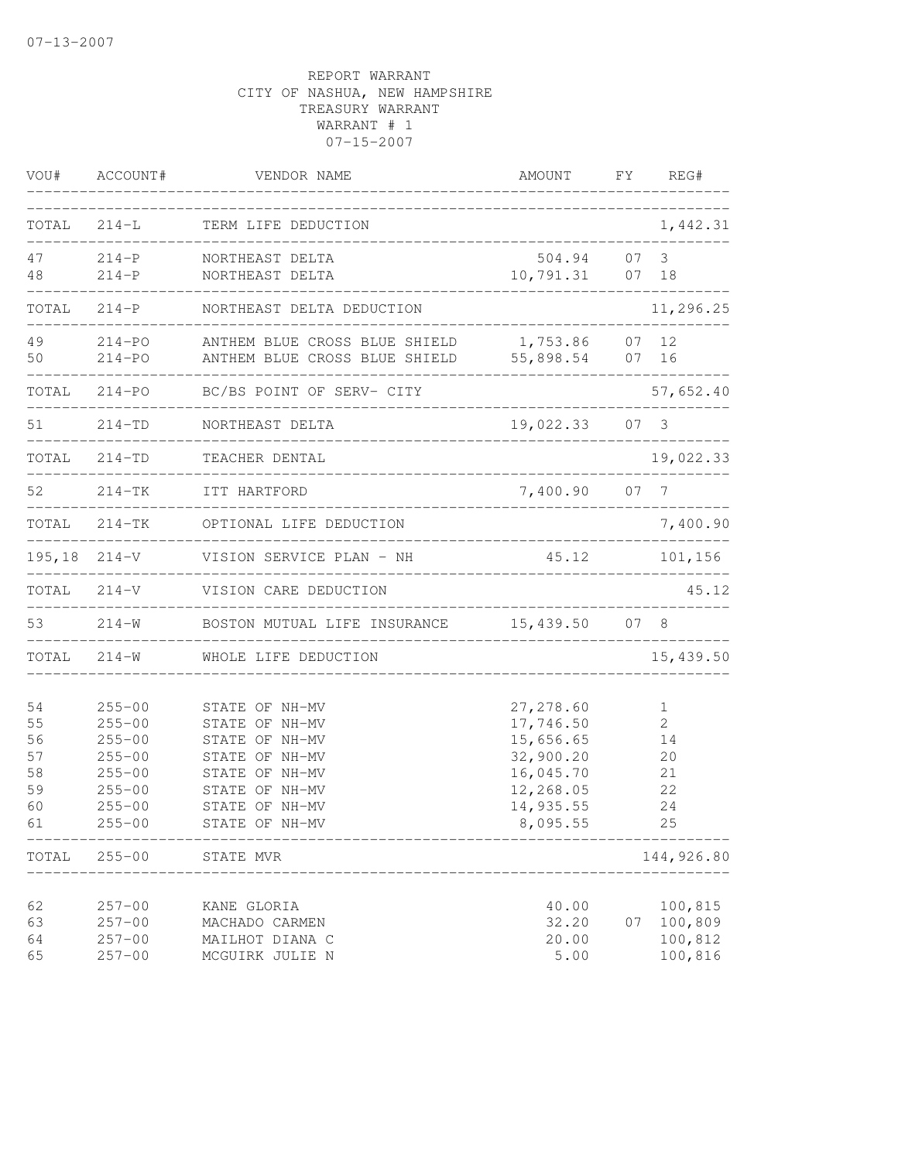| VOU#                                         | ACCOUNT#                                                                                                     | VENDOR NAME                                                                                                                                  | AMOUNT                                                                                               | FY | REG#                                       |
|----------------------------------------------|--------------------------------------------------------------------------------------------------------------|----------------------------------------------------------------------------------------------------------------------------------------------|------------------------------------------------------------------------------------------------------|----|--------------------------------------------|
| TOTAL                                        | $214-L$                                                                                                      | TERM LIFE DEDUCTION                                                                                                                          | ____________________________                                                                         |    | 1,442.31                                   |
| 47<br>48                                     | $214-P$<br>$214-P$                                                                                           | NORTHEAST DELTA<br>NORTHEAST DELTA                                                                                                           | 504.94<br>10,791.31                                                                                  |    | 07 <sup>3</sup><br>07 18                   |
| TOTAL                                        | $214-P$                                                                                                      | NORTHEAST DELTA DEDUCTION                                                                                                                    |                                                                                                      |    | 11,296.25                                  |
| 49<br>50                                     | 214-PO<br>$214 - PQ$                                                                                         | ANTHEM BLUE CROSS BLUE SHIELD<br>ANTHEM BLUE CROSS BLUE SHIELD                                                                               | 1,753.86<br>55,898.54                                                                                |    | 07 12<br>07 16                             |
| TOTAL                                        | $214 - PO$                                                                                                   | BC/BS POINT OF SERV- CITY                                                                                                                    |                                                                                                      |    | 57,652.40                                  |
| 51                                           | 214-TD                                                                                                       | NORTHEAST DELTA                                                                                                                              | 19,022.33 07 3                                                                                       |    |                                            |
|                                              | TOTAL 214-TD                                                                                                 | TEACHER DENTAL<br>___________________________________                                                                                        |                                                                                                      |    | 19,022.33                                  |
| 52                                           |                                                                                                              | 214-TK ITT HARTFORD                                                                                                                          | 7,400.90 07 7                                                                                        |    |                                            |
| TOTAL                                        |                                                                                                              | 214-TK OPTIONAL LIFE DEDUCTION                                                                                                               |                                                                                                      |    | 7,400.90                                   |
|                                              |                                                                                                              | 195,18 214-V VISION SERVICE PLAN - NH                                                                                                        | 45.12                                                                                                |    | 101,156                                    |
| TOTAL                                        | $214 - V$                                                                                                    | VISION CARE DEDUCTION                                                                                                                        |                                                                                                      |    | 45.12                                      |
| 53                                           |                                                                                                              | 214-W BOSTON MUTUAL LIFE INSURANCE 15,439.50 07 8                                                                                            |                                                                                                      |    |                                            |
|                                              | TOTAL 214-W                                                                                                  | WHOLE LIFE DEDUCTION                                                                                                                         |                                                                                                      |    | 15,439.50                                  |
| 54<br>55<br>56<br>57<br>58<br>59<br>60<br>61 | $255 - 00$<br>$255 - 00$<br>$255 - 00$<br>$255 - 00$<br>$255 - 00$<br>$255 - 00$<br>$255 - 00$<br>$255 - 00$ | STATE OF NH-MV<br>STATE OF NH-MV<br>STATE OF NH-MV<br>STATE OF NH-MV<br>STATE OF NH-MV<br>STATE OF NH-MV<br>STATE OF NH-MV<br>STATE OF NH-MV | 27, 278.60<br>17,746.50<br>15,656.65<br>32,900.20<br>16,045.70<br>12,268.05<br>14,935.55<br>8,095.55 |    | 1<br>2<br>14<br>20<br>21<br>22<br>24<br>25 |
| TOTAL                                        | $255 - 00$                                                                                                   | STATE MVR                                                                                                                                    |                                                                                                      |    | 144,926.80                                 |
| 62<br>63<br>64<br>65                         | $257 - 00$<br>$257 - 00$<br>$257 - 00$<br>$257 - 00$                                                         | KANE GLORIA<br>MACHADO CARMEN<br>MAILHOT DIANA C<br>MCGUIRK JULIE N                                                                          | 40.00<br>32.20<br>20.00<br>5.00                                                                      | 07 | 100,815<br>100,809<br>100,812<br>100,816   |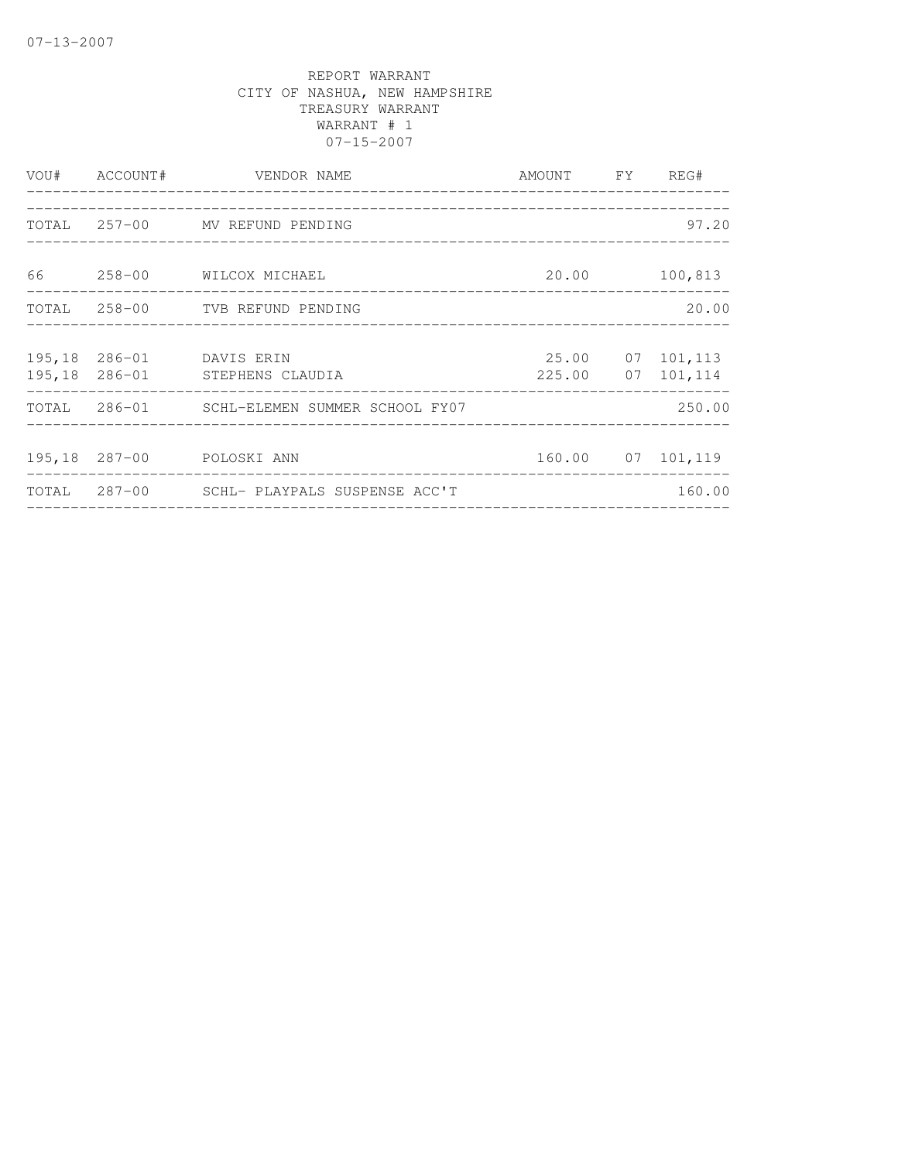|  | VOU# ACCOUNT# VENDOR NAME<br>_____________________                                                                                               | AMOUNT FY REG#                 |                                       |
|--|--------------------------------------------------------------------------------------------------------------------------------------------------|--------------------------------|---------------------------------------|
|  | .cooperates and alternative and alternative and alternative and alternative and alternative and alternative an<br>TOTAL 257-00 MV REFUND PENDING |                                | 97.20                                 |
|  | 66 258-00 WILCOX MICHAEL                                                                                                                         | 20.00                          | 100,813                               |
|  | TOTAL 258-00 TVB REFUND PENDING                                                                                                                  |                                | 20.00                                 |
|  | 195,18 286-01 DAVIS ERIN<br>195,18 286-01 STEPHENS CLAUDIA                                                                                       |                                | 25.00 07 101,113<br>225.00 07 101,114 |
|  | TOTAL 286-01 SCHL-ELEMEN SUMMER SCHOOL FY07                                                                                                      |                                | 250.00                                |
|  | 195,18 287-00 POLOSKI ANN                                                                                                                        |                                | 160.00 07 101,119                     |
|  | TOTAL 287-00 SCHL- PLAYPALS SUSPENSE ACC'T                                                                                                       | ______________________________ | 160.00                                |
|  |                                                                                                                                                  |                                |                                       |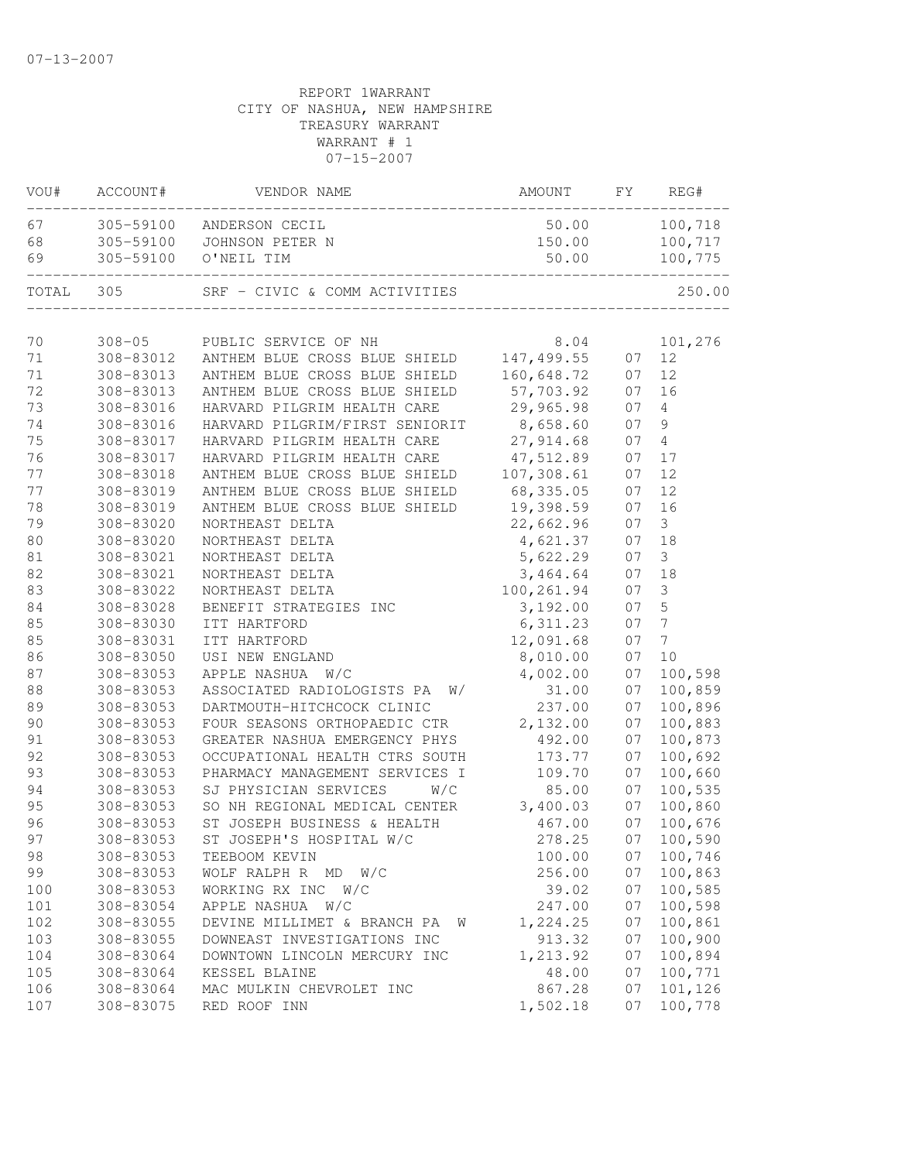| VOU#     | ACCOUNT#                | VENDOR NAME                                                       | AMOUNT     | FY       | REG#             |
|----------|-------------------------|-------------------------------------------------------------------|------------|----------|------------------|
| 67       | 305-59100               | ANDERSON CECIL                                                    | 50.00      |          | 100,718          |
| 68       | 305-59100               | JOHNSON PETER N                                                   | 150.00     |          | 100,717          |
| 69       | 305-59100               | O'NEIL TIM                                                        | 50.00      |          | 100,775          |
| TOTAL    | 305                     | SRF - CIVIC & COMM ACTIVITIES                                     |            |          | 250.00           |
|          |                         |                                                                   | 8.04       |          | 101,276          |
| 70<br>71 | $308 - 05$<br>308-83012 | PUBLIC SERVICE OF NH<br>ANTHEM BLUE CROSS BLUE SHIELD 147, 499.55 |            |          | 12               |
| 71       | 308-83013               | ANTHEM BLUE CROSS BLUE SHIELD                                     | 160,648.72 | 07<br>07 | 12               |
| 72       | 308-83013               | ANTHEM BLUE CROSS BLUE SHIELD                                     | 57,703.92  | 07       | 16               |
| 73       | 308-83016               | HARVARD PILGRIM HEALTH CARE                                       | 29,965.98  | 07       | 4                |
| 74       |                         | HARVARD PILGRIM/FIRST SENIORIT                                    |            | 07       | 9                |
|          | 308-83016               |                                                                   | 8,658.60   |          |                  |
| 75       | 308-83017               | HARVARD PILGRIM HEALTH CARE                                       | 27,914.68  | 07       | $\overline{4}$   |
| 76       | 308-83017               | HARVARD PILGRIM HEALTH CARE                                       | 47,512.89  | 07       | 17               |
| 77       | 308-83018               | ANTHEM BLUE CROSS BLUE SHIELD                                     | 107,308.61 | 07       | 12               |
| 77       | 308-83019               | ANTHEM BLUE CROSS BLUE SHIELD                                     | 68,335.05  | 07       | 12               |
| 78       | 308-83019               | ANTHEM BLUE CROSS BLUE SHIELD                                     | 19,398.59  | 07       | 16               |
| 79       | 308-83020               | NORTHEAST DELTA                                                   | 22,662.96  | 07       | $\mathfrak{Z}$   |
| 80       | 308-83020               | NORTHEAST DELTA                                                   | 4,621.37   | 07       | 18               |
| $8\,1$   | 308-83021               | NORTHEAST DELTA                                                   | 5,622.29   | 07       | $\mathfrak{Z}$   |
| 82       | 308-83021               | NORTHEAST DELTA                                                   | 3,464.64   | 07       | 18               |
| 83       | 308-83022               | NORTHEAST DELTA                                                   | 100,261.94 | 07       | $\mathfrak{Z}$   |
| 84       | 308-83028               | BENEFIT STRATEGIES INC                                            | 3,192.00   | 07       | 5                |
| 85       | 308-83030               | ITT HARTFORD                                                      | 6,311.23   | 07       | $\boldsymbol{7}$ |
| 85       | 308-83031               | ITT HARTFORD                                                      | 12,091.68  | 07       | $\overline{7}$   |
| 86       | 308-83050               | USI NEW ENGLAND                                                   | 8,010.00   | 07       | 10               |
| 87       | 308-83053               | APPLE NASHUA<br>W/C                                               | 4,002.00   | 07       | 100,598          |
| $8\,8$   | 308-83053               | ASSOCIATED RADIOLOGISTS PA<br>W/                                  | 31.00      | 07       | 100,859          |
| 89       | 308-83053               | DARTMOUTH-HITCHCOCK CLINIC                                        | 237.00     | 07       | 100,896          |
| 90       | 308-83053               | FOUR SEASONS ORTHOPAEDIC CTR                                      | 2,132.00   | 07       | 100,883          |
| 91       | 308-83053               | GREATER NASHUA EMERGENCY PHYS                                     | 492.00     | 07       | 100,873          |
| 92       | 308-83053               | OCCUPATIONAL HEALTH CTRS SOUTH                                    | 173.77     | 07       | 100,692          |
| 93       | 308-83053               | PHARMACY MANAGEMENT SERVICES I                                    | 109.70     | 07       | 100,660          |
| 94       | 308-83053               | SJ PHYSICIAN SERVICES<br>W/C                                      | 85.00      | 07       | 100,535          |
| 95       | 308-83053               | SO NH REGIONAL MEDICAL CENTER                                     | 3,400.03   | 07       | 100,860          |
| 96       | 308-83053               | ST JOSEPH BUSINESS & HEALTH                                       | 467.00     | 07       | 100,676          |
| 97       | 308-83053               | ST JOSEPH'S HOSPITAL W/C                                          | 278.25     |          | 07 100,590       |
| 98       | 308-83053               | TEEBOOM KEVIN                                                     | 100.00     | 07       | 100,746          |
| 99       | 308-83053               | WOLF RALPH R MD<br>W/C                                            | 256.00     | 07       | 100,863          |
| 100      | 308-83053               | WORKING RX INC W/C                                                | 39.02      | 07       | 100,585          |
| 101      | 308-83054               | APPLE NASHUA<br>W/C                                               | 247.00     | 07       | 100,598          |
| 102      | 308-83055               | DEVINE MILLIMET & BRANCH PA<br>- M                                | 1,224.25   | 07       | 100,861          |
| 103      | 308-83055               | DOWNEAST INVESTIGATIONS INC                                       | 913.32     | 07       | 100,900          |
| 104      | 308-83064               | DOWNTOWN LINCOLN MERCURY INC                                      | 1,213.92   | 07       | 100,894          |
| 105      | 308-83064               | KESSEL BLAINE                                                     | 48.00      | 07       | 100,771          |
| 106      | 308-83064               | MAC MULKIN CHEVROLET INC                                          | 867.28     | 07       | 101,126          |
| 107      | 308-83075               | RED ROOF INN                                                      | 1,502.18   | 07       | 100,778          |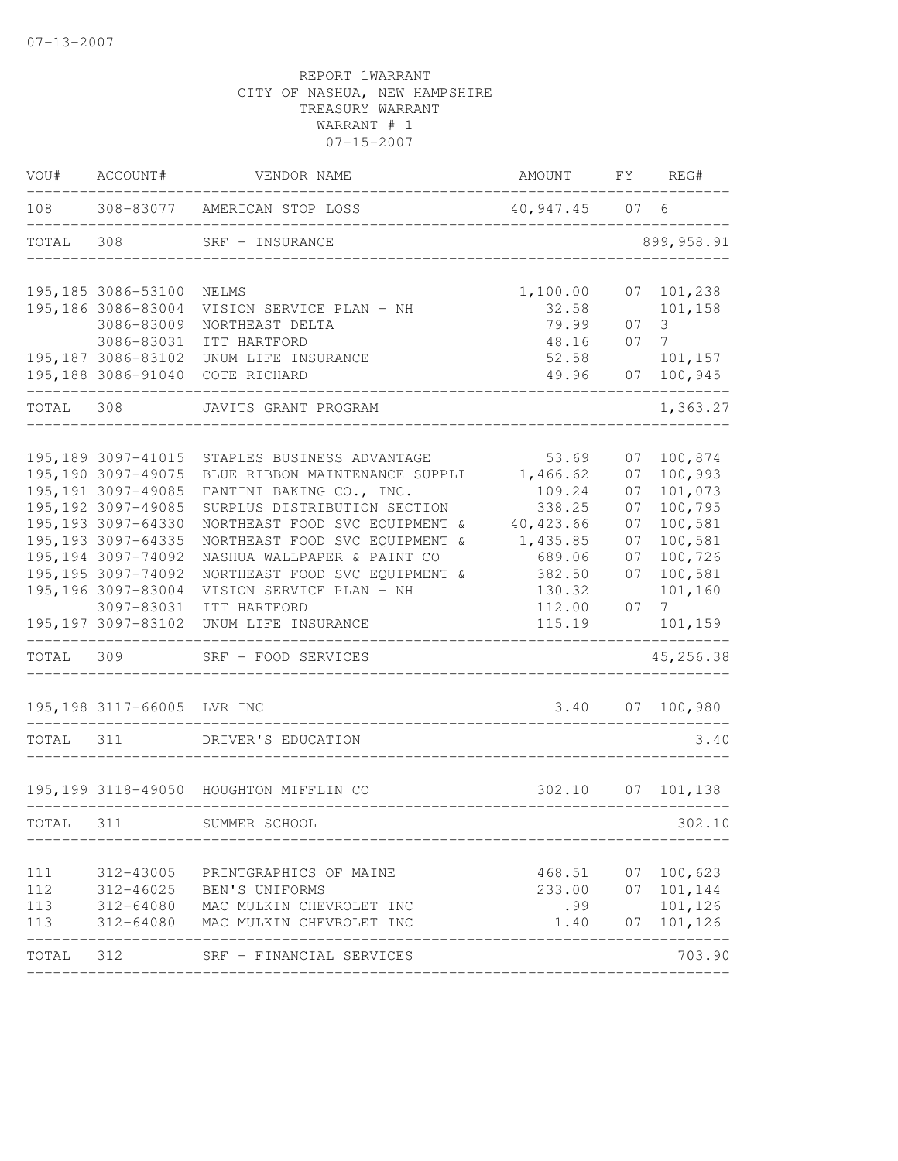| VOU#  | ACCOUNT#                          | VENDOR NAME                            | AMOUNT         | FΥ   | REG#               |
|-------|-----------------------------------|----------------------------------------|----------------|------|--------------------|
| 108   | 308-83077                         | AMERICAN STOP LOSS                     | 40,947.45      | 07 6 |                    |
| TOTAL | 308                               | SRF - INSURANCE                        |                |      | 899, 958.91        |
|       | 195, 185 3086-53100               | NELMS                                  | 1,100.00       | 07   | 101,238            |
|       | 195,186 3086-83004                | VISION SERVICE PLAN - NH               | 32.58          |      | 101,158            |
|       | 3086-83009                        | NORTHEAST DELTA                        | 79.99          | 07   | 3                  |
|       | 3086-83031<br>195, 187 3086-83102 | ITT HARTFORD                           | 48.16          | 07   | 7                  |
|       | 195,188 3086-91040                | UNUM LIFE INSURANCE<br>COTE RICHARD    | 52.58<br>49.96 | 07   | 101,157<br>100,945 |
| TOTAL | 308                               | JAVITS GRANT PROGRAM                   |                |      | 1,363.27           |
|       | 195, 189 3097-41015               | STAPLES BUSINESS ADVANTAGE             | 53.69          | 07   | 100,874            |
|       | 195, 190 3097-49075               | BLUE RIBBON MAINTENANCE SUPPLI         | 1,466.62       | 07   | 100,993            |
|       | 195, 191 3097-49085               | FANTINI BAKING CO., INC.               | 109.24         | 07   | 101,073            |
|       | 195, 192 3097-49085               | SURPLUS DISTRIBUTION SECTION           | 338.25         | 07   | 100,795            |
|       | 195, 193 3097-64330               | NORTHEAST FOOD SVC EQUIPMENT &         | 40, 423.66     | 07   | 100,581            |
|       | 195, 193 3097-64335               | NORTHEAST FOOD SVC EQUIPMENT &         | 1,435.85       | 07   | 100,581            |
|       | 195, 194 3097-74092               | NASHUA WALLPAPER & PAINT CO            | 689.06         | 07   | 100,726            |
|       | 195, 195 3097-74092               | NORTHEAST FOOD SVC EQUIPMENT &         | 382.50         | 07   | 100,581            |
|       | 195,196 3097-83004                | VISION SERVICE PLAN - NH               | 130.32         |      | 101,160            |
|       | 3097-83031                        | ITT HARTFORD                           | 112.00         | 07   | $7^{\circ}$        |
|       | 195, 197 3097-83102               | UNUM LIFE INSURANCE                    | 115.19         |      | 101,159            |
| TOTAL | 309                               | SRF - FOOD SERVICES                    |                |      | 45,256.38          |
|       | 195, 198 3117-66005               | LVR INC                                | 3.40           | 07   | 100,980            |
| TOTAL | 311                               | DRIVER'S EDUCATION                     |                |      | 3.40               |
|       |                                   | 195,199 3118-49050 HOUGHTON MIFFLIN CO | 302.10         | 07   | 101,138            |
| TOTAL | 311                               | SUMMER SCHOOL                          |                |      | 302.10             |
|       |                                   |                                        |                |      |                    |
| 111   | 312-43005                         | PRINTGRAPHICS OF MAINE                 | 468.51         |      | 07 100,623         |
| 112   | 312-46025                         | BEN'S UNIFORMS                         | 233.00         | 07   | 101,144            |
| 113   | 312-64080                         | MAC MULKIN CHEVROLET INC               | .99            |      | 101,126            |
| 113   | 312-64080                         | MAC MULKIN CHEVROLET INC               | 1.40           | 07   | 101,126            |
| TOTAL | 312                               | SRF - FINANCIAL SERVICES               |                |      | 703.90             |
|       |                                   |                                        |                |      |                    |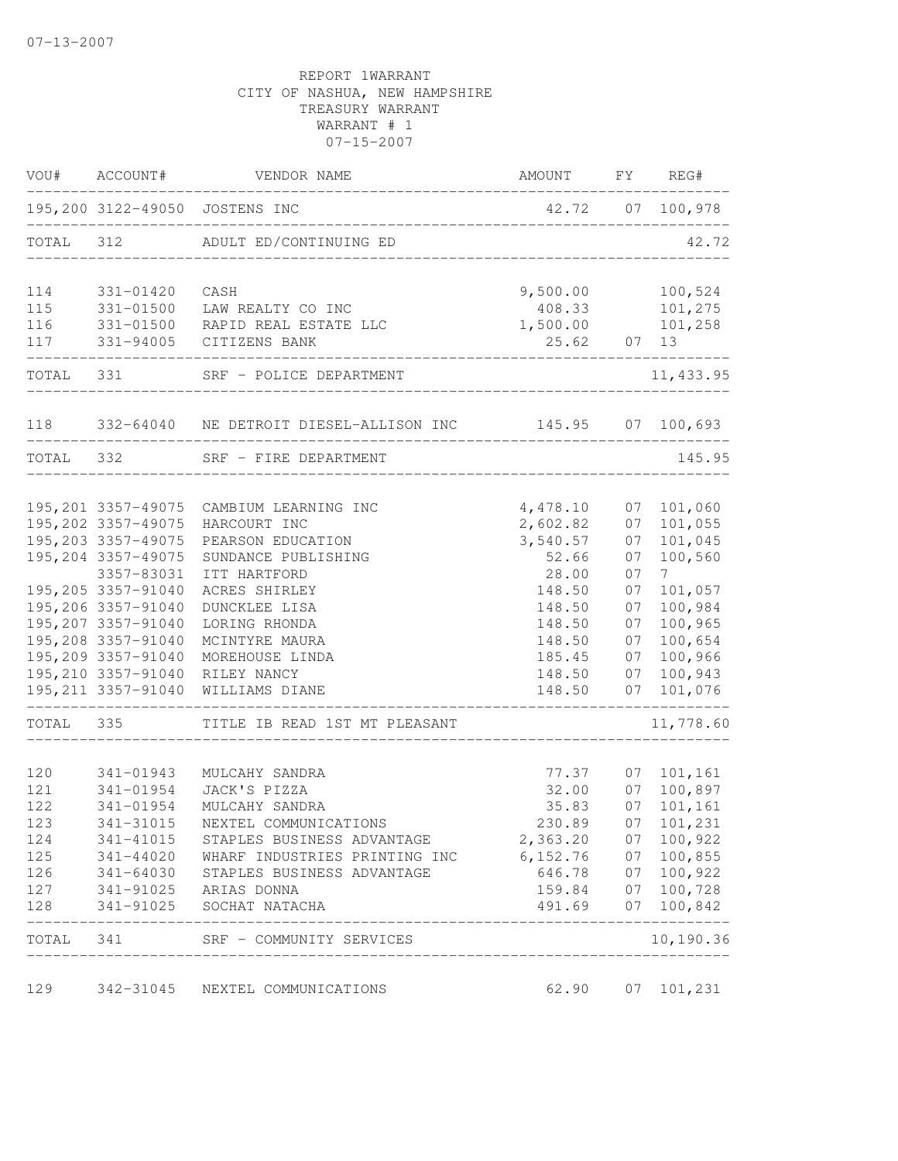| VOU#      | ACCOUNT#                                   | VENDOR NAME                                                             | AMOUNT                          | FY       | REG#               |
|-----------|--------------------------------------------|-------------------------------------------------------------------------|---------------------------------|----------|--------------------|
|           |                                            | 195,200 3122-49050 JOSTENS INC<br>. _ _ _ _ _ _ _ _ _ _ _ _ _ _ _ _ _ _ | 42.72 07 100,978                |          |                    |
| TOTAL 312 |                                            | ADULT ED/CONTINUING ED                                                  |                                 |          | 42.72              |
| 114       | 331-01420                                  | CASH                                                                    | 9,500.00                        |          | 100,524            |
| 115       | 331-01500                                  | LAW REALTY CO INC                                                       | 408.33                          |          | 101,275            |
| 116       |                                            | 331-01500 RAPID REAL ESTATE LLC                                         | 1,500.00                        |          | 101,258            |
| 117       |                                            | 331-94005 CITIZENS BANK                                                 | 25.62 07 13                     |          |                    |
| TOTAL     | 331 920                                    | SRF - POLICE DEPARTMENT                                                 |                                 |          | 11, 433.95         |
|           |                                            | 118 332-64040 NE DETROIT DIESEL-ALLISON INC 145.95 07 100,693           |                                 |          |                    |
| TOTAL 332 |                                            | SRF - FIRE DEPARTMENT                                                   | ____________.                   |          | 145.95             |
|           |                                            |                                                                         |                                 |          |                    |
|           |                                            | 195, 201 3357-49075 CAMBIUM LEARNING INC                                | 4,478.10                        | 07       | 101,060            |
|           | 195, 202 3357-49075<br>195, 203 3357-49075 | HARCOURT INC<br>PEARSON EDUCATION                                       | 2,602.82<br>3,540.57            | 07<br>07 | 101,055<br>101,045 |
|           | 195,204 3357-49075                         | SUNDANCE PUBLISHING                                                     | 52.66                           | 07       | 100,560            |
|           | 3357-83031                                 | ITT HARTFORD                                                            | 28.00                           | 07       | $7\overline{ }$    |
|           | 195,205 3357-91040                         | ACRES SHIRLEY                                                           | 148.50                          | 07       | 101,057            |
|           | 195,206 3357-91040                         | DUNCKLEE LISA                                                           | 148.50                          | 07       | 100,984            |
|           | 195,207 3357-91040                         | LORING RHONDA                                                           | 148.50                          | 07       | 100,965            |
|           | 195,208 3357-91040                         | MCINTYRE MAURA                                                          | 148.50                          | 07       | 100,654            |
|           | 195,209 3357-91040                         | MOREHOUSE LINDA                                                         | 185.45                          | 07       | 100,966            |
|           | 195,210 3357-91040                         | RILEY NANCY                                                             | 148.50                          | 07       | 100,943            |
|           | 195, 211 3357-91040                        | WILLIAMS DIANE                                                          | 148.50<br>--------------------- | 07       | 101,076            |
| TOTAL     | 335                                        | TITLE IB READ 1ST MT PLEASANT                                           |                                 |          | 11,778.60          |
| 120       | 341-01943                                  | MULCAHY SANDRA                                                          | 77.37                           | 07       | 101,161            |
| 121       | 341-01954                                  | JACK'S PIZZA                                                            | 32.00                           | 07       | 100,897            |
| 122       | 341-01954                                  | MULCAHY SANDRA                                                          | 35.83                           | 07       | 101,161            |
| 123       | 341-31015                                  | NEXTEL COMMUNICATIONS                                                   | 230.89                          | 07       | 101,231            |
| 124       | 341-41015                                  | STAPLES BUSINESS ADVANTAGE                                              | 2,363.20                        | 07       | 100,922            |
| 125       | 341-44020                                  | WHARF INDUSTRIES PRINTING INC                                           | 6,152.76                        | 07       | 100,855            |
| 126       | 341-64030                                  | STAPLES BUSINESS ADVANTAGE                                              | 646.78                          | 07       | 100,922            |
| 127       | 341-91025                                  | ARIAS DONNA                                                             | 159.84                          | 07       | 100,728            |
| 128       | 341-91025                                  | SOCHAT NATACHA                                                          | 491.69                          | 07       | 100,842            |
| TOTAL     | 341                                        | SRF - COMMUNITY SERVICES                                                |                                 |          | 10,190.36          |
| 129       | 342-31045                                  | NEXTEL COMMUNICATIONS                                                   | 62.90                           | 07       | 101,231            |
|           |                                            |                                                                         |                                 |          |                    |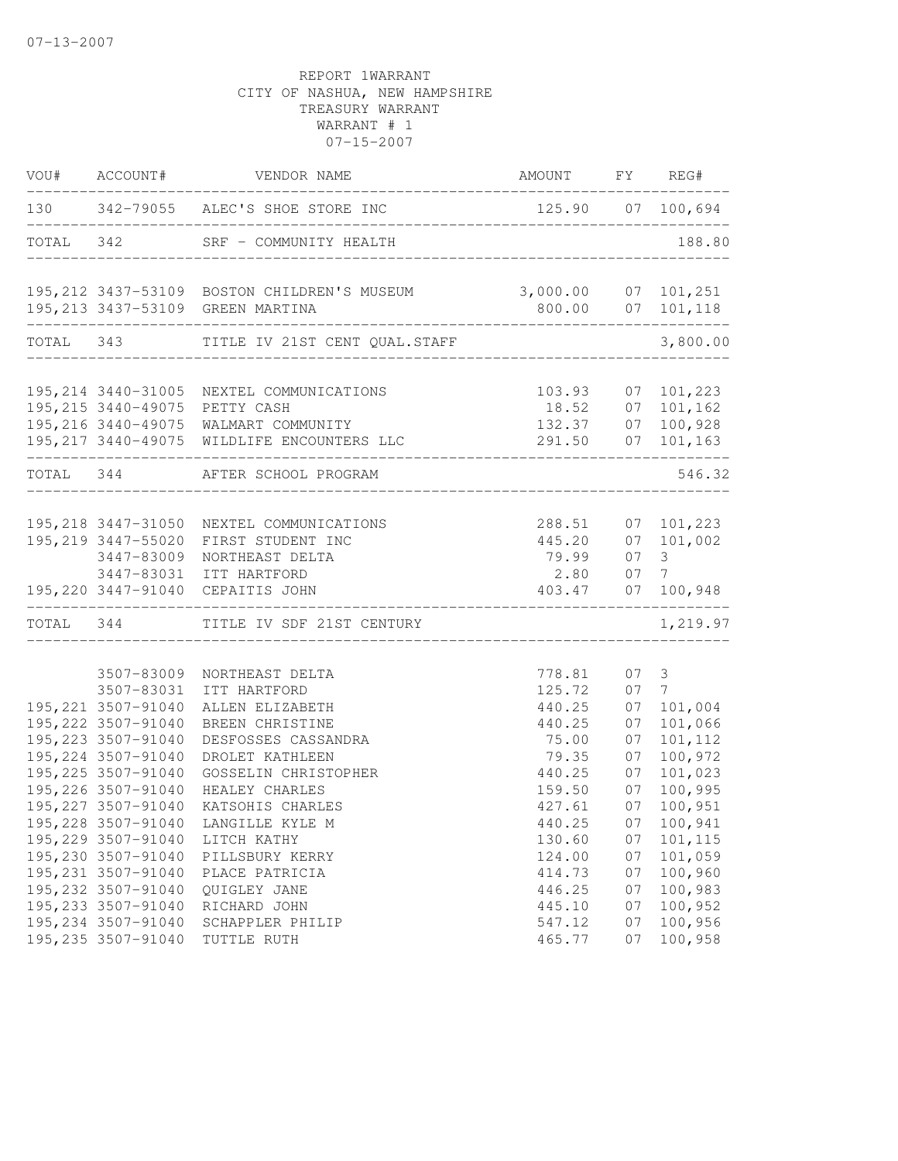| VOU#      | ACCOUNT#                                   | VENDOR NAME                                          | AMOUNT FY REG#                    |          |                    |
|-----------|--------------------------------------------|------------------------------------------------------|-----------------------------------|----------|--------------------|
|           |                                            | 130 342-79055 ALEC'S SHOE STORE INC                  | 125.90 07 100,694                 |          |                    |
| TOTAL 342 |                                            | SRF - COMMUNITY HEALTH                               | _________________________________ |          | 188.80             |
|           |                                            | 195, 212 3437-53109 BOSTON CHILDREN'S MUSEUM         |                                   |          |                    |
|           | ____________________________               | 195, 213 3437-53109 GREEN MARTINA                    |                                   |          |                    |
|           |                                            | TOTAL 343 TITLE IV 21ST CENT QUAL.STAFF              |                                   |          | 3,800.00           |
|           |                                            | 195, 214 3440-31005 NEXTEL COMMUNICATIONS            | 103.93                            | 07       | 101,223            |
|           |                                            | 195,215 3440-49075 PETTY CASH                        | 18.52                             | 07       | 101,162            |
|           |                                            | 195,216 3440-49075 WALMART COMMUNITY                 | 132.37                            | 07       | 100,928            |
|           |                                            | 195, 217 3440-49075 WILDLIFE ENCOUNTERS LLC          | 291.50                            | 07       | 101,163            |
|           |                                            | TOTAL 344 AFTER SCHOOL PROGRAM                       |                                   |          | 546.32             |
|           |                                            | 195, 218 3447-31050 NEXTEL COMMUNICATIONS            | 288.51                            | 07       | 101,223            |
|           | 195,219 3447-55020                         | FIRST STUDENT INC                                    | 445.20                            | 07       | 101,002            |
|           | 3447-83009                                 | NORTHEAST DELTA                                      | 79.99                             | 07       | 3                  |
|           |                                            | 3447-83031 ITT HARTFORD                              | 2.80                              | 07       | 7                  |
|           |                                            | 195,220 3447-91040 CEPAITIS JOHN<br>________________ | 403.47                            | 07       | 100,948            |
|           |                                            | TOTAL 344 TITLE IV SDF 21ST CENTURY                  |                                   |          | 1,219.97           |
|           |                                            |                                                      |                                   |          |                    |
|           | 3507-83009                                 | NORTHEAST DELTA                                      | 778.81                            | 07       | 3                  |
|           | 3507-83031                                 | ITT HARTFORD                                         | 125.72                            | 07       | 7                  |
|           | 195, 221 3507-91040                        | ALLEN ELIZABETH                                      | 440.25                            | 07       | 101,004            |
|           | 195, 222 3507-91040                        | BREEN CHRISTINE                                      | 440.25                            | 07       | 101,066            |
|           | 195, 223 3507-91040<br>195, 224 3507-91040 | DESFOSSES CASSANDRA<br>DROLET KATHLEEN               | 75.00<br>79.35                    | 07<br>07 | 101,112<br>100,972 |
|           | 195, 225 3507-91040                        | GOSSELIN CHRISTOPHER                                 | 440.25                            | 07       | 101,023            |
|           | 195,226 3507-91040                         | HEALEY CHARLES                                       | 159.50                            | 07       | 100,995            |
|           | 195, 227 3507-91040                        | KATSOHIS CHARLES                                     | 427.61                            | 07       | 100,951            |
|           | 195,228 3507-91040                         | LANGILLE KYLE M                                      | 440.25                            | 07       | 100,941            |
|           | 195,229 3507-91040                         | LITCH KATHY                                          | 130.60                            | 07       | 101,115            |
|           | 195,230 3507-91040                         | PILLSBURY KERRY                                      | 124.00                            | 07       | 101,059            |
|           | 195, 231 3507-91040                        | PLACE PATRICIA                                       | 414.73                            | 07       | 100,960            |
|           | 195,232 3507-91040                         | QUIGLEY JANE                                         | 446.25                            | 07       | 100,983            |
|           | 195, 233 3507-91040                        | RICHARD JOHN                                         | 445.10                            | 07       | 100,952            |
|           | 195,234 3507-91040                         | SCHAPPLER PHILIP                                     | 547.12                            | 07       | 100,956            |
|           | 195, 235 3507-91040                        | TUTTLE RUTH                                          | 465.77                            | 07       | 100,958            |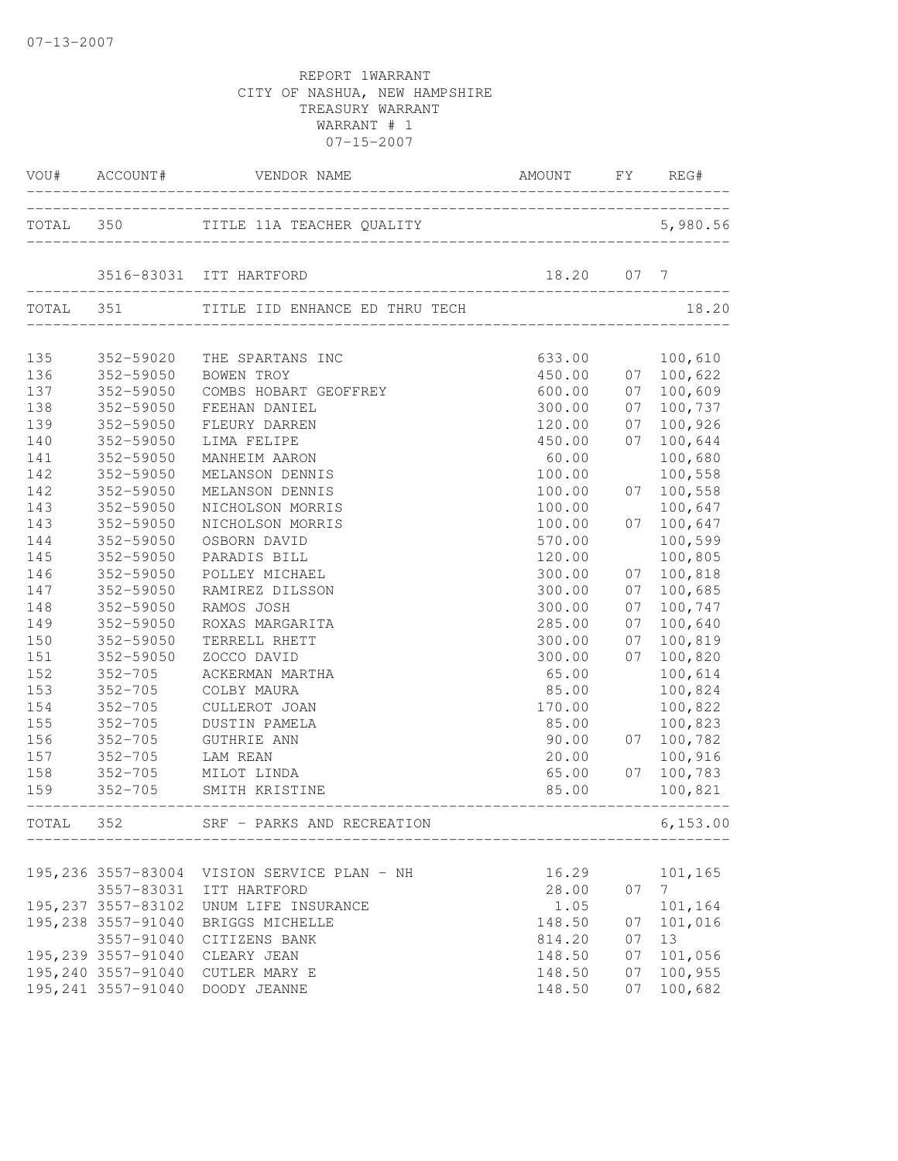|     |                     | VOU# ACCOUNT# VENDOR NAME                   | AMOUNT FY REG#             |    |                |
|-----|---------------------|---------------------------------------------|----------------------------|----|----------------|
|     |                     | TOTAL 350 TITLE 11A TEACHER QUALITY 5,980   |                            |    | 5,980.56       |
|     |                     | 3516-83031 ITT HARTFORD                     | 18.20 07 7                 |    |                |
|     |                     | TOTAL 351 TITLE IID ENHANCE ED THRU TECH    |                            |    | 18.20          |
| 135 | 352-59020           | THE SPARTANS INC                            | 633.00                     |    | 100,610        |
| 136 | 352-59050           | BOWEN TROY                                  |                            |    | 07 100,622     |
| 137 | 352-59050           | COMBS HOBART GEOFFREY                       |                            | 07 | 100,609        |
| 138 | 352-59050           | FEEHAN DANIEL                               | 450.00<br>600.00<br>300.00 | 07 | 100,737        |
| 139 | 352-59050           | FLEURY DARREN                               | 120.00                     | 07 | 100,926        |
| 140 | 352-59050           | LIMA FELIPE                                 | 450.00                     | 07 | 100,644        |
| 141 | 352-59050           | MANHEIM AARON                               | 60.00                      |    | 100,680        |
| 142 | 352-59050           | MELANSON DENNIS                             | 100.00                     |    | 100,558        |
| 142 | 352-59050           | MELANSON DENNIS                             | 100.00                     | 07 | 100,558        |
| 143 | 352-59050           | NICHOLSON MORRIS                            | 100.00                     |    | 100,647        |
| 143 | 352-59050           | NICHOLSON MORRIS                            | 100.00                     | 07 | 100,647        |
| 144 | 352-59050           | OSBORN DAVID                                | 570.00                     |    | 100,599        |
| 145 | 352-59050           | PARADIS BILL                                | 120.00                     |    | 100,805        |
| 146 | 352-59050           | POLLEY MICHAEL                              | 300.00                     | 07 | 100,818        |
| 147 | 352-59050           | RAMIREZ DILSSON                             | 300.00                     | 07 | 100,685        |
| 148 | 352-59050           | RAMOS JOSH                                  | 300.00                     | 07 | 100,747        |
| 149 | 352-59050           | ROXAS MARGARITA                             | 285.00                     | 07 | 100,640        |
| 150 | 352-59050           | TERRELL RHETT                               | 300.00                     | 07 | 100,819        |
| 151 | 352-59050           | ZOCCO DAVID                                 | 300.00                     | 07 | 100,820        |
| 152 | $352 - 705$         | ACKERMAN MARTHA                             | 65.00                      |    | 100,614        |
| 153 | $352 - 705$         | COLBY MAURA                                 | 85.00                      |    | 100,824        |
| 154 | $352 - 705$         | CULLEROT JOAN                               | 170.00                     |    | 100,822        |
| 155 | $352 - 705$         | DUSTIN PAMELA                               | 85.00                      |    | 100,823        |
| 156 | $352 - 705$         | <b>GUTHRIE ANN</b>                          | 90.00                      | 07 | 100,782        |
| 157 | $352 - 705$         | LAM REAN                                    | 20.00                      |    | 100,916        |
| 158 |                     | 352-705 MILOT LINDA                         | 65.00                      |    | 07 100,783     |
| 159 |                     | 352-705 SMITH KRISTINE                      | 85.00                      |    | 100,821        |
|     |                     | TOTAL 352 SRF - PARKS AND RECREATION        |                            |    | 6,153.00       |
|     |                     |                                             |                            |    |                |
|     |                     | 195,236 3557-83004 VISION SERVICE PLAN - NH | 16.29                      |    | 101,165        |
|     | 3557-83031          | ITT HARTFORD                                | 28.00                      | 07 | 7 <sup>7</sup> |
|     | 195, 237 3557-83102 | UNUM LIFE INSURANCE                         | 1.05                       |    | 101,164        |
|     | 195,238 3557-91040  | BRIGGS MICHELLE                             | 148.50                     | 07 | 101,016        |
|     | 3557-91040          | CITIZENS BANK                               | 814.20                     | 07 | 13             |
|     | 195, 239 3557-91040 | CLEARY JEAN                                 | 148.50                     | 07 | 101,056        |
|     | 195,240 3557-91040  | CUTLER MARY E                               | 148.50                     | 07 | 100,955        |
|     |                     | 195,241 3557-91040 DOODY JEANNE             | 148.50                     | 07 | 100,682        |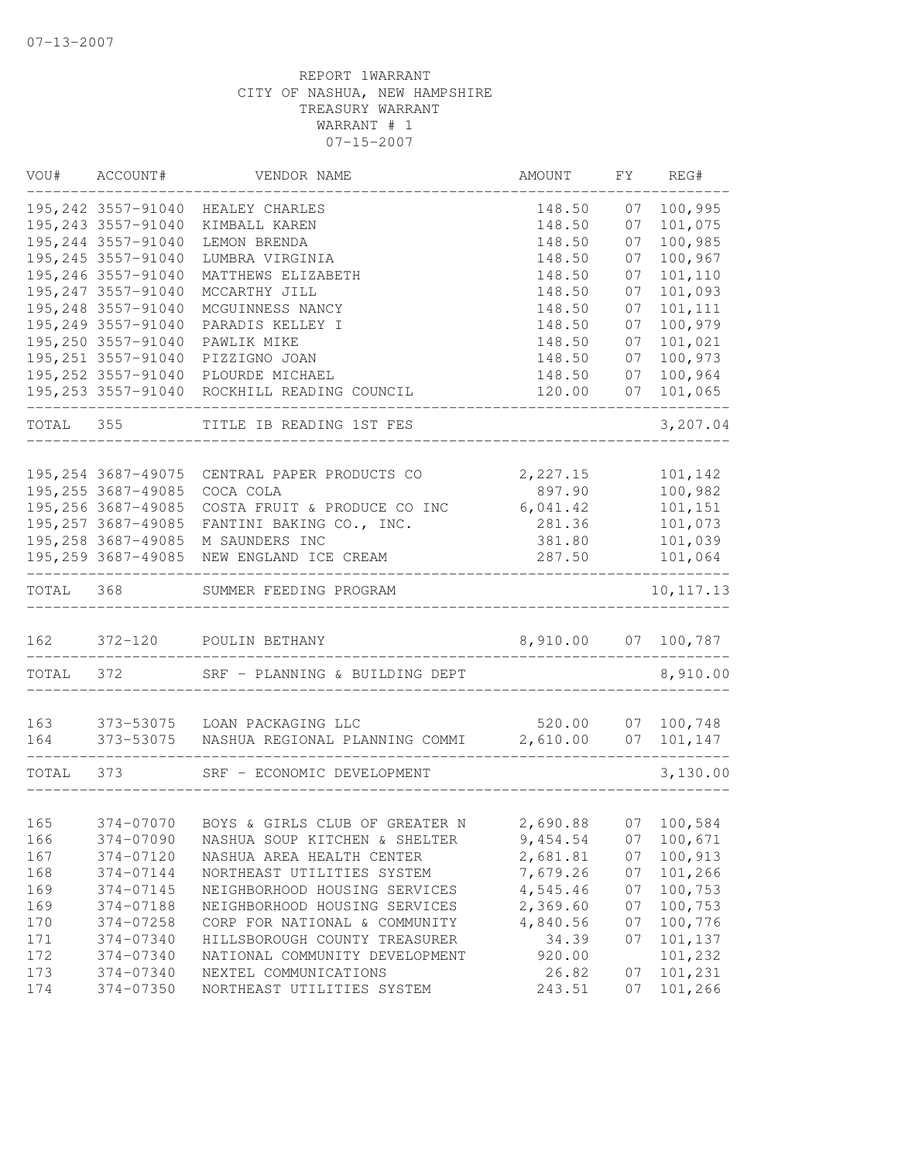| VOU#      | ACCOUNT#            | VENDOR NAME                                                                                                                                    | AMOUNT                    | FY | REG#       |
|-----------|---------------------|------------------------------------------------------------------------------------------------------------------------------------------------|---------------------------|----|------------|
|           | 195, 242 3557-91040 | HEALEY CHARLES                                                                                                                                 | 148.50                    | 07 | 100,995    |
|           | 195, 243 3557-91040 | KIMBALL KAREN                                                                                                                                  | 148.50                    | 07 | 101,075    |
|           | 195,244 3557-91040  | LEMON BRENDA                                                                                                                                   | 148.50                    | 07 | 100,985    |
|           | 195, 245 3557-91040 | LUMBRA VIRGINIA                                                                                                                                | 148.50                    | 07 | 100,967    |
|           | 195,246 3557-91040  | MATTHEWS ELIZABETH                                                                                                                             | 148.50                    | 07 | 101,110    |
|           | 195, 247 3557-91040 | MCCARTHY JILL                                                                                                                                  | 148.50                    | 07 | 101,093    |
|           | 195,248 3557-91040  | MCGUINNESS NANCY                                                                                                                               | 148.50                    | 07 | 101,111    |
|           | 195,249 3557-91040  | PARADIS KELLEY I                                                                                                                               | 148.50                    | 07 | 100,979    |
|           | 195,250 3557-91040  | PAWLIK MIKE                                                                                                                                    | 148.50                    | 07 | 101,021    |
|           | 195, 251 3557-91040 | PIZZIGNO JOAN                                                                                                                                  | 148.50                    | 07 | 100,973    |
|           | 195, 252 3557-91040 | PLOURDE MICHAEL                                                                                                                                | 148.50                    | 07 | 100,964    |
|           | 195,253 3557-91040  | ROCKHILL READING COUNCIL                                                                                                                       | 120.00                    | 07 | 101,065    |
| TOTAL 355 |                     | TITLE IB READING 1ST FES                                                                                                                       |                           |    | 3,207.04   |
|           |                     |                                                                                                                                                |                           |    |            |
|           | 195, 254 3687-49075 | CENTRAL PAPER PRODUCTS CO                                                                                                                      | 2,227.15                  |    | 101,142    |
|           | 195,255 3687-49085  | COCA COLA                                                                                                                                      | 897.90                    |    | 100,982    |
|           | 195,256 3687-49085  | COSTA FRUIT & PRODUCE CO INC                                                                                                                   | 6,041.42                  |    | 101,151    |
|           |                     | 195,257 3687-49085 FANTINI BAKING CO., INC.                                                                                                    | 281.36                    |    | 101,073    |
|           |                     | 195,258 3687-49085 M SAUNDERS INC                                                                                                              | 381.80                    |    | 101,039    |
|           |                     | 195,259 3687-49085 NEW ENGLAND ICE CREAM                                                                                                       | 287.50<br>_______________ |    | 101,064    |
| TOTAL 368 |                     | SUMMER FEEDING PROGRAM                                                                                                                         |                           |    | 10, 117.13 |
|           |                     | 162 372-120 POULIN BETHANY                                                                                                                     | 8,910.00 07 100,787       |    |            |
|           |                     |                                                                                                                                                |                           |    |            |
| TOTAL 372 |                     | SRF - PLANNING & BUILDING DEPT                                                                                                                 |                           |    | 8,910.00   |
|           |                     |                                                                                                                                                |                           |    |            |
| 163       |                     | 373-53075 LOAN PACKAGING LLC 520.00 07 100,748<br>373-53075 NASHUA REGIONAL PLANNING COMMI 2,610.00 07 101,147<br>373-53075 LOAN PACKAGING LLC |                           |    |            |
| 164       |                     |                                                                                                                                                |                           |    |            |
| TOTAL 373 |                     | SRF - ECONOMIC DEVELOPMENT                                                                                                                     | ______________            |    | 3,130.00   |
|           |                     |                                                                                                                                                |                           |    |            |
| 165       | 374-07070           | BOYS & GIRLS CLUB OF GREATER N 2,690.88 07 100,584                                                                                             |                           |    |            |
| 166       | 374-07090           | NASHUA SOUP KITCHEN & SHELTER                                                                                                                  | 9,454.54                  | 07 | 100,671    |
| 167       | 374-07120           | NASHUA AREA HEALTH CENTER                                                                                                                      | 2,681.81                  | 07 | 100,913    |
| 168       | 374-07144           | NORTHEAST UTILITIES SYSTEM                                                                                                                     | 7,679.26                  | 07 | 101,266    |
| 169       | 374-07145           | NEIGHBORHOOD HOUSING SERVICES                                                                                                                  | 4,545.46                  | 07 | 100,753    |
| 169       | 374-07188           | NEIGHBORHOOD HOUSING SERVICES                                                                                                                  | 2,369.60                  | 07 | 100,753    |
| 170       | 374-07258           | CORP FOR NATIONAL & COMMUNITY                                                                                                                  | 4,840.56                  | 07 | 100,776    |
| 171       | 374-07340           | HILLSBOROUGH COUNTY TREASURER                                                                                                                  | 34.39                     | 07 | 101,137    |
| 172       | 374-07340           | NATIONAL COMMUNITY DEVELOPMENT                                                                                                                 | 920.00                    |    | 101,232    |
| 173       | 374-07340           | NEXTEL COMMUNICATIONS                                                                                                                          | 26.82                     | 07 | 101,231    |
| 174       | 374-07350           | NORTHEAST UTILITIES SYSTEM                                                                                                                     | 243.51                    | 07 | 101,266    |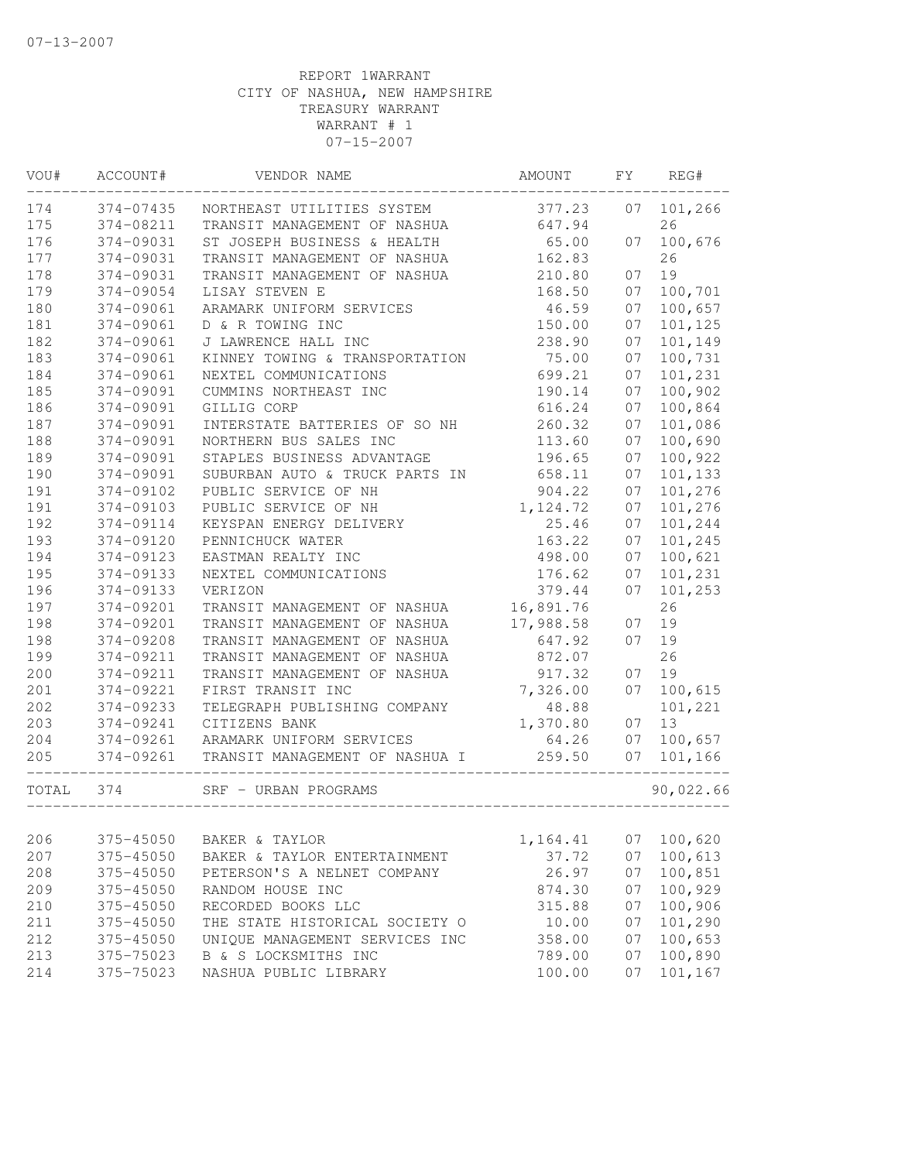| VOU#  | ACCOUNT#  | VENDOR NAME                    | AMOUNT    | FY | REG#      |
|-------|-----------|--------------------------------|-----------|----|-----------|
| 174   | 374-07435 | NORTHEAST UTILITIES SYSTEM     | 377.23    | 07 | 101,266   |
| 175   | 374-08211 | TRANSIT MANAGEMENT OF NASHUA   | 647.94    |    | 26        |
| 176   | 374-09031 | ST JOSEPH BUSINESS & HEALTH    | 65.00     | 07 | 100,676   |
| 177   | 374-09031 | TRANSIT MANAGEMENT OF NASHUA   | 162.83    |    | 26        |
| 178   | 374-09031 | TRANSIT MANAGEMENT OF NASHUA   | 210.80    | 07 | 19        |
| 179   | 374-09054 | LISAY STEVEN E                 | 168.50    | 07 | 100,701   |
| 180   | 374-09061 | ARAMARK UNIFORM SERVICES       | 46.59     | 07 | 100,657   |
| 181   | 374-09061 | D & R TOWING INC               | 150.00    | 07 | 101,125   |
| 182   | 374-09061 | J LAWRENCE HALL INC            | 238.90    | 07 | 101,149   |
| 183   | 374-09061 | KINNEY TOWING & TRANSPORTATION | 75.00     | 07 | 100,731   |
| 184   | 374-09061 | NEXTEL COMMUNICATIONS          | 699.21    | 07 | 101,231   |
| 185   | 374-09091 | CUMMINS NORTHEAST INC          | 190.14    | 07 | 100,902   |
| 186   | 374-09091 | GILLIG CORP                    | 616.24    | 07 | 100,864   |
| 187   | 374-09091 | INTERSTATE BATTERIES OF SO NH  | 260.32    | 07 | 101,086   |
| 188   | 374-09091 | NORTHERN BUS SALES INC         | 113.60    | 07 | 100,690   |
| 189   | 374-09091 | STAPLES BUSINESS ADVANTAGE     | 196.65    | 07 | 100,922   |
| 190   | 374-09091 | SUBURBAN AUTO & TRUCK PARTS IN | 658.11    | 07 | 101,133   |
| 191   | 374-09102 | PUBLIC SERVICE OF NH           | 904.22    | 07 | 101,276   |
| 191   | 374-09103 | PUBLIC SERVICE OF NH           | 1,124.72  | 07 | 101,276   |
| 192   | 374-09114 | KEYSPAN ENERGY DELIVERY        | 25.46     | 07 | 101,244   |
| 193   | 374-09120 | PENNICHUCK WATER               | 163.22    | 07 | 101,245   |
| 194   | 374-09123 | EASTMAN REALTY INC             | 498.00    | 07 | 100,621   |
| 195   | 374-09133 | NEXTEL COMMUNICATIONS          | 176.62    | 07 | 101,231   |
| 196   | 374-09133 | VERIZON                        | 379.44    | 07 | 101,253   |
| 197   | 374-09201 | TRANSIT MANAGEMENT OF NASHUA   | 16,891.76 |    | 26        |
| 198   | 374-09201 | TRANSIT MANAGEMENT OF NASHUA   | 17,988.58 | 07 | 19        |
| 198   | 374-09208 | TRANSIT MANAGEMENT OF NASHUA   | 647.92    | 07 | 19        |
| 199   | 374-09211 | TRANSIT MANAGEMENT OF NASHUA   | 872.07    |    | 26        |
| 200   | 374-09211 | TRANSIT MANAGEMENT OF NASHUA   | 917.32    | 07 | 19        |
| 201   | 374-09221 | FIRST TRANSIT INC              | 7,326.00  | 07 | 100,615   |
| 202   | 374-09233 | TELEGRAPH PUBLISHING COMPANY   | 48.88     |    | 101,221   |
| 203   | 374-09241 | CITIZENS BANK                  | 1,370.80  | 07 | 13        |
| 204   | 374-09261 | ARAMARK UNIFORM SERVICES       | 64.26     | 07 | 100,657   |
| 205   | 374-09261 | TRANSIT MANAGEMENT OF NASHUA I | 259.50    | 07 | 101,166   |
| TOTAL | 374       | SRF - URBAN PROGRAMS           |           |    | 90,022.66 |
|       |           |                                |           |    |           |
| 206   | 375-45050 | BAKER & TAYLOR                 | 1,164.41  | 07 | 100,620   |
| 207   | 375-45050 | BAKER & TAYLOR ENTERTAINMENT   | 37.72     | 07 | 100,613   |
| 208   | 375-45050 | PETERSON'S A NELNET COMPANY    | 26.97     | 07 | 100,851   |
| 209   | 375-45050 | RANDOM HOUSE INC               | 874.30    | 07 | 100,929   |
| 210   | 375-45050 | RECORDED BOOKS LLC             | 315.88    | 07 | 100,906   |
| 211   | 375-45050 | THE STATE HISTORICAL SOCIETY O | 10.00     | 07 | 101,290   |
| 212   | 375-45050 | UNIQUE MANAGEMENT SERVICES INC | 358.00    | 07 | 100,653   |
| 213   | 375-75023 | B & S LOCKSMITHS INC           | 789.00    | 07 | 100,890   |
| 214   | 375-75023 | NASHUA PUBLIC LIBRARY          | 100.00    | 07 | 101,167   |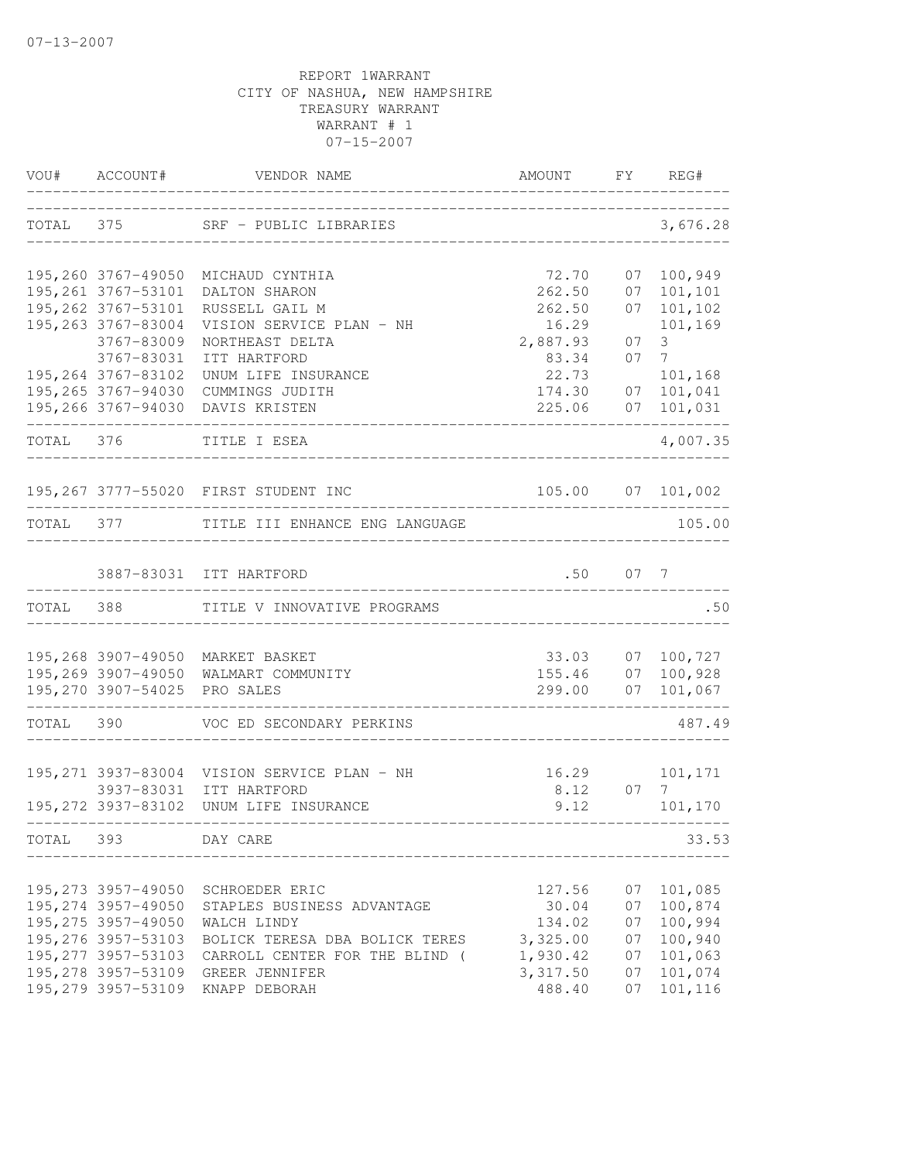|           |                                           | VOU# ACCOUNT# VENDOR NAME                                          | AMOUNT               |            | FY REG#                      |
|-----------|-------------------------------------------|--------------------------------------------------------------------|----------------------|------------|------------------------------|
|           | TOTAL 375                                 | SRF - PUBLIC LIBRARIES<br>____________________                     |                      |            | 3,676.28                     |
|           |                                           | 195,260 3767-49050 MICHAUD CYNTHIA                                 | 72.70                |            | 07 100,949                   |
|           | 195,261 3767-53101                        | DALTON SHARON                                                      | 262.50               | 07         | 101,101                      |
|           | 195, 262 3767-53101                       | RUSSELL GAIL M                                                     | 262.50               | 07         | 101,102                      |
|           | 195, 263 3767-83004<br>3767-83009         | VISION SERVICE PLAN - NH                                           | 16.29<br>2,887.93    | 07         | 101,169<br>3 <sup>7</sup>    |
|           | 3767-83031                                | NORTHEAST DELTA<br>ITT HARTFORD                                    | 83.34                | 07         | $7 \overline{}$              |
|           | 195,264 3767-83102                        | UNUM LIFE INSURANCE                                                | 22.73                |            | 101,168                      |
|           |                                           | 195,265 3767-94030 CUMMINGS JUDITH                                 | 174.30               | 07         | 101,041                      |
|           |                                           | 195,266 3767-94030 DAVIS KRISTEN                                   | 225.06               |            | 07 101,031<br>-------------- |
| TOTAL 376 |                                           | TITLE I ESEA<br>--------------                                     |                      |            | 4,007.35                     |
|           |                                           | 195,267 3777-55020 FIRST STUDENT INC                               |                      |            | 105.00 07 101,002            |
|           |                                           | TOTAL 377 TITLE III ENHANCE ENG LANGUAGE                           |                      |            | 105.00                       |
|           |                                           | 3887-83031 ITT HARTFORD                                            |                      | $.50$ 07 7 |                              |
| TOTAL 388 |                                           | TITLE V INNOVATIVE PROGRAMS                                        |                      |            | .50                          |
|           |                                           |                                                                    |                      |            |                              |
|           |                                           | 195,268 3907-49050 MARKET BASKET                                   | 33.03                | 07         | 100,727                      |
|           | 195,270 3907-54025 PRO SALES              | 195,269 3907-49050 WALMART COMMUNITY                               | 155.46 07<br>299.00  |            | 100,928<br>07 101,067        |
| TOTAL 390 |                                           | VOC ED SECONDARY PERKINS                                           | ____________________ |            | 487.49                       |
|           |                                           |                                                                    |                      |            |                              |
|           |                                           | 195,271 3937-83004 VISION SERVICE PLAN - NH                        |                      |            | 16.29    101,171             |
|           |                                           | 3937-83031 ITT HARTFORD<br>195, 272 3937-83102 UNUM LIFE INSURANCE | 8.12                 | 07<br>9.12 | 7<br>101,170                 |
| TOTAL     | 393                                       | DAY CARE                                                           |                      |            | 33.53                        |
|           |                                           |                                                                    |                      |            |                              |
|           | 195,273 3957-49050                        | SCHROEDER ERIC                                                     | 127.56               | 07         | 101,085                      |
|           | 195, 274 3957-49050                       | STAPLES BUSINESS ADVANTAGE                                         | 30.04                | 07         | 100,874                      |
|           | 195, 275 3957-49050<br>195,276 3957-53103 | WALCH LINDY                                                        | 134.02               | 07         | 100,994<br>100,940           |
|           | 195, 277 3957-53103                       | BOLICK TERESA DBA BOLICK TERES<br>CARROLL CENTER FOR THE BLIND (   | 3,325.00<br>1,930.42 | 07<br>07   | 101,063                      |
|           | 195, 278 3957-53109                       | GREER JENNIFER                                                     | 3,317.50             | 07         | 101,074                      |
|           | 195, 279 3957-53109                       | KNAPP DEBORAH                                                      | 488.40               | 07         | 101,116                      |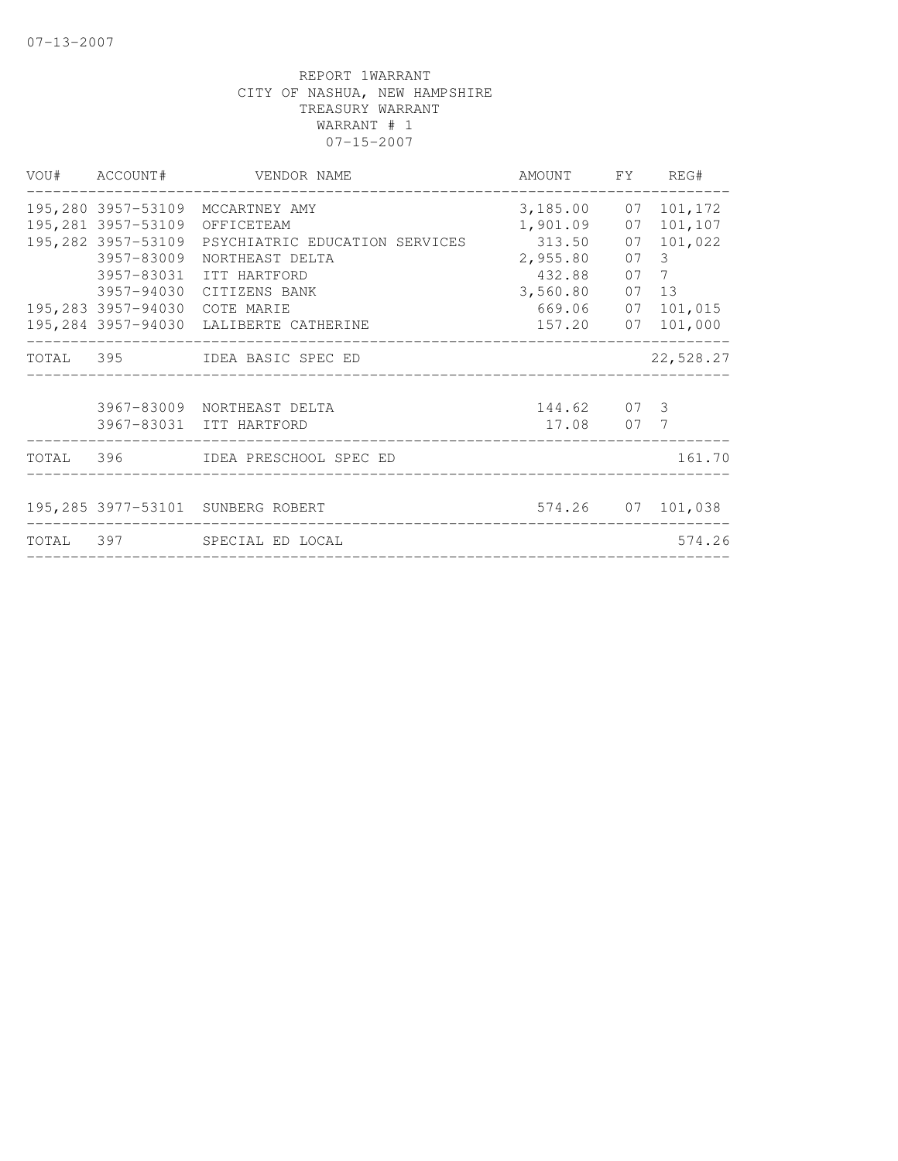|                               | VOU# ACCOUNT# VENDOR NAME                         | AMOUNT FY REG#        |                   |
|-------------------------------|---------------------------------------------------|-----------------------|-------------------|
|                               | 195,280 3957-53109 MCCARTNEY AMY                  | 3, 185.00 07 101, 172 |                   |
| 195,281 3957-53109 OFFICETEAM |                                                   | 1,901.09 07 101,107   |                   |
|                               | 195,282 3957-53109 PSYCHIATRIC EDUCATION SERVICES | 313.50                | 07 101,022        |
| 3957-83009                    | NORTHEAST DELTA                                   | 2,955.80 07 3         |                   |
|                               | 3957-83031 ITT HARTFORD                           | 432.88 07             | 7                 |
|                               | 3957-94030 CITIZENS BANK                          | 3,560.80 07 13        |                   |
| 195,283 3957-94030 COTE MARIE |                                                   |                       | 669.06 07 101,015 |
|                               | 195,284 3957-94030 LALIBERTE CATHERINE            |                       | 157.20 07 101,000 |
|                               | TOTAL 395 IDEA BASIC SPEC ED                      |                       | 22,528.27         |
|                               | 3967-83009 NORTHEAST DELTA                        | 144.62 07 3           |                   |
|                               | 3967-83031 ITT HARTFORD                           | 17.08 07 7            |                   |
|                               | TOTAL 396 IDEA PRESCHOOL SPEC ED                  |                       | 161.70            |
|                               | 195,285 3977-53101 SUNBERG ROBERT                 |                       | 574.26 07 101,038 |
|                               | TOTAL 397 SPECIAL ED LOCAL                        |                       | 574.26            |
|                               |                                                   |                       |                   |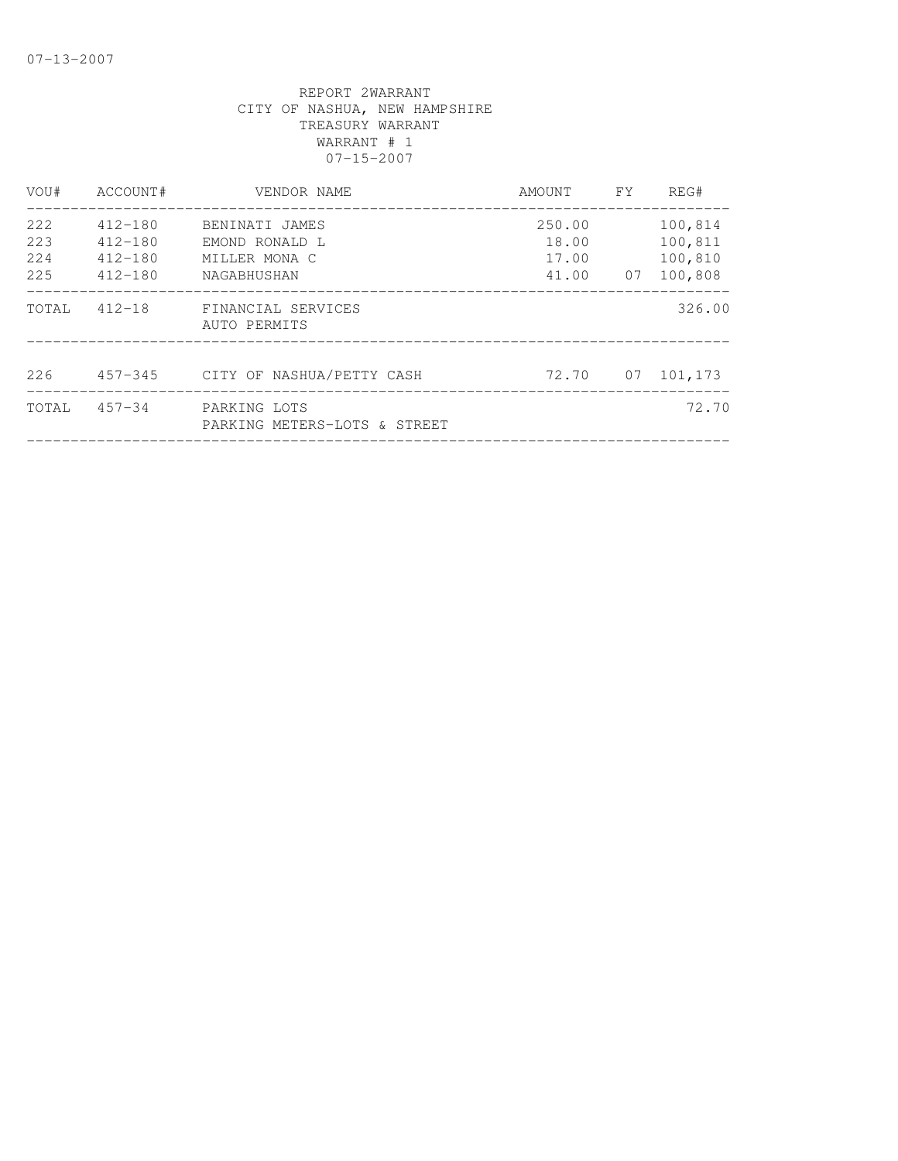| VOU#                     | ACCOUNT#                                             | VENDOR NAME                                                      | AMOUNT                               | FY | REG#                                     |
|--------------------------|------------------------------------------------------|------------------------------------------------------------------|--------------------------------------|----|------------------------------------------|
| 222<br>223<br>224<br>225 | $412 - 180$<br>$412 - 180$<br>$412 - 180$<br>412-180 | BENINATI JAMES<br>EMOND RONALD L<br>MILLER MONA C<br>NAGABHUSHAN | 250.00<br>18.00<br>17.00<br>41.00 07 |    | 100,814<br>100,811<br>100,810<br>100,808 |
| TOTAL                    | $412 - 18$                                           | FINANCIAL SERVICES<br>AUTO PERMITS                               |                                      |    | 326.00                                   |
| 226                      |                                                      | 457-345 CITY OF NASHUA/PETTY CASH                                |                                      |    | 72.70 07 101,173                         |
| TOTAL                    | $457 - 34$                                           | PARKING LOTS<br>PARKING METERS-LOTS & STREET                     |                                      |    | 72.70                                    |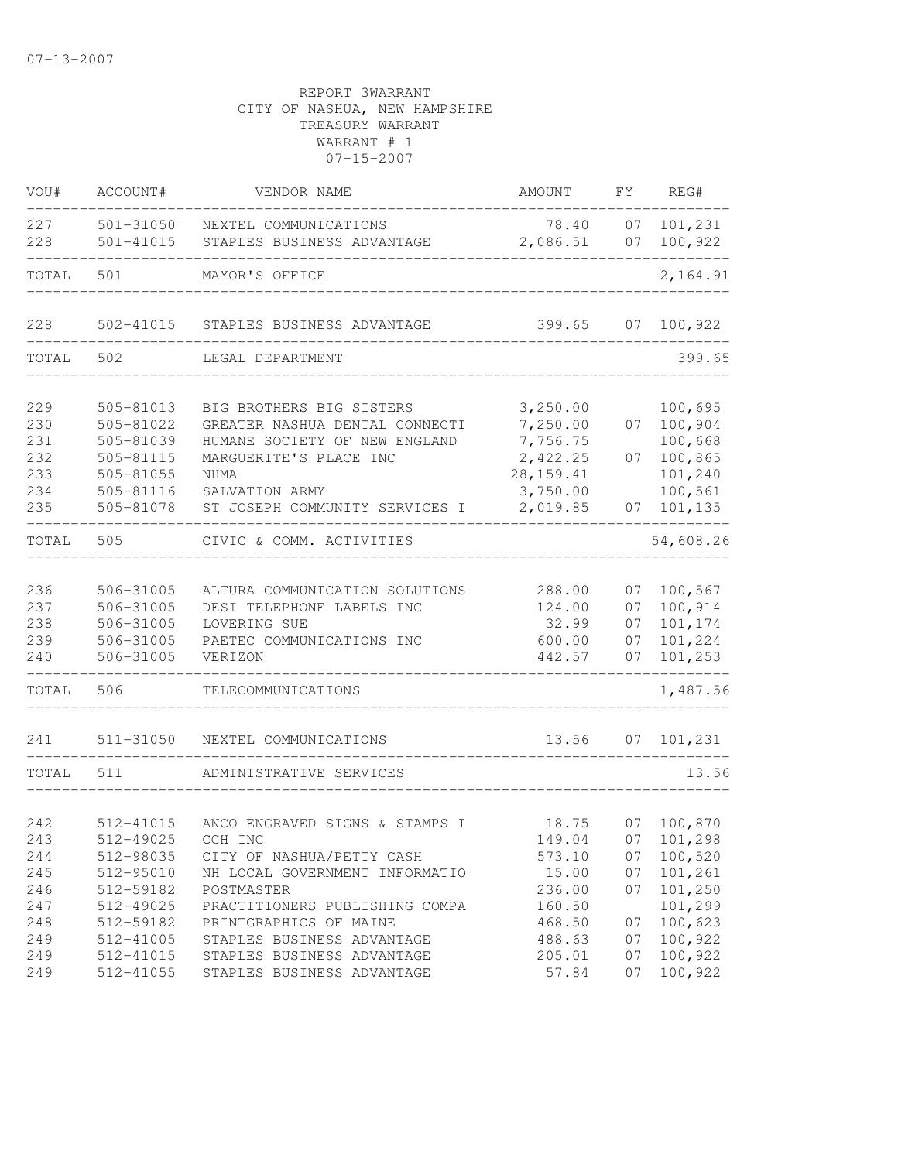| VOU#                            | ACCOUNT#                                                      | VENDOR NAME                                                                                                                          | AMOUNT                                                      | FY                         | REG#                                                |
|---------------------------------|---------------------------------------------------------------|--------------------------------------------------------------------------------------------------------------------------------------|-------------------------------------------------------------|----------------------------|-----------------------------------------------------|
| 227<br>228                      | 501-31050<br>501-41015                                        | NEXTEL COMMUNICATIONS<br>STAPLES BUSINESS ADVANTAGE                                                                                  | 78.40<br>2,086.51                                           | 07                         | 07 101, 231<br>100,922                              |
| TOTAL                           | 501                                                           | MAYOR'S OFFICE                                                                                                                       |                                                             |                            | 2,164.91                                            |
| 228                             | 502-41015                                                     | STAPLES BUSINESS ADVANTAGE                                                                                                           | 399.65                                                      | 07                         | 100,922                                             |
| TOTAL                           | 502                                                           | LEGAL DEPARTMENT                                                                                                                     |                                                             |                            | 399.65                                              |
| 229<br>230<br>231<br>232<br>233 | 505-81013<br>505-81022<br>505-81039<br>505-81115<br>505-81055 | BIG BROTHERS BIG SISTERS<br>GREATER NASHUA DENTAL CONNECTI<br>HUMANE SOCIETY OF NEW ENGLAND<br>MARGUERITE'S PLACE INC<br><b>NHMA</b> | 3,250.00<br>7,250.00<br>7,756.75<br>2,422.25<br>28, 159. 41 | 07<br>07                   | 100,695<br>100,904<br>100,668<br>100,865<br>101,240 |
| 234<br>235                      | 505-81116<br>505-81078                                        | SALVATION ARMY<br>ST JOSEPH COMMUNITY SERVICES I                                                                                     | 3,750.00<br>2,019.85                                        | 07                         | 100,561<br>101,135                                  |
| TOTAL                           | 505                                                           | CIVIC & COMM. ACTIVITIES                                                                                                             |                                                             |                            | 54,608.26                                           |
| 236<br>237<br>238<br>239<br>240 | 506-31005<br>506-31005<br>506-31005<br>506-31005<br>506-31005 | ALTURA COMMUNICATION SOLUTIONS<br>DESI TELEPHONE LABELS INC<br>LOVERING SUE<br>PAETEC COMMUNICATIONS INC<br>VERIZON                  | 288.00<br>124.00<br>32.99<br>600.00<br>442.57               | 07<br>07<br>07<br>07<br>07 | 100,567<br>100,914<br>101,174<br>101,224<br>101,253 |
| TOTAL                           | 506                                                           | TELECOMMUNICATIONS                                                                                                                   |                                                             |                            | 1,487.56                                            |
| 241                             | 511-31050                                                     | NEXTEL COMMUNICATIONS                                                                                                                | 13.56                                                       | 07                         | 101,231                                             |
| TOTAL                           | 511                                                           | ADMINISTRATIVE SERVICES                                                                                                              |                                                             |                            | 13.56                                               |
| 242<br>243                      | 512-41015<br>512-49025                                        | ANCO ENGRAVED SIGNS & STAMPS I<br>CCH INC                                                                                            | 18.75<br>149.04                                             |                            | 07 100,870<br>$07$ 101,298                          |
| 244<br>245<br>246<br>247        | 512-98035<br>512-95010<br>512-59182<br>512-49025              | CITY OF NASHUA/PETTY CASH<br>NH LOCAL GOVERNMENT INFORMATIO<br>POSTMASTER<br>PRACTITIONERS PUBLISHING COMPA                          | 573.10<br>15.00<br>236.00<br>160.50                         | 07<br>07<br>07             | 100,520<br>101,261<br>101,250<br>101,299            |
| 248<br>249<br>249<br>249        | 512-59182<br>512-41005<br>512-41015<br>512-41055              | PRINTGRAPHICS OF MAINE<br>STAPLES BUSINESS ADVANTAGE<br>STAPLES BUSINESS ADVANTAGE<br>STAPLES BUSINESS ADVANTAGE                     | 468.50<br>488.63<br>205.01<br>57.84                         | 07<br>07<br>07<br>07       | 100,623<br>100,922<br>100,922<br>100,922            |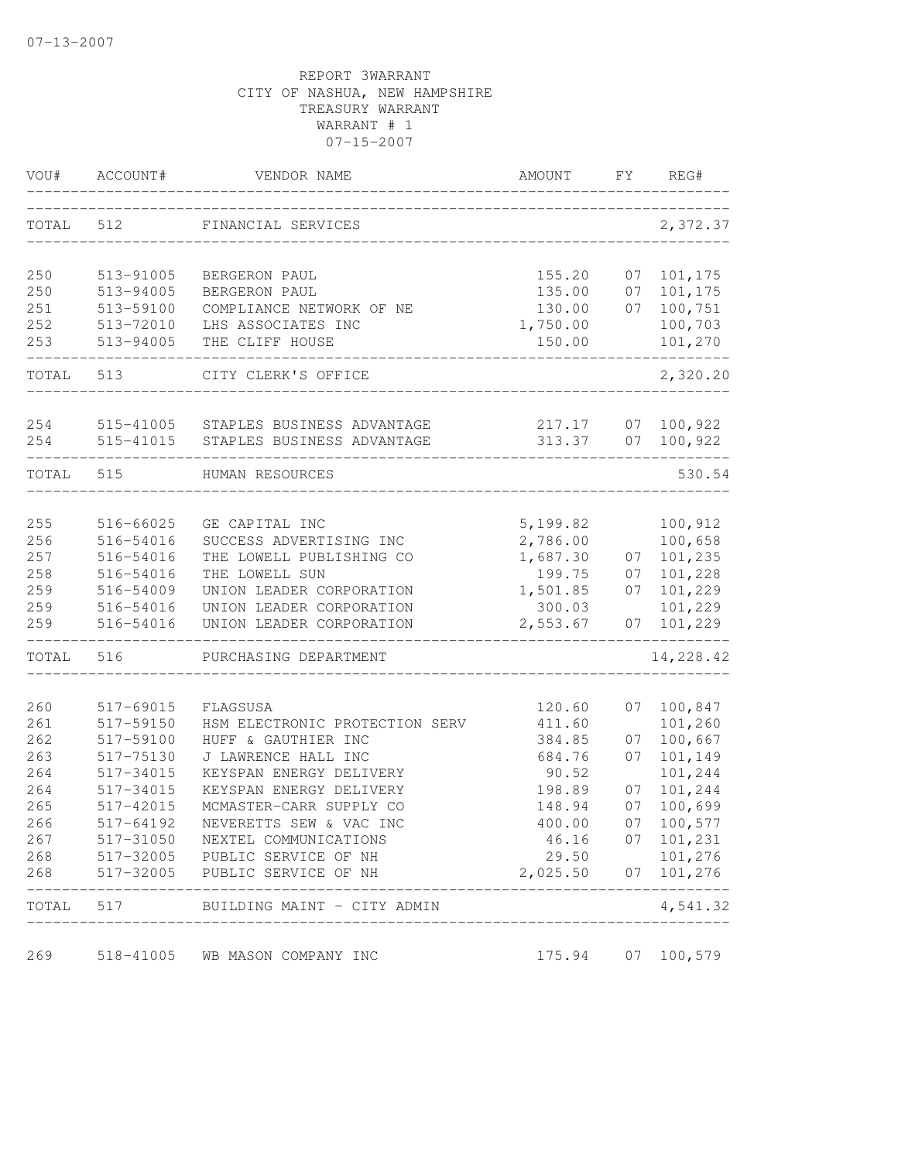| VOU#       | ACCOUNT#               | VENDOR NAME                                           | AMOUNT             | FΥ       | REG#               |
|------------|------------------------|-------------------------------------------------------|--------------------|----------|--------------------|
| TOTAL      | 512                    | FINANCIAL SERVICES                                    |                    |          | 2,372.37           |
| 250        | 513-91005              | BERGERON PAUL                                         | 155.20             | 07       | 101,175            |
| 250        | 513-94005              | BERGERON PAUL                                         | 135.00             | 07       | 101,175            |
| 251        | 513-59100              | COMPLIANCE NETWORK OF NE                              | 130.00             | 07       | 100,751            |
| 252        | 513-72010              | LHS ASSOCIATES INC                                    | 1,750.00           |          | 100,703            |
| 253        | 513-94005              | THE CLIFF HOUSE                                       | 150.00             |          | 101,270            |
| TOTAL      | 513                    | CITY CLERK'S OFFICE                                   |                    |          | 2,320.20           |
| 254        | 515-41005              | STAPLES BUSINESS ADVANTAGE                            | 217.17             | 07       | 100,922            |
| 254        | 515-41015              | STAPLES BUSINESS ADVANTAGE                            | 313.37             | 07       | 100,922            |
| TOTAL      | 515                    | HUMAN RESOURCES                                       |                    |          | 530.54             |
|            |                        |                                                       |                    |          |                    |
| 255        | 516-66025              | GE CAPITAL INC                                        | 5,199.82           |          | 100,912            |
| 256        | 516-54016              | SUCCESS ADVERTISING INC                               | 2,786.00           |          | 100,658<br>101,235 |
| 257<br>258 | 516-54016<br>516-54016 | THE LOWELL PUBLISHING CO<br>THE LOWELL SUN            | 1,687.30<br>199.75 | 07<br>07 | 101,228            |
| 259        | 516-54009              | UNION LEADER CORPORATION                              | 1,501.85           | 07       | 101,229            |
| 259        | 516-54016              | UNION LEADER CORPORATION                              | 300.03             |          | 101,229            |
| 259        | 516-54016              | UNION LEADER CORPORATION                              | 2,553.67           | 07       | 101,229            |
| TOTAL      | 516                    | PURCHASING DEPARTMENT                                 |                    |          | 14,228.42          |
|            |                        |                                                       |                    |          |                    |
| 260        | 517-69015              | FLAGSUSA                                              | 120.60             | 07       | 100,847            |
| 261<br>262 | 517-59150<br>517-59100 | HSM ELECTRONIC PROTECTION SERV<br>HUFF & GAUTHIER INC | 411.60<br>384.85   | 07       | 101,260<br>100,667 |
| 263        | 517-75130              | J LAWRENCE HALL INC                                   | 684.76             | 07       | 101,149            |
| 264        | 517-34015              | KEYSPAN ENERGY DELIVERY                               | 90.52              |          | 101,244            |
| 264        | 517-34015              | KEYSPAN ENERGY DELIVERY                               | 198.89             | 07       | 101,244            |
| 265        | 517-42015              | MCMASTER-CARR SUPPLY CO                               | 148.94             | 07       | 100,699            |
| 266        | 517-64192              | NEVERETTS SEW & VAC INC                               | 400.00             | 07       | 100,577            |
| 267        | 517-31050              | NEXTEL COMMUNICATIONS                                 | 46.16              |          | 07 101,231         |
| 268        |                        | 517-32005 PUBLIC SERVICE OF NH                        | 29.50              |          | 101,276            |
| 268        | 517-32005              | PUBLIC SERVICE OF NH                                  | 2,025.50           |          | 07 101,276         |
| TOTAL      | 517                    | BUILDING MAINT - CITY ADMIN                           |                    |          | 4,541.32           |
| 269        | 518-41005              | WB MASON COMPANY INC                                  | 175.94             | 07       | 100,579            |
|            |                        |                                                       |                    |          |                    |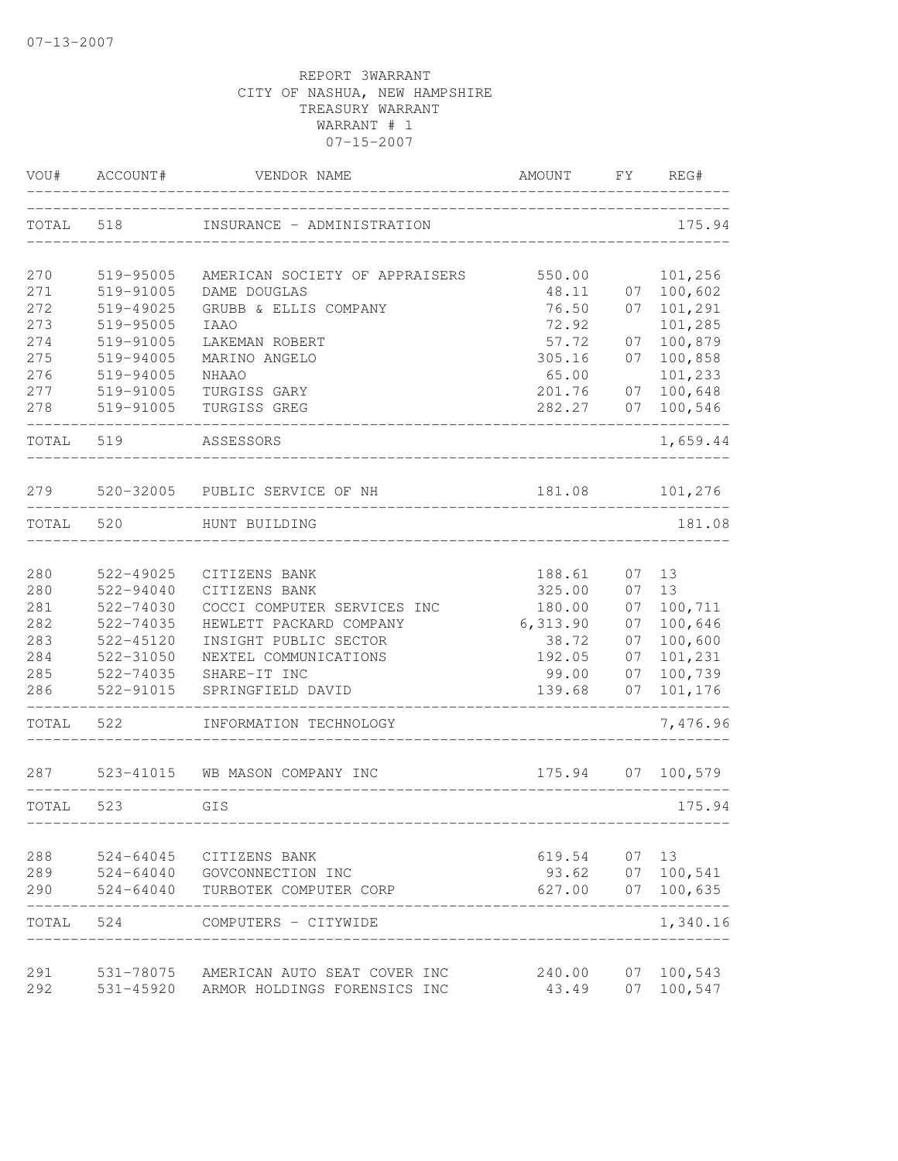| VOU#  | ACCOUNT#      | VENDOR NAME                        | AMOUNT   | FY | REG#     |
|-------|---------------|------------------------------------|----------|----|----------|
| TOTAL | 518           | INSURANCE - ADMINISTRATION         |          |    | 175.94   |
| 270   | 519-95005     | AMERICAN SOCIETY OF APPRAISERS     | 550.00   |    | 101,256  |
| 271   | 519-91005     | DAME DOUGLAS                       | 48.11    | 07 | 100,602  |
| 272   | 519-49025     | GRUBB & ELLIS COMPANY              | 76.50    | 07 | 101,291  |
| 273   | 519-95005     | <b>IAA0</b>                        | 72.92    |    | 101,285  |
| 274   | 519-91005     | LAKEMAN ROBERT                     | 57.72    | 07 | 100,879  |
| 275   | 519-94005     | MARINO ANGELO                      | 305.16   | 07 | 100,858  |
| 276   | 519-94005     | <b>NHAAO</b>                       | 65.00    |    | 101,233  |
| 277   | 519-91005     | TURGISS GARY                       | 201.76   | 07 | 100,648  |
| 278   | 519-91005     | TURGISS GREG                       | 282.27   | 07 | 100,546  |
| TOTAL | 519           | ASSESSORS                          |          |    | 1,659.44 |
| 279   |               | 520-32005 PUBLIC SERVICE OF NH     | 181.08   |    | 101,276  |
| TOTAL | 520           | HUNT BUILDING                      |          |    | 181.08   |
| 280   | 522-49025     | CITIZENS BANK                      | 188.61   | 07 | 13       |
| 280   | 522-94040     | CITIZENS BANK                      | 325.00   | 07 | 13       |
| 281   | 522-74030     | COCCI COMPUTER SERVICES INC        | 180.00   | 07 | 100,711  |
| 282   | 522-74035     | HEWLETT PACKARD COMPANY            | 6,313.90 | 07 | 100,646  |
| 283   | 522-45120     | INSIGHT PUBLIC SECTOR              | 38.72    | 07 | 100,600  |
| 284   | 522-31050     | NEXTEL COMMUNICATIONS              | 192.05   | 07 | 101,231  |
| 285   | 522-74035     | SHARE-IT INC                       | 99.00    | 07 | 100,739  |
| 286   | 522-91015     | SPRINGFIELD DAVID                  | 139.68   | 07 | 101,176  |
| TOTAL | 522           | INFORMATION TECHNOLOGY             |          |    | 7,476.96 |
| 287   |               | 523-41015 WB MASON COMPANY INC     | 175.94   | 07 | 100,579  |
| TOTAL | 523           | GIS                                |          |    | 175.94   |
| 288   | $524 - 64045$ |                                    | 619.54   | 07 | 13       |
| 289   | $524 - 64040$ | CITIZENS BANK<br>GOVCONNECTION INC | 93.62    | 07 | 100,541  |
| 290   | $524 - 64040$ | TURBOTEK COMPUTER CORP             | 627.00   | 07 | 100,635  |
| TOTAL | 524           | COMPUTERS - CITYWIDE               |          |    | 1,340.16 |
| 291   | 531-78075     | AMERICAN AUTO SEAT COVER INC       | 240.00   | 07 | 100,543  |
| 292   | 531-45920     | ARMOR HOLDINGS FORENSICS INC       | 43.49    | 07 | 100,547  |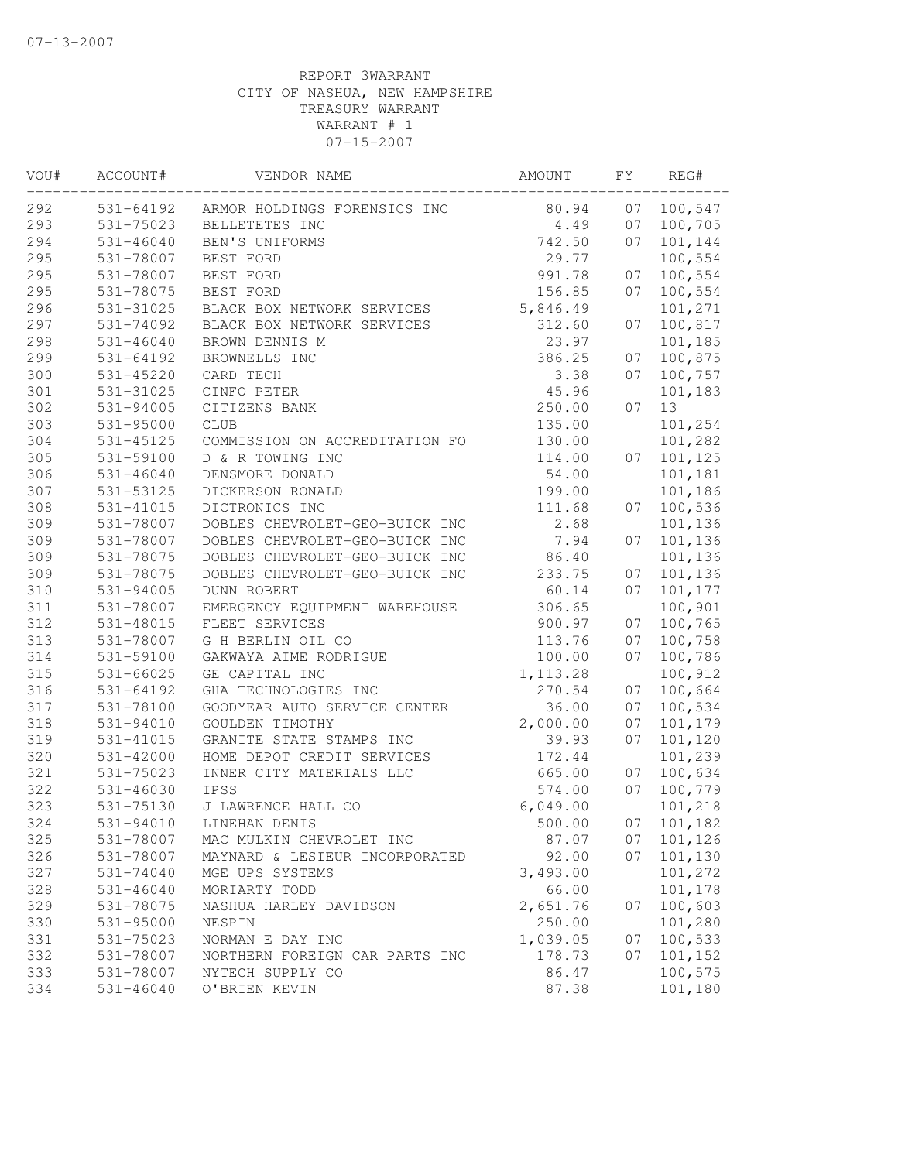| VOU# | ACCOUNT#      | VENDOR NAME                    | AMOUNT    | FΥ | REG#    |
|------|---------------|--------------------------------|-----------|----|---------|
| 292  | 531-64192     | ARMOR HOLDINGS FORENSICS INC   | 80.94     | 07 | 100,547 |
| 293  | 531-75023     | BELLETETES INC                 | 4.49      | 07 | 100,705 |
| 294  | $531 - 46040$ | BEN'S UNIFORMS                 | 742.50    | 07 | 101,144 |
| 295  | 531-78007     | BEST FORD                      | 29.77     |    | 100,554 |
| 295  | 531-78007     | BEST FORD                      | 991.78    | 07 | 100,554 |
| 295  | 531-78075     | BEST FORD                      | 156.85    | 07 | 100,554 |
| 296  | 531-31025     | BLACK BOX NETWORK SERVICES     | 5,846.49  |    | 101,271 |
| 297  | 531-74092     | BLACK BOX NETWORK SERVICES     | 312.60    | 07 | 100,817 |
| 298  | $531 - 46040$ | BROWN DENNIS M                 | 23.97     |    | 101,185 |
| 299  | $531 - 64192$ | BROWNELLS INC                  | 386.25    | 07 | 100,875 |
| 300  | 531-45220     | CARD TECH                      | 3.38      | 07 | 100,757 |
| 301  | 531-31025     | CINFO PETER                    | 45.96     |    | 101,183 |
| 302  | 531-94005     | CITIZENS BANK                  | 250.00    | 07 | 13      |
| 303  | 531-95000     | <b>CLUB</b>                    | 135.00    |    | 101,254 |
| 304  | 531-45125     | COMMISSION ON ACCREDITATION FO | 130.00    |    | 101,282 |
| 305  | 531-59100     | D & R TOWING INC               | 114.00    | 07 | 101,125 |
| 306  | $531 - 46040$ | DENSMORE DONALD                | 54.00     |    | 101,181 |
| 307  | 531-53125     | DICKERSON RONALD               | 199.00    |    | 101,186 |
| 308  | 531-41015     | DICTRONICS INC                 | 111.68    | 07 | 100,536 |
| 309  | 531-78007     | DOBLES CHEVROLET-GEO-BUICK INC | 2.68      |    | 101,136 |
| 309  | 531-78007     | DOBLES CHEVROLET-GEO-BUICK INC | 7.94      | 07 | 101,136 |
| 309  | 531-78075     | DOBLES CHEVROLET-GEO-BUICK INC | 86.40     |    | 101,136 |
| 309  | 531-78075     | DOBLES CHEVROLET-GEO-BUICK INC | 233.75    | 07 | 101,136 |
| 310  | 531-94005     | <b>DUNN ROBERT</b>             | 60.14     | 07 | 101,177 |
| 311  | 531-78007     | EMERGENCY EQUIPMENT WAREHOUSE  | 306.65    |    | 100,901 |
| 312  | 531-48015     | FLEET SERVICES                 | 900.97    | 07 | 100,765 |
| 313  | 531-78007     | G H BERLIN OIL CO              | 113.76    | 07 | 100,758 |
| 314  | 531-59100     | GAKWAYA AIME RODRIGUE          | 100.00    | 07 | 100,786 |
| 315  | $531 - 66025$ | GE CAPITAL INC                 | 1, 113.28 |    | 100,912 |
| 316  | 531-64192     | GHA TECHNOLOGIES INC           | 270.54    | 07 | 100,664 |
| 317  | 531-78100     | GOODYEAR AUTO SERVICE CENTER   | 36.00     | 07 | 100,534 |
| 318  | 531-94010     | GOULDEN TIMOTHY                | 2,000.00  | 07 | 101,179 |
| 319  | 531-41015     | GRANITE STATE STAMPS INC       | 39.93     | 07 | 101,120 |
| 320  | 531-42000     | HOME DEPOT CREDIT SERVICES     | 172.44    |    | 101,239 |
| 321  | 531-75023     | INNER CITY MATERIALS LLC       | 665.00    | 07 | 100,634 |
| 322  | $531 - 46030$ | IPSS                           | 574.00    | 07 | 100,779 |
| 323  | 531-75130     | J LAWRENCE HALL CO             | 6,049.00  |    | 101,218 |
| 324  | 531-94010     | LINEHAN DENIS                  | 500.00    | 07 | 101,182 |
| 325  | 531-78007     | MAC MULKIN CHEVROLET INC       | 87.07     | 07 | 101,126 |
| 326  | 531-78007     | MAYNARD & LESIEUR INCORPORATED | 92.00     | 07 | 101,130 |
| 327  | 531-74040     | MGE UPS SYSTEMS                | 3,493.00  |    | 101,272 |
| 328  | $531 - 46040$ | MORIARTY TODD                  | 66.00     |    | 101,178 |
| 329  | 531-78075     | NASHUA HARLEY DAVIDSON         | 2,651.76  | 07 | 100,603 |
| 330  | 531-95000     | NESPIN                         | 250.00    |    | 101,280 |
| 331  | 531-75023     | NORMAN E DAY INC               | 1,039.05  | 07 | 100,533 |
| 332  | 531-78007     | NORTHERN FOREIGN CAR PARTS INC | 178.73    | 07 | 101,152 |
| 333  | 531-78007     | NYTECH SUPPLY CO               | 86.47     |    | 100,575 |
| 334  | 531-46040     | O'BRIEN KEVIN                  | 87.38     |    | 101,180 |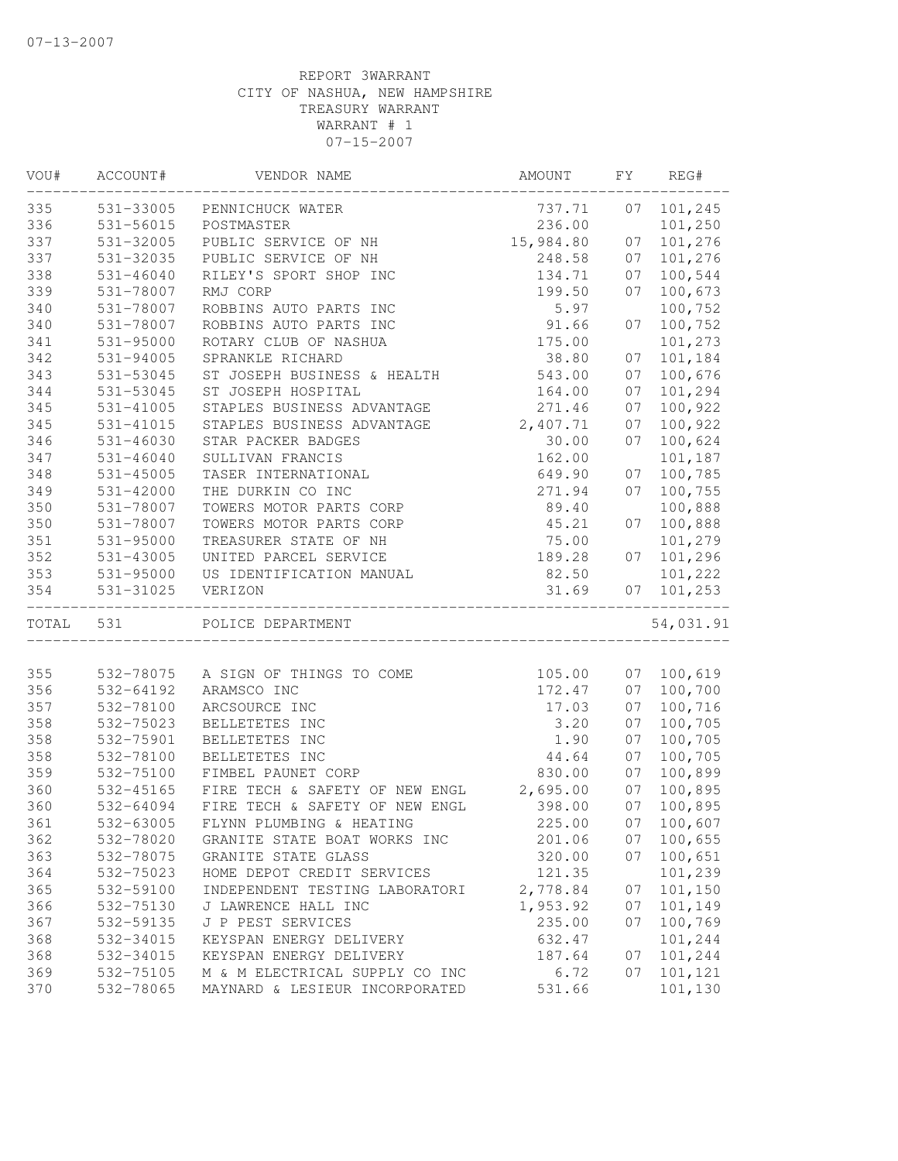| VOU#  | ACCOUNT#      | VENDOR NAME                    | AMOUNT    | FΥ | REG#      |
|-------|---------------|--------------------------------|-----------|----|-----------|
| 335   | 531-33005     | PENNICHUCK WATER               | 737.71    | 07 | 101,245   |
| 336   | 531-56015     | POSTMASTER                     | 236.00    |    | 101,250   |
| 337   | 531-32005     | PUBLIC SERVICE OF NH           | 15,984.80 | 07 | 101,276   |
| 337   | 531-32035     | PUBLIC SERVICE OF NH           | 248.58    | 07 | 101,276   |
| 338   | $531 - 46040$ | RILEY'S SPORT SHOP INC         | 134.71    | 07 | 100,544   |
| 339   | 531-78007     | RMJ CORP                       | 199.50    | 07 | 100,673   |
| 340   | 531-78007     | ROBBINS AUTO PARTS INC         | 5.97      |    | 100,752   |
| 340   | 531-78007     | ROBBINS AUTO PARTS INC         | 91.66     | 07 | 100,752   |
| 341   | 531-95000     | ROTARY CLUB OF NASHUA          | 175.00    |    | 101,273   |
| 342   | 531-94005     | SPRANKLE RICHARD               | 38.80     | 07 | 101,184   |
| 343   | 531-53045     | ST JOSEPH BUSINESS & HEALTH    | 543.00    | 07 | 100,676   |
| 344   | 531-53045     | ST JOSEPH HOSPITAL             | 164.00    | 07 | 101,294   |
| 345   | 531-41005     | STAPLES BUSINESS ADVANTAGE     | 271.46    | 07 | 100,922   |
| 345   | 531-41015     | STAPLES BUSINESS ADVANTAGE     | 2,407.71  | 07 | 100,922   |
| 346   | 531-46030     | STAR PACKER BADGES             | 30.00     | 07 | 100,624   |
| 347   | $531 - 46040$ | SULLIVAN FRANCIS               | 162.00    |    | 101,187   |
| 348   | 531-45005     | TASER INTERNATIONAL            | 649.90    | 07 | 100,785   |
| 349   | 531-42000     | THE DURKIN CO INC              | 271.94    | 07 | 100,755   |
| 350   | 531-78007     | TOWERS MOTOR PARTS CORP        | 89.40     |    | 100,888   |
| 350   | 531-78007     | TOWERS MOTOR PARTS CORP        | 45.21     | 07 | 100,888   |
| 351   | 531-95000     | TREASURER STATE OF NH          | 75.00     |    | 101,279   |
| 352   | 531-43005     | UNITED PARCEL SERVICE          | 189.28    | 07 | 101,296   |
| 353   | 531-95000     | US IDENTIFICATION MANUAL       | 82.50     |    | 101,222   |
| 354   | 531-31025     | VERIZON                        | 31.69     | 07 | 101,253   |
| TOTAL | 531           | POLICE DEPARTMENT              |           |    | 54,031.91 |
|       |               |                                |           |    |           |
| 355   | 532-78075     | A SIGN OF THINGS TO COME       | 105.00    | 07 | 100,619   |
| 356   | 532-64192     | ARAMSCO INC                    | 172.47    | 07 | 100,700   |
| 357   | 532-78100     | ARCSOURCE INC                  | 17.03     | 07 | 100,716   |
| 358   | 532-75023     | BELLETETES INC                 | 3.20      | 07 | 100,705   |
| 358   | 532-75901     | BELLETETES INC                 | 1.90      | 07 | 100,705   |
| 358   | 532-78100     | BELLETETES INC                 | 44.64     | 07 | 100,705   |
| 359   | 532-75100     | FIMBEL PAUNET CORP             | 830.00    | 07 | 100,899   |
| 360   | 532-45165     | FIRE TECH & SAFETY OF NEW ENGL | 2,695.00  | 07 | 100,895   |
| 360   | 532-64094     | FIRE TECH & SAFETY OF NEW ENGL | 398.00    | 07 | 100,895   |
| 361   | 532-63005     | FLYNN PLUMBING & HEATING       | 225.00    | 07 | 100,607   |
| 362   | 532-78020     | GRANITE STATE BOAT WORKS INC   | 201.06    | 07 | 100,655   |
| 363   | 532-78075     | GRANITE STATE GLASS            | 320.00    | 07 | 100,651   |
| 364   | 532-75023     | HOME DEPOT CREDIT SERVICES     | 121.35    |    | 101,239   |
| 365   | 532-59100     | INDEPENDENT TESTING LABORATORI | 2,778.84  | 07 | 101,150   |
| 366   | 532-75130     | J LAWRENCE HALL INC            | 1,953.92  | 07 | 101,149   |
| 367   | 532-59135     | J P PEST SERVICES              | 235.00    | 07 | 100,769   |
| 368   | 532-34015     | KEYSPAN ENERGY DELIVERY        | 632.47    |    | 101,244   |
| 368   | 532-34015     | KEYSPAN ENERGY DELIVERY        | 187.64    | 07 | 101,244   |
| 369   | 532-75105     | M & M ELECTRICAL SUPPLY CO INC | 6.72      | 07 | 101,121   |
| 370   | 532-78065     | MAYNARD & LESIEUR INCORPORATED | 531.66    |    | 101,130   |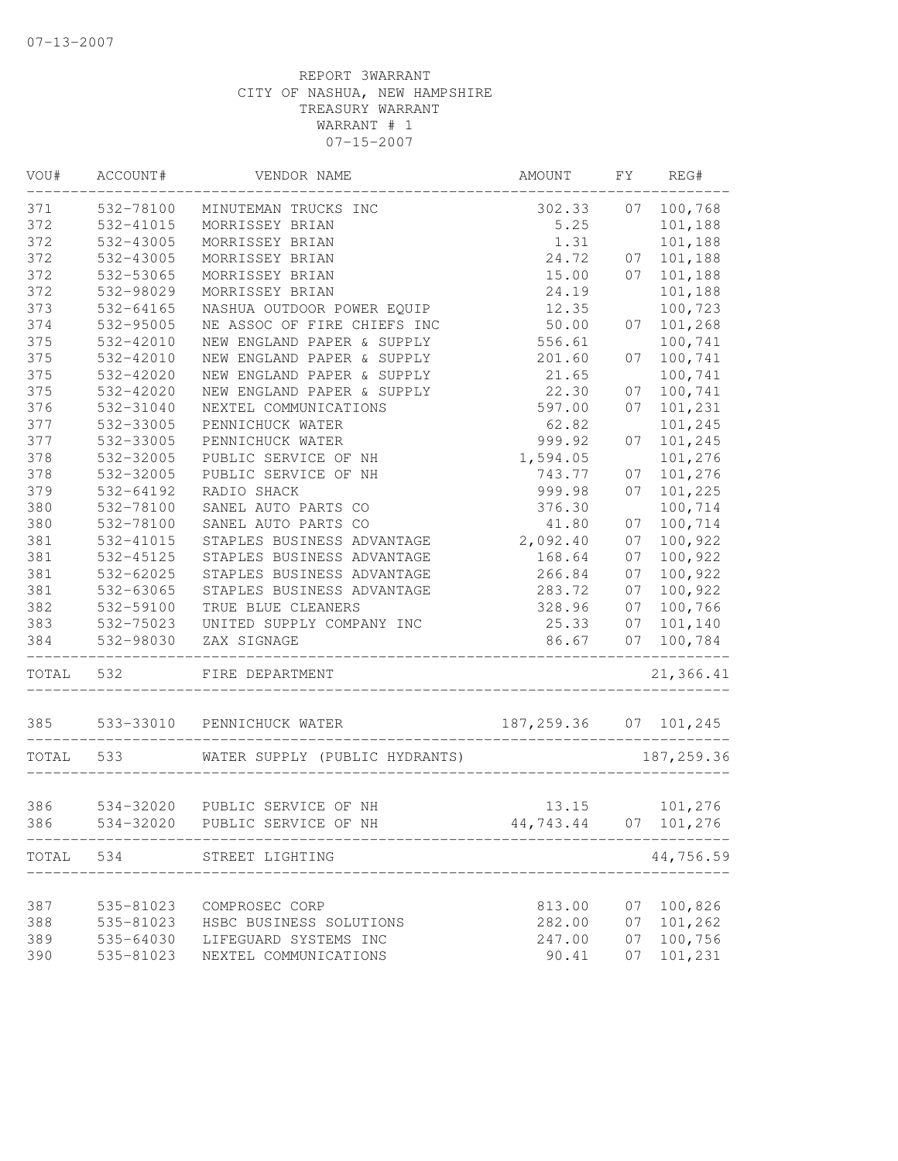| VOU#  | ACCOUNT#      | VENDOR NAME                    | AMOUNT                  | FΥ | REG#       |
|-------|---------------|--------------------------------|-------------------------|----|------------|
| 371   | 532-78100     | MINUTEMAN TRUCKS INC           | 302.33                  | 07 | 100,768    |
| 372   | 532-41015     | MORRISSEY BRIAN                | 5.25                    |    | 101,188    |
| 372   | 532-43005     | MORRISSEY BRIAN                | 1.31                    |    | 101,188    |
| 372   | 532-43005     | MORRISSEY BRIAN                | 24.72                   | 07 | 101,188    |
| 372   | 532-53065     | MORRISSEY BRIAN                | 15.00                   | 07 | 101,188    |
| 372   | 532-98029     | MORRISSEY BRIAN                | 24.19                   |    | 101,188    |
| 373   | $532 - 64165$ | NASHUA OUTDOOR POWER EQUIP     | 12.35                   |    | 100,723    |
| 374   | 532-95005     | NE ASSOC OF FIRE CHIEFS INC    | 50.00                   | 07 | 101,268    |
| 375   | 532-42010     | NEW ENGLAND PAPER & SUPPLY     | 556.61                  |    | 100,741    |
| 375   | 532-42010     | NEW ENGLAND PAPER & SUPPLY     | 201.60                  | 07 | 100,741    |
| 375   | 532-42020     | NEW ENGLAND PAPER & SUPPLY     | 21.65                   |    | 100,741    |
| 375   | 532-42020     | NEW ENGLAND PAPER & SUPPLY     | 22.30                   | 07 | 100,741    |
| 376   | 532-31040     | NEXTEL COMMUNICATIONS          | 597.00                  | 07 | 101,231    |
| 377   | 532-33005     | PENNICHUCK WATER               | 62.82                   |    | 101,245    |
| 377   | 532-33005     | PENNICHUCK WATER               | 999.92                  | 07 | 101,245    |
| 378   | 532-32005     | PUBLIC SERVICE OF NH           | 1,594.05                |    | 101,276    |
| 378   | 532-32005     | PUBLIC SERVICE OF NH           | 743.77                  | 07 | 101,276    |
| 379   | 532-64192     | RADIO SHACK                    | 999.98                  | 07 | 101,225    |
| 380   | 532-78100     | SANEL AUTO PARTS CO            | 376.30                  |    | 100,714    |
| 380   | 532-78100     | SANEL AUTO PARTS CO            | 41.80                   | 07 | 100,714    |
| 381   | 532-41015     | STAPLES BUSINESS ADVANTAGE     | 2,092.40                | 07 | 100,922    |
| 381   | 532-45125     | STAPLES BUSINESS ADVANTAGE     | 168.64                  | 07 | 100,922    |
| 381   | 532-62025     | STAPLES BUSINESS ADVANTAGE     | 266.84                  | 07 | 100,922    |
| 381   | 532-63065     | STAPLES BUSINESS ADVANTAGE     | 283.72                  | 07 | 100,922    |
| 382   | 532-59100     | TRUE BLUE CLEANERS             | 328.96                  | 07 | 100,766    |
| 383   | 532-75023     | UNITED SUPPLY COMPANY INC      | 25.33                   | 07 | 101,140    |
| 384   | 532-98030     | ZAX SIGNAGE                    | 86.67                   | 07 | 100,784    |
| TOTAL | 532           | FIRE DEPARTMENT                |                         |    | 21,366.41  |
| 385   | 533-33010     | PENNICHUCK WATER               | 187, 259.36 07 101, 245 |    |            |
| TOTAL | 533           | WATER SUPPLY (PUBLIC HYDRANTS) |                         |    | 187,259.36 |
|       |               |                                |                         |    |            |
| 386   |               | 534-32020 PUBLIC SERVICE OF NH | 13.15                   |    | 101,276    |
| 386   | 534-32020     | PUBLIC SERVICE OF NH           | 44,743.44               | 07 | 101,276    |
|       |               | TOTAL 534 STREET LIGHTING      |                         |    | 44,756.59  |
|       |               |                                |                         |    |            |
| 387   | 535-81023     | COMPROSEC CORP                 | 813.00                  | 07 | 100,826    |
| 388   | 535-81023     | HSBC BUSINESS SOLUTIONS        | 282.00                  | 07 | 101,262    |
| 389   | 535-64030     | LIFEGUARD SYSTEMS INC          | 247.00                  | 07 | 100,756    |
| 390   | 535-81023     | NEXTEL COMMUNICATIONS          | 90.41                   | 07 | 101,231    |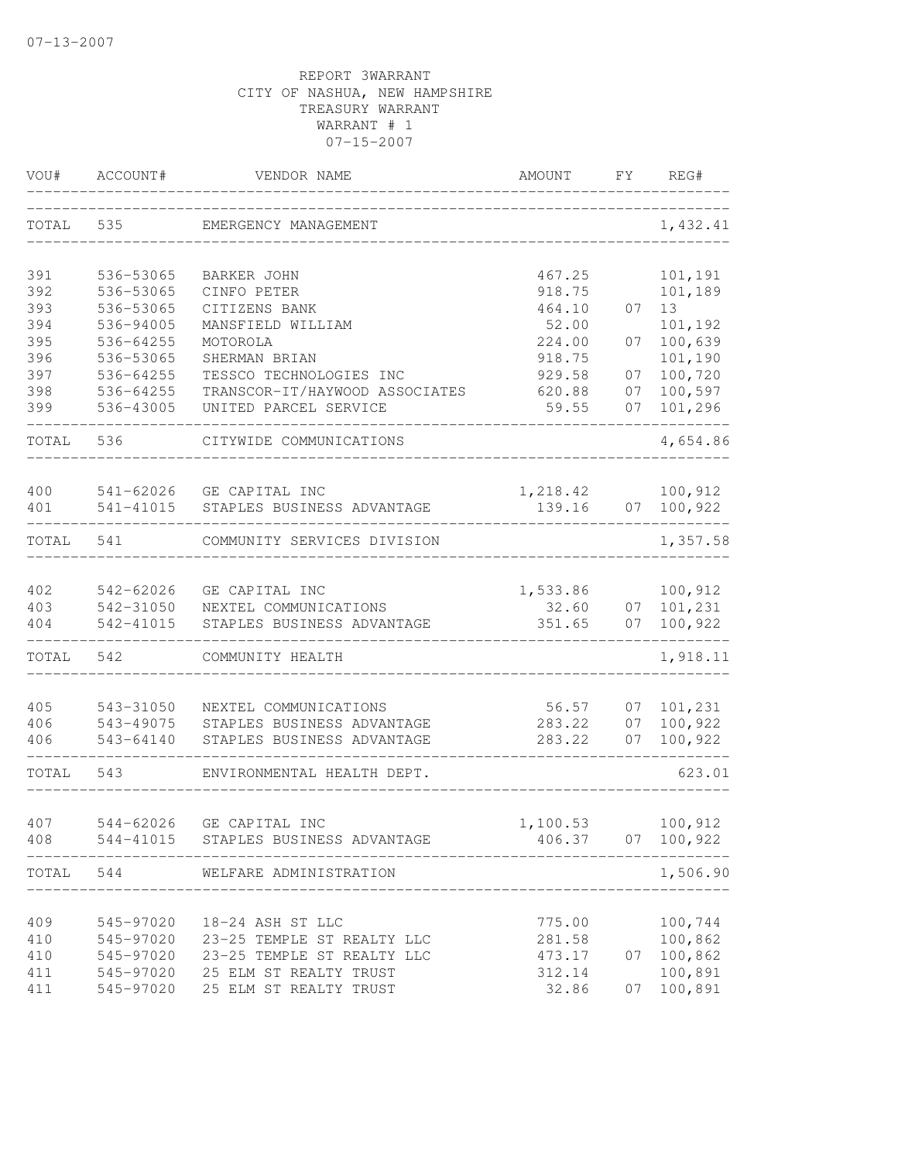| VOU#       | ACCOUNT#               | VENDOR NAME                                            | AMOUNT             | FY       | REG#                           |
|------------|------------------------|--------------------------------------------------------|--------------------|----------|--------------------------------|
| TOTAL      | 535                    | EMERGENCY MANAGEMENT                                   |                    |          | 1,432.41                       |
| 391        | 536-53065              | BARKER JOHN                                            | 467.25             |          | 101,191                        |
| 392        | 536-53065              | CINFO PETER                                            | 918.75             |          | 101,189                        |
| 393        | 536-53065              | CITIZENS BANK                                          | 464.10             | 07       | 13                             |
| 394        | 536-94005              | MANSFIELD WILLIAM                                      | 52.00              |          | 101,192                        |
| 395        | 536-64255              | MOTOROLA                                               | 224.00             | 07       | 100,639                        |
| 396<br>397 | 536-53065              | SHERMAN BRIAN<br>TESSCO TECHNOLOGIES INC               | 918.75             |          | 101,190                        |
| 398        | 536-64255<br>536-64255 | TRANSCOR-IT/HAYWOOD ASSOCIATES                         | 929.58<br>620.88   | 07<br>07 | 100,720<br>100,597             |
| 399        | 536-43005              | UNITED PARCEL SERVICE                                  | 59.55              | 07       | 101,296                        |
| TOTAL      | 536                    | CITYWIDE COMMUNICATIONS                                |                    |          | 4,654.86                       |
|            |                        |                                                        |                    |          |                                |
| 400<br>401 | 541-41015              | 541-62026 GE CAPITAL INC<br>STAPLES BUSINESS ADVANTAGE | 1,218.42<br>139.16 |          | 100, 912<br>07 100,922         |
| TOTAL      | 541                    | COMMUNITY SERVICES DIVISION                            |                    |          | ------------------<br>1,357.58 |
|            |                        |                                                        |                    |          |                                |
| 402        | 542-62026              | GE CAPITAL INC                                         | 1,533.86           |          | 100,912                        |
| 403        | 542-31050              | NEXTEL COMMUNICATIONS                                  | 32.60              |          | 07 101, 231                    |
| 404        | 542-41015              | STAPLES BUSINESS ADVANTAGE                             | 351.65             | 07       | 100,922                        |
| TOTAL      | 542                    | COMMUNITY HEALTH                                       |                    |          | 1,918.11                       |
| 405        | 543-31050              | NEXTEL COMMUNICATIONS                                  | 56.57              | 07       | 101,231                        |
| 406        | 543-49075              | STAPLES BUSINESS ADVANTAGE                             | 283.22             | 07       | 100,922                        |
| 406        | 543-64140              | STAPLES BUSINESS ADVANTAGE                             | 283.22             | 07       | 100,922                        |
| TOTAL      | 543                    | ENVIRONMENTAL HEALTH DEPT.                             |                    |          | 623.01                         |
|            |                        |                                                        |                    |          |                                |
| 407<br>408 | 544-62026              | GE CAPITAL INC<br>544-41015 STAPLES BUSINESS ADVANTAGE | 1,100.53<br>406.37 |          | 100,912<br>07 100,922          |
| TOTAL      | 544                    | WELFARE ADMINISTRATION<br>_____________________        | --------------     |          | 1,506.90                       |
|            |                        |                                                        |                    |          |                                |
| 409        | 545-97020              | 18-24 ASH ST LLC                                       | 775.00             |          | 100,744                        |
| 410        | 545-97020              | 23-25 TEMPLE ST REALTY LLC                             | 281.58             |          | 100,862                        |
| 410        | 545-97020              | 23-25 TEMPLE ST REALTY LLC                             | 473.17             | 07       | 100,862                        |
| 411        | 545-97020              | 25 ELM ST REALTY TRUST                                 | 312.14             |          | 100,891                        |
| 411        | 545-97020              | 25 ELM ST REALTY TRUST                                 | 32.86              | 07       | 100,891                        |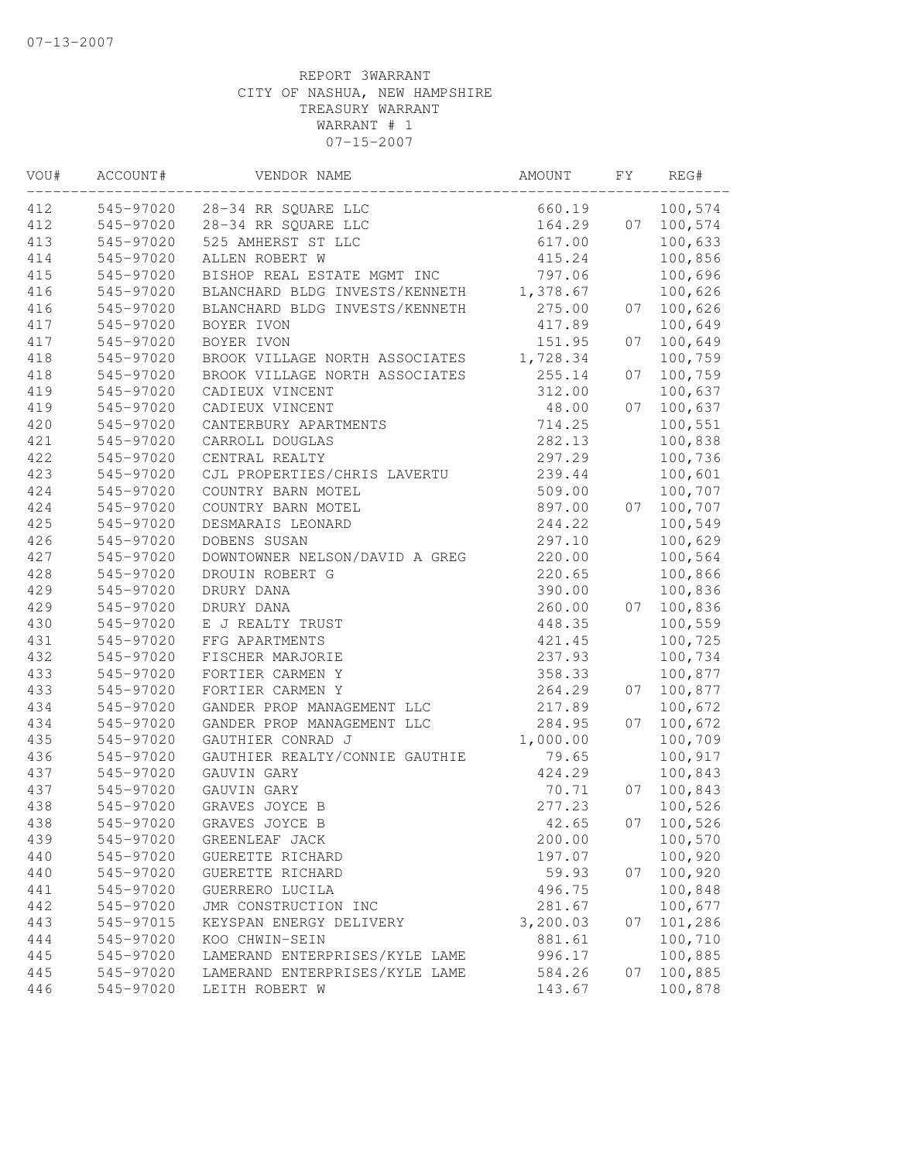| VOU# | ACCOUNT#  | VENDOR NAME                    | AMOUNT   | FΥ | REG#    |
|------|-----------|--------------------------------|----------|----|---------|
| 412  | 545-97020 | 28-34 RR SQUARE LLC            | 660.19   |    | 100,574 |
| 412  | 545-97020 | 28-34 RR SQUARE LLC            | 164.29   | 07 | 100,574 |
| 413  | 545-97020 | 525 AMHERST ST LLC             | 617.00   |    | 100,633 |
| 414  | 545-97020 | ALLEN ROBERT W                 | 415.24   |    | 100,856 |
| 415  | 545-97020 | BISHOP REAL ESTATE MGMT INC    | 797.06   |    | 100,696 |
| 416  | 545-97020 | BLANCHARD BLDG INVESTS/KENNETH | 1,378.67 |    | 100,626 |
| 416  | 545-97020 | BLANCHARD BLDG INVESTS/KENNETH | 275.00   | 07 | 100,626 |
| 417  | 545-97020 | BOYER IVON                     | 417.89   |    | 100,649 |
| 417  | 545-97020 | BOYER IVON                     | 151.95   | 07 | 100,649 |
| 418  | 545-97020 | BROOK VILLAGE NORTH ASSOCIATES | 1,728.34 |    | 100,759 |
| 418  | 545-97020 | BROOK VILLAGE NORTH ASSOCIATES | 255.14   | 07 | 100,759 |
| 419  | 545-97020 | CADIEUX VINCENT                | 312.00   |    | 100,637 |
| 419  | 545-97020 | CADIEUX VINCENT                | 48.00    | 07 | 100,637 |
| 420  | 545-97020 | CANTERBURY APARTMENTS          | 714.25   |    | 100,551 |
| 421  | 545-97020 | CARROLL DOUGLAS                | 282.13   |    | 100,838 |
| 422  | 545-97020 | CENTRAL REALTY                 | 297.29   |    | 100,736 |
| 423  | 545-97020 | CJL PROPERTIES/CHRIS LAVERTU   | 239.44   |    | 100,601 |
| 424  | 545-97020 | COUNTRY BARN MOTEL             | 509.00   |    | 100,707 |
| 424  | 545-97020 | COUNTRY BARN MOTEL             | 897.00   | 07 | 100,707 |
| 425  | 545-97020 | DESMARAIS LEONARD              | 244.22   |    | 100,549 |
| 426  | 545-97020 | DOBENS SUSAN                   | 297.10   |    | 100,629 |
| 427  | 545-97020 | DOWNTOWNER NELSON/DAVID A GREG | 220.00   |    | 100,564 |
| 428  | 545-97020 | DROUIN ROBERT G                | 220.65   |    | 100,866 |
| 429  | 545-97020 | DRURY DANA                     | 390.00   |    | 100,836 |
| 429  | 545-97020 | DRURY DANA                     | 260.00   | 07 | 100,836 |
| 430  | 545-97020 | E J REALTY TRUST               | 448.35   |    | 100,559 |
| 431  | 545-97020 | FFG APARTMENTS                 | 421.45   |    | 100,725 |
| 432  | 545-97020 | FISCHER MARJORIE               | 237.93   |    | 100,734 |
| 433  | 545-97020 | FORTIER CARMEN Y               | 358.33   |    | 100,877 |
| 433  | 545-97020 | FORTIER CARMEN Y               | 264.29   | 07 | 100,877 |
| 434  | 545-97020 | GANDER PROP MANAGEMENT LLC     | 217.89   |    | 100,672 |
| 434  | 545-97020 | GANDER PROP MANAGEMENT LLC     | 284.95   | 07 | 100,672 |
| 435  | 545-97020 | GAUTHIER CONRAD J              | 1,000.00 |    | 100,709 |
| 436  | 545-97020 | GAUTHIER REALTY/CONNIE GAUTHIE | 79.65    |    | 100,917 |
| 437  | 545-97020 | GAUVIN GARY                    | 424.29   |    | 100,843 |
| 437  | 545-97020 | GAUVIN GARY                    | 70.71    | 07 | 100,843 |
| 438  | 545-97020 | GRAVES JOYCE B                 | 277.23   |    | 100,526 |
| 438  | 545-97020 | GRAVES JOYCE B                 | 42.65    | 07 | 100,526 |
| 439  | 545-97020 | GREENLEAF JACK                 | 200.00   |    | 100,570 |
| 440  | 545-97020 | GUERETTE RICHARD               | 197.07   |    | 100,920 |
| 440  | 545-97020 | GUERETTE RICHARD               | 59.93    | 07 | 100,920 |
| 441  | 545-97020 | GUERRERO LUCILA                | 496.75   |    | 100,848 |
| 442  | 545-97020 | JMR CONSTRUCTION INC           | 281.67   |    | 100,677 |
| 443  | 545-97015 | KEYSPAN ENERGY DELIVERY        | 3,200.03 | 07 | 101,286 |
| 444  | 545-97020 | KOO CHWIN-SEIN                 | 881.61   |    | 100,710 |
| 445  | 545-97020 | LAMERAND ENTERPRISES/KYLE LAME | 996.17   |    | 100,885 |
| 445  | 545-97020 | LAMERAND ENTERPRISES/KYLE LAME | 584.26   | 07 | 100,885 |
| 446  | 545-97020 | LEITH ROBERT W                 | 143.67   |    | 100,878 |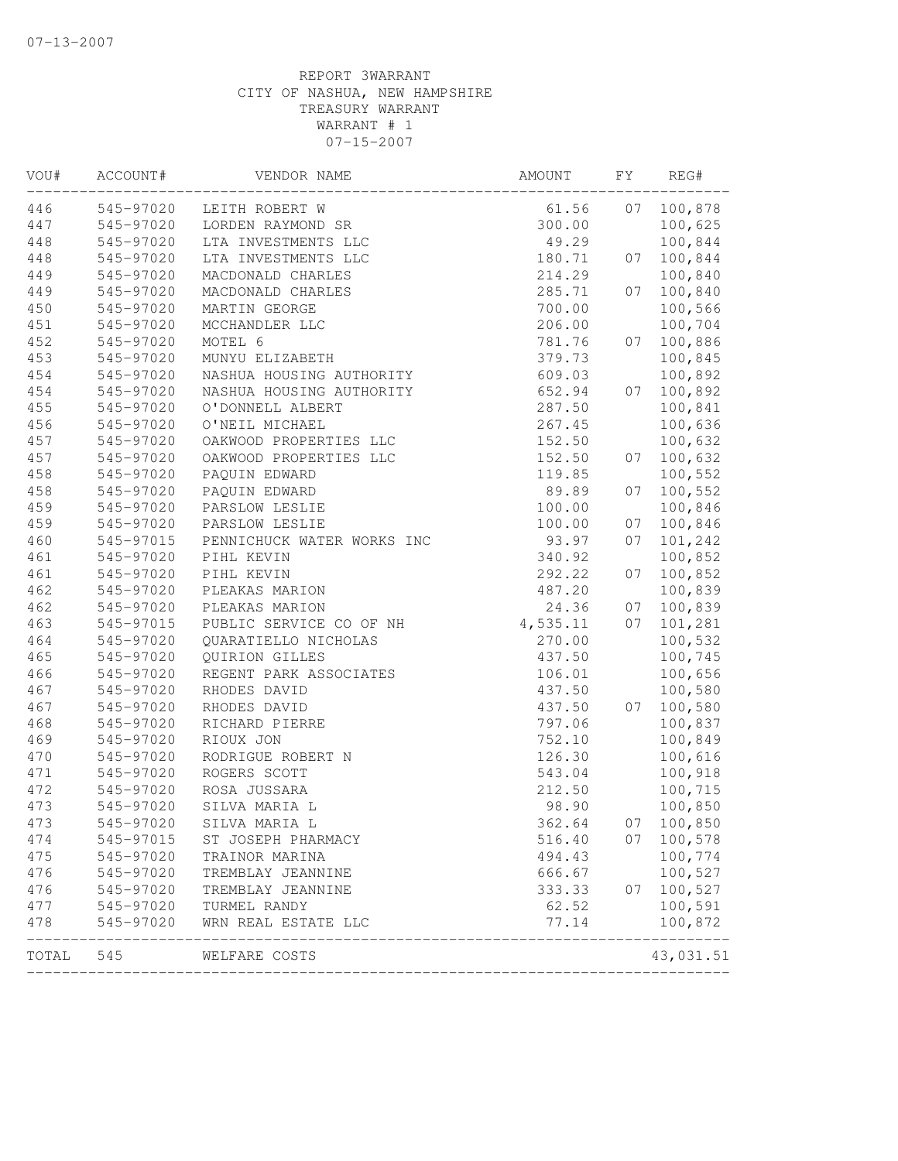| VOU#  | ACCOUNT#  | VENDOR NAME                | AMOUNT   | FΥ | REG#      |
|-------|-----------|----------------------------|----------|----|-----------|
| 446   | 545-97020 | LEITH ROBERT W             | 61.56    | 07 | 100,878   |
| 447   | 545-97020 | LORDEN RAYMOND SR          | 300.00   |    | 100,625   |
| 448   | 545-97020 | LTA INVESTMENTS LLC        | 49.29    |    | 100,844   |
| 448   | 545-97020 | LTA INVESTMENTS LLC        | 180.71   | 07 | 100,844   |
| 449   | 545-97020 | MACDONALD CHARLES          | 214.29   |    | 100,840   |
| 449   | 545-97020 | MACDONALD CHARLES          | 285.71   | 07 | 100,840   |
| 450   | 545-97020 | MARTIN GEORGE              | 700.00   |    | 100,566   |
| 451   | 545-97020 | MCCHANDLER LLC             | 206.00   |    | 100,704   |
| 452   | 545-97020 | MOTEL 6                    | 781.76   | 07 | 100,886   |
| 453   | 545-97020 | MUNYU ELIZABETH            | 379.73   |    | 100,845   |
| 454   | 545-97020 | NASHUA HOUSING AUTHORITY   | 609.03   |    | 100,892   |
| 454   | 545-97020 | NASHUA HOUSING AUTHORITY   | 652.94   | 07 | 100,892   |
| 455   | 545-97020 | O'DONNELL ALBERT           | 287.50   |    | 100,841   |
| 456   | 545-97020 | O'NEIL MICHAEL             | 267.45   |    | 100,636   |
| 457   | 545-97020 | OAKWOOD PROPERTIES LLC     | 152.50   |    | 100,632   |
| 457   | 545-97020 | OAKWOOD PROPERTIES LLC     | 152.50   | 07 | 100,632   |
| 458   | 545-97020 | PAQUIN EDWARD              | 119.85   |    | 100,552   |
| 458   | 545-97020 | PAQUIN EDWARD              | 89.89    | 07 | 100,552   |
| 459   | 545-97020 | PARSLOW LESLIE             | 100.00   |    | 100,846   |
| 459   | 545-97020 | PARSLOW LESLIE             | 100.00   | 07 | 100,846   |
| 460   | 545-97015 | PENNICHUCK WATER WORKS INC | 93.97    | 07 | 101,242   |
| 461   | 545-97020 | PIHL KEVIN                 | 340.92   |    | 100,852   |
| 461   | 545-97020 | PIHL KEVIN                 | 292.22   | 07 | 100,852   |
| 462   | 545-97020 | PLEAKAS MARION             | 487.20   |    | 100,839   |
| 462   | 545-97020 | PLEAKAS MARION             | 24.36    | 07 | 100,839   |
| 463   | 545-97015 | PUBLIC SERVICE CO OF NH    | 4,535.11 | 07 | 101,281   |
| 464   | 545-97020 | QUARATIELLO NICHOLAS       | 270.00   |    | 100,532   |
| 465   | 545-97020 | QUIRION GILLES             | 437.50   |    | 100,745   |
| 466   | 545-97020 | REGENT PARK ASSOCIATES     | 106.01   |    | 100,656   |
| 467   | 545-97020 | RHODES DAVID               | 437.50   |    | 100,580   |
| 467   | 545-97020 | RHODES DAVID               | 437.50   | 07 | 100,580   |
| 468   | 545-97020 | RICHARD PIERRE             | 797.06   |    | 100,837   |
| 469   | 545-97020 | RIOUX JON                  | 752.10   |    | 100,849   |
| 470   | 545-97020 | RODRIGUE ROBERT N          | 126.30   |    | 100,616   |
| 471   | 545-97020 | ROGERS SCOTT               | 543.04   |    | 100,918   |
| 472   | 545-97020 | ROSA JUSSARA               | 212.50   |    | 100,715   |
| 473   | 545-97020 | SILVA MARIA L              | 98.90    |    | 100,850   |
| 473   | 545-97020 | SILVA MARIA L              | 362.64   | 07 | 100,850   |
| 474   | 545-97015 | ST JOSEPH PHARMACY         | 516.40   | 07 | 100,578   |
| 475   | 545-97020 | TRAINOR MARINA             | 494.43   |    | 100,774   |
| 476   | 545-97020 | TREMBLAY JEANNINE          | 666.67   |    | 100,527   |
| 476   | 545-97020 | TREMBLAY JEANNINE          | 333.33   | 07 | 100,527   |
| 477   | 545-97020 | TURMEL RANDY               | 62.52    |    | 100,591   |
| 478   | 545-97020 | WRN REAL ESTATE LLC        | 77.14    |    | 100,872   |
| TOTAL | 545       | WELFARE COSTS              |          |    | 43,031.51 |
|       |           |                            |          |    |           |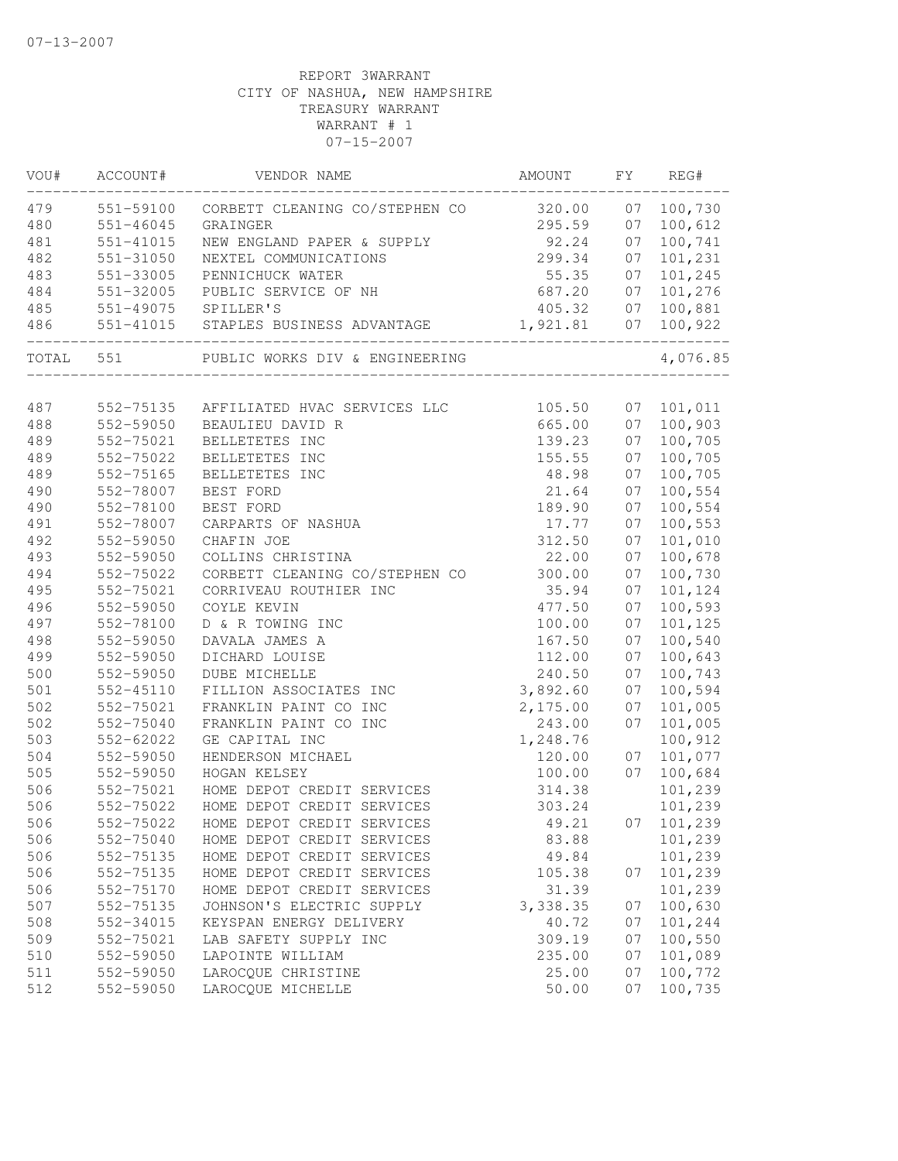| WOU#  | ACCOUNT#      | VENDOR NAME                    | AMOUNT   | FY | REG#       |
|-------|---------------|--------------------------------|----------|----|------------|
| 479   | 551-59100     | CORBETT CLEANING CO/STEPHEN CO | 320.00   | 07 | 100,730    |
| 480   | 551-46045     | GRAINGER                       | 295.59   | 07 | 100,612    |
| 481   | $551 - 41015$ | NEW ENGLAND PAPER & SUPPLY     | 92.24    | 07 | 100,741    |
| 482   | 551-31050     | NEXTEL COMMUNICATIONS          | 299.34   | 07 | 101,231    |
| 483   | 551-33005     | PENNICHUCK WATER               | 55.35    | 07 | 101,245    |
| 484   | 551-32005     | PUBLIC SERVICE OF NH           | 687.20   | 07 | 101,276    |
| 485   | 551-49075     | SPILLER'S                      | 405.32   | 07 | 100,881    |
| 486   | 551-41015     | STAPLES BUSINESS ADVANTAGE     | 1,921.81 | 07 | 100,922    |
| TOTAL | 551           | PUBLIC WORKS DIV & ENGINEERING |          |    | 4,076.85   |
|       |               |                                |          |    |            |
| 487   | 552-75135     | AFFILIATED HVAC SERVICES LLC   | 105.50   | 07 | 101,011    |
| 488   | 552-59050     | BEAULIEU DAVID R               | 665.00   | 07 | 100,903    |
| 489   | 552-75021     | BELLETETES INC                 | 139.23   | 07 | 100,705    |
| 489   | 552-75022     | BELLETETES INC                 | 155.55   | 07 | 100,705    |
| 489   | 552-75165     | BELLETETES INC                 | 48.98    | 07 | 100,705    |
| 490   | 552-78007     | BEST FORD                      | 21.64    | 07 | 100,554    |
| 490   | 552-78100     | BEST FORD                      | 189.90   | 07 | 100,554    |
| 491   | 552-78007     | CARPARTS OF NASHUA             | 17.77    | 07 | 100,553    |
| 492   | 552-59050     | CHAFIN JOE                     | 312.50   | 07 | 101,010    |
| 493   | 552-59050     | COLLINS CHRISTINA              | 22.00    | 07 | 100,678    |
| 494   | 552-75022     | CORBETT CLEANING CO/STEPHEN CO | 300.00   | 07 | 100,730    |
| 495   | 552-75021     | CORRIVEAU ROUTHIER INC         | 35.94    | 07 | 101,124    |
| 496   | 552-59050     | COYLE KEVIN                    | 477.50   | 07 | 100,593    |
| 497   | 552-78100     | D & R TOWING INC               | 100.00   | 07 | 101,125    |
| 498   | 552-59050     | DAVALA JAMES A                 | 167.50   | 07 | 100,540    |
| 499   | 552-59050     | DICHARD LOUISE                 | 112.00   | 07 | 100,643    |
| 500   | 552-59050     | DUBE MICHELLE                  | 240.50   | 07 | 100,743    |
| 501   | 552-45110     | FILLION ASSOCIATES INC         | 3,892.60 | 07 | 100,594    |
| 502   | 552-75021     | FRANKLIN PAINT CO INC          | 2,175.00 | 07 | 101,005    |
| 502   | 552-75040     | FRANKLIN PAINT CO INC          | 243.00   | 07 | 101,005    |
| 503   | 552-62022     | GE CAPITAL INC                 | 1,248.76 |    | 100,912    |
| 504   | 552-59050     | HENDERSON MICHAEL              | 120.00   | 07 | 101,077    |
| 505   | 552-59050     | HOGAN KELSEY                   | 100.00   | 07 | 100,684    |
| 506   | 552-75021     | HOME DEPOT CREDIT SERVICES     | 314.38   |    | 101,239    |
| 506   | 552-75022     | HOME DEPOT CREDIT SERVICES     | 303.24   |    | 101,239    |
| 506   | 552-75022     | HOME DEPOT CREDIT SERVICES     | 49.21    |    | 07 101,239 |
| 506   | 552-75040     | HOME DEPOT CREDIT SERVICES     | 83.88    |    | 101,239    |
| 506   | 552-75135     | HOME DEPOT CREDIT SERVICES     | 49.84    |    | 101,239    |
| 506   | 552-75135     | HOME DEPOT CREDIT SERVICES     | 105.38   | 07 | 101,239    |
| 506   | 552-75170     | HOME DEPOT CREDIT SERVICES     | 31.39    |    | 101,239    |
| 507   | 552-75135     | JOHNSON'S ELECTRIC SUPPLY      | 3,338.35 | 07 | 100,630    |
| 508   | 552-34015     | KEYSPAN ENERGY DELIVERY        | 40.72    | 07 | 101,244    |
| 509   | 552-75021     | LAB SAFETY SUPPLY INC          | 309.19   | 07 | 100,550    |
| 510   | 552-59050     | LAPOINTE WILLIAM               | 235.00   | 07 | 101,089    |
| 511   | 552-59050     | LAROCQUE CHRISTINE             | 25.00    | 07 | 100,772    |
| 512   | 552-59050     | LAROCQUE MICHELLE              | 50.00    | 07 | 100,735    |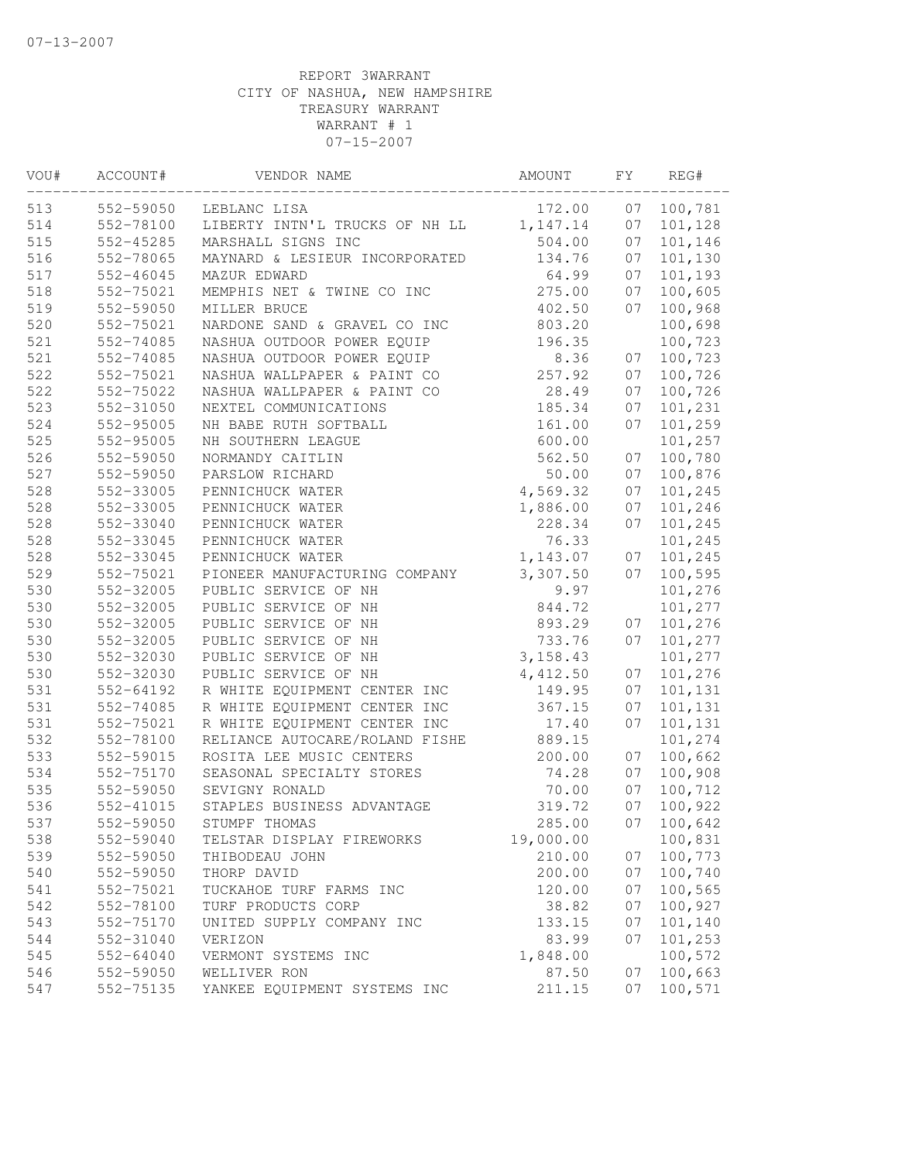| VOU# | ACCOUNT#  | VENDOR NAME                    | AMOUNT    | FΥ | REG#               |
|------|-----------|--------------------------------|-----------|----|--------------------|
| 513  | 552-59050 | LEBLANC LISA                   | 172.00    | 07 | 100,781            |
| 514  | 552-78100 | LIBERTY INTN'L TRUCKS OF NH LL | 1, 147.14 | 07 | 101,128            |
| 515  | 552-45285 | MARSHALL SIGNS INC             | 504.00    | 07 | 101,146            |
| 516  | 552-78065 | MAYNARD & LESIEUR INCORPORATED | 134.76    | 07 | 101,130            |
| 517  | 552-46045 | MAZUR EDWARD                   | 64.99     | 07 | 101,193            |
| 518  | 552-75021 | MEMPHIS NET & TWINE CO INC     | 275.00    | 07 | 100,605            |
| 519  | 552-59050 | MILLER BRUCE                   | 402.50    | 07 | 100,968            |
| 520  | 552-75021 | NARDONE SAND & GRAVEL CO INC   | 803.20    |    | 100,698            |
| 521  | 552-74085 | NASHUA OUTDOOR POWER EQUIP     | 196.35    |    | 100,723            |
| 521  | 552-74085 | NASHUA OUTDOOR POWER EQUIP     | 8.36      | 07 | 100,723            |
| 522  | 552-75021 | NASHUA WALLPAPER & PAINT CO    | 257.92    | 07 | 100,726            |
| 522  | 552-75022 | NASHUA WALLPAPER & PAINT CO    | 28.49     | 07 | 100,726            |
| 523  | 552-31050 | NEXTEL COMMUNICATIONS          | 185.34    | 07 | 101,231            |
| 524  | 552-95005 | NH BABE RUTH SOFTBALL          | 161.00    | 07 | 101,259            |
| 525  | 552-95005 | NH SOUTHERN LEAGUE             | 600.00    |    | 101,257            |
| 526  | 552-59050 | NORMANDY CAITLIN               | 562.50    | 07 | 100,780            |
| 527  | 552-59050 | PARSLOW RICHARD                | 50.00     | 07 | 100,876            |
| 528  | 552-33005 | PENNICHUCK WATER               | 4,569.32  | 07 | 101,245            |
| 528  | 552-33005 | PENNICHUCK WATER               | 1,886.00  | 07 | 101,246            |
| 528  | 552-33040 | PENNICHUCK WATER               | 228.34    | 07 | 101,245            |
| 528  | 552-33045 | PENNICHUCK WATER               | 76.33     |    | 101,245            |
| 528  | 552-33045 | PENNICHUCK WATER               | 1,143.07  | 07 | 101,245            |
| 529  | 552-75021 | PIONEER MANUFACTURING COMPANY  | 3,307.50  | 07 | 100,595            |
| 530  | 552-32005 | PUBLIC SERVICE OF NH           | 9.97      |    | 101,276            |
| 530  | 552-32005 | PUBLIC SERVICE OF NH           | 844.72    |    | 101,277            |
| 530  | 552-32005 | PUBLIC SERVICE OF NH           | 893.29    | 07 | 101,276            |
| 530  | 552-32005 | PUBLIC SERVICE OF NH           | 733.76    | 07 | 101,277            |
| 530  | 552-32030 | PUBLIC SERVICE OF NH           | 3, 158.43 |    | 101,277            |
| 530  | 552-32030 | PUBLIC SERVICE OF NH           | 4,412.50  | 07 | 101,276            |
| 531  | 552-64192 | R WHITE EQUIPMENT CENTER INC   | 149.95    | 07 | 101,131            |
| 531  | 552-74085 | R WHITE EQUIPMENT CENTER INC   | 367.15    | 07 | 101,131            |
| 531  | 552-75021 | R WHITE EQUIPMENT CENTER INC   | 17.40     | 07 | 101,131            |
| 532  | 552-78100 | RELIANCE AUTOCARE/ROLAND FISHE | 889.15    |    | 101,274            |
| 533  | 552-59015 | ROSITA LEE MUSIC CENTERS       | 200.00    | 07 | 100,662            |
| 534  | 552-75170 | SEASONAL SPECIALTY STORES      | 74.28     | 07 | 100,908            |
| 535  | 552-59050 | SEVIGNY RONALD                 | 70.00     | 07 | 100,712            |
| 536  | 552-41015 | STAPLES BUSINESS ADVANTAGE     | 319.72    | 07 | 100,922            |
| 537  | 552-59050 | STUMPF THOMAS                  | 285.00    | 07 | 100,642            |
| 538  | 552-59040 | TELSTAR DISPLAY FIREWORKS      | 19,000.00 |    | 100,831            |
| 539  | 552-59050 | THIBODEAU JOHN                 | 210.00    | 07 | 100,773            |
| 540  | 552-59050 | THORP DAVID                    | 200.00    | 07 | 100,740            |
| 541  | 552-75021 | TUCKAHOE TURF FARMS INC        | 120.00    | 07 | 100,565            |
| 542  | 552-78100 | TURF PRODUCTS CORP             | 38.82     | 07 | 100,927            |
| 543  | 552-75170 | UNITED SUPPLY COMPANY INC      | 133.15    | 07 | 101,140            |
| 544  | 552-31040 | VERIZON                        | 83.99     | 07 | 101,253            |
| 545  | 552-64040 | VERMONT SYSTEMS INC            | 1,848.00  |    | 100,572            |
| 546  | 552-59050 | WELLIVER RON                   | 87.50     | 07 | 100,663<br>100,571 |
| 547  | 552-75135 | YANKEE EQUIPMENT SYSTEMS INC   | 211.15    | 07 |                    |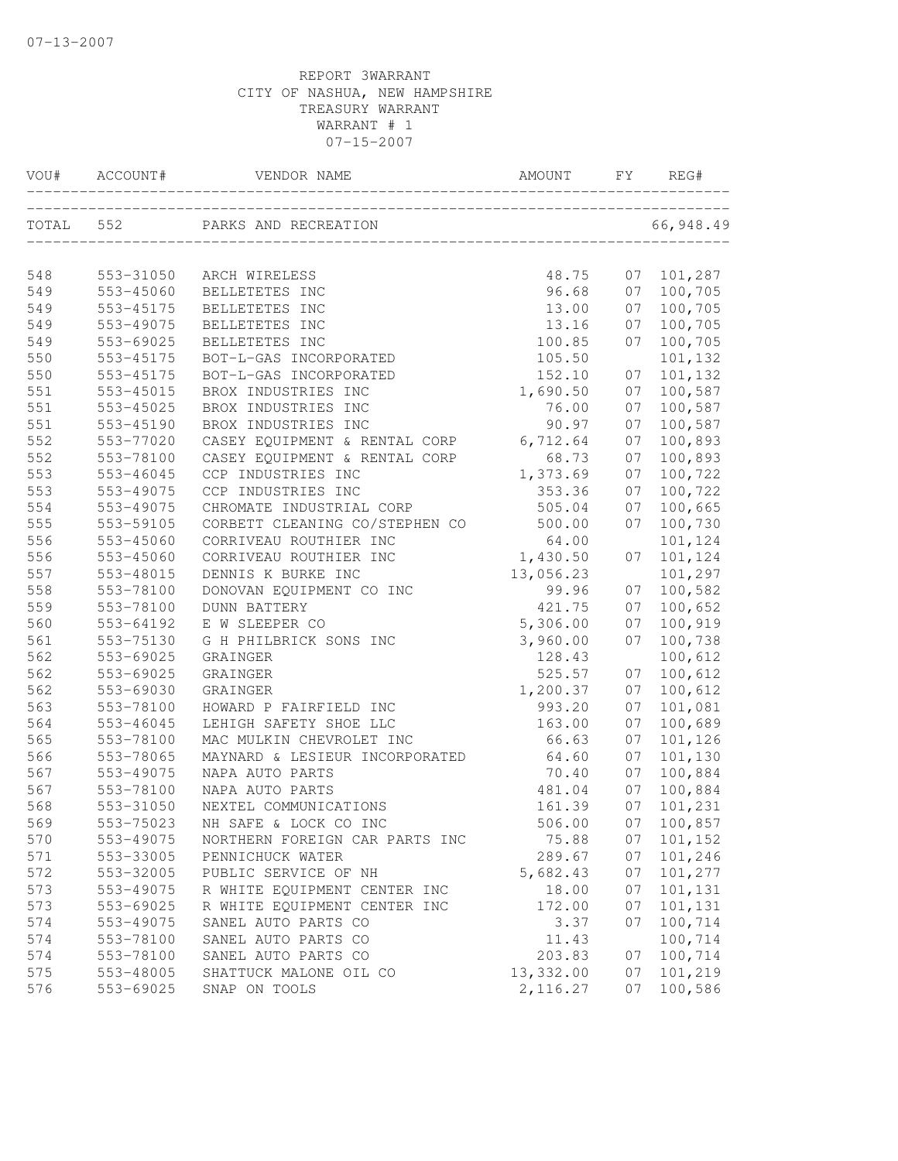| VOU#  | ACCOUNT#  | VENDOR NAME                    | AMOUNT    | FY. | REG#      |
|-------|-----------|--------------------------------|-----------|-----|-----------|
| TOTAL | 552       | PARKS AND RECREATION           |           |     | 66,948.49 |
| 548   | 553-31050 | ARCH WIRELESS                  | 48.75     | 07  | 101,287   |
| 549   | 553-45060 | BELLETETES INC                 | 96.68     | 07  | 100,705   |
| 549   | 553-45175 | BELLETETES INC                 | 13.00     | 07  | 100,705   |
| 549   | 553-49075 | BELLETETES INC                 | 13.16     | 07  | 100,705   |
| 549   | 553-69025 | BELLETETES INC                 | 100.85    | 07  | 100,705   |
| 550   | 553-45175 | BOT-L-GAS INCORPORATED         | 105.50    |     | 101,132   |
| 550   | 553-45175 | BOT-L-GAS INCORPORATED         | 152.10    | 07  | 101,132   |
| 551   | 553-45015 | BROX INDUSTRIES INC            | 1,690.50  | 07  | 100,587   |
| 551   | 553-45025 | BROX INDUSTRIES INC            | 76.00     | 07  | 100,587   |
| 551   | 553-45190 | BROX INDUSTRIES INC            | 90.97     | 07  | 100,587   |
| 552   | 553-77020 | CASEY EQUIPMENT & RENTAL CORP  | 6,712.64  | 07  | 100,893   |
| 552   | 553-78100 | CASEY EQUIPMENT & RENTAL CORP  | 68.73     | 07  | 100,893   |
| 553   | 553-46045 | CCP INDUSTRIES INC             | 1,373.69  | 07  | 100,722   |
| 553   | 553-49075 | CCP INDUSTRIES INC             | 353.36    | 07  | 100,722   |
| 554   | 553-49075 | CHROMATE INDUSTRIAL CORP       | 505.04    | 07  | 100,665   |
| 555   | 553-59105 | CORBETT CLEANING CO/STEPHEN CO | 500.00    | 07  | 100,730   |
| 556   | 553-45060 | CORRIVEAU ROUTHIER INC         | 64.00     |     | 101,124   |
| 556   | 553-45060 | CORRIVEAU ROUTHIER INC         | 1,430.50  | 07  | 101,124   |
| 557   | 553-48015 | DENNIS K BURKE INC             | 13,056.23 |     | 101,297   |
| 558   | 553-78100 | DONOVAN EQUIPMENT CO INC       | 99.96     | 07  | 100,582   |
| 559   | 553-78100 | <b>DUNN BATTERY</b>            | 421.75    | 07  | 100,652   |
| 560   | 553-64192 | E W SLEEPER CO                 | 5,306.00  | 07  | 100,919   |
| 561   | 553-75130 | G H PHILBRICK SONS INC         | 3,960.00  | 07  | 100,738   |
| 562   | 553-69025 | GRAINGER                       | 128.43    |     | 100,612   |
| 562   | 553-69025 | GRAINGER                       | 525.57    | 07  | 100,612   |
| 562   | 553-69030 | GRAINGER                       | 1,200.37  | 07  | 100,612   |
| 563   | 553-78100 | HOWARD P FAIRFIELD INC         | 993.20    | 07  | 101,081   |
| 564   | 553-46045 | LEHIGH SAFETY SHOE LLC         | 163.00    | 07  | 100,689   |
| 565   | 553-78100 | MAC MULKIN CHEVROLET INC       | 66.63     | 07  | 101,126   |
| 566   | 553-78065 | MAYNARD & LESIEUR INCORPORATED | 64.60     | 07  | 101,130   |
| 567   | 553-49075 | NAPA AUTO PARTS                | 70.40     | 07  | 100,884   |
| 567   | 553-78100 | NAPA AUTO PARTS                | 481.04    | 07  | 100,884   |
| 568   | 553-31050 | NEXTEL COMMUNICATIONS          | 161.39    | 07  | 101,231   |
| 569   | 553-75023 | NH SAFE & LOCK CO INC          | 506.00    | 07  | 100,857   |
| 570   | 553-49075 | NORTHERN FOREIGN CAR PARTS INC | 75.88     | 07  | 101,152   |
| 571   | 553-33005 | PENNICHUCK WATER               | 289.67    | 07  | 101,246   |
| 572   | 553-32005 | PUBLIC SERVICE OF NH           | 5,682.43  | 07  | 101,277   |
| 573   | 553-49075 | R WHITE EQUIPMENT CENTER INC   | 18.00     | 07  | 101,131   |
| 573   | 553-69025 | R WHITE EQUIPMENT CENTER INC   | 172.00    | 07  | 101,131   |
| 574   | 553-49075 | SANEL AUTO PARTS CO            | 3.37      | 07  | 100,714   |
| 574   | 553-78100 | SANEL AUTO PARTS CO            | 11.43     |     | 100,714   |
| 574   | 553-78100 | SANEL AUTO PARTS CO            | 203.83    | 07  | 100,714   |
| 575   | 553-48005 | SHATTUCK MALONE OIL CO         | 13,332.00 | 07  | 101,219   |
| 576   | 553-69025 | SNAP ON TOOLS                  | 2, 116.27 | 07  | 100,586   |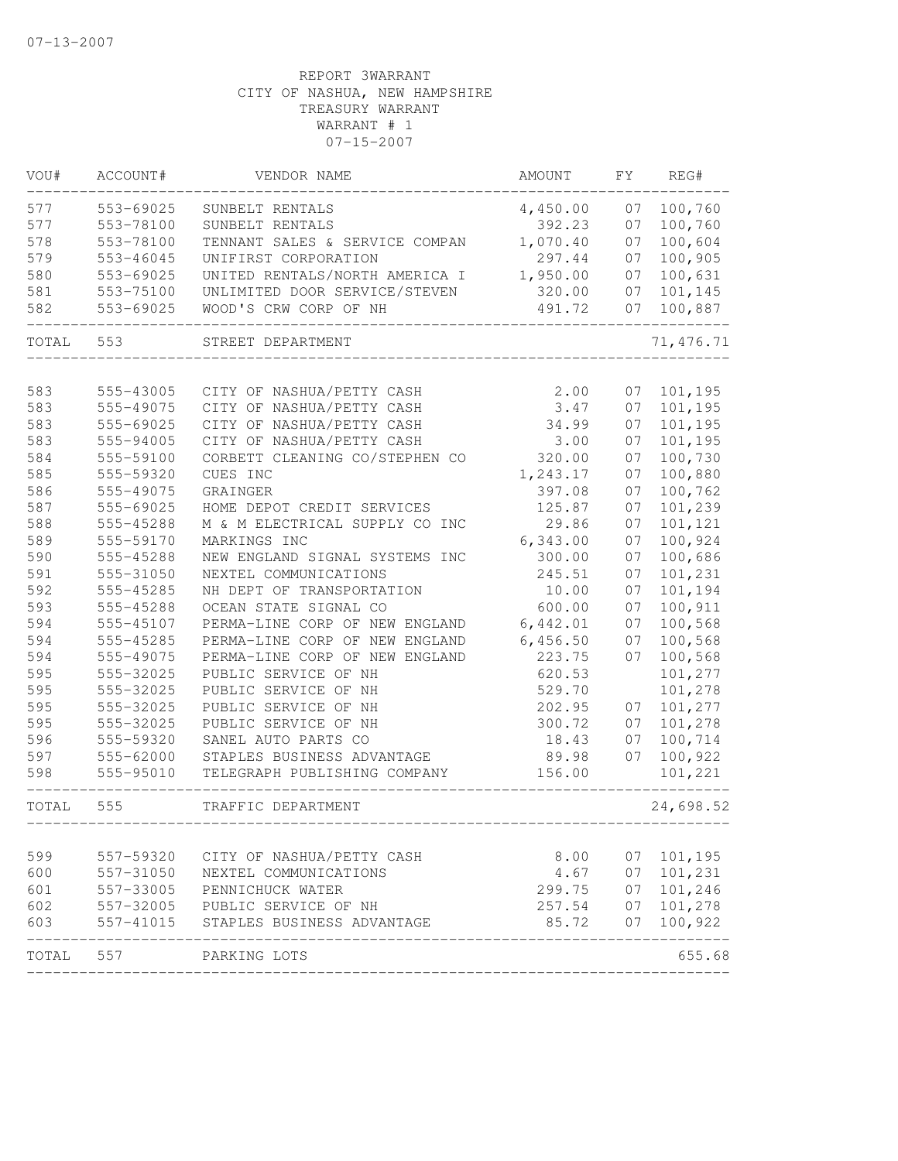| VOU#       | ACCOUNT#               | VENDOR NAME                                                 | AMOUNT          | FY.      | REG#               |
|------------|------------------------|-------------------------------------------------------------|-----------------|----------|--------------------|
| 577        | 553-69025              | SUNBELT RENTALS                                             | 4,450.00        | 07       | 100,760            |
| 577        | 553-78100              | SUNBELT RENTALS                                             | 392.23          | 07       | 100,760            |
| 578        | 553-78100              | TENNANT SALES & SERVICE COMPAN                              | 1,070.40        | 07       | 100,604            |
| 579        | 553-46045              | UNIFIRST CORPORATION                                        | 297.44          | 07       | 100,905            |
| 580        | 553-69025              | UNITED RENTALS/NORTH AMERICA I                              | 1,950.00        | 07       | 100,631            |
| 581        | 553-75100              | UNLIMITED DOOR SERVICE/STEVEN                               | 320.00          | 07       | 101,145            |
| 582        | 553-69025              | WOOD'S CRW CORP OF NH                                       | 491.72          | 07       | 100,887            |
| TOTAL      | 553                    | STREET DEPARTMENT                                           |                 |          | 71, 476.71         |
|            | 555-43005              |                                                             |                 |          |                    |
| 583<br>583 | 555-49075              | CITY OF NASHUA/PETTY CASH<br>CITY OF NASHUA/PETTY CASH      | 2.00<br>3.47    | 07<br>07 | 101,195<br>101,195 |
| 583        | 555-69025              | CITY OF NASHUA/PETTY CASH                                   | 34.99           | 07       |                    |
|            |                        |                                                             |                 |          | 101,195            |
| 583        | 555-94005              | CITY OF NASHUA/PETTY CASH<br>CORBETT CLEANING CO/STEPHEN CO | 3.00            | 07       | 101,195            |
| 584        | 555-59100<br>555-59320 | CUES INC                                                    | 320.00          | 07       | 100,730            |
| 585        |                        |                                                             | 1,243.17        | 07       | 100,880            |
| 586        | 555-49075              | GRAINGER                                                    | 397.08          | 07       | 100,762            |
| 587        | 555-69025              | HOME DEPOT CREDIT SERVICES                                  | 125.87          | 07       | 101,239            |
| 588        | 555-45288              | M & M ELECTRICAL SUPPLY CO INC                              | 29.86           | 07       | 101,121            |
| 589        | 555-59170              | MARKINGS INC                                                | 6,343.00        | 07       | 100,924            |
| 590        | 555-45288              | NEW ENGLAND SIGNAL SYSTEMS INC                              | 300.00          | 07       | 100,686            |
| 591        | 555-31050              | NEXTEL COMMUNICATIONS                                       | 245.51          | 07       | 101,231            |
| 592        | 555-45285              | NH DEPT OF TRANSPORTATION                                   | 10.00           | 07       | 101,194            |
| 593        | 555-45288              | OCEAN STATE SIGNAL CO                                       | 600.00          | 07       | 100,911            |
| 594        | 555-45107              | PERMA-LINE CORP OF NEW ENGLAND                              | 6,442.01        | 07       | 100,568            |
| 594        | 555-45285              | PERMA-LINE CORP OF NEW ENGLAND                              | 6,456.50        | 07       | 100,568            |
| 594        | 555-49075              | PERMA-LINE CORP OF NEW ENGLAND                              | 223.75          | 07       | 100,568            |
| 595        | 555-32025              | PUBLIC SERVICE OF NH                                        | 620.53          |          | 101,277            |
| 595        | 555-32025              | PUBLIC SERVICE OF NH                                        | 529.70          |          | 101,278            |
| 595        | 555-32025              | PUBLIC SERVICE OF NH                                        | 202.95          | 07       | 101,277            |
| 595        | 555-32025              | PUBLIC SERVICE OF NH                                        | 300.72          | 07       | 101,278            |
| 596        | 555-59320              | SANEL AUTO PARTS CO                                         | 18.43           | 07       | 100,714            |
| 597        | 555-62000              | STAPLES BUSINESS ADVANTAGE                                  | 89.98           | 07       | 100,922            |
| 598        | 555-95010              | TELEGRAPH PUBLISHING COMPANY                                | 156.00          |          | 101,221            |
| TOTAL      | 555                    | TRAFFIC DEPARTMENT                                          |                 |          | 24,698.52          |
| 599        | 557-59320              | CITY OF NASHUA/PETTY CASH                                   | 8.00            | 07       | 101,195            |
|            | 557-31050              | NEXTEL COMMUNICATIONS                                       | 4.67            | 07       | 101,231            |
| 600<br>601 | 557-33005              | PENNICHUCK WATER                                            | 299.75          | 07       | 101,246            |
| 602        |                        | PUBLIC SERVICE OF NH                                        |                 | 07       | 101,278            |
| 603        | 557-32005<br>557-41015 | STAPLES BUSINESS ADVANTAGE                                  | 257.54<br>85.72 | 07       | 100,922            |
|            |                        |                                                             |                 |          |                    |
| TOTAL      | 557                    | PARKING LOTS                                                |                 |          | 655.68             |
|            |                        |                                                             |                 |          |                    |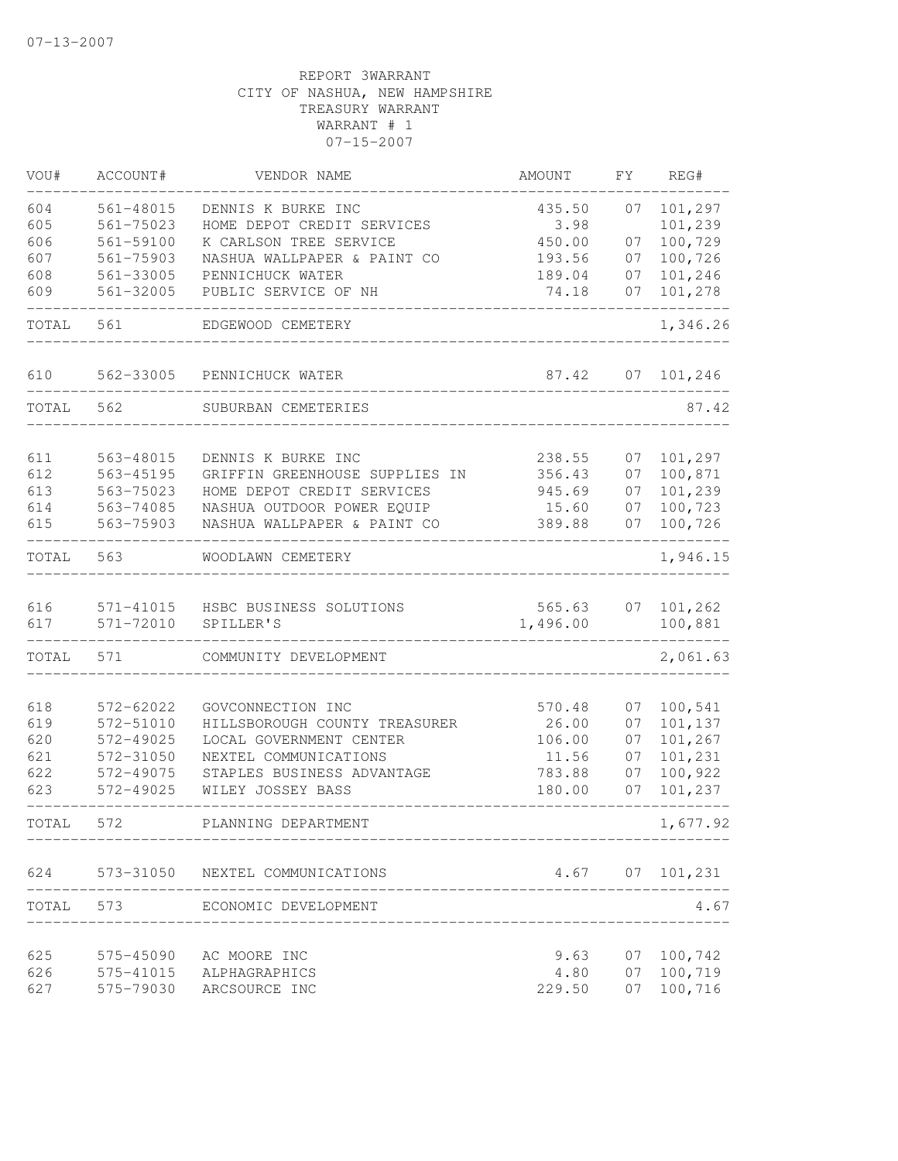| VOU#       | ACCOUNT#               | VENDOR NAME                                       | AMOUNT             | FΥ | REG#               |
|------------|------------------------|---------------------------------------------------|--------------------|----|--------------------|
| 604        | 561-48015              | DENNIS K BURKE INC                                | 435.50             | 07 | 101,297            |
| 605        | 561-75023              | HOME DEPOT CREDIT SERVICES                        | 3.98               |    | 101,239            |
| 606        | 561-59100              | K CARLSON TREE SERVICE                            | 450.00             | 07 | 100,729            |
| 607        | 561-75903              | NASHUA WALLPAPER & PAINT CO                       | 193.56             | 07 | 100,726            |
| 608        | 561-33005              | PENNICHUCK WATER                                  | 189.04             | 07 | 101,246            |
| 609        | 561-32005              | PUBLIC SERVICE OF NH                              | 74.18              | 07 | 101,278            |
| TOTAL      | 561                    | EDGEWOOD CEMETERY                                 |                    |    | 1,346.26           |
| 610        | 562-33005              | PENNICHUCK WATER                                  | 87.42              | 07 | 101,246            |
| TOTAL      | 562                    | SUBURBAN CEMETERIES                               |                    |    | 87.42              |
|            |                        | DENNIS K BURKE INC                                |                    | 07 | 101,297            |
| 611<br>612 | 563-48015<br>563-45195 | GRIFFIN GREENHOUSE SUPPLIES IN                    | 238.55<br>356.43   | 07 | 100,871            |
| 613        | 563-75023              | HOME DEPOT CREDIT SERVICES                        | 945.69             | 07 | 101,239            |
| 614        | 563-74085              | NASHUA OUTDOOR POWER EQUIP                        | 15.60              | 07 | 100,723            |
| 615        | 563-75903              | NASHUA WALLPAPER & PAINT CO                       | 389.88             | 07 | 100,726            |
| TOTAL      | 563                    | WOODLAWN CEMETERY                                 |                    |    | 1,946.15           |
|            |                        |                                                   |                    |    |                    |
| 616<br>617 | 571-41015<br>571-72010 | HSBC BUSINESS SOLUTIONS<br>SPILLER'S              | 565.63<br>1,496.00 | 07 | 101,262<br>100,881 |
| TOTAL      | 571                    | COMMUNITY DEVELOPMENT                             |                    |    | 2,061.63           |
|            |                        |                                                   |                    |    |                    |
| 618        | 572-62022              | GOVCONNECTION INC                                 | 570.48             | 07 | 100,541            |
| 619        | 572-51010              | HILLSBOROUGH COUNTY TREASURER                     | 26.00              | 07 | 101,137            |
| 620        | 572-49025              | LOCAL GOVERNMENT CENTER                           | 106.00             | 07 | 101,267            |
| 621        | 572-31050              | NEXTEL COMMUNICATIONS                             | 11.56              | 07 | 101,231            |
| 622        | 572-49075              | STAPLES BUSINESS ADVANTAGE                        | 783.88             | 07 | 100,922            |
| 623        | 572-49025              | WILEY JOSSEY BASS                                 | 180.00             | 07 | 101,237            |
| TOTAL      | 572                    | PLANNING DEPARTMENT                               |                    |    | 1,677.92           |
| 624        |                        | 573-31050 NEXTEL COMMUNICATIONS                   |                    |    | $4.67$ 07 101, 231 |
| TOTAL      |                        | 573 ECONOMIC DEVELOPMENT<br>--------------------- |                    |    | 4.67               |
| 625        | 575-45090              | AC MOORE INC                                      | 9.63               | 07 | 100,742            |
| 626        |                        | 575-41015 ALPHAGRAPHICS                           | 4.80               | 07 | 100,719            |
| 627        | 575-79030              | ARCSOURCE INC                                     | 229.50             | 07 | 100,716            |
|            |                        |                                                   |                    |    |                    |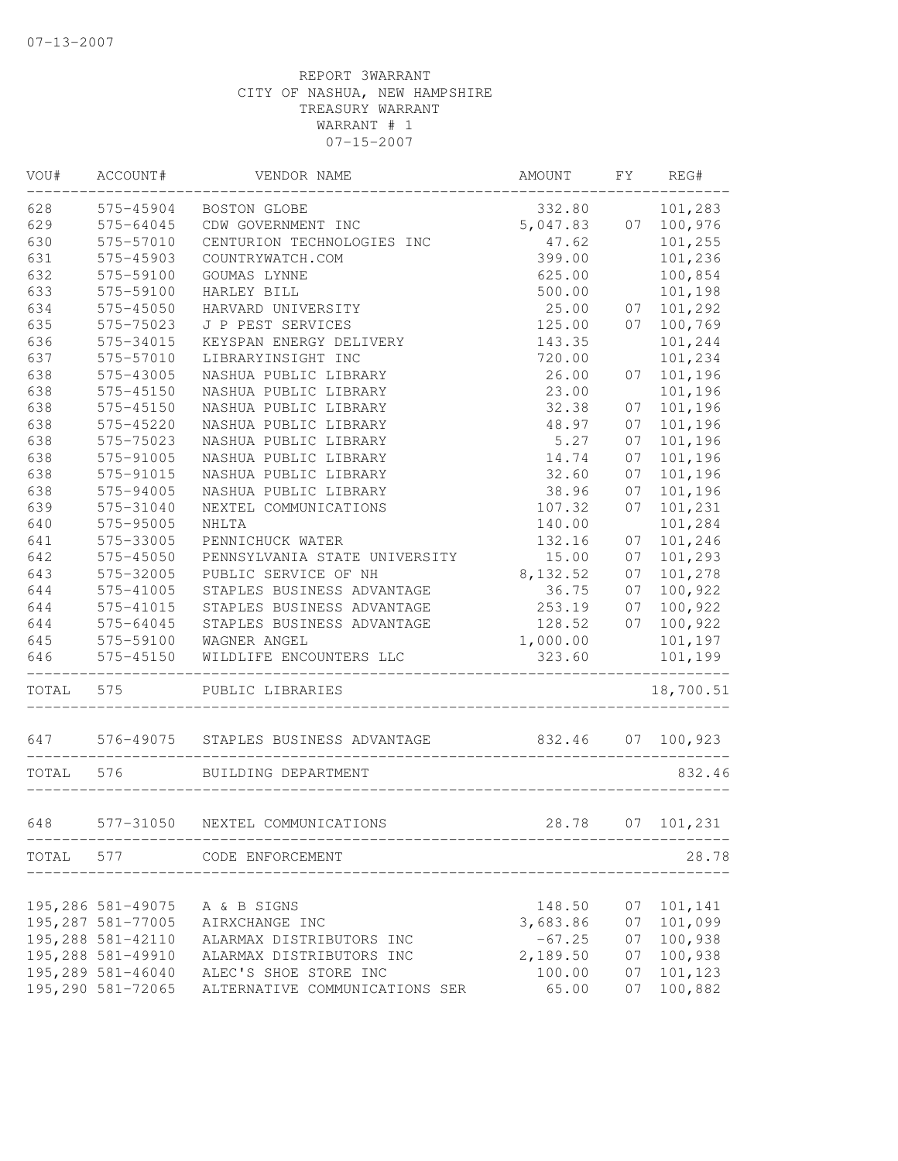| WOU#  | ACCOUNT#          | VENDOR NAME                          | AMOUNT   | FΥ | REG#       |
|-------|-------------------|--------------------------------------|----------|----|------------|
| 628   | 575-45904         | BOSTON GLOBE                         | 332.80   |    | 101,283    |
| 629   | 575-64045         | CDW GOVERNMENT INC                   | 5,047.83 | 07 | 100,976    |
| 630   | 575-57010         | CENTURION TECHNOLOGIES INC           | 47.62    |    | 101,255    |
| 631   | 575-45903         | COUNTRYWATCH.COM                     | 399.00   |    | 101,236    |
| 632   | 575-59100         | GOUMAS LYNNE                         | 625.00   |    | 100,854    |
| 633   | 575-59100         | HARLEY BILL                          | 500.00   |    | 101,198    |
| 634   | 575-45050         | HARVARD UNIVERSITY                   | 25.00    | 07 | 101,292    |
| 635   | 575-75023         | J P PEST SERVICES                    | 125.00   | 07 | 100,769    |
| 636   | 575-34015         | KEYSPAN ENERGY DELIVERY              | 143.35   |    | 101,244    |
| 637   | 575-57010         | LIBRARYINSIGHT INC                   | 720.00   |    | 101,234    |
| 638   | 575-43005         | NASHUA PUBLIC LIBRARY                | 26.00    | 07 | 101,196    |
| 638   | 575-45150         | NASHUA PUBLIC LIBRARY                | 23.00    |    | 101,196    |
| 638   | 575-45150         | NASHUA PUBLIC LIBRARY                | 32.38    | 07 | 101,196    |
| 638   | 575-45220         | NASHUA PUBLIC LIBRARY                | 48.97    | 07 | 101,196    |
| 638   | 575-75023         | NASHUA PUBLIC LIBRARY                | 5.27     | 07 | 101,196    |
| 638   | 575-91005         | NASHUA PUBLIC LIBRARY                | 14.74    | 07 | 101,196    |
| 638   | 575-91015         | NASHUA PUBLIC LIBRARY                | 32.60    | 07 | 101,196    |
| 638   | 575-94005         | NASHUA PUBLIC LIBRARY                | 38.96    | 07 | 101,196    |
| 639   | 575-31040         | NEXTEL COMMUNICATIONS                | 107.32   | 07 | 101,231    |
| 640   | 575-95005         | <b>NHLTA</b>                         | 140.00   |    | 101,284    |
| 641   | 575-33005         | PENNICHUCK WATER                     | 132.16   | 07 | 101,246    |
| 642   | 575-45050         | PENNSYLVANIA STATE UNIVERSITY        | 15.00    | 07 | 101,293    |
| 643   | 575-32005         | PUBLIC SERVICE OF NH                 | 8,132.52 | 07 | 101,278    |
| 644   | 575-41005         | STAPLES BUSINESS ADVANTAGE           | 36.75    | 07 | 100,922    |
| 644   | 575-41015         | STAPLES BUSINESS ADVANTAGE           | 253.19   | 07 | 100,922    |
| 644   | 575-64045         | STAPLES BUSINESS ADVANTAGE           | 128.52   | 07 | 100,922    |
| 645   | 575-59100         | WAGNER ANGEL                         | 1,000.00 |    | 101,197    |
| 646   | 575-45150         | WILDLIFE ENCOUNTERS LLC              | 323.60   |    | 101,199    |
| TOTAL | 575               | PUBLIC LIBRARIES                     |          |    | 18,700.51  |
| 647   |                   | 576-49075 STAPLES BUSINESS ADVANTAGE | 832.46   | 07 | 100,923    |
| TOTAL | 576               | BUILDING DEPARTMENT                  |          |    | 832.46     |
|       |                   |                                      |          |    |            |
| 648   | 577-31050         | NEXTEL COMMUNICATIONS                | 28.78    |    | 07 101,231 |
|       |                   | TOTAL 577 CODE ENFORCEMENT           |          |    | 28.78      |
|       |                   |                                      |          |    |            |
|       | 195,286 581-49075 | A & B SIGNS                          | 148.50   | 07 | 101,141    |
|       | 195,287 581-77005 | AIRXCHANGE INC                       | 3,683.86 | 07 | 101,099    |
|       | 195,288 581-42110 | ALARMAX DISTRIBUTORS INC             | $-67.25$ | 07 | 100,938    |
|       | 195,288 581-49910 | ALARMAX DISTRIBUTORS INC             | 2,189.50 | 07 | 100,938    |
|       | 195,289 581-46040 | ALEC'S SHOE STORE INC                | 100.00   | 07 | 101,123    |
|       | 195,290 581-72065 | ALTERNATIVE COMMUNICATIONS SER       | 65.00    | 07 | 100,882    |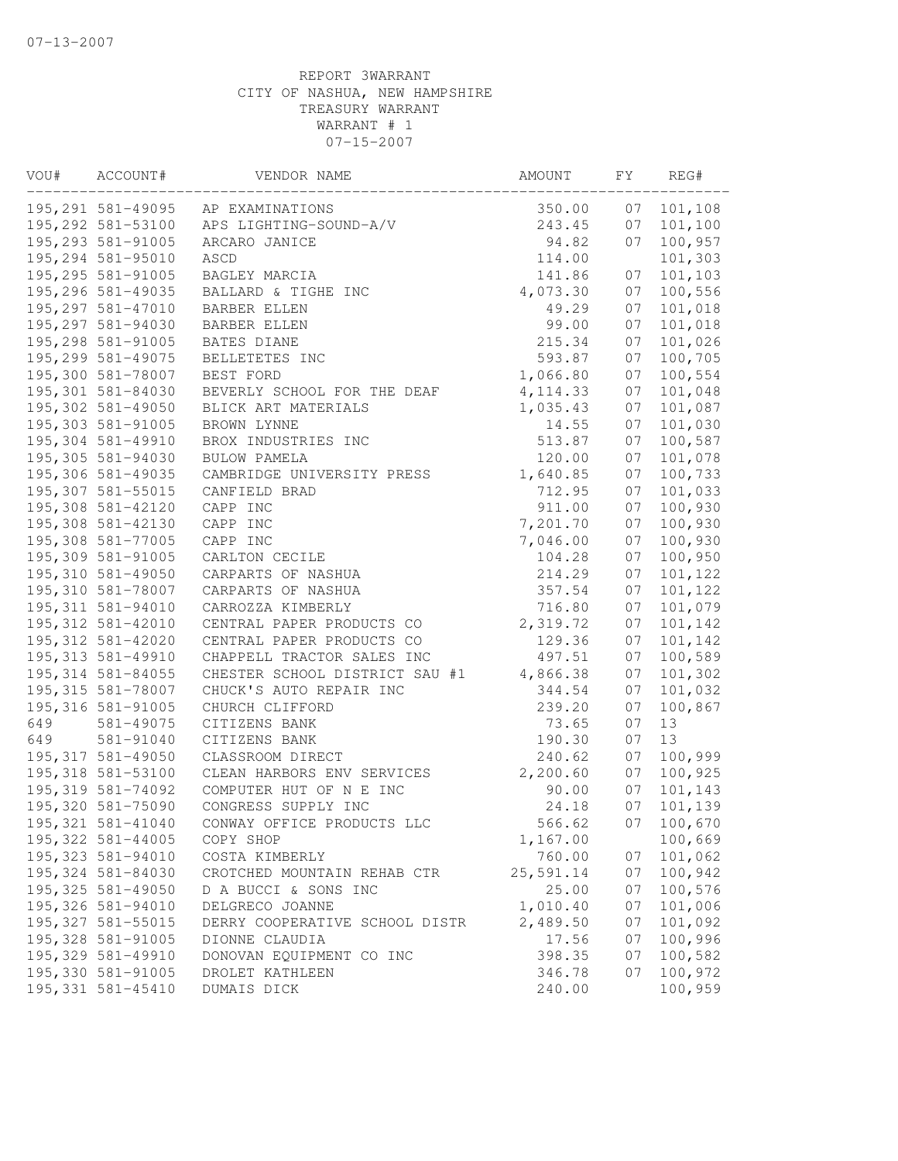| VOU# | ACCOUNT#           | VENDOR NAME                    | AMOUNT    | FΥ | REG#    |
|------|--------------------|--------------------------------|-----------|----|---------|
|      | 195,291 581-49095  | AP EXAMINATIONS                | 350.00    | 07 | 101,108 |
|      | 195,292 581-53100  | APS LIGHTING-SOUND-A/V         | 243.45    | 07 | 101,100 |
|      | 195,293 581-91005  | ARCARO JANICE                  | 94.82     | 07 | 100,957 |
|      | 195,294 581-95010  | ASCD                           | 114.00    |    | 101,303 |
|      | 195,295 581-91005  | BAGLEY MARCIA                  | 141.86    | 07 | 101,103 |
|      | 195,296 581-49035  | BALLARD & TIGHE INC            | 4,073.30  | 07 | 100,556 |
|      | 195,297 581-47010  | BARBER ELLEN                   | 49.29     | 07 | 101,018 |
|      | 195,297 581-94030  | <b>BARBER ELLEN</b>            | 99.00     | 07 | 101,018 |
|      | 195,298 581-91005  | BATES DIANE                    | 215.34    | 07 | 101,026 |
|      | 195,299 581-49075  | BELLETETES INC                 | 593.87    | 07 | 100,705 |
|      | 195,300 581-78007  | BEST FORD                      | 1,066.80  | 07 | 100,554 |
|      | 195,301 581-84030  | BEVERLY SCHOOL FOR THE DEAF    | 4, 114.33 | 07 | 101,048 |
|      | 195,302 581-49050  | BLICK ART MATERIALS            | 1,035.43  | 07 | 101,087 |
|      | 195,303 581-91005  | BROWN LYNNE                    | 14.55     | 07 | 101,030 |
|      | 195,304 581-49910  | BROX INDUSTRIES INC            | 513.87    | 07 | 100,587 |
|      | 195,305 581-94030  | BULOW PAMELA                   | 120.00    | 07 | 101,078 |
|      | 195,306 581-49035  | CAMBRIDGE UNIVERSITY PRESS     | 1,640.85  | 07 | 100,733 |
|      | 195,307 581-55015  | CANFIELD BRAD                  | 712.95    | 07 | 101,033 |
|      | 195,308 581-42120  | CAPP INC                       | 911.00    | 07 | 100,930 |
|      | 195,308 581-42130  | CAPP INC                       | 7,201.70  | 07 | 100,930 |
|      | 195,308 581-77005  | CAPP INC                       | 7,046.00  | 07 | 100,930 |
|      | 195,309 581-91005  | CARLTON CECILE                 | 104.28    | 07 | 100,950 |
|      | 195,310 581-49050  | CARPARTS OF NASHUA             | 214.29    | 07 | 101,122 |
|      | 195,310 581-78007  | CARPARTS OF NASHUA             | 357.54    | 07 | 101,122 |
|      | 195, 311 581-94010 | CARROZZA KIMBERLY              | 716.80    | 07 | 101,079 |
|      | 195, 312 581-42010 | CENTRAL PAPER PRODUCTS CO      | 2,319.72  | 07 | 101,142 |
|      | 195, 312 581-42020 | CENTRAL PAPER PRODUCTS CO      | 129.36    | 07 | 101,142 |
|      | 195, 313 581-49910 | CHAPPELL TRACTOR SALES INC     | 497.51    | 07 | 100,589 |
|      | 195, 314 581-84055 | CHESTER SCHOOL DISTRICT SAU #1 | 4,866.38  | 07 | 101,302 |
|      | 195, 315 581-78007 | CHUCK'S AUTO REPAIR INC        | 344.54    | 07 | 101,032 |
|      | 195, 316 581-91005 | CHURCH CLIFFORD                | 239.20    | 07 | 100,867 |
| 649  | 581-49075          | CITIZENS BANK                  | 73.65     | 07 | 13      |
| 649  | 581-91040          | CITIZENS BANK                  | 190.30    | 07 | 13      |
|      | 195, 317 581-49050 | CLASSROOM DIRECT               | 240.62    | 07 | 100,999 |
|      | 195, 318 581-53100 | CLEAN HARBORS ENV SERVICES     | 2,200.60  | 07 | 100,925 |
|      | 195,319 581-74092  | COMPUTER HUT OF N E INC        | 90.00     | 07 | 101,143 |
|      | 195,320 581-75090  | CONGRESS SUPPLY INC            | 24.18     | 07 | 101,139 |
|      | 195, 321 581-41040 | CONWAY OFFICE PRODUCTS LLC     | 566.62    | 07 | 100,670 |
|      | 195, 322 581-44005 | COPY SHOP                      | 1,167.00  |    | 100,669 |
|      | 195, 323 581-94010 | COSTA KIMBERLY                 | 760.00    | 07 | 101,062 |
|      | 195, 324 581-84030 | CROTCHED MOUNTAIN REHAB CTR    | 25,591.14 | 07 | 100,942 |
|      | 195, 325 581-49050 | D A BUCCI & SONS INC           | 25.00     | 07 | 100,576 |
|      | 195,326 581-94010  | DELGRECO JOANNE                | 1,010.40  | 07 | 101,006 |
|      | 195, 327 581-55015 | DERRY COOPERATIVE SCHOOL DISTR | 2,489.50  | 07 | 101,092 |
|      | 195,328 581-91005  | DIONNE CLAUDIA                 | 17.56     | 07 | 100,996 |
|      | 195,329 581-49910  | DONOVAN EQUIPMENT CO INC       | 398.35    | 07 | 100,582 |
|      | 195,330 581-91005  | DROLET KATHLEEN                | 346.78    | 07 | 100,972 |
|      | 195, 331 581-45410 | DUMAIS DICK                    | 240.00    |    | 100,959 |
|      |                    |                                |           |    |         |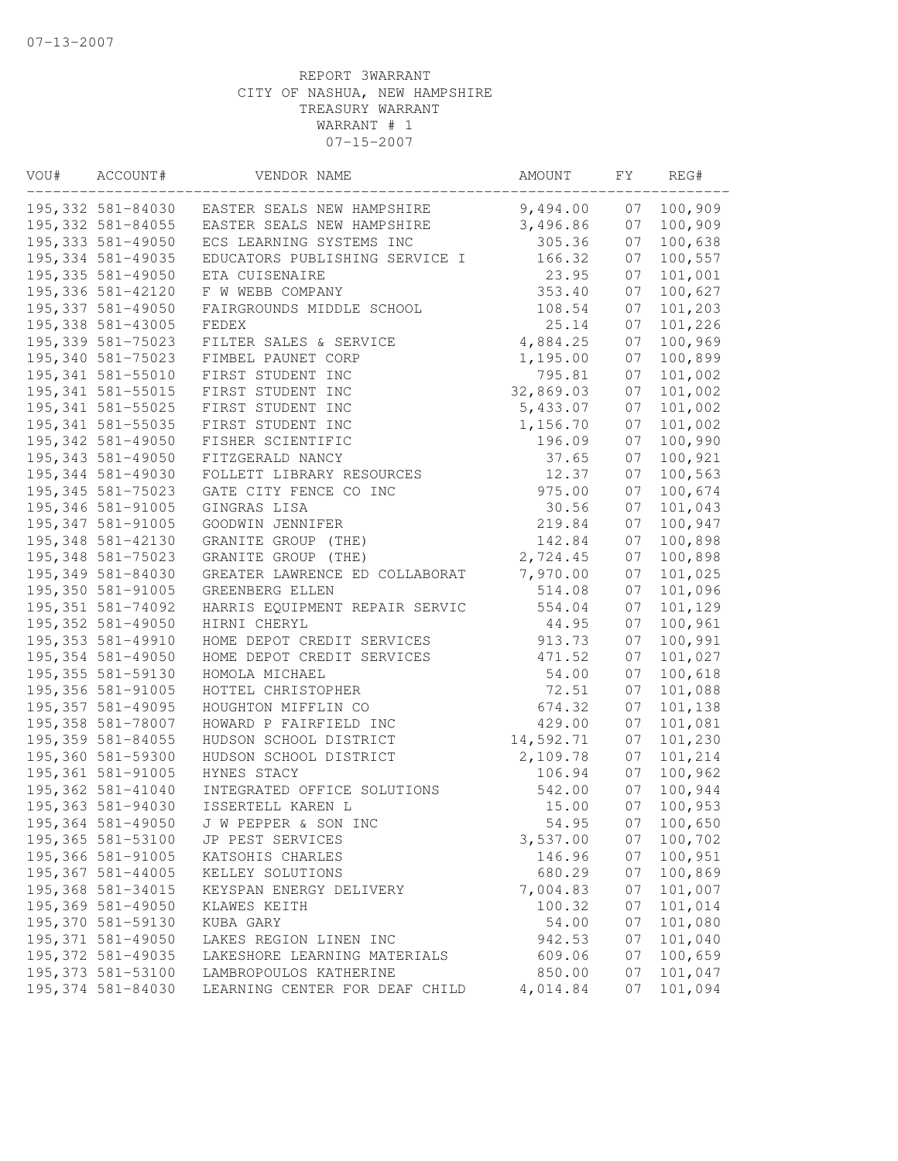| VOU# | ACCOUNT#           | VENDOR NAME                    | AMOUNT    | FΥ | REG#    |
|------|--------------------|--------------------------------|-----------|----|---------|
|      | 195,332 581-84030  | EASTER SEALS NEW HAMPSHIRE     | 9,494.00  | 07 | 100,909 |
|      | 195, 332 581-84055 | EASTER SEALS NEW HAMPSHIRE     | 3,496.86  | 07 | 100,909 |
|      | 195, 333 581-49050 | ECS LEARNING SYSTEMS INC       | 305.36    | 07 | 100,638 |
|      | 195, 334 581-49035 | EDUCATORS PUBLISHING SERVICE I | 166.32    | 07 | 100,557 |
|      | 195, 335 581-49050 | ETA CUISENAIRE                 | 23.95     | 07 | 101,001 |
|      | 195,336 581-42120  | F W WEBB COMPANY               | 353.40    | 07 | 100,627 |
|      | 195, 337 581-49050 | FAIRGROUNDS MIDDLE SCHOOL      | 108.54    | 07 | 101,203 |
|      | 195, 338 581-43005 | FEDEX                          | 25.14     | 07 | 101,226 |
|      | 195, 339 581-75023 | FILTER SALES & SERVICE         | 4,884.25  | 07 | 100,969 |
|      | 195,340 581-75023  | FIMBEL PAUNET CORP             | 1,195.00  | 07 | 100,899 |
|      | 195, 341 581-55010 | FIRST STUDENT INC              | 795.81    | 07 | 101,002 |
|      | 195, 341 581-55015 | FIRST STUDENT INC              | 32,869.03 | 07 | 101,002 |
|      | 195, 341 581-55025 | FIRST STUDENT INC              | 5,433.07  | 07 | 101,002 |
|      | 195, 341 581-55035 | FIRST STUDENT INC              | 1,156.70  | 07 | 101,002 |
|      | 195, 342 581-49050 | FISHER SCIENTIFIC              | 196.09    | 07 | 100,990 |
|      | 195, 343 581-49050 | FITZGERALD NANCY               | 37.65     | 07 | 100,921 |
|      | 195, 344 581-49030 | FOLLETT LIBRARY RESOURCES      | 12.37     | 07 | 100,563 |
|      | 195, 345 581-75023 | GATE CITY FENCE CO INC         | 975.00    | 07 | 100,674 |
|      | 195, 346 581-91005 | GINGRAS LISA                   | 30.56     | 07 | 101,043 |
|      | 195, 347 581-91005 | GOODWIN JENNIFER               | 219.84    | 07 | 100,947 |
|      | 195,348 581-42130  | GRANITE GROUP (THE)            | 142.84    | 07 | 100,898 |
|      | 195, 348 581-75023 | GRANITE GROUP (THE)            | 2,724.45  | 07 | 100,898 |
|      | 195,349 581-84030  | GREATER LAWRENCE ED COLLABORAT | 7,970.00  | 07 | 101,025 |
|      | 195,350 581-91005  | GREENBERG ELLEN                | 514.08    | 07 | 101,096 |
|      | 195, 351 581-74092 | HARRIS EQUIPMENT REPAIR SERVIC | 554.04    | 07 | 101,129 |
|      | 195, 352 581-49050 | HIRNI CHERYL                   | 44.95     | 07 | 100,961 |
|      | 195, 353 581-49910 | HOME DEPOT CREDIT SERVICES     | 913.73    | 07 | 100,991 |
|      | 195, 354 581-49050 | HOME DEPOT CREDIT SERVICES     | 471.52    | 07 | 101,027 |
|      | 195, 355 581-59130 | HOMOLA MICHAEL                 | 54.00     | 07 | 100,618 |
|      | 195,356 581-91005  | HOTTEL CHRISTOPHER             | 72.51     | 07 | 101,088 |
|      | 195, 357 581-49095 | HOUGHTON MIFFLIN CO            | 674.32    | 07 | 101,138 |
|      | 195,358 581-78007  | HOWARD P FAIRFIELD INC         | 429.00    | 07 | 101,081 |
|      | 195, 359 581-84055 | HUDSON SCHOOL DISTRICT         | 14,592.71 | 07 | 101,230 |
|      | 195,360 581-59300  | HUDSON SCHOOL DISTRICT         | 2,109.78  | 07 | 101,214 |
|      | 195,361 581-91005  | HYNES STACY                    | 106.94    | 07 | 100,962 |
|      | 195,362 581-41040  | INTEGRATED OFFICE SOLUTIONS    | 542.00    | 07 | 100,944 |
|      | 195,363 581-94030  | ISSERTELL KAREN L              | 15.00     | 07 | 100,953 |
|      | 195,364 581-49050  | J W PEPPER & SON INC           | 54.95     | 07 | 100,650 |
|      | 195,365 581-53100  | JP PEST SERVICES               | 3,537.00  | 07 | 100,702 |
|      | 195,366 581-91005  | KATSOHIS CHARLES               | 146.96    | 07 | 100,951 |
|      | 195,367 581-44005  | KELLEY SOLUTIONS               | 680.29    | 07 | 100,869 |
|      | 195,368 581-34015  | KEYSPAN ENERGY DELIVERY        | 7,004.83  | 07 | 101,007 |
|      | 195,369 581-49050  | KLAWES KEITH                   | 100.32    | 07 | 101,014 |
|      | 195,370 581-59130  | KUBA GARY                      | 54.00     | 07 | 101,080 |
|      | 195, 371 581-49050 | LAKES REGION LINEN INC         | 942.53    | 07 | 101,040 |
|      | 195,372 581-49035  | LAKESHORE LEARNING MATERIALS   | 609.06    | 07 | 100,659 |
|      | 195, 373 581-53100 | LAMBROPOULOS KATHERINE         | 850.00    | 07 | 101,047 |
|      | 195,374 581-84030  | LEARNING CENTER FOR DEAF CHILD | 4,014.84  | 07 | 101,094 |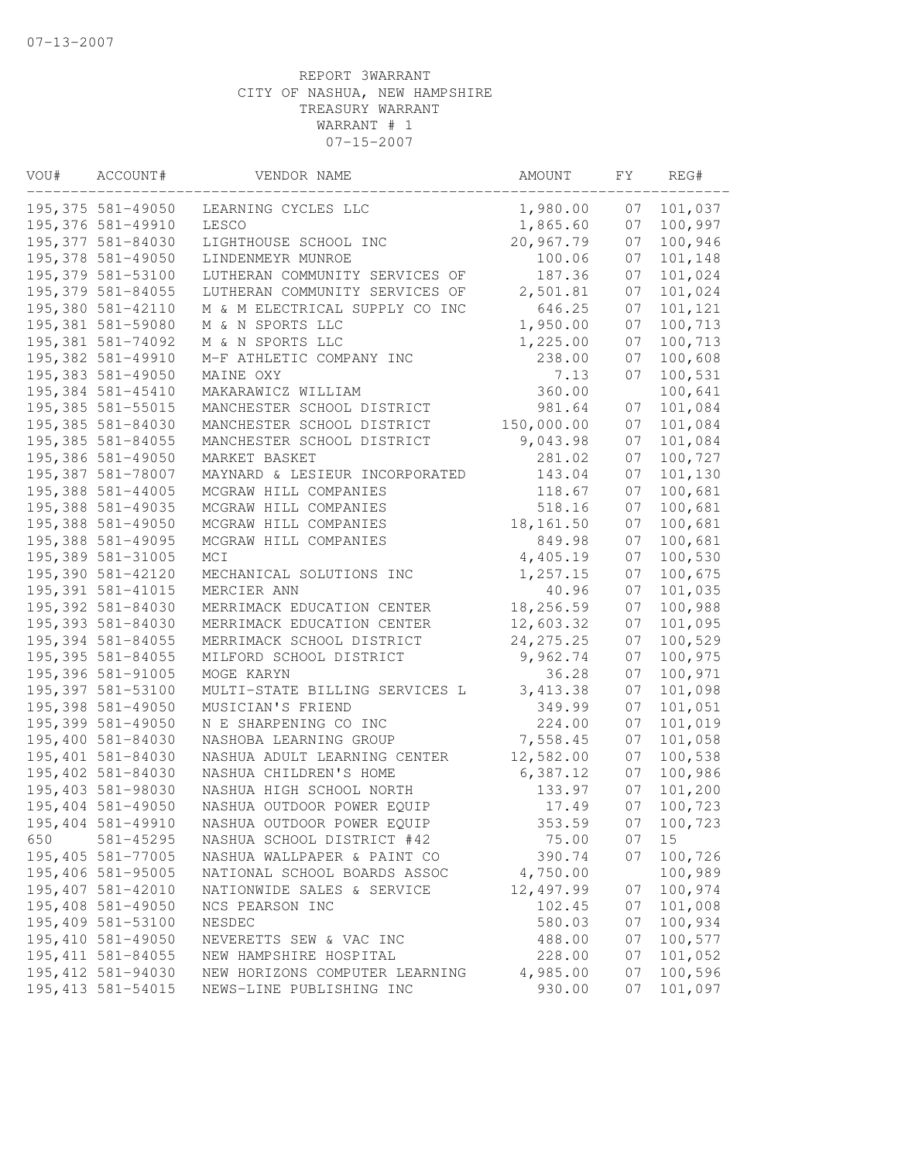| VOU# | ACCOUNT#           | VENDOR NAME                    | AMOUNT     | FΥ | REG#    |
|------|--------------------|--------------------------------|------------|----|---------|
|      | 195, 375 581-49050 | LEARNING CYCLES LLC            | 1,980.00   | 07 | 101,037 |
|      | 195,376 581-49910  | LESCO                          | 1,865.60   | 07 | 100,997 |
|      | 195,377 581-84030  | LIGHTHOUSE SCHOOL INC          | 20,967.79  | 07 | 100,946 |
|      | 195,378 581-49050  | LINDENMEYR MUNROE              | 100.06     | 07 | 101,148 |
|      | 195,379 581-53100  | LUTHERAN COMMUNITY SERVICES OF | 187.36     | 07 | 101,024 |
|      | 195,379 581-84055  | LUTHERAN COMMUNITY SERVICES OF | 2,501.81   | 07 | 101,024 |
|      | 195,380 581-42110  | M & M ELECTRICAL SUPPLY CO INC | 646.25     | 07 | 101,121 |
|      | 195,381 581-59080  | M & N SPORTS LLC               | 1,950.00   | 07 | 100,713 |
|      | 195,381 581-74092  | M & N SPORTS LLC               | 1,225.00   | 07 | 100,713 |
|      | 195,382 581-49910  | M-F ATHLETIC COMPANY INC       | 238.00     | 07 | 100,608 |
|      | 195,383 581-49050  | MAINE OXY                      | 7.13       | 07 | 100,531 |
|      | 195,384 581-45410  | MAKARAWICZ WILLIAM             | 360.00     |    | 100,641 |
|      | 195,385 581-55015  | MANCHESTER SCHOOL DISTRICT     | 981.64     | 07 | 101,084 |
|      | 195,385 581-84030  | MANCHESTER SCHOOL DISTRICT     | 150,000.00 | 07 | 101,084 |
|      | 195, 385 581-84055 | MANCHESTER SCHOOL DISTRICT     | 9,043.98   | 07 | 101,084 |
|      | 195,386 581-49050  | MARKET BASKET                  | 281.02     | 07 | 100,727 |
|      | 195,387 581-78007  | MAYNARD & LESIEUR INCORPORATED | 143.04     | 07 | 101,130 |
|      | 195,388 581-44005  | MCGRAW HILL COMPANIES          | 118.67     | 07 | 100,681 |
|      | 195,388 581-49035  | MCGRAW HILL COMPANIES          | 518.16     | 07 | 100,681 |
|      | 195,388 581-49050  | MCGRAW HILL COMPANIES          | 18,161.50  | 07 | 100,681 |
|      | 195,388 581-49095  | MCGRAW HILL COMPANIES          | 849.98     | 07 | 100,681 |
|      | 195,389 581-31005  | MCI                            | 4,405.19   | 07 | 100,530 |
|      | 195,390 581-42120  | MECHANICAL SOLUTIONS INC       | 1,257.15   | 07 | 100,675 |
|      | 195,391 581-41015  | MERCIER ANN                    | 40.96      | 07 | 101,035 |
|      | 195,392 581-84030  | MERRIMACK EDUCATION CENTER     | 18,256.59  | 07 | 100,988 |
|      | 195,393 581-84030  | MERRIMACK EDUCATION CENTER     | 12,603.32  | 07 | 101,095 |
|      | 195,394 581-84055  | MERRIMACK SCHOOL DISTRICT      | 24, 275.25 | 07 | 100,529 |
|      | 195, 395 581-84055 | MILFORD SCHOOL DISTRICT        | 9,962.74   | 07 | 100,975 |
|      | 195,396 581-91005  | MOGE KARYN                     | 36.28      | 07 | 100,971 |
|      | 195,397 581-53100  | MULTI-STATE BILLING SERVICES L | 3, 413.38  | 07 | 101,098 |
|      | 195,398 581-49050  | MUSICIAN'S FRIEND              | 349.99     | 07 | 101,051 |
|      | 195,399 581-49050  | N E SHARPENING CO INC          | 224.00     | 07 | 101,019 |
|      | 195,400 581-84030  | NASHOBA LEARNING GROUP         | 7,558.45   | 07 | 101,058 |
|      | 195,401 581-84030  | NASHUA ADULT LEARNING CENTER   | 12,582.00  | 07 | 100,538 |
|      | 195,402 581-84030  | NASHUA CHILDREN'S HOME         | 6,387.12   | 07 | 100,986 |
|      | 195,403 581-98030  | NASHUA HIGH SCHOOL NORTH       | 133.97     | 07 | 101,200 |
|      | 195,404 581-49050  | NASHUA OUTDOOR POWER EQUIP     | 17.49      | 07 | 100,723 |
|      | 195,404 581-49910  | NASHUA OUTDOOR POWER EQUIP     | 353.59     | 07 | 100,723 |
| 650  | 581-45295          | NASHUA SCHOOL DISTRICT #42     | 75.00      | 07 | 15      |
|      | 195,405 581-77005  | NASHUA WALLPAPER & PAINT CO    | 390.74     | 07 | 100,726 |
|      | 195,406 581-95005  | NATIONAL SCHOOL BOARDS ASSOC   | 4,750.00   |    | 100,989 |
|      | 195,407 581-42010  | NATIONWIDE SALES & SERVICE     | 12,497.99  | 07 | 100,974 |
|      | 195,408 581-49050  | NCS PEARSON INC                | 102.45     | 07 | 101,008 |
|      | 195,409 581-53100  | NESDEC                         | 580.03     | 07 | 100,934 |
|      | 195,410 581-49050  | NEVERETTS SEW & VAC INC        | 488.00     | 07 | 100,577 |
|      | 195, 411 581-84055 | NEW HAMPSHIRE HOSPITAL         | 228.00     | 07 | 101,052 |
|      | 195,412 581-94030  | NEW HORIZONS COMPUTER LEARNING | 4,985.00   | 07 | 100,596 |
|      | 195, 413 581-54015 | NEWS-LINE PUBLISHING INC       | 930.00     | 07 | 101,097 |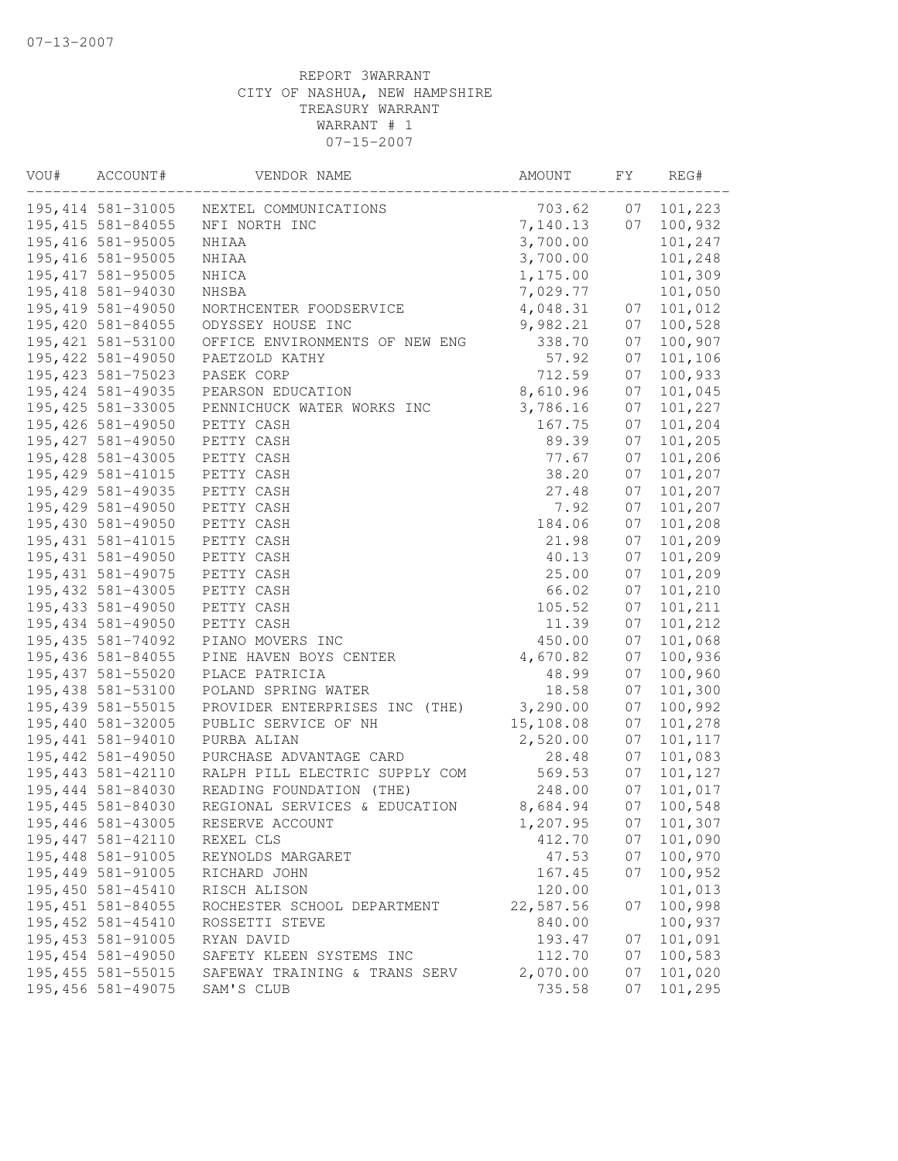| VOU# | ACCOUNT#                                | VENDOR NAME                       | AMOUNT           | FY       | REG#               |
|------|-----------------------------------------|-----------------------------------|------------------|----------|--------------------|
|      | 195, 414 581-31005                      | NEXTEL COMMUNICATIONS             | 703.62           | 07       | 101,223            |
|      | 195, 415 581-84055                      | NFI NORTH INC                     | 7,140.13         | 07       | 100,932            |
|      | 195, 416 581-95005                      | NHIAA                             | 3,700.00         |          | 101,247            |
|      | 195, 416 581-95005                      | NHIAA                             | 3,700.00         |          | 101,248            |
|      | 195, 417 581-95005                      | NHICA                             | 1,175.00         |          | 101,309            |
|      | 195,418 581-94030                       | NHSBA                             | 7,029.77         |          | 101,050            |
|      | 195, 419 581-49050                      | NORTHCENTER FOODSERVICE           | 4,048.31         | 07       | 101,012            |
|      | 195,420 581-84055                       | ODYSSEY HOUSE INC                 | 9,982.21         | 07       | 100,528            |
|      | 195, 421 581-53100                      | OFFICE ENVIRONMENTS OF NEW ENG    | 338.70           | 07       | 100,907            |
|      | 195, 422 581-49050                      | PAETZOLD KATHY                    | 57.92            | 07       | 101,106            |
|      | 195, 423 581-75023                      | PASEK CORP                        | 712.59           | 07       | 100,933            |
|      | 195, 424 581-49035                      | PEARSON EDUCATION                 | 8,610.96         | 07       | 101,045            |
|      | 195, 425 581-33005                      | PENNICHUCK WATER WORKS INC        | 3,786.16         | 07       | 101,227            |
|      | 195, 426 581-49050                      | PETTY CASH                        | 167.75           | 07       | 101,204            |
|      | 195, 427 581-49050                      | PETTY CASH                        | 89.39            | 07       | 101,205            |
|      | 195, 428 581-43005                      | PETTY CASH                        | 77.67            | 07       | 101,206            |
|      | 195, 429 581-41015                      | PETTY CASH                        | 38.20            | 07       | 101,207            |
|      | 195, 429 581-49035                      | PETTY CASH                        | 27.48            | 07       | 101,207            |
|      | 195,429 581-49050                       | PETTY CASH                        | 7.92             | 07       | 101,207            |
|      | 195,430 581-49050                       | PETTY CASH                        | 184.06           | 07       | 101,208            |
|      | 195, 431 581-41015                      | PETTY CASH                        | 21.98            | 07       | 101,209            |
|      | 195, 431 581-49050                      | PETTY CASH                        | 40.13            | 07       | 101,209            |
|      | 195, 431 581-49075                      | PETTY CASH                        | 25.00            | 07       | 101,209            |
|      | 195, 432 581-43005                      | PETTY CASH                        | 66.02            | 07       | 101,210            |
|      | 195, 433 581-49050                      | PETTY CASH                        | 105.52           | 07       | 101,211            |
|      | 195,434 581-49050                       | PETTY CASH                        | 11.39            | 07       | 101,212            |
|      | 195, 435 581-74092                      | PIANO MOVERS INC                  | 450.00           | 07       | 101,068            |
|      | 195,436 581-84055                       | PINE HAVEN BOYS CENTER            | 4,670.82         | 07       | 100,936            |
|      | 195, 437 581-55020                      | PLACE PATRICIA                    | 48.99            | 07       | 100,960            |
|      | 195,438 581-53100                       | POLAND SPRING WATER               | 18.58            | 07       | 101,300            |
|      | 195, 439 581-55015                      | PROVIDER ENTERPRISES INC (THE)    | 3,290.00         | 07       | 100,992            |
|      | 195,440 581-32005                       | PUBLIC SERVICE OF NH              | 15,108.08        | 07       | 101,278            |
|      | 195,441 581-94010                       | PURBA ALIAN                       | 2,520.00         | 07       | 101,117            |
|      | 195, 442 581-49050                      | PURCHASE ADVANTAGE CARD           | 28.48            | 07       | 101,083            |
|      | 195, 443 581-42110                      | RALPH PILL ELECTRIC SUPPLY COM    | 569.53<br>248.00 | 07       | 101,127            |
|      | 195,444 581-84030                       | READING FOUNDATION (THE)          |                  | 07<br>07 | 101,017            |
|      | 195,445 581-84030                       | REGIONAL SERVICES & EDUCATION     | 8,684.94         |          | 100,548            |
|      | 195,446 581-43005<br>195, 447 581-42110 | RESERVE ACCOUNT                   | 1,207.95         | 07       | 101,307            |
|      | 195,448 581-91005                       | REXEL CLS                         | 412.70<br>47.53  | 07<br>07 | 101,090<br>100,970 |
|      | 195,449 581-91005                       | REYNOLDS MARGARET<br>RICHARD JOHN | 167.45           | 07       | 100,952            |
|      | 195,450 581-45410                       | RISCH ALISON                      | 120.00           |          | 101,013            |
|      | 195, 451 581-84055                      | ROCHESTER SCHOOL DEPARTMENT       | 22,587.56        | 07       | 100,998            |
|      | 195, 452 581-45410                      | ROSSETTI STEVE                    | 840.00           |          | 100,937            |
|      | 195, 453 581-91005                      | RYAN DAVID                        | 193.47           | 07       | 101,091            |
|      | 195,454 581-49050                       | SAFETY KLEEN SYSTEMS INC          | 112.70           | 07       | 100,583            |
|      | 195, 455 581-55015                      | SAFEWAY TRAINING & TRANS SERV     | 2,070.00         | 07       | 101,020            |
|      | 195,456 581-49075                       | SAM'S CLUB                        | 735.58           | 07       | 101,295            |
|      |                                         |                                   |                  |          |                    |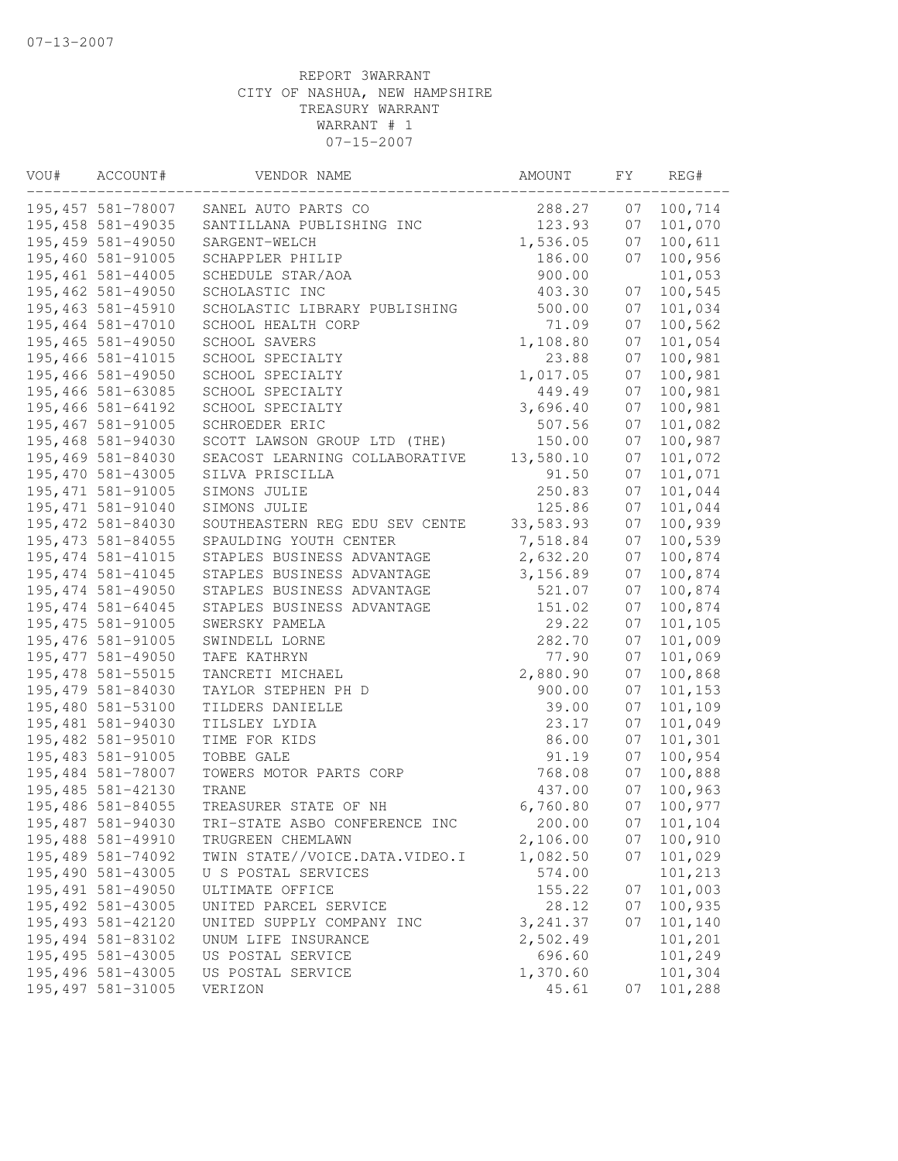| VOU# | ACCOUNT#           | VENDOR NAME                    | AMOUNT    | FΥ | REG#    |
|------|--------------------|--------------------------------|-----------|----|---------|
|      | 195,457 581-78007  | SANEL AUTO PARTS CO            | 288.27    | 07 | 100,714 |
|      | 195,458 581-49035  | SANTILLANA PUBLISHING INC      | 123.93    | 07 | 101,070 |
|      | 195,459 581-49050  | SARGENT-WELCH                  | 1,536.05  | 07 | 100,611 |
|      | 195,460 581-91005  | SCHAPPLER PHILIP               | 186.00    | 07 | 100,956 |
|      | 195,461 581-44005  | SCHEDULE STAR/AOA              | 900.00    |    | 101,053 |
|      | 195,462 581-49050  | SCHOLASTIC INC                 | 403.30    | 07 | 100,545 |
|      | 195,463 581-45910  | SCHOLASTIC LIBRARY PUBLISHING  | 500.00    | 07 | 101,034 |
|      | 195,464 581-47010  | SCHOOL HEALTH CORP             | 71.09     | 07 | 100,562 |
|      | 195,465 581-49050  | SCHOOL SAVERS                  | 1,108.80  | 07 | 101,054 |
|      | 195,466 581-41015  | SCHOOL SPECIALTY               | 23.88     | 07 | 100,981 |
|      | 195,466 581-49050  | SCHOOL SPECIALTY               | 1,017.05  | 07 | 100,981 |
|      | 195,466 581-63085  | SCHOOL SPECIALTY               | 449.49    | 07 | 100,981 |
|      | 195,466 581-64192  | SCHOOL SPECIALTY               | 3,696.40  | 07 | 100,981 |
|      | 195,467 581-91005  | SCHROEDER ERIC                 | 507.56    | 07 | 101,082 |
|      | 195,468 581-94030  | SCOTT LAWSON GROUP LTD (THE)   | 150.00    | 07 | 100,987 |
|      | 195,469 581-84030  | SEACOST LEARNING COLLABORATIVE | 13,580.10 | 07 | 101,072 |
|      | 195,470 581-43005  | SILVA PRISCILLA                | 91.50     | 07 | 101,071 |
|      | 195, 471 581-91005 | SIMONS JULIE                   | 250.83    | 07 | 101,044 |
|      | 195, 471 581-91040 | SIMONS JULIE                   | 125.86    | 07 | 101,044 |
|      | 195,472 581-84030  | SOUTHEASTERN REG EDU SEV CENTE | 33,583.93 | 07 | 100,939 |
|      | 195, 473 581-84055 | SPAULDING YOUTH CENTER         | 7,518.84  | 07 | 100,539 |
|      | 195, 474 581-41015 | STAPLES BUSINESS ADVANTAGE     | 2,632.20  | 07 | 100,874 |
|      | 195, 474 581-41045 | STAPLES BUSINESS ADVANTAGE     | 3,156.89  | 07 | 100,874 |
|      | 195, 474 581-49050 | STAPLES BUSINESS ADVANTAGE     | 521.07    | 07 | 100,874 |
|      | 195, 474 581-64045 | STAPLES BUSINESS ADVANTAGE     | 151.02    | 07 | 100,874 |
|      | 195, 475 581-91005 | SWERSKY PAMELA                 | 29.22     | 07 | 101,105 |
|      | 195, 476 581-91005 | SWINDELL LORNE                 | 282.70    | 07 | 101,009 |
|      | 195, 477 581-49050 | TAFE KATHRYN                   | 77.90     | 07 | 101,069 |
|      | 195, 478 581-55015 | TANCRETI MICHAEL               | 2,880.90  | 07 | 100,868 |
|      | 195,479 581-84030  | TAYLOR STEPHEN PH D            | 900.00    | 07 | 101,153 |
|      | 195,480 581-53100  | TILDERS DANIELLE               | 39.00     | 07 | 101,109 |
|      | 195,481 581-94030  | TILSLEY LYDIA                  | 23.17     | 07 | 101,049 |
|      | 195,482 581-95010  | TIME FOR KIDS                  | 86.00     | 07 | 101,301 |
|      | 195,483 581-91005  | TOBBE GALE                     | 91.19     | 07 | 100,954 |
|      | 195,484 581-78007  | TOWERS MOTOR PARTS CORP        | 768.08    | 07 | 100,888 |
|      | 195,485 581-42130  | TRANE                          | 437.00    | 07 | 100,963 |
|      | 195,486 581-84055  | TREASURER STATE OF NH          | 6,760.80  | 07 | 100,977 |
|      | 195,487 581-94030  | TRI-STATE ASBO CONFERENCE INC  | 200.00    | 07 | 101,104 |
|      | 195,488 581-49910  | TRUGREEN CHEMLAWN              | 2,106.00  | 07 | 100,910 |
|      | 195,489 581-74092  | TWIN STATE//VOICE.DATA.VIDEO.I | 1,082.50  | 07 | 101,029 |
|      | 195,490 581-43005  | U S POSTAL SERVICES            | 574.00    |    | 101,213 |
|      | 195,491 581-49050  | ULTIMATE OFFICE                | 155.22    | 07 | 101,003 |
|      | 195, 492 581-43005 | UNITED PARCEL SERVICE          | 28.12     | 07 | 100,935 |
|      | 195, 493 581-42120 | UNITED SUPPLY COMPANY INC      | 3, 241.37 | 07 | 101,140 |
|      | 195,494 581-83102  | UNUM LIFE INSURANCE            | 2,502.49  |    | 101,201 |
|      | 195,495 581-43005  | US POSTAL SERVICE              | 696.60    |    | 101,249 |
|      | 195,496 581-43005  | US POSTAL SERVICE              | 1,370.60  |    | 101,304 |
|      | 195, 497 581-31005 | VERIZON                        | 45.61     | 07 | 101,288 |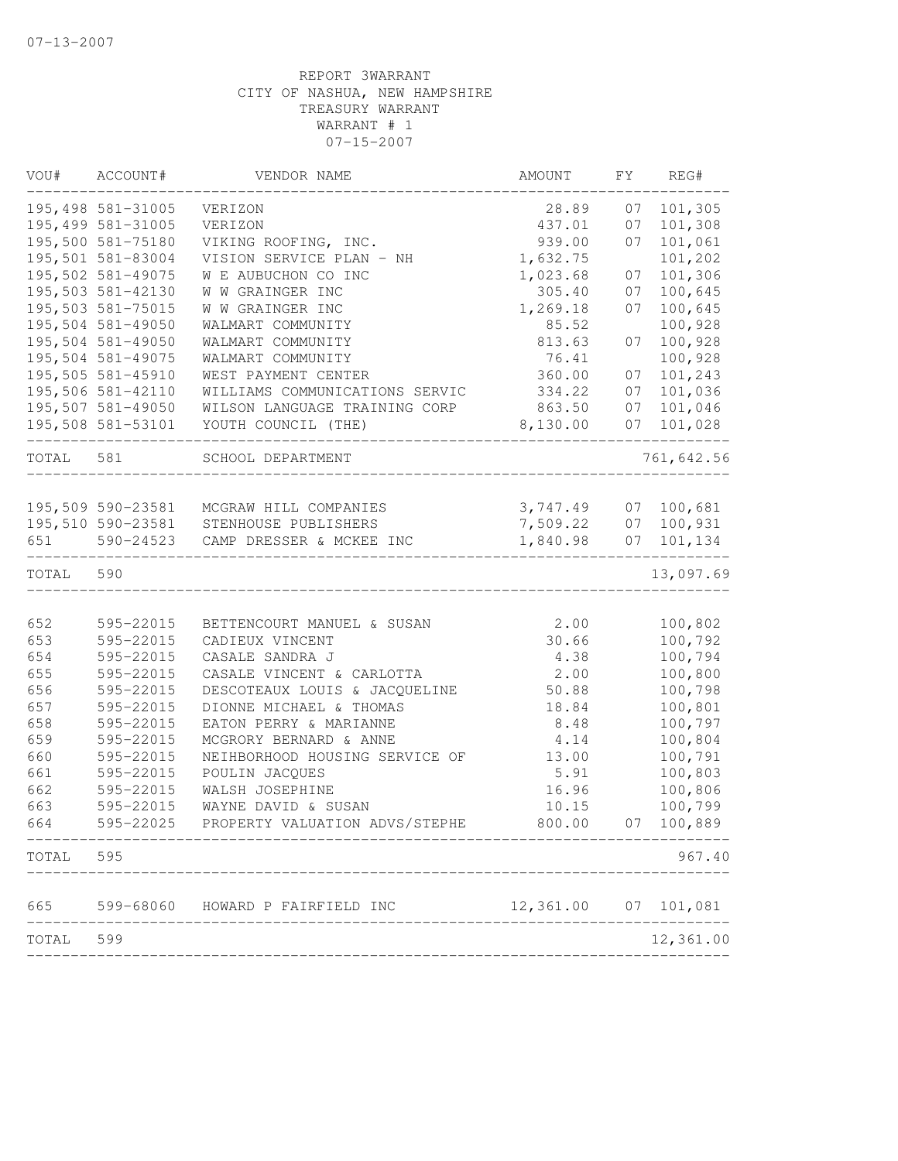| VOU#      | ACCOUNT#          | VENDOR NAME                             | AMOUNT               | FΥ | REG#       |
|-----------|-------------------|-----------------------------------------|----------------------|----|------------|
|           | 195,498 581-31005 | VERIZON                                 | 28.89                | 07 | 101,305    |
|           | 195,499 581-31005 | VERIZON                                 | 437.01               | 07 | 101,308    |
|           | 195,500 581-75180 | VIKING ROOFING, INC.                    | 939.00               | 07 | 101,061    |
|           | 195,501 581-83004 | VISION SERVICE PLAN - NH                | 1,632.75             |    | 101,202    |
|           | 195,502 581-49075 | W E AUBUCHON CO INC                     | 1,023.68             | 07 | 101,306    |
|           | 195,503 581-42130 | W W GRAINGER INC                        | 305.40               | 07 | 100,645    |
|           | 195,503 581-75015 | W W GRAINGER INC                        | 1,269.18             | 07 | 100,645    |
|           | 195,504 581-49050 | WALMART COMMUNITY                       | 85.52                |    | 100,928    |
|           | 195,504 581-49050 | WALMART COMMUNITY                       | 813.63               | 07 | 100,928    |
|           | 195,504 581-49075 | WALMART COMMUNITY                       | 76.41                |    | 100,928    |
|           | 195,505 581-45910 | WEST PAYMENT CENTER                     | 360.00               | 07 | 101,243    |
|           | 195,506 581-42110 | WILLIAMS COMMUNICATIONS SERVIC          | 334.22               | 07 | 101,036    |
|           | 195,507 581-49050 | WILSON LANGUAGE TRAINING CORP           | 863.50               | 07 | 101,046    |
|           | 195,508 581-53101 | YOUTH COUNCIL (THE)                     | 8,130.00             | 07 | 101,028    |
| TOTAL 581 |                   | SCHOOL DEPARTMENT                       |                      |    | 761,642.56 |
|           |                   |                                         |                      |    |            |
|           |                   | 195,509 590-23581 MCGRAW HILL COMPANIES | 3,747.49             | 07 | 100,681    |
|           |                   | 195,510 590-23581 STENHOUSE PUBLISHERS  | 7,509.22             | 07 | 100,931    |
| 651       | 590-24523         | CAMP DRESSER & MCKEE INC                | 1,840.98             | 07 | 101,134    |
| TOTAL     | 590               |                                         |                      |    | 13,097.69  |
|           |                   |                                         |                      |    |            |
| 652       | 595-22015         | BETTENCOURT MANUEL & SUSAN              | 2.00                 |    | 100,802    |
| 653       | 595-22015         | CADIEUX VINCENT                         | 30.66                |    | 100,792    |
| 654       | 595-22015         | CASALE SANDRA J                         | 4.38                 |    | 100,794    |
| 655       | 595-22015         | CASALE VINCENT & CARLOTTA               | 2.00                 |    | 100,800    |
| 656       | 595-22015         | DESCOTEAUX LOUIS & JACQUELINE           | 50.88                |    | 100,798    |
| 657       | 595-22015         | DIONNE MICHAEL & THOMAS                 | 18.84                |    | 100,801    |
| 658       | 595-22015         | EATON PERRY & MARIANNE                  | 8.48                 |    | 100,797    |
| 659       | 595-22015         | MCGRORY BERNARD & ANNE                  | 4.14                 |    | 100,804    |
| 660       | 595-22015         | NEIHBORHOOD HOUSING SERVICE OF          | 13.00                |    | 100,791    |
| 661       | 595-22015         | POULIN JACQUES                          | 5.91                 |    | 100,803    |
| 662       | 595-22015         | WALSH JOSEPHINE                         | 16.96                |    | 100,806    |
| 663       | 595-22015         | WAYNE DAVID & SUSAN                     | 10.15                |    | 100,799    |
| 664       | 595-22025         | PROPERTY VALUATION ADVS/STEPHE          | 800.00               | 07 | 100,889    |
| TOTAL     | 595               |                                         |                      |    | 967.40     |
| 665       |                   | 599-68060 HOWARD P FAIRFIELD INC        | 12,361.00 07 101,081 |    |            |
| TOTAL     | 599               |                                         |                      |    | 12,361.00  |
|           |                   |                                         |                      |    |            |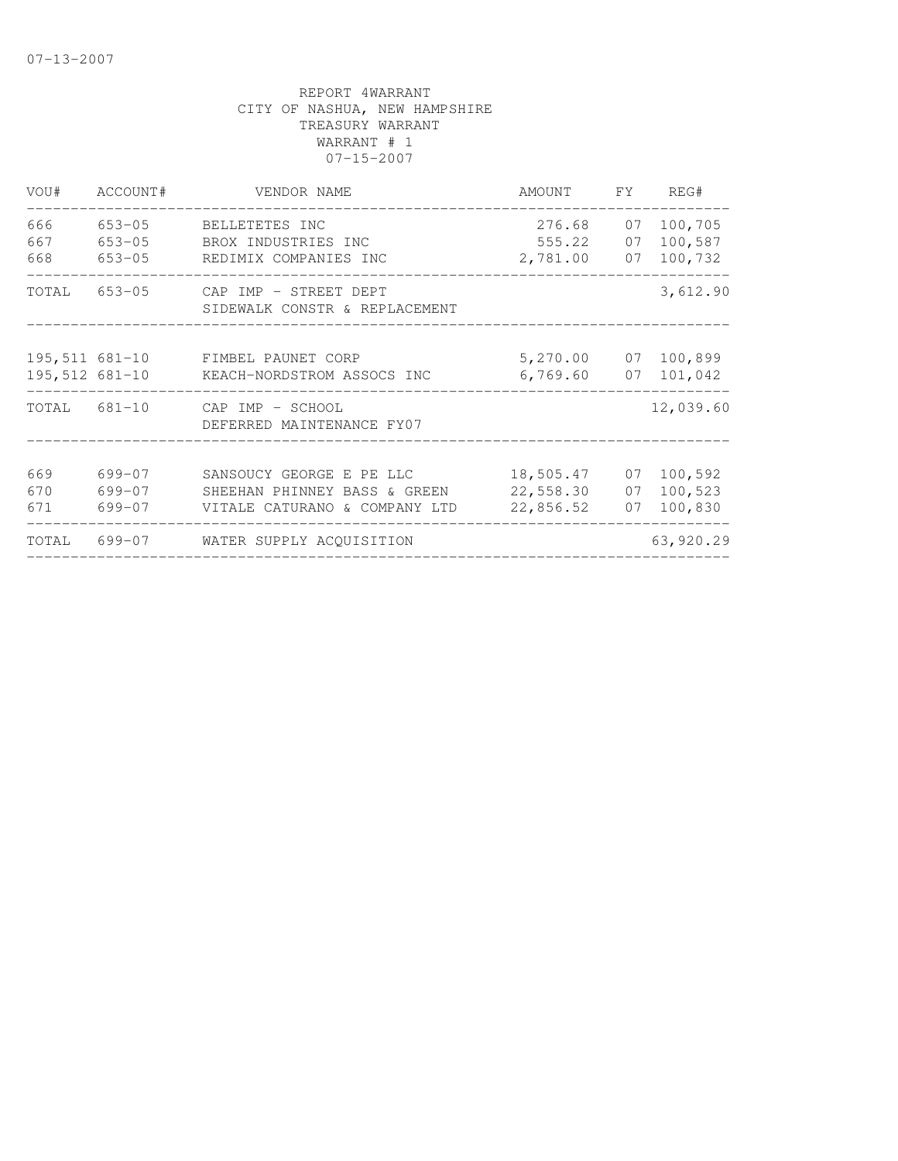| VOU#              | ACCOUNT#                           | VENDOR NAME                                                                               | AMOUNT                                         | FY       | REG#                          |
|-------------------|------------------------------------|-------------------------------------------------------------------------------------------|------------------------------------------------|----------|-------------------------------|
| 666<br>667<br>668 | 653-05<br>$653 - 05$<br>$653 - 05$ | BELLETETES INC<br>BROX INDUSTRIES INC<br>REDIMIX COMPANIES INC                            | 276.68<br>555.22 07<br>2,781.00                | 07<br>07 | 100,705<br>100,587<br>100,732 |
| TOTAL             |                                    | 653-05 CAP IMP - STREET DEPT<br>SIDEWALK CONSTR & REPLACEMENT                             |                                                |          | 3,612.90                      |
| $195,512$ 681-10  |                                    | 195,511 681-10 FIMBEL PAUNET CORP<br>KEACH-NORDSTROM ASSOCS INC                           | 5,270.00 07 100,899<br>6,769.60                | 07       | 101,042                       |
| TOTAL 681-10      |                                    | CAP IMP - SCHOOL<br>DEFERRED MAINTENANCE FY07                                             |                                                |          | 12,039.60                     |
| 669<br>670<br>671 | 699-07<br>699-07<br>$699 - 07$     | SANSOUCY GEORGE E PE LLC<br>SHEEHAN PHINNEY BASS & GREEN<br>VITALE CATURANO & COMPANY LTD | 18,505.47 07 100,592<br>22,558.30<br>22,856.52 | 07<br>07 | 100,523<br>100,830            |
| TOTAL             | 699-07                             | WATER SUPPLY ACQUISITION                                                                  |                                                |          | 63,920.29                     |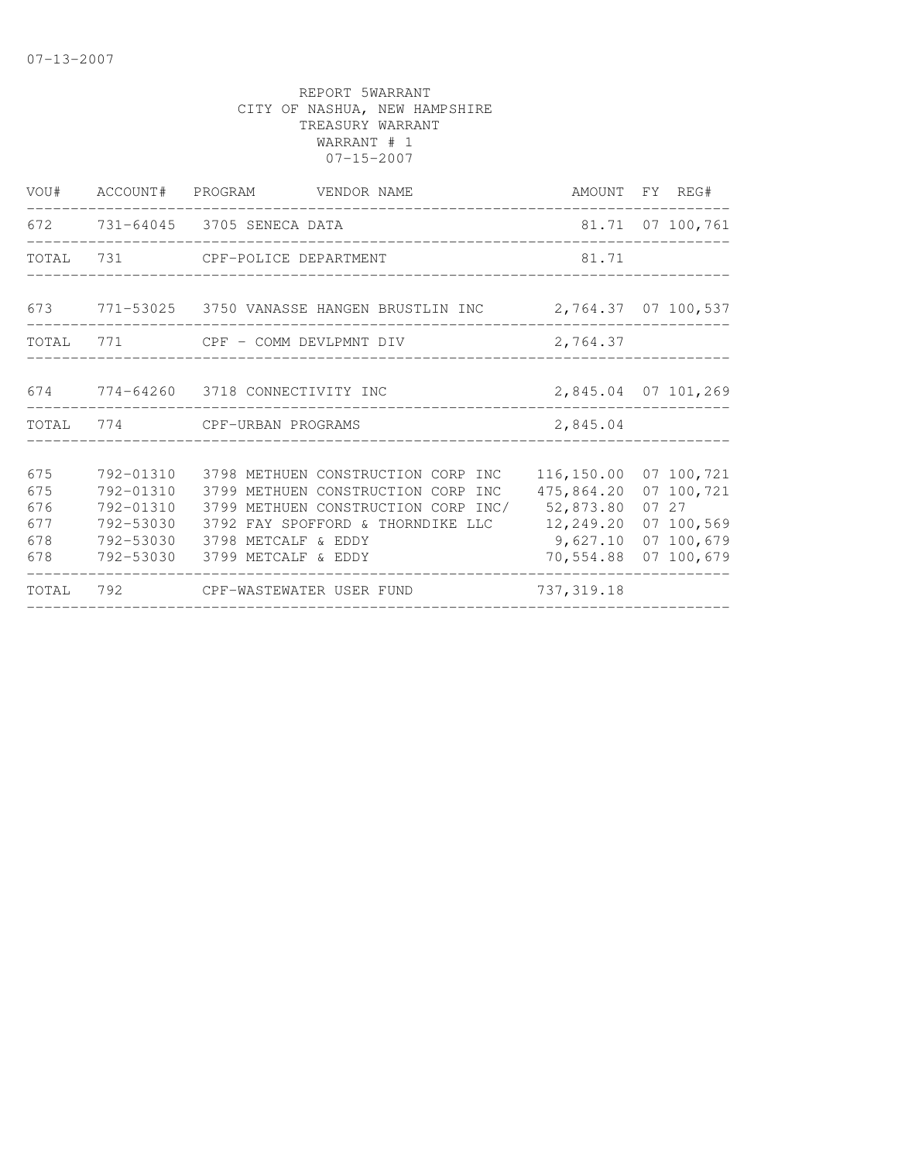|                                        |                                     | VOU# ACCOUNT# PROGRAM VENDOR NAME                                                                                                                                                                                                | AMOUNT FY REG#                                                                                      |                                                 |
|----------------------------------------|-------------------------------------|----------------------------------------------------------------------------------------------------------------------------------------------------------------------------------------------------------------------------------|-----------------------------------------------------------------------------------------------------|-------------------------------------------------|
|                                        |                                     | 672 731-64045 3705 SENECA DATA                                                                                                                                                                                                   |                                                                                                     | 81.71 07 100,761                                |
|                                        |                                     | TOTAL 731 CPF-POLICE DEPARTMENT                                                                                                                                                                                                  | 81.71                                                                                               |                                                 |
|                                        |                                     | 673 771-53025 3750 VANASSE HANGEN BRUSTLIN INC 2,764.37 07 100,537                                                                                                                                                               |                                                                                                     |                                                 |
|                                        |                                     | TOTAL 771 CPF - COMM DEVLPMNT DIV                                                                                                                                                                                                | 2,764.37                                                                                            |                                                 |
|                                        |                                     | 674 774-64260 3718 CONNECTIVITY INC                                                                                                                                                                                              | 2,845.04 07 101,269                                                                                 |                                                 |
|                                        |                                     | TOTAL 774 CPF-URBAN PROGRAMS                                                                                                                                                                                                     | 2,845.04                                                                                            |                                                 |
| 675<br>675<br>676<br>677<br>678<br>678 | 792-01310<br>792-01310<br>792-53030 | 792-01310 3798 METHUEN CONSTRUCTION CORP INC<br>3799 METHUEN CONSTRUCTION CORP INC<br>3799 METHUEN CONSTRUCTION CORP INC/<br>3792 FAY SPOFFORD & THORNDIKE LLC<br>792-53030 3798 METCALF & EDDY<br>792-53030 3799 METCALF & EDDY | 116, 150.00 07 100, 721<br>475,864.20<br>52,873.80<br>12,249.20<br>9,627.10<br>70,554.88 07 100,679 | 07 100,721<br>07 27<br>07 100,569<br>07 100,679 |
|                                        |                                     | TOTAL 792 CPF-WASTEWATER USER FUND                                                                                                                                                                                               | 737, 319.18                                                                                         |                                                 |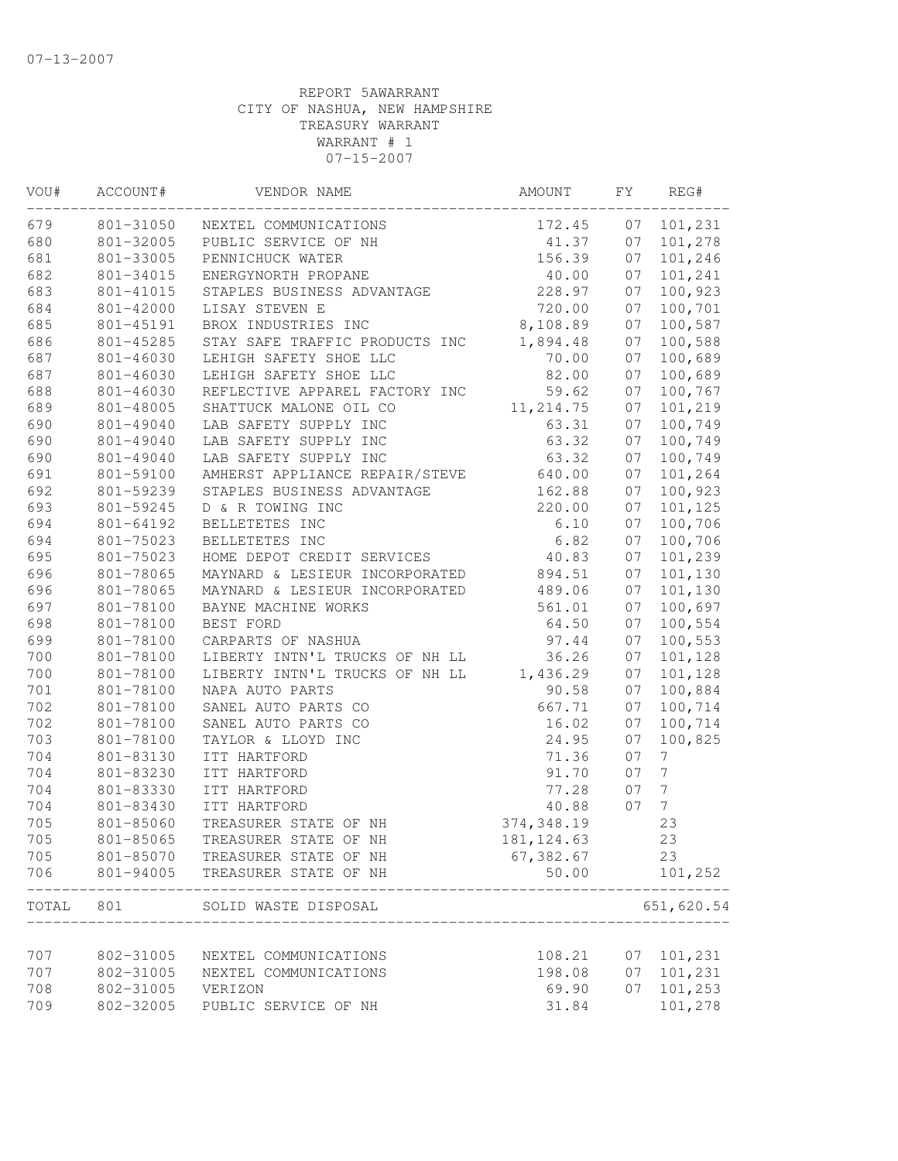| VOU#  | ACCOUNT#  | VENDOR NAME                    | AMOUNT      | FY | REG#             |
|-------|-----------|--------------------------------|-------------|----|------------------|
| 679   | 801-31050 | NEXTEL COMMUNICATIONS          | 172.45      | 07 | 101,231          |
| 680   | 801-32005 | PUBLIC SERVICE OF NH           | 41.37       | 07 | 101,278          |
| 681   | 801-33005 | PENNICHUCK WATER               | 156.39      | 07 | 101,246          |
| 682   | 801-34015 | ENERGYNORTH PROPANE            | 40.00       | 07 | 101,241          |
| 683   | 801-41015 | STAPLES BUSINESS ADVANTAGE     | 228.97      | 07 | 100,923          |
| 684   | 801-42000 | LISAY STEVEN E                 | 720.00      | 07 | 100,701          |
| 685   | 801-45191 | BROX INDUSTRIES INC            | 8,108.89    | 07 | 100,587          |
| 686   | 801-45285 | STAY SAFE TRAFFIC PRODUCTS INC | 1,894.48    | 07 | 100,588          |
| 687   | 801-46030 | LEHIGH SAFETY SHOE LLC         | 70.00       | 07 | 100,689          |
| 687   | 801-46030 | LEHIGH SAFETY SHOE LLC         | 82.00       | 07 | 100,689          |
| 688   | 801-46030 | REFLECTIVE APPAREL FACTORY INC | 59.62       | 07 | 100,767          |
| 689   | 801-48005 | SHATTUCK MALONE OIL CO         | 11, 214.75  | 07 | 101,219          |
| 690   | 801-49040 | LAB SAFETY SUPPLY INC          | 63.31       | 07 | 100,749          |
| 690   | 801-49040 | LAB SAFETY SUPPLY INC          | 63.32       | 07 | 100,749          |
| 690   | 801-49040 | LAB SAFETY SUPPLY INC          | 63.32       | 07 | 100,749          |
| 691   | 801-59100 | AMHERST APPLIANCE REPAIR/STEVE | 640.00      | 07 | 101,264          |
| 692   | 801-59239 | STAPLES BUSINESS ADVANTAGE     | 162.88      | 07 | 100,923          |
| 693   | 801-59245 | D & R TOWING INC               | 220.00      | 07 | 101,125          |
| 694   | 801-64192 | BELLETETES INC                 | 6.10        | 07 | 100,706          |
| 694   | 801-75023 | BELLETETES INC                 | 6.82        | 07 | 100,706          |
| 695   | 801-75023 | HOME DEPOT CREDIT SERVICES     | 40.83       | 07 | 101,239          |
| 696   | 801-78065 | MAYNARD & LESIEUR INCORPORATED | 894.51      | 07 | 101,130          |
| 696   | 801-78065 | MAYNARD & LESIEUR INCORPORATED | 489.06      | 07 | 101,130          |
| 697   | 801-78100 | BAYNE MACHINE WORKS            | 561.01      | 07 | 100,697          |
| 698   | 801-78100 | BEST FORD                      | 64.50       | 07 | 100,554          |
| 699   | 801-78100 | CARPARTS OF NASHUA             | 97.44       | 07 | 100,553          |
| 700   | 801-78100 | LIBERTY INTN'L TRUCKS OF NH LL | 36.26       | 07 | 101,128          |
| 700   | 801-78100 | LIBERTY INTN'L TRUCKS OF NH LL | 1,436.29    | 07 | 101,128          |
| 701   | 801-78100 | NAPA AUTO PARTS                | 90.58       | 07 | 100,884          |
| 702   | 801-78100 | SANEL AUTO PARTS CO            | 667.71      | 07 | 100,714          |
| 702   | 801-78100 | SANEL AUTO PARTS CO            | 16.02       | 07 | 100,714          |
| 703   | 801-78100 | TAYLOR & LLOYD INC             | 24.95       | 07 | 100,825          |
| 704   | 801-83130 | ITT HARTFORD                   | 71.36       | 07 | 7                |
| 704   | 801-83230 | ITT HARTFORD                   | 91.70       | 07 | $7\phantom{.}$   |
| 704   | 801-83330 | ITT HARTFORD                   | 77.28       | 07 | $\boldsymbol{7}$ |
| 704   | 801-83430 | ITT HARTFORD                   | 40.88       | 07 | $7\phantom{.}$   |
| 705   | 801-85060 | TREASURER STATE OF NH          | 374, 348.19 |    | 23               |
| 705   | 801-85065 | TREASURER STATE OF NH          | 181, 124.63 |    | 23               |
| 705   | 801-85070 | TREASURER STATE OF NH          | 67,382.67   |    | 23               |
| 706   | 801-94005 | TREASURER STATE OF NH          | 50.00       |    | 101,252          |
| TOTAL | 801       | SOLID WASTE DISPOSAL           |             |    | 651,620.54       |
|       |           |                                |             |    |                  |
| 707   | 802-31005 | NEXTEL COMMUNICATIONS          | 108.21      | 07 | 101,231          |
| 707   | 802-31005 | NEXTEL COMMUNICATIONS          | 198.08      | 07 | 101,231          |
| 708   | 802-31005 | VERIZON                        | 69.90       | 07 | 101,253          |
| 709   | 802-32005 | PUBLIC SERVICE OF NH           | 31.84       |    | 101,278          |
|       |           |                                |             |    |                  |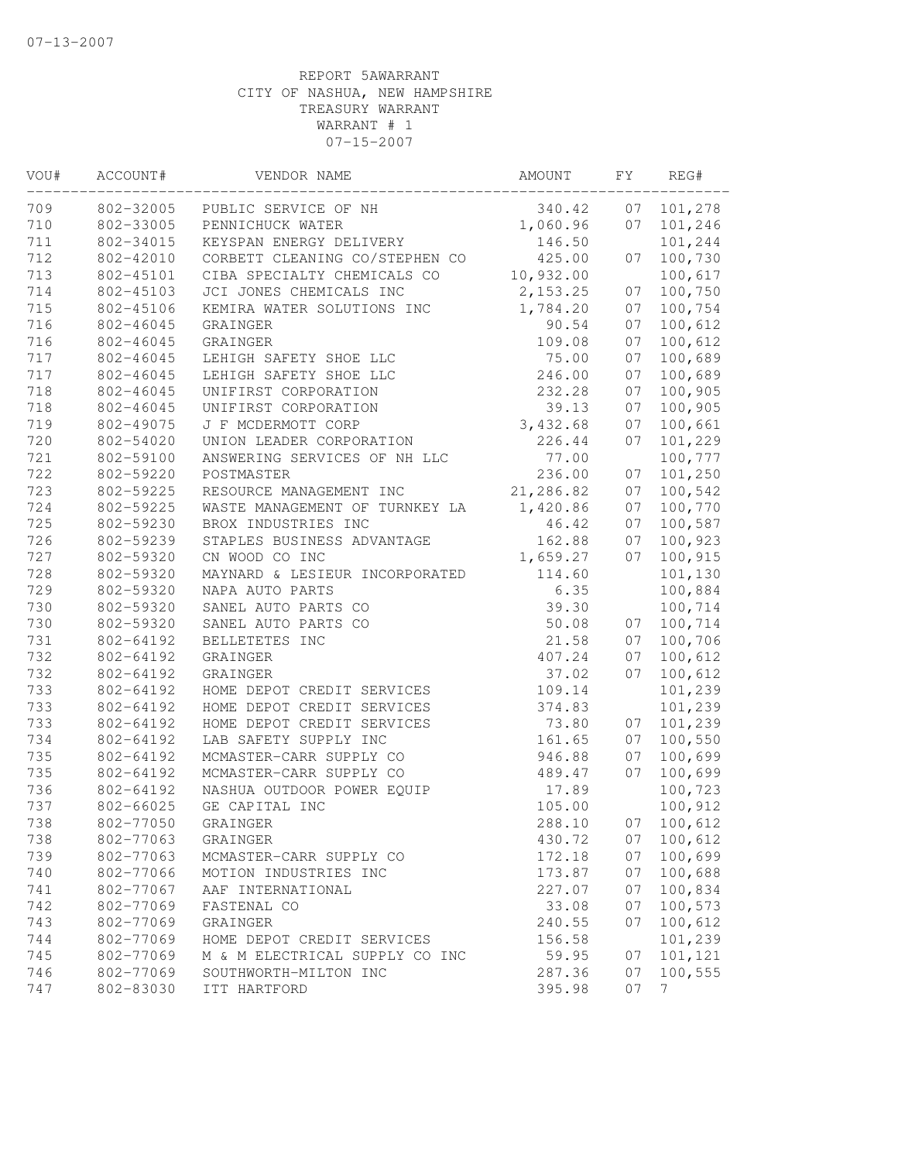| VOU# | ACCOUNT#  | VENDOR NAME                    | AMOUNT    | FΥ | REG#    |
|------|-----------|--------------------------------|-----------|----|---------|
| 709  | 802-32005 | PUBLIC SERVICE OF NH           | 340.42    | 07 | 101,278 |
| 710  | 802-33005 | PENNICHUCK WATER               | 1,060.96  | 07 | 101,246 |
| 711  | 802-34015 | KEYSPAN ENERGY DELIVERY        | 146.50    |    | 101,244 |
| 712  | 802-42010 | CORBETT CLEANING CO/STEPHEN CO | 425.00    | 07 | 100,730 |
| 713  | 802-45101 | CIBA SPECIALTY CHEMICALS CO    | 10,932.00 |    | 100,617 |
| 714  | 802-45103 | JCI JONES CHEMICALS INC        | 2, 153.25 | 07 | 100,750 |
| 715  | 802-45106 | KEMIRA WATER SOLUTIONS INC     | 1,784.20  | 07 | 100,754 |
| 716  | 802-46045 | GRAINGER                       | 90.54     | 07 | 100,612 |
| 716  | 802-46045 | GRAINGER                       | 109.08    | 07 | 100,612 |
| 717  | 802-46045 | LEHIGH SAFETY SHOE LLC         | 75.00     | 07 | 100,689 |
| 717  | 802-46045 | LEHIGH SAFETY SHOE LLC         | 246.00    | 07 | 100,689 |
| 718  | 802-46045 | UNIFIRST CORPORATION           | 232.28    | 07 | 100,905 |
| 718  | 802-46045 | UNIFIRST CORPORATION           | 39.13     | 07 | 100,905 |
| 719  | 802-49075 | J F MCDERMOTT CORP             | 3,432.68  | 07 | 100,661 |
| 720  | 802-54020 | UNION LEADER CORPORATION       | 226.44    | 07 | 101,229 |
| 721  | 802-59100 | ANSWERING SERVICES OF NH LLC   | 77.00     |    | 100,777 |
| 722  | 802-59220 | POSTMASTER                     | 236.00    | 07 | 101,250 |
| 723  | 802-59225 | RESOURCE MANAGEMENT INC        | 21,286.82 | 07 | 100,542 |
| 724  | 802-59225 | WASTE MANAGEMENT OF TURNKEY LA | 1,420.86  | 07 | 100,770 |
| 725  | 802-59230 | BROX INDUSTRIES INC            | 46.42     | 07 | 100,587 |
| 726  | 802-59239 | STAPLES BUSINESS ADVANTAGE     | 162.88    | 07 | 100,923 |
| 727  | 802-59320 | CN WOOD CO INC                 | 1,659.27  | 07 | 100,915 |
| 728  | 802-59320 | MAYNARD & LESIEUR INCORPORATED | 114.60    |    | 101,130 |
| 729  | 802-59320 | NAPA AUTO PARTS                | 6.35      |    | 100,884 |
| 730  | 802-59320 | SANEL AUTO PARTS CO            | 39.30     |    | 100,714 |
| 730  | 802-59320 | SANEL AUTO PARTS CO            | 50.08     | 07 | 100,714 |
| 731  | 802-64192 | BELLETETES INC                 | 21.58     | 07 | 100,706 |
| 732  | 802-64192 | GRAINGER                       | 407.24    | 07 | 100,612 |
| 732  | 802-64192 | GRAINGER                       | 37.02     | 07 | 100,612 |
| 733  | 802-64192 | HOME DEPOT CREDIT SERVICES     | 109.14    |    | 101,239 |
| 733  | 802-64192 | HOME DEPOT CREDIT SERVICES     | 374.83    |    | 101,239 |
| 733  | 802-64192 | HOME DEPOT CREDIT SERVICES     | 73.80     | 07 | 101,239 |
| 734  | 802-64192 | LAB SAFETY SUPPLY INC          | 161.65    | 07 | 100,550 |
| 735  | 802-64192 | MCMASTER-CARR SUPPLY CO        | 946.88    | 07 | 100,699 |
| 735  | 802-64192 | MCMASTER-CARR SUPPLY CO        | 489.47    | 07 | 100,699 |
| 736  | 802-64192 | NASHUA OUTDOOR POWER EQUIP     | 17.89     |    | 100,723 |
| 737  | 802-66025 | GE CAPITAL INC                 | 105.00    |    | 100,912 |
| 738  | 802-77050 | GRAINGER                       | 288.10    | 07 | 100,612 |
| 738  | 802-77063 | GRAINGER                       | 430.72    | 07 | 100,612 |
| 739  | 802-77063 | MCMASTER-CARR SUPPLY CO        | 172.18    | 07 | 100,699 |
| 740  | 802-77066 | MOTION INDUSTRIES INC          | 173.87    | 07 | 100,688 |
| 741  | 802-77067 | AAF INTERNATIONAL              | 227.07    | 07 | 100,834 |
| 742  | 802-77069 | FASTENAL CO                    | 33.08     | 07 | 100,573 |
| 743  | 802-77069 | GRAINGER                       | 240.55    | 07 | 100,612 |
| 744  | 802-77069 | HOME DEPOT CREDIT SERVICES     | 156.58    |    | 101,239 |
| 745  | 802-77069 | M & M ELECTRICAL SUPPLY CO INC | 59.95     | 07 | 101,121 |
| 746  | 802-77069 | SOUTHWORTH-MILTON INC          | 287.36    | 07 | 100,555 |
| 747  | 802-83030 | ITT HARTFORD                   | 395.98    | 07 | 7       |
|      |           |                                |           |    |         |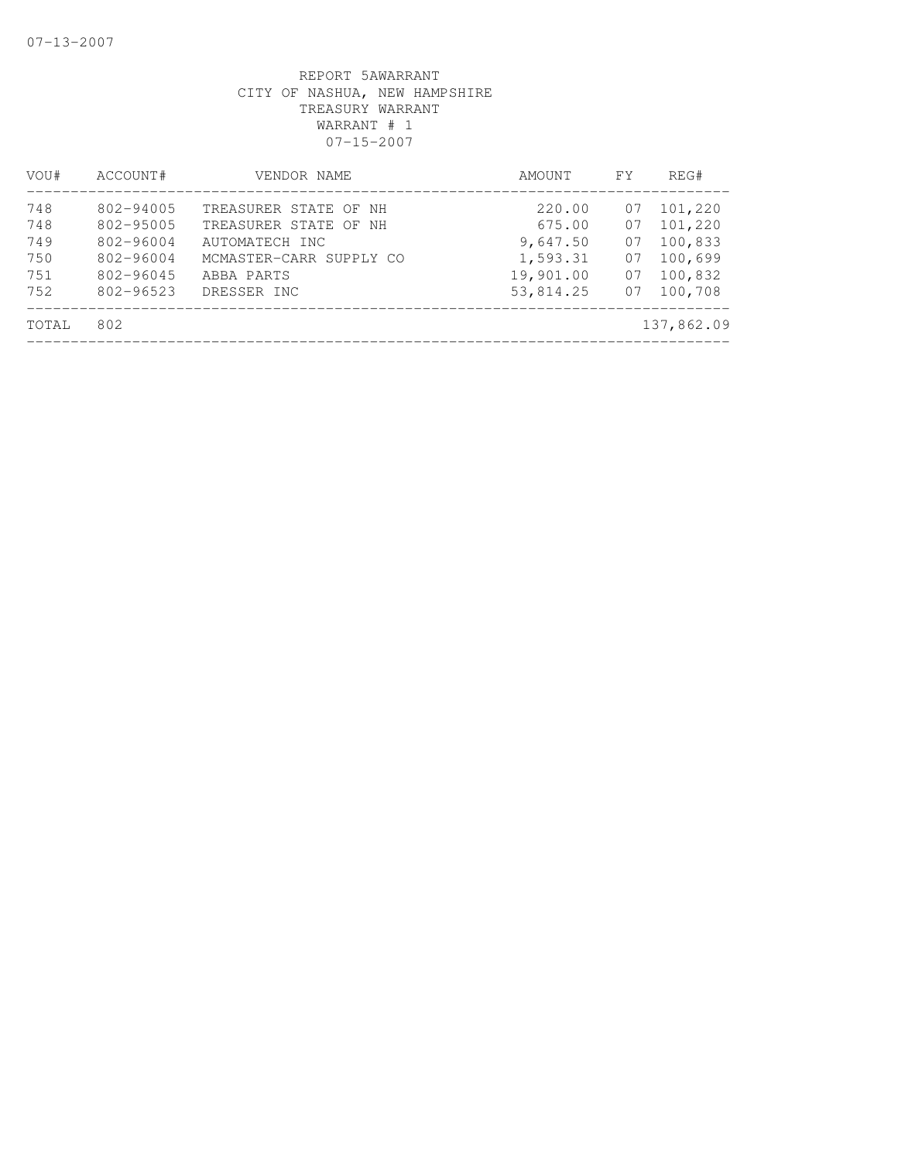| VOU#                            | ACCOUNT#                                                      | VENDOR NAME                                                                                               | AMOUNT                                                | FY.                        | REG#                                                |
|---------------------------------|---------------------------------------------------------------|-----------------------------------------------------------------------------------------------------------|-------------------------------------------------------|----------------------------|-----------------------------------------------------|
| 748<br>748<br>749<br>750<br>751 | 802-94005<br>802-95005<br>802-96004<br>802-96004<br>802-96045 | TREASURER STATE OF NH<br>TREASURER STATE OF NH<br>AUTOMATECH INC<br>MCMASTER-CARR SUPPLY CO<br>ABBA PARTS | 220.00<br>675.00<br>9,647.50<br>1,593.31<br>19,901.00 | 07<br>07<br>07<br>07<br>07 | 101,220<br>101,220<br>100,833<br>100,699<br>100,832 |
| 752<br>TOTAL                    | 802-96523<br>802                                              | DRESSER INC                                                                                               | 53,814.25                                             | 07                         | 100,708<br>137,862.09                               |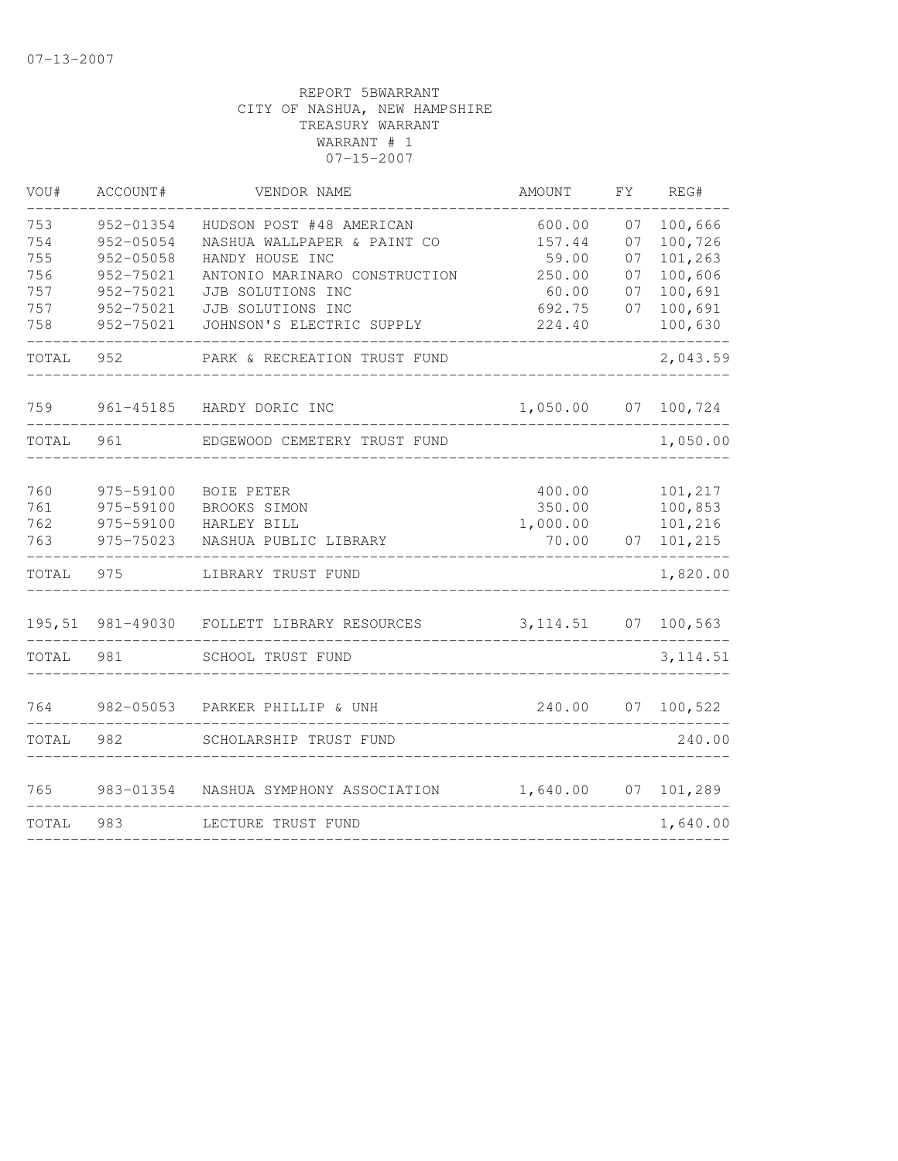| VOU#       | ACCOUNT#               | VENDOR NAME                                             | AMOUNT           | FY       | REG#               |
|------------|------------------------|---------------------------------------------------------|------------------|----------|--------------------|
| 753<br>754 | 952-01354<br>952-05054 | HUDSON POST #48 AMERICAN<br>NASHUA WALLPAPER & PAINT CO | 600.00<br>157.44 | 07<br>07 | 100,666<br>100,726 |
| 755        | 952-05058              | HANDY HOUSE INC                                         | 59.00            | 07       | 101,263            |
| 756<br>757 | 952-75021<br>952-75021 | ANTONIO MARINARO CONSTRUCTION<br>JJB SOLUTIONS INC      | 250.00<br>60.00  | 07<br>07 | 100,606<br>100,691 |
| 757        | 952-75021              | JJB SOLUTIONS INC                                       | 692.75           | 07       | 100,691            |
| 758        | 952-75021              | JOHNSON'S ELECTRIC SUPPLY                               | 224.40           |          | 100,630            |
| TOTAL      | 952                    | PARK & RECREATION TRUST FUND                            |                  |          | 2,043.59           |
| 759        | $961 - 45185$          | HARDY DORIC INC                                         | 1,050.00         | 07       | 100,724            |
| TOTAL      | 961                    | EDGEWOOD CEMETERY TRUST FUND                            |                  |          | 1,050.00           |
|            |                        |                                                         |                  |          |                    |
| 760        | 975-59100              | BOIE PETER                                              | 400.00           |          | 101,217            |
| 761        | 975-59100              | BROOKS SIMON                                            | 350.00           |          | 100,853            |
| 762        | 975-59100              | HARLEY BILL                                             | 1,000.00         |          | 101,216            |
| 763        | 975-75023              | NASHUA PUBLIC LIBRARY                                   | 70.00            | 07       | 101,215            |
| TOTAL      | 975                    | LIBRARY TRUST FUND                                      |                  |          | 1,820.00           |
| 195,51     | 981-49030              | FOLLETT LIBRARY RESOURCES                               | 3, 114.51        | 07       | 100, 563           |
| TOTAL      | 981                    | SCHOOL TRUST FUND                                       |                  |          | 3, 114.51          |
|            |                        |                                                         |                  |          |                    |
| 764        | 982-05053              | PARKER PHILLIP & UNH                                    | 240.00           | 07       | 100,522            |
| TOTAL      | 982                    | SCHOLARSHIP TRUST FUND                                  |                  |          | 240.00             |
| 765        | 983-01354              | NASHUA SYMPHONY ASSOCIATION                             | 1,640.00         | 07       | 101,289            |
|            |                        |                                                         |                  |          |                    |
| TOTAL      | 983                    | LECTURE TRUST FUND                                      |                  |          | 1,640.00           |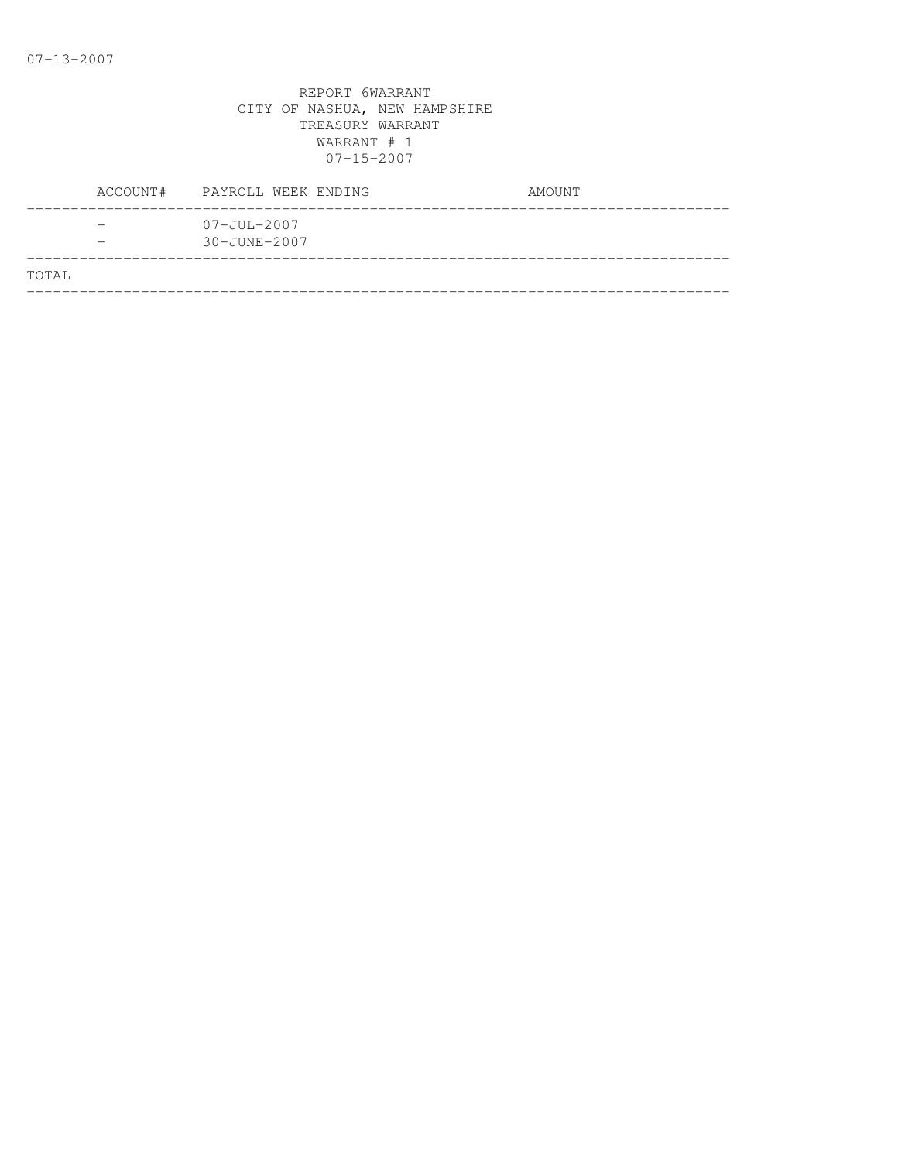|       | ACCOUNT# PAYROLL WEEK ENDING      | AMOUNT |
|-------|-----------------------------------|--------|
|       | $07 - JUL - 2007$<br>30-JUNE-2007 |        |
| TOTAL |                                   |        |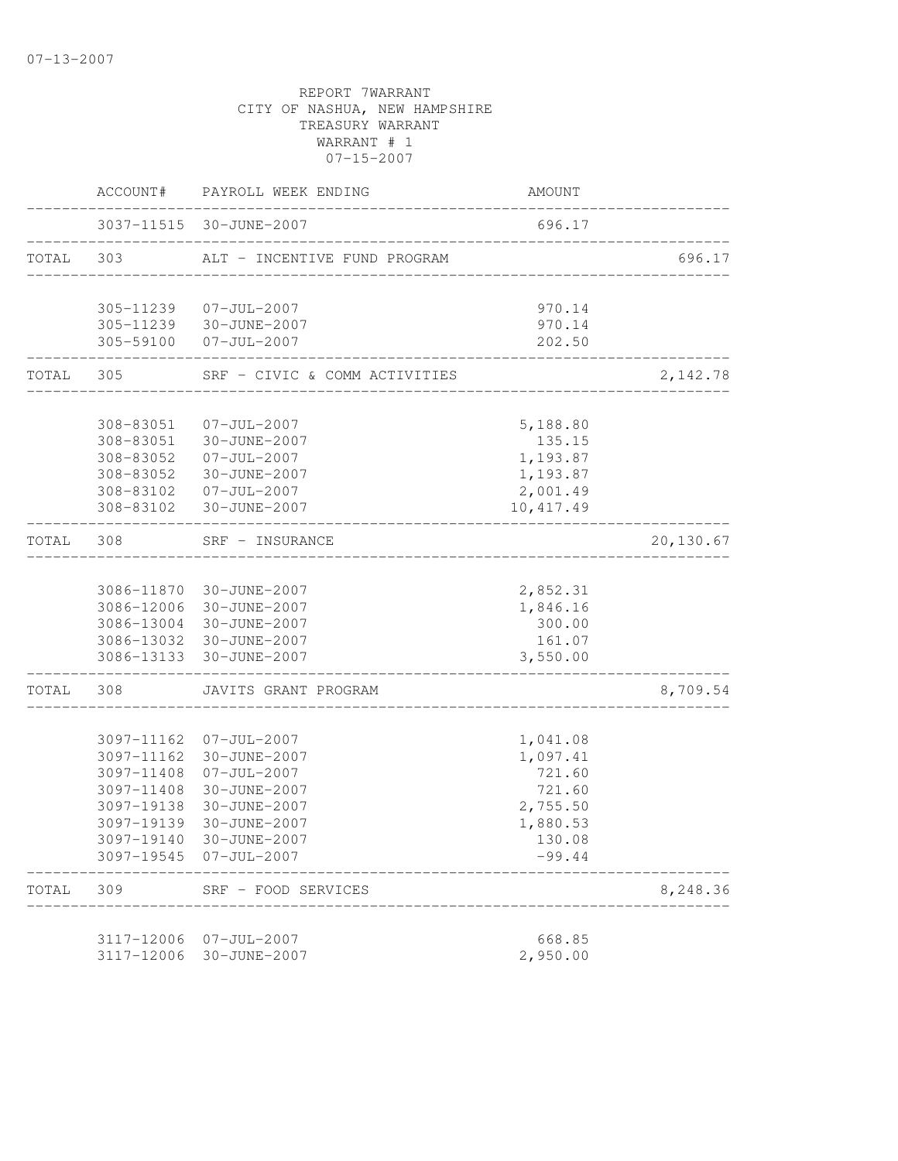| 3037-11515 30-JUNE-2007<br>696.17<br>TOTAL 303<br>ALT - INCENTIVE FUND PROGRAM<br>305-11239 07-JUL-2007<br>970.14<br>305-11239 30-JUNE-2007<br>970.14<br>305-59100<br>$07 - JUL - 2007$<br>202.50 |                    |
|---------------------------------------------------------------------------------------------------------------------------------------------------------------------------------------------------|--------------------|
|                                                                                                                                                                                                   | 696.17<br>2,142.78 |
|                                                                                                                                                                                                   |                    |
|                                                                                                                                                                                                   |                    |
|                                                                                                                                                                                                   |                    |
|                                                                                                                                                                                                   |                    |
| TOTAL 305<br>SRF - CIVIC & COMM ACTIVITIES                                                                                                                                                        |                    |
| 308-83051<br>$07 - JUL - 2007$<br>5,188.80                                                                                                                                                        |                    |
| 308-83051 30-JUNE-2007<br>135.15                                                                                                                                                                  |                    |
| 308-83052<br>$07 - JUL - 2007$<br>1,193.87                                                                                                                                                        |                    |
| 308-83052<br>30-JUNE-2007<br>1,193.87                                                                                                                                                             |                    |
| 308-83102 07-JUL-2007<br>2,001.49                                                                                                                                                                 |                    |
| 308-83102 30-JUNE-2007<br>10,417.49                                                                                                                                                               |                    |
| TOTAL 308<br>SRF - INSURANCE<br>-------------------                                                                                                                                               | 20,130.67          |
|                                                                                                                                                                                                   |                    |
| 3086-11870 30-JUNE-2007<br>2,852.31                                                                                                                                                               |                    |
| 3086-12006 30-JUNE-2007<br>1,846.16                                                                                                                                                               |                    |
| 3086-13004 30-JUNE-2007<br>300.00                                                                                                                                                                 |                    |
| 3086-13032 30-JUNE-2007<br>161.07                                                                                                                                                                 |                    |
| 3,550.00<br>3086-13133 30-JUNE-2007                                                                                                                                                               |                    |
| TOTAL<br>308<br>JAVITS GRANT PROGRAM                                                                                                                                                              | 8,709.54           |
| 3097-11162 07-JUL-2007<br>1,041.08                                                                                                                                                                |                    |
| 3097-11162<br>30-JUNE-2007<br>1,097.41                                                                                                                                                            |                    |
| 3097-11408<br>07-JUL-2007<br>721.60                                                                                                                                                               |                    |
| 721.60<br>3097-11408<br>30-JUNE-2007                                                                                                                                                              |                    |
| 2,755.50<br>3097-19138<br>30-JUNE-2007                                                                                                                                                            |                    |
| 3097-19139<br>30-JUNE-2007<br>1,880.53                                                                                                                                                            |                    |
| 3097-19140 30-JUNE-2007<br>130.08                                                                                                                                                                 |                    |
| 3097-19545 07-JUL-2007<br>$-99.44$                                                                                                                                                                |                    |
| TOTAL<br>309<br>SRF - FOOD SERVICES                                                                                                                                                               | 8,248.36           |
| 668.85<br>3117-12006<br>07-JUL-2007                                                                                                                                                               |                    |
| 3117-12006<br>30-JUNE-2007<br>2,950.00                                                                                                                                                            |                    |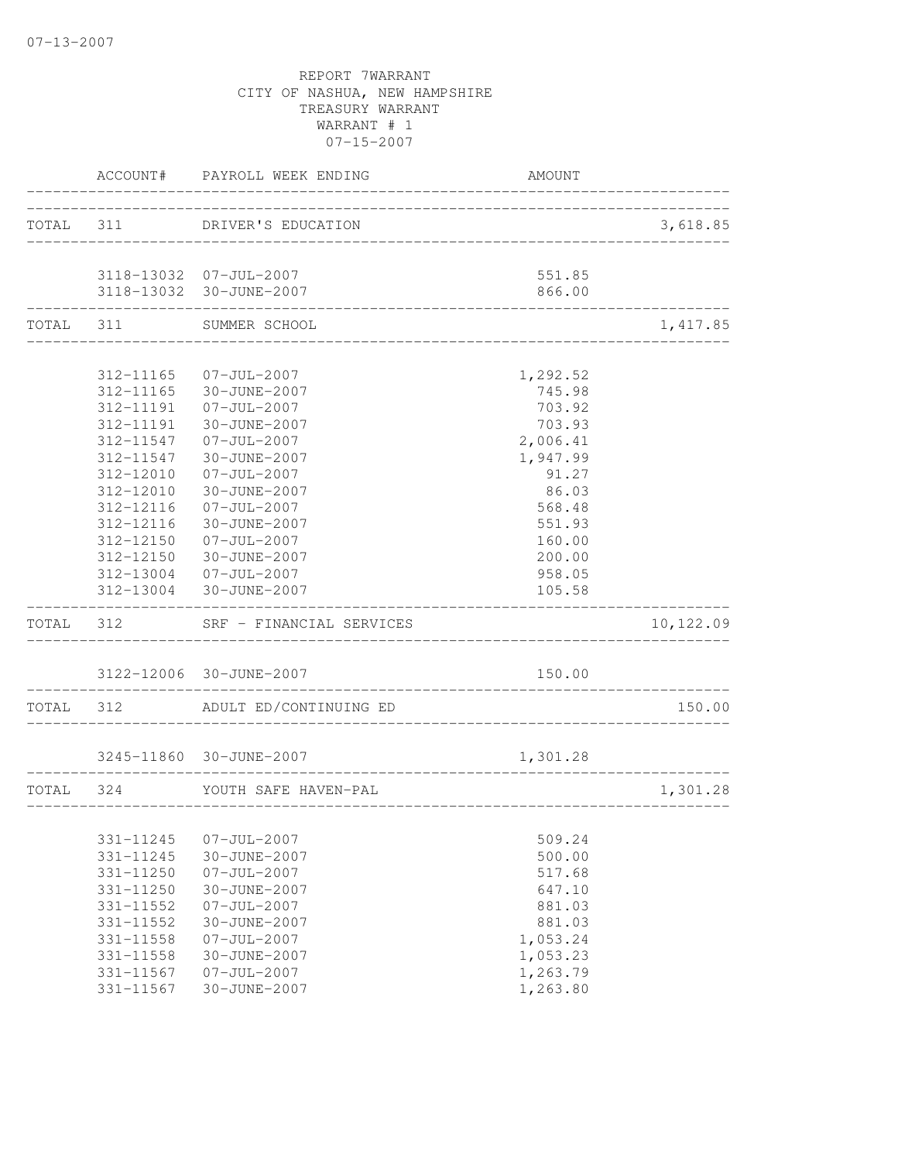|       |           | ACCOUNT# PAYROLL WEEK ENDING                                  | AMOUNT                              |           |
|-------|-----------|---------------------------------------------------------------|-------------------------------------|-----------|
|       |           | TOTAL 311 DRIVER'S EDUCATION                                  |                                     | 3,618.85  |
|       |           | 3118-13032 07-JUL-2007                                        | 551.85                              |           |
|       |           | 3118-13032 30-JUNE-2007<br>_____________________________      | 866.00                              |           |
|       |           | TOTAL 311 SUMMER SCHOOL<br>__________________________________ |                                     | 1,417.85  |
|       |           | 312-11165 07-JUL-2007                                         | 1,292.52                            |           |
|       |           | 312-11165 30-JUNE-2007                                        | 745.98                              |           |
|       |           | 312-11191  07-JUL-2007                                        | 703.92                              |           |
|       | 312-11191 | 30-JUNE-2007                                                  | 703.93                              |           |
|       | 312-11547 | 07-JUL-2007                                                   | 2,006.41                            |           |
|       | 312-11547 | 30-JUNE-2007                                                  | 1,947.99                            |           |
|       | 312-12010 | $07 - JUL - 2007$                                             | 91.27                               |           |
|       | 312-12010 | 30-JUNE-2007                                                  | 86.03                               |           |
|       | 312-12116 | 07-JUL-2007                                                   | 568.48                              |           |
|       | 312-12116 | 30-JUNE-2007                                                  | 551.93                              |           |
|       |           | 312-12150 07-JUL-2007                                         | 160.00                              |           |
|       |           | 312-12150 30-JUNE-2007                                        | 200.00                              |           |
|       |           | 312-13004 07-JUL-2007                                         | 958.05                              |           |
|       |           | 312-13004 30-JUNE-2007                                        | 105.58                              |           |
|       |           | TOTAL 312 SRF - FINANCIAL SERVICES                            |                                     | 10,122.09 |
|       |           | 3122-12006 30-JUNE-2007                                       | 150.00                              |           |
| TOTAL | 312       | ADULT ED/CONTINUING ED                                        |                                     | 150.00    |
|       |           |                                                               |                                     |           |
|       |           | 3245-11860 30-JUNE-2007                                       | 1,301.28                            |           |
|       |           | TOTAL 324 YOUTH SAFE HAVEN-PAL                                | ----------------------------------- | 1,301.28  |
|       | 331-11245 | $07 - JUL - 2007$                                             | 509.24                              |           |
|       | 331-11245 | 30-JUNE-2007                                                  | 500.00                              |           |
|       | 331-11250 | $07 - JUL - 2007$                                             | 517.68                              |           |
|       | 331-11250 | 30-JUNE-2007                                                  | 647.10                              |           |
|       | 331-11552 | $07 - JUL - 2007$                                             | 881.03                              |           |
|       | 331-11552 | 30-JUNE-2007                                                  | 881.03                              |           |
|       | 331-11558 | $07 - JUL - 2007$                                             | 1,053.24                            |           |
|       | 331-11558 | 30-JUNE-2007                                                  | 1,053.23                            |           |
|       | 331-11567 | $07 - JUL - 2007$                                             | 1,263.79                            |           |
|       | 331-11567 | 30-JUNE-2007                                                  | 1,263.80                            |           |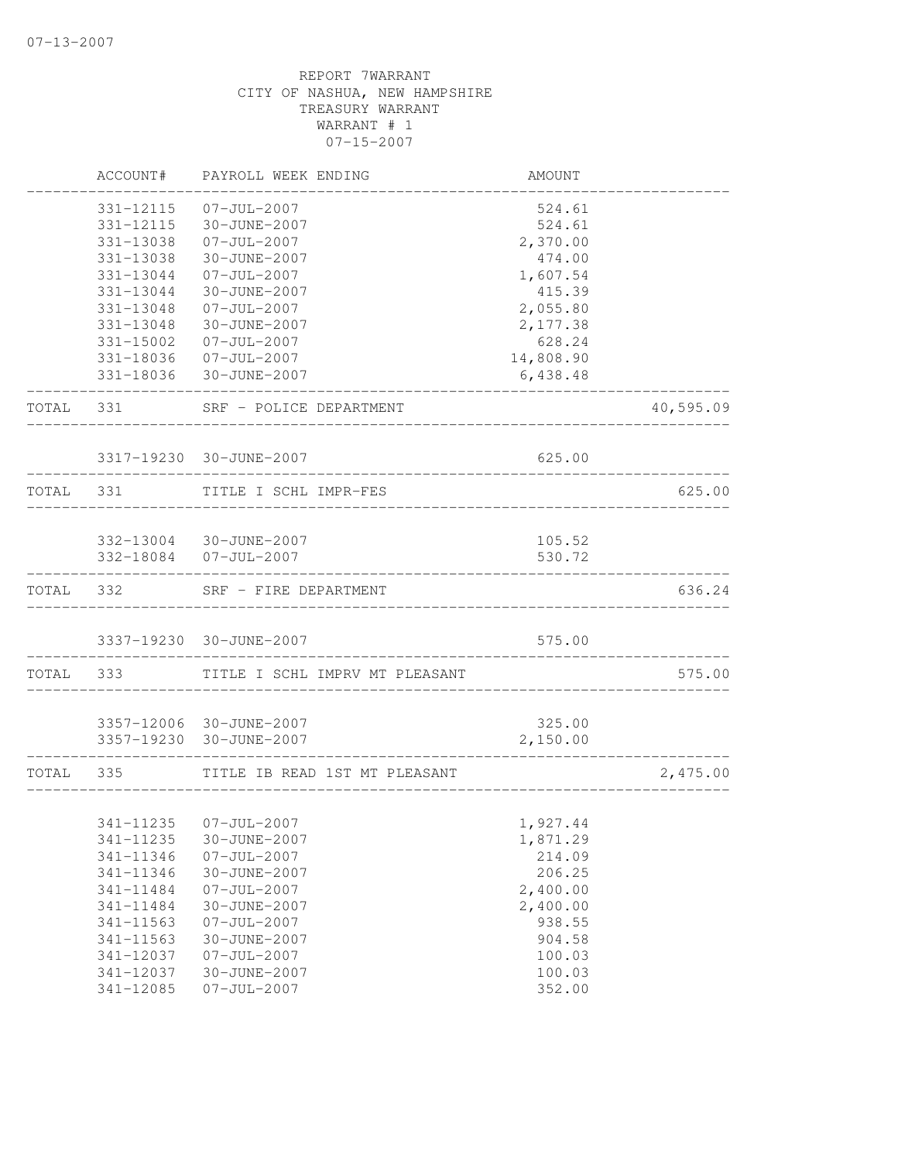|           | ACCOUNT#  | PAYROLL WEEK ENDING                              | AMOUNT                              |           |
|-----------|-----------|--------------------------------------------------|-------------------------------------|-----------|
|           | 331-12115 | $07 - JUL - 2007$                                | 524.61                              |           |
|           | 331-12115 | 30-JUNE-2007                                     | 524.61                              |           |
|           | 331-13038 | $07 - JUL - 2007$                                | 2,370.00                            |           |
|           | 331-13038 | 30-JUNE-2007                                     | 474.00                              |           |
|           | 331-13044 | $07 - JUL - 2007$                                | 1,607.54                            |           |
|           | 331-13044 | 30-JUNE-2007                                     | 415.39                              |           |
|           | 331-13048 | $07 - JUL - 2007$                                | 2,055.80                            |           |
|           | 331-13048 | 30-JUNE-2007                                     | 2,177.38                            |           |
|           | 331-15002 | $07 - JUL - 2007$                                | 628.24                              |           |
|           |           | 331-18036 07-JUL-2007                            | 14,808.90                           |           |
|           |           | 331-18036 30-JUNE-2007                           | 6,438.48                            |           |
| TOTAL 331 |           | SRF - POLICE DEPARTMENT<br>_____________         |                                     | 40,595.09 |
|           |           | 3317-19230 30-JUNE-2007                          | 625.00                              |           |
| TOTAL 331 |           | TITLE I SCHL IMPR-FES                            | ___________________________________ | 625.00    |
|           |           |                                                  |                                     |           |
|           |           | 332-13004 30-JUNE-2007<br>332-18084  07-JUL-2007 | 105.52<br>530.72                    |           |
|           |           |                                                  |                                     |           |
| TOTAL 332 |           | SRF - FIRE DEPARTMENT                            |                                     | 636.24    |
|           |           | 3337-19230 30-JUNE-2007                          | 575.00                              |           |
| TOTAL     | 333       | TITLE I SCHL IMPRV MT PLEASANT                   |                                     | 575.00    |
|           |           |                                                  |                                     |           |
|           |           | 3357-12006 30-JUNE-2007                          | 325.00                              |           |
|           |           | 3357-19230 30-JUNE-2007                          | 2,150.00                            |           |
| TOTAL 335 |           | TITLE IB READ 1ST MT PLEASANT                    |                                     | 2,475.00  |
|           | 341-11235 | $07 - JUL - 2007$                                | 1,927.44                            |           |
|           | 341-11235 | 30-JUNE-2007                                     | 1,871.29                            |           |
|           | 341-11346 | $07 - JUL - 2007$                                | 214.09                              |           |
|           | 341-11346 | 30-JUNE-2007                                     | 206.25                              |           |
|           | 341-11484 | $07 - JUL - 2007$                                | 2,400.00                            |           |
|           | 341-11484 | 30-JUNE-2007                                     | 2,400.00                            |           |
|           | 341-11563 | $07 - JUL - 2007$                                | 938.55                              |           |
|           | 341-11563 | 30-JUNE-2007                                     | 904.58                              |           |
|           | 341-12037 | $07 - JUL - 2007$                                | 100.03                              |           |
|           | 341-12037 | 30-JUNE-2007                                     | 100.03                              |           |
|           | 341-12085 | $07 - JUL - 2007$                                | 352.00                              |           |
|           |           |                                                  |                                     |           |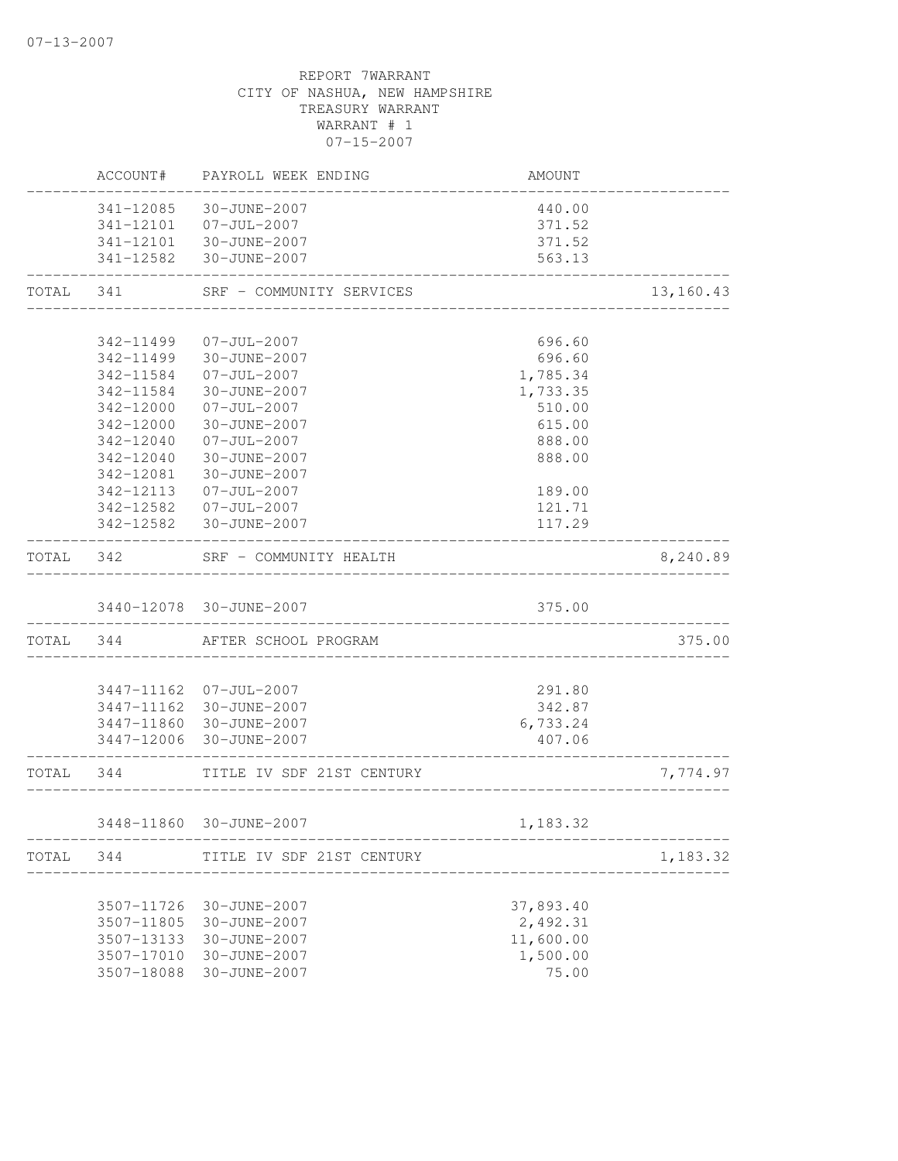|           | ACCOUNT#   | PAYROLL WEEK ENDING       | AMOUNT                                          |           |
|-----------|------------|---------------------------|-------------------------------------------------|-----------|
|           |            | 341-12085 30-JUNE-2007    | 440.00                                          |           |
|           |            | 341-12101  07-JUL-2007    | 371.52                                          |           |
|           |            | 341-12101 30-JUNE-2007    | 371.52                                          |           |
|           |            | 341-12582 30-JUNE-2007    | 563.13                                          |           |
| TOTAL 341 |            | SRF - COMMUNITY SERVICES  | _______________________________                 | 13,160.43 |
|           |            |                           |                                                 |           |
|           | 342-11499  | $07 - JUL - 2007$         | 696.60                                          |           |
|           |            | 342-11499 30-JUNE-2007    | 696.60                                          |           |
|           |            | 342-11584 07-JUL-2007     | 1,785.34                                        |           |
|           | 342-11584  | 30-JUNE-2007              | 1,733.35                                        |           |
|           | 342-12000  | 07-JUL-2007               | 510.00                                          |           |
|           | 342-12000  | 30-JUNE-2007              | 615.00                                          |           |
|           | 342-12040  | $07 - JUL - 2007$         | 888.00                                          |           |
|           | 342-12040  | 30-JUNE-2007              | 888.00                                          |           |
|           | 342-12081  | 30-JUNE-2007              |                                                 |           |
|           | 342-12113  | $07 - JUL - 2007$         | 189.00                                          |           |
|           |            | 342-12582 07-JUL-2007     | 121.71                                          |           |
|           |            | 342-12582 30-JUNE-2007    | 117.29                                          |           |
| TOTAL 342 |            | SRF - COMMUNITY HEALTH    |                                                 | 8,240.89  |
|           |            | 3440-12078 30-JUNE-2007   | 375.00                                          |           |
|           | TOTAL 344  | AFTER SCHOOL PROGRAM      |                                                 | 375.00    |
|           |            |                           |                                                 |           |
|           |            | 3447-11162 07-JUL-2007    | 291.80                                          |           |
|           |            | 3447-11162 30-JUNE-2007   | 342.87                                          |           |
|           |            | 3447-11860 30-JUNE-2007   | 6,733.24                                        |           |
|           |            | 3447-12006 30-JUNE-2007   | 407.06<br>. _ _ _ _ _ _ _ _ _ _ _ _ _ _ _ _ _ _ |           |
|           | TOTAL 344  | TITLE IV SDF 21ST CENTURY |                                                 | 7,774.97  |
|           |            | 3448-11860 30-JUNE-2007   | 1,183.32                                        |           |
| TOTAL     | 344        | TITLE IV SDF 21ST CENTURY | ------------                                    | 1,183.32  |
|           |            |                           |                                                 |           |
|           | 3507-11726 | 30-JUNE-2007              | 37,893.40                                       |           |
|           | 3507-11805 | 30-JUNE-2007              | 2,492.31                                        |           |
|           | 3507-13133 | 30-JUNE-2007              | 11,600.00                                       |           |
|           | 3507-17010 | 30-JUNE-2007              | 1,500.00                                        |           |
|           | 3507-18088 | 30-JUNE-2007              | 75.00                                           |           |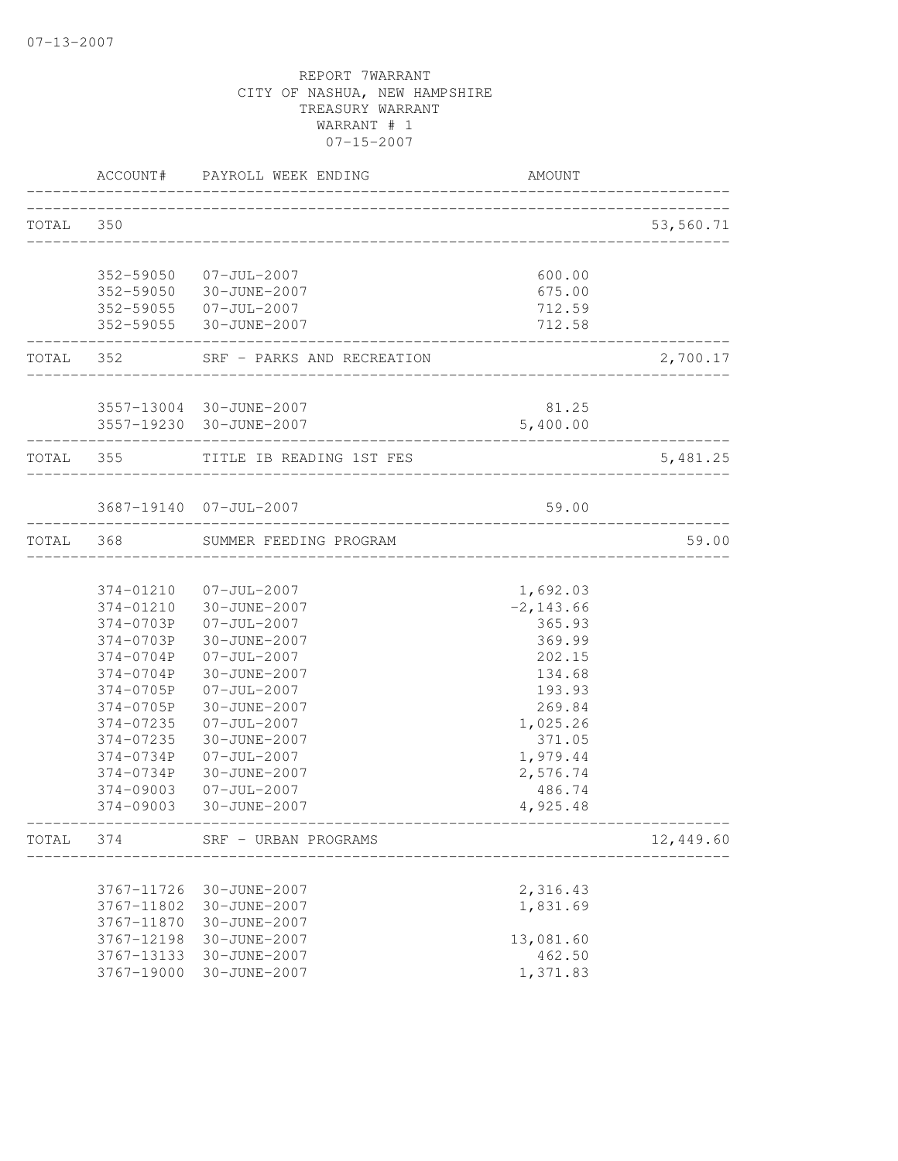|           |            | ACCOUNT# PAYROLL WEEK ENDING                    | <b>AMOUNT</b>            |           |
|-----------|------------|-------------------------------------------------|--------------------------|-----------|
| TOTAL 350 |            |                                                 |                          | 53,560.71 |
|           |            |                                                 |                          |           |
|           |            | 352-59050 07-JUL-2007                           | 600.00                   |           |
|           |            | 352-59050 30-JUNE-2007                          | 675.00                   |           |
|           |            | 352-59055 07-JUL-2007                           | 712.59                   |           |
|           |            | 352-59055 30-JUNE-2007                          | 712.58                   |           |
|           | TOTAL 352  | SRF - PARKS AND RECREATION                      |                          | 2,700.17  |
|           |            | 3557-13004 30-JUNE-2007                         | 81.25                    |           |
|           |            | 3557-19230 30-JUNE-2007                         | 5,400.00                 |           |
|           | TOTAL 355  | TITLE IB READING 1ST FES                        |                          | 5,481.25  |
|           |            |                                                 |                          |           |
|           |            | 3687-19140 07-JUL-2007                          | 59.00                    |           |
|           | TOTAL 368  | SUMMER FEEDING PROGRAM                          |                          | 59.00     |
|           |            |                                                 |                          |           |
|           |            | 374-01210 07-JUL-2007<br>374-01210 30-JUNE-2007 | 1,692.03<br>$-2, 143.66$ |           |
|           |            | 374-0703P 07-JUL-2007                           | 365.93                   |           |
|           |            | 374-0703P 30-JUNE-2007                          | 369.99                   |           |
|           |            | 374-0704P 07-JUL-2007                           | 202.15                   |           |
|           |            | 374-0704P 30-JUNE-2007                          | 134.68                   |           |
|           |            | 374-0705P 07-JUL-2007                           | 193.93                   |           |
|           | 374-0705P  | 30-JUNE-2007                                    | 269.84                   |           |
|           | 374-07235  | $07 - JUL - 2007$                               | 1,025.26                 |           |
|           | 374-07235  | 30-JUNE-2007                                    | 371.05                   |           |
|           | 374-0734P  | $07 - JUL - 2007$                               | 1,979.44                 |           |
|           | 374-0734P  | 30-JUNE-2007                                    | 2,576.74                 |           |
|           | 374-09003  | 07-JUL-2007<br>374-09003 30-JUNE-2007           | 486.74<br>4,925.48       |           |
| TOTAL     | 374        | SRF - URBAN PROGRAMS                            |                          | 12,449.60 |
|           |            |                                                 |                          |           |
|           | 3767-11726 | 30-JUNE-2007                                    | 2,316.43                 |           |
|           | 3767-11802 | 30-JUNE-2007                                    | 1,831.69                 |           |
|           | 3767-11870 | 30-JUNE-2007                                    |                          |           |
|           | 3767-12198 | 30-JUNE-2007                                    | 13,081.60                |           |
|           | 3767-13133 | 30-JUNE-2007                                    | 462.50                   |           |
|           | 3767-19000 | 30-JUNE-2007                                    | 1,371.83                 |           |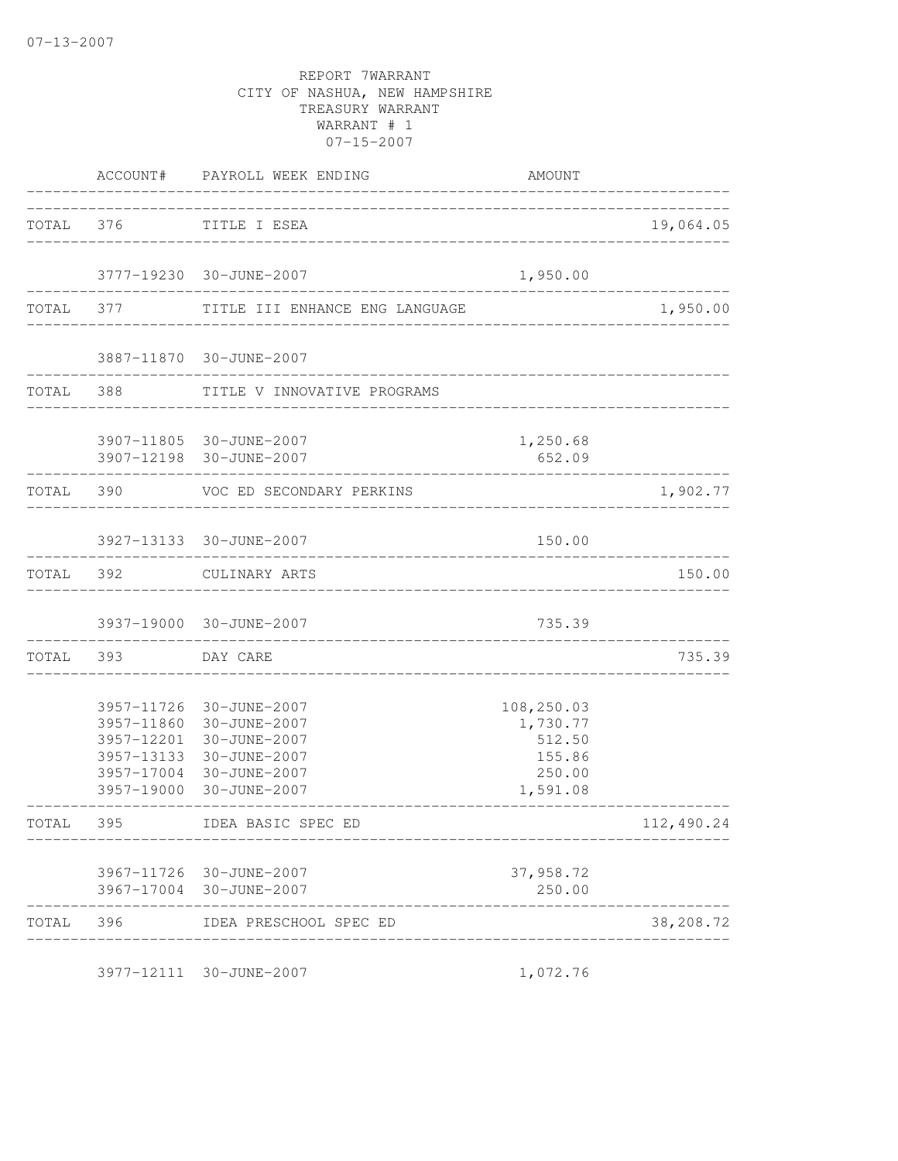|     |                                     | AMOUNT                                                                                                                                                                                                                                                                                                                                                                                                                                                                                                                                                                                                                         |                                                                             |
|-----|-------------------------------------|--------------------------------------------------------------------------------------------------------------------------------------------------------------------------------------------------------------------------------------------------------------------------------------------------------------------------------------------------------------------------------------------------------------------------------------------------------------------------------------------------------------------------------------------------------------------------------------------------------------------------------|-----------------------------------------------------------------------------|
|     |                                     |                                                                                                                                                                                                                                                                                                                                                                                                                                                                                                                                                                                                                                | 19,064.05                                                                   |
|     |                                     |                                                                                                                                                                                                                                                                                                                                                                                                                                                                                                                                                                                                                                |                                                                             |
|     |                                     |                                                                                                                                                                                                                                                                                                                                                                                                                                                                                                                                                                                                                                | 1,950.00                                                                    |
|     |                                     |                                                                                                                                                                                                                                                                                                                                                                                                                                                                                                                                                                                                                                |                                                                             |
|     |                                     |                                                                                                                                                                                                                                                                                                                                                                                                                                                                                                                                                                                                                                |                                                                             |
|     |                                     | 1,250.68<br>652.09                                                                                                                                                                                                                                                                                                                                                                                                                                                                                                                                                                                                             |                                                                             |
|     |                                     |                                                                                                                                                                                                                                                                                                                                                                                                                                                                                                                                                                                                                                | 1,902.77                                                                    |
|     |                                     | 150.00                                                                                                                                                                                                                                                                                                                                                                                                                                                                                                                                                                                                                         |                                                                             |
|     |                                     |                                                                                                                                                                                                                                                                                                                                                                                                                                                                                                                                                                                                                                | 150.00                                                                      |
|     |                                     | 735.39                                                                                                                                                                                                                                                                                                                                                                                                                                                                                                                                                                                                                         |                                                                             |
|     |                                     |                                                                                                                                                                                                                                                                                                                                                                                                                                                                                                                                                                                                                                | 735.39<br>__________                                                        |
|     |                                     | 108,250.03<br>1,730.77<br>512.50<br>155.86<br>250.00<br>1,591.08                                                                                                                                                                                                                                                                                                                                                                                                                                                                                                                                                               |                                                                             |
|     |                                     |                                                                                                                                                                                                                                                                                                                                                                                                                                                                                                                                                                                                                                | 112,490.24                                                                  |
|     |                                     | 37,958.72<br>250.00                                                                                                                                                                                                                                                                                                                                                                                                                                                                                                                                                                                                            |                                                                             |
| 396 | IDEA PRESCHOOL SPEC ED              |                                                                                                                                                                                                                                                                                                                                                                                                                                                                                                                                                                                                                                | 38,208.72                                                                   |
|     | TOTAL 390<br>TOTAL 393<br>TOTAL 395 | ACCOUNT# PAYROLL WEEK ENDING<br>TOTAL 376 TITLE I ESEA<br>3777-19230 30-JUNE-2007<br>TOTAL 377 TITLE III ENHANCE ENG LANGUAGE<br>3887-11870 30-JUNE-2007<br>TOTAL 388 TITLE V INNOVATIVE PROGRAMS<br>3907-11805 30-JUNE-2007<br>3907-12198 30-JUNE-2007<br>VOC ED SECONDARY PERKINS<br>3927-13133 30-JUNE-2007<br>TOTAL 392 CULINARY ARTS<br>3937-19000 30-JUNE-2007<br>DAY CARE<br>3957-11726 30-JUNE-2007<br>3957-11860 30-JUNE-2007<br>3957-12201 30-JUNE-2007<br>3957-13133 30-JUNE-2007<br>3957-17004 30-JUNE-2007<br>3957-19000 30-JUNE-2007<br>IDEA BASIC SPEC ED<br>3967-11726 30-JUNE-2007<br>3967-17004 30-JUNE-2007 | _____________________________<br>1,950.00<br>______________________________ |

3977-12111 30-JUNE-2007 1,072.76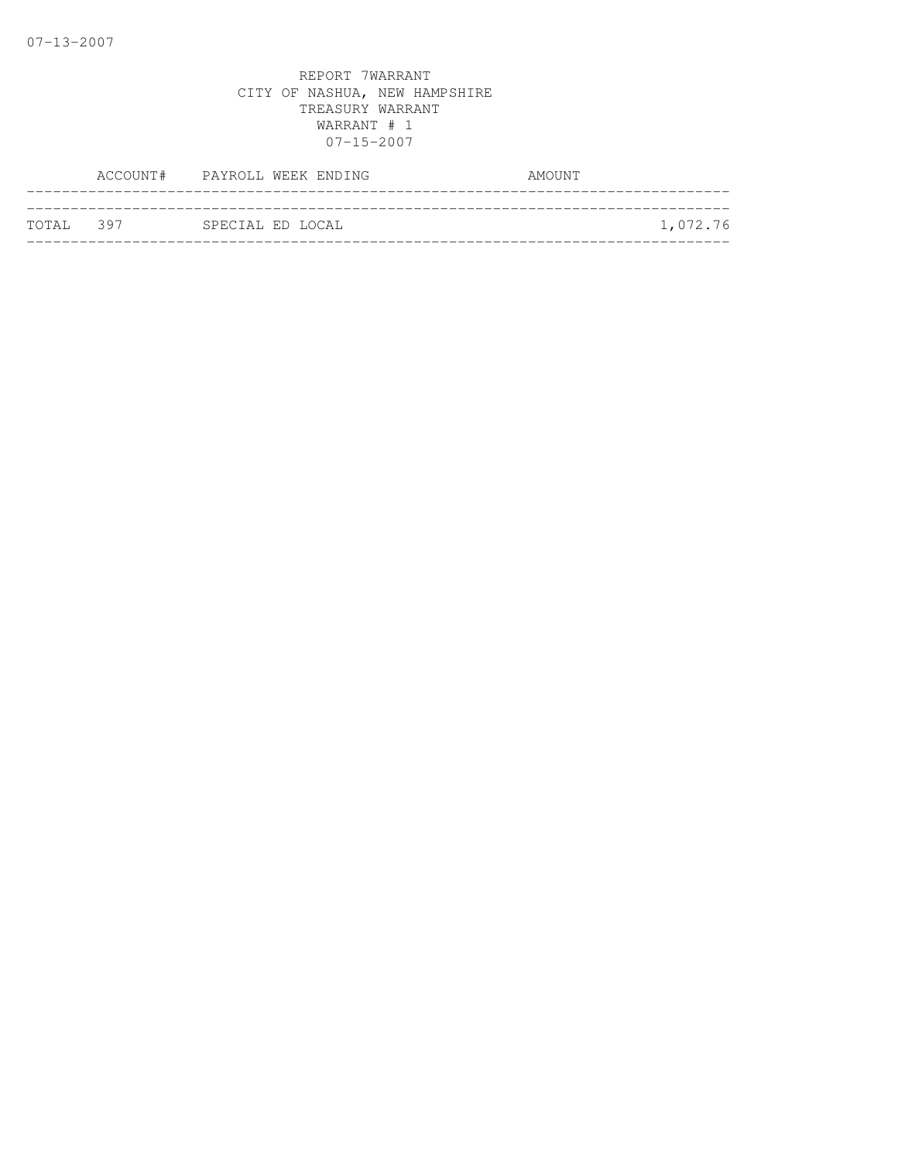|           | ACCOUNT# PAYROLL WEEK ENDING |                  |  | AMOUNT |          |
|-----------|------------------------------|------------------|--|--------|----------|
| TOTAL 397 |                              | SPECIAL ED LOCAL |  |        | 1,072.76 |
|           |                              |                  |  |        |          |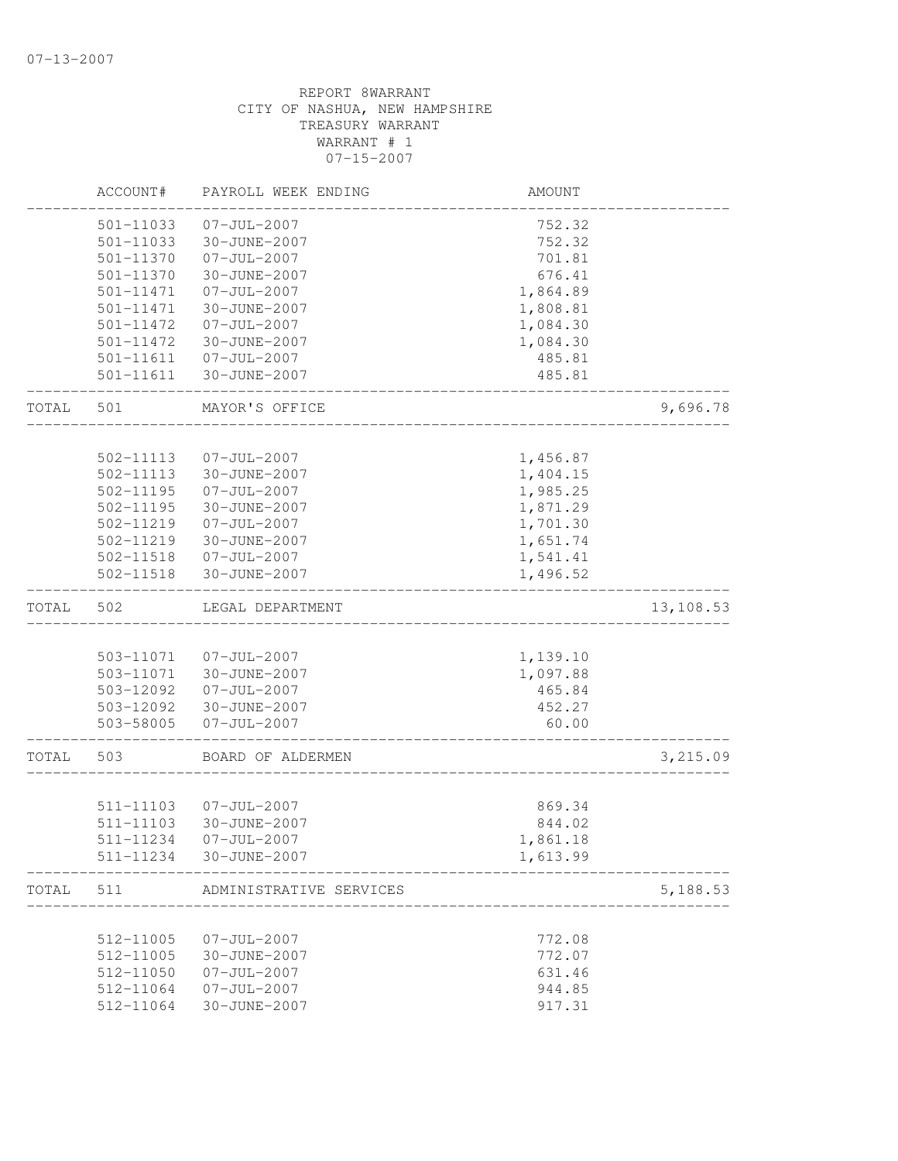|       | ACCOUNT#               | PAYROLL WEEK ENDING         | AMOUNT           |           |
|-------|------------------------|-----------------------------|------------------|-----------|
|       | 501-11033              | $07 - JUL - 2007$           | 752.32           |           |
|       | 501-11033              | 30-JUNE-2007                | 752.32           |           |
|       | 501-11370              | $07 - JUL - 2007$           | 701.81           |           |
|       | 501-11370              | 30-JUNE-2007                | 676.41           |           |
|       | 501-11471              | $07 - JUL - 2007$           | 1,864.89         |           |
|       | 501-11471              | 30-JUNE-2007                | 1,808.81         |           |
|       | 501-11472              | $07 - JUL - 2007$           | 1,084.30         |           |
|       | $501 - 11472$          | 30-JUNE-2007                | 1,084.30         |           |
|       | 501-11611              | 07-JUL-2007                 | 485.81           |           |
|       | 501-11611              | 30-JUNE-2007                | 485.81           |           |
| TOTAL | 501                    | MAYOR'S OFFICE              |                  | 9,696.78  |
|       |                        |                             |                  |           |
|       | 502-11113              | $07 - JUL - 2007$           | 1,456.87         |           |
|       | 502-11113              | 30-JUNE-2007                | 1,404.15         |           |
|       | 502-11195              | $07 - JUL - 2007$           | 1,985.25         |           |
|       | 502-11195              | 30-JUNE-2007                | 1,871.29         |           |
|       | 502-11219              | $07 - JUL - 2007$           | 1,701.30         |           |
|       | 502-11219              | 30-JUNE-2007                | 1,651.74         |           |
|       |                        | 502-11518  07-JUL-2007      | 1,541.41         |           |
|       | 502-11518              | 30-JUNE-2007                | 1,496.52         |           |
| TOTAL | 502                    | LEGAL DEPARTMENT            |                  | 13,108.53 |
|       |                        |                             |                  |           |
|       | 503-11071              | 07-JUL-2007                 | 1,139.10         |           |
|       | 503-11071              | 30-JUNE-2007                | 1,097.88         |           |
|       | 503-12092              | $07 - JUL - 2007$           | 465.84           |           |
|       | 503-12092              | 30-JUNE-2007                | 452.27           |           |
|       |                        | 503-58005 07-JUL-2007       | 60.00            |           |
| TOTAL | 503                    | BOARD OF ALDERMEN           |                  | 3,215.09  |
|       |                        |                             |                  |           |
|       | 511-11103<br>511-11103 | 07-JUL-2007<br>30-JUNE-2007 | 869.34<br>844.02 |           |
|       | 511-11234              | 07-JUL-2007                 | 1,861.18         |           |
|       |                        | 511-11234 30-JUNE-2007      | 1,613.99         |           |
| TOTAL | 511                    | ADMINISTRATIVE SERVICES     |                  | 5,188.53  |
|       |                        |                             |                  |           |
|       | 512-11005              | $07 - JUL - 2007$           | 772.08           |           |
|       | 512-11005              | 30-JUNE-2007                | 772.07           |           |
|       | 512-11050              | $07 - JUL - 2007$           | 631.46           |           |
|       | 512-11064              | $07 - JUL - 2007$           | 944.85           |           |
|       | 512-11064              | 30-JUNE-2007                | 917.31           |           |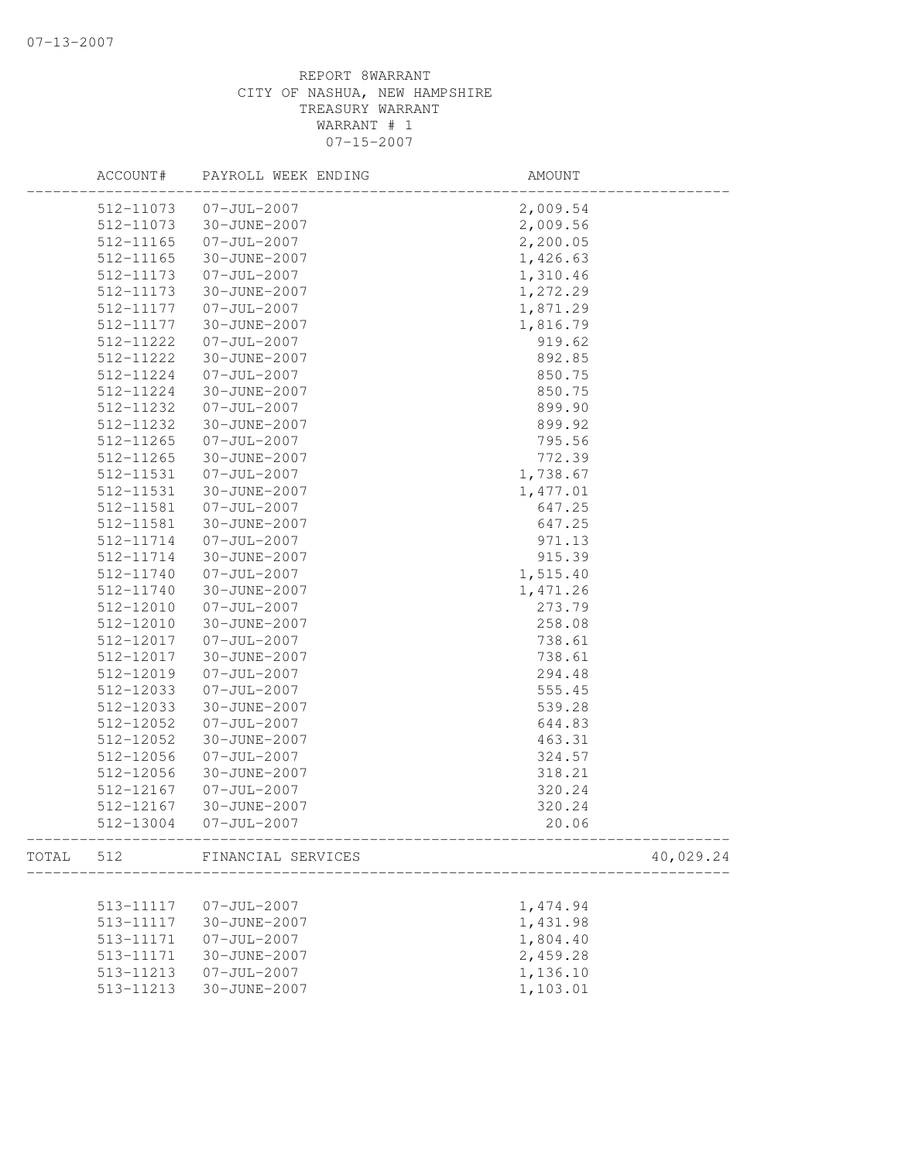|       | ACCOUNT#  | PAYROLL WEEK ENDING   | AMOUNT    |  |
|-------|-----------|-----------------------|-----------|--|
|       |           | 512-11073 07-JUL-2007 | 2,009.54  |  |
|       | 512-11073 | 30-JUNE-2007          | 2,009.56  |  |
|       | 512-11165 | $07 - JUL - 2007$     | 2,200.05  |  |
|       | 512-11165 | 30-JUNE-2007          | 1,426.63  |  |
|       | 512-11173 | $07 - JUL - 2007$     | 1,310.46  |  |
|       | 512-11173 | 30-JUNE-2007          | 1,272.29  |  |
|       | 512-11177 | $07 - JUL - 2007$     | 1,871.29  |  |
|       | 512-11177 | 30-JUNE-2007          | 1,816.79  |  |
|       | 512-11222 | $07 - JUL - 2007$     | 919.62    |  |
|       | 512-11222 | 30-JUNE-2007          | 892.85    |  |
|       | 512-11224 | $07 - JUL - 2007$     | 850.75    |  |
|       | 512-11224 | 30-JUNE-2007          | 850.75    |  |
|       | 512-11232 | $07 - JUL - 2007$     | 899.90    |  |
|       | 512-11232 | 30-JUNE-2007          | 899.92    |  |
|       | 512-11265 | $07 - JUL - 2007$     | 795.56    |  |
|       | 512-11265 | 30-JUNE-2007          | 772.39    |  |
|       | 512-11531 | $07 - JUL - 2007$     | 1,738.67  |  |
|       | 512-11531 | 30-JUNE-2007          | 1,477.01  |  |
|       | 512-11581 | $07 - JUL - 2007$     | 647.25    |  |
|       | 512-11581 | 30-JUNE-2007          | 647.25    |  |
|       | 512-11714 | $07 - JUL - 2007$     | 971.13    |  |
|       | 512-11714 | 30-JUNE-2007          | 915.39    |  |
|       | 512-11740 | $07 - JUL - 2007$     | 1,515.40  |  |
|       | 512-11740 | 30-JUNE-2007          | 1,471.26  |  |
|       | 512-12010 | $07 - JUL - 2007$     |           |  |
|       |           |                       | 273.79    |  |
|       | 512-12010 | 30-JUNE-2007          | 258.08    |  |
|       | 512-12017 | $07 - JUL - 2007$     | 738.61    |  |
|       | 512-12017 | 30-JUNE-2007          | 738.61    |  |
|       | 512-12019 | $07 - JUL - 2007$     | 294.48    |  |
|       | 512-12033 | $07 - JUL - 2007$     | 555.45    |  |
|       | 512-12033 | 30-JUNE-2007          | 539.28    |  |
|       | 512-12052 | $07 - JUL - 2007$     | 644.83    |  |
|       | 512-12052 | 30-JUNE-2007          | 463.31    |  |
|       | 512-12056 | $07 - JUL - 2007$     | 324.57    |  |
|       | 512-12056 | 30-JUNE-2007          | 318.21    |  |
|       | 512-12167 | $07 - JUL - 2007$     | 320.24    |  |
|       | 512-12167 | 30-JUNE-2007          | 320.24    |  |
|       |           | 512-13004 07-JUL-2007 | 20.06     |  |
| TOTAL | 512       | FINANCIAL SERVICES    | 40,029.24 |  |
|       |           |                       |           |  |
|       | 513-11117 | $07 - JUL - 2007$     | 1,474.94  |  |
|       | 513-11117 | 30-JUNE-2007          | 1,431.98  |  |
|       | 513-11171 | $07 - JUL - 2007$     | 1,804.40  |  |
|       | 513-11171 | 30-JUNE-2007          | 2,459.28  |  |
|       | 513-11213 | $07 - JUL - 2007$     | 1,136.10  |  |
|       | 513-11213 | 30-JUNE-2007          | 1,103.01  |  |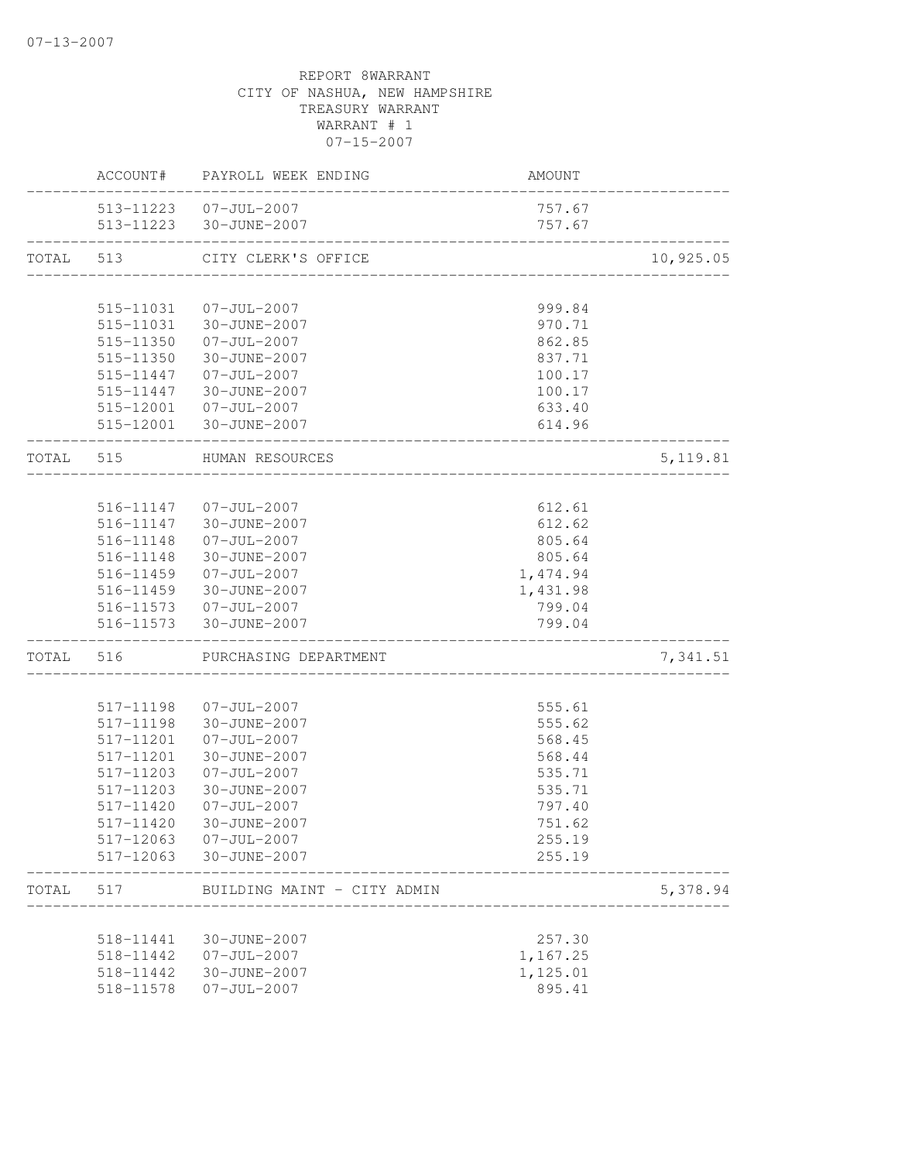|           |           | ACCOUNT# PAYROLL WEEK ENDING                     | AMOUNT           |           |
|-----------|-----------|--------------------------------------------------|------------------|-----------|
|           |           | 513-11223  07-JUL-2007                           | 757.67           |           |
|           |           | 513-11223 30-JUNE-2007<br>---------------------- | 757.67           |           |
| TOTAL 513 |           | CITY CLERK'S OFFICE                              |                  | 10,925.05 |
|           | 515-11031 | 07-JUL-2007                                      | 999.84           |           |
|           | 515-11031 | 30-JUNE-2007                                     | 970.71           |           |
|           | 515-11350 | 07-JUL-2007                                      | 862.85           |           |
|           | 515-11350 | 30-JUNE-2007                                     | 837.71           |           |
|           |           | 515-11447 07-JUL-2007                            | 100.17           |           |
|           |           | 515-11447 30-JUNE-2007                           | 100.17           |           |
|           |           | 515-12001  07-JUL-2007                           | 633.40           |           |
|           |           | 515-12001 30-JUNE-2007                           | 614.96           |           |
| TOTAL 515 |           | HUMAN RESOURCES                                  |                  | 5, 119.81 |
|           |           |                                                  |                  |           |
|           |           | 516-11147  07-JUL-2007                           | 612.61           |           |
|           |           | 516-11147 30-JUNE-2007                           | 612.62           |           |
|           |           | 516-11148  07-JUL-2007                           | 805.64           |           |
|           | 516-11148 | 30-JUNE-2007                                     | 805.64           |           |
|           | 516-11459 | $07 - JUL - 2007$                                | 1,474.94         |           |
|           | 516-11459 | 30-JUNE-2007                                     | 1,431.98         |           |
|           | 516-11573 | 516-11573 07-JUL-2007<br>30-JUNE-2007            | 799.04<br>799.04 |           |
| TOTAL     | 516       | PURCHASING DEPARTMENT                            |                  | 7,341.51  |
|           |           |                                                  |                  |           |
|           | 517-11198 | $07 - JUL - 2007$                                | 555.61           |           |
|           | 517-11198 | 30-JUNE-2007                                     | 555.62           |           |
|           | 517-11201 | $07 - JUL - 2007$                                | 568.45           |           |
|           | 517-11201 | 30-JUNE-2007                                     | 568.44           |           |
|           | 517-11203 | $07 - JUL - 2007$                                | 535.71           |           |
|           | 517-11203 | 30-JUNE-2007                                     | 535.71           |           |
|           | 517-11420 | $07 - JUL - 2007$                                | 797.40           |           |
|           | 517-11420 | 30-JUNE-2007                                     | 751.62           |           |
|           |           | 517-12063 07-JUL-2007<br>517-12063 30-JUNE-2007  | 255.19<br>255.19 |           |
| TOTAL     | 517       | BUILDING MAINT - CITY ADMIN                      |                  | 5,378.94  |
|           |           |                                                  |                  |           |
|           | 518-11441 | 30-JUNE-2007                                     | 257.30           |           |
|           |           | 518-11442  07-JUL-2007                           | 1,167.25         |           |
|           | 518-11442 | 30-JUNE-2007                                     | 1,125.01         |           |
|           | 518-11578 | $07 - JUL - 2007$                                | 895.41           |           |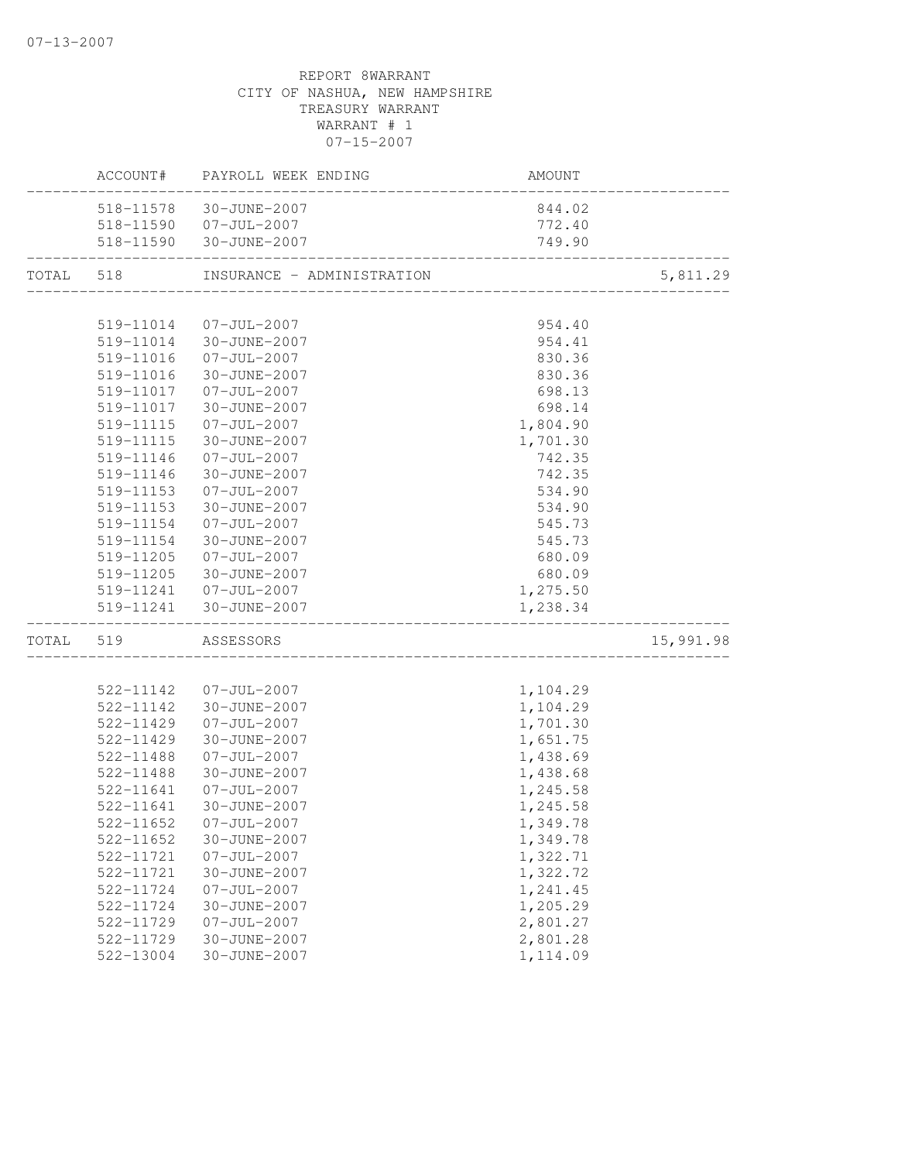|       |           | ACCOUNT# PAYROLL WEEK ENDING | AMOUNT                    |           |
|-------|-----------|------------------------------|---------------------------|-----------|
|       |           | 518-11578 30-JUNE-2007       | 844.02                    |           |
|       |           | 518-11590 07-JUL-2007        | 772.40                    |           |
|       |           | 518-11590 30-JUNE-2007       | 749.90<br>_______________ |           |
| TOTAL | 518       | INSURANCE - ADMINISTRATION   |                           | 5,811.29  |
|       |           |                              |                           |           |
|       | 519-11014 | 07-JUL-2007                  | 954.40                    |           |
|       |           | 519-11014 30-JUNE-2007       | 954.41                    |           |
|       |           | 519-11016 07-JUL-2007        | 830.36                    |           |
|       | 519-11016 | 30-JUNE-2007                 | 830.36                    |           |
|       | 519-11017 | 07-JUL-2007                  | 698.13                    |           |
|       | 519-11017 | 30-JUNE-2007                 | 698.14                    |           |
|       | 519-11115 | $07 - JUL - 2007$            | 1,804.90                  |           |
|       | 519-11115 | 30-JUNE-2007                 | 1,701.30                  |           |
|       | 519-11146 | $07 - JUL - 2007$            | 742.35                    |           |
|       | 519-11146 | 30-JUNE-2007                 | 742.35                    |           |
|       | 519-11153 | $07 - JUL - 2007$            | 534.90                    |           |
|       | 519-11153 | 30-JUNE-2007                 | 534.90                    |           |
|       | 519-11154 | $07 - JUL - 2007$            | 545.73                    |           |
|       | 519-11154 | 30-JUNE-2007                 | 545.73                    |           |
|       | 519-11205 | 07-JUL-2007                  | 680.09                    |           |
|       | 519-11205 | 30-JUNE-2007                 | 680.09                    |           |
|       |           | 519-11241  07-JUL-2007       | 1,275.50                  |           |
|       |           | 519-11241 30-JUNE-2007       | 1,238.34                  |           |
| TOTAL | 519       | ASSESSORS                    |                           | 15,991.98 |
|       |           |                              |                           |           |
|       |           | 522-11142 07-JUL-2007        | 1,104.29                  |           |
|       | 522-11142 | 30-JUNE-2007                 | 1,104.29                  |           |
|       | 522-11429 | $07 - JUL - 2007$            | 1,701.30                  |           |
|       | 522-11429 | 30-JUNE-2007                 | 1,651.75                  |           |
|       | 522-11488 | $07 - JUL - 2007$            | 1,438.69                  |           |
|       | 522-11488 | 30-JUNE-2007                 | 1,438.68                  |           |
|       | 522-11641 | $07 - JUL - 2007$            | 1,245.58                  |           |
|       | 522-11641 | 30-JUNE-2007                 | 1,245.58                  |           |
|       | 522-11652 | $07 - JUL - 2007$            | 1,349.78                  |           |
|       | 522-11652 | 30-JUNE-2007                 | 1,349.78                  |           |
|       | 522-11721 | $07 - JUL - 2007$            | 1,322.71                  |           |
|       | 522-11721 | 30-JUNE-2007                 | 1,322.72                  |           |
|       | 522-11724 | $07 - JUL - 2007$            | 1,241.45                  |           |
|       | 522-11724 | 30-JUNE-2007                 | 1,205.29                  |           |
|       | 522-11729 | $07 - JUL - 2007$            | 2,801.27                  |           |
|       | 522-11729 | 30-JUNE-2007                 | 2,801.28                  |           |
|       | 522-13004 | 30-JUNE-2007                 | 1,114.09                  |           |
|       |           |                              |                           |           |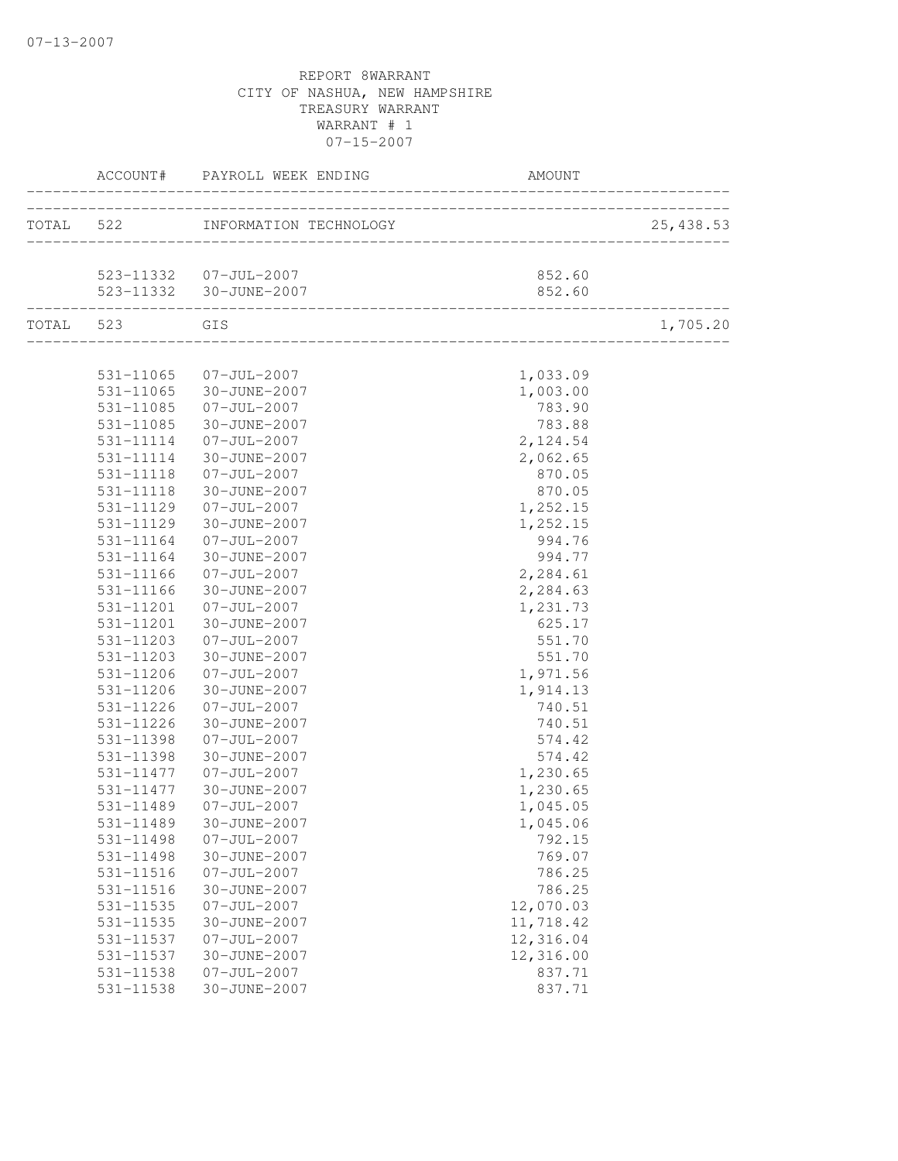|           |                        | ACCOUNT# PAYROLL WEEK ENDING<br>________________ |                  |           |
|-----------|------------------------|--------------------------------------------------|------------------|-----------|
|           |                        | TOTAL 522 INFORMATION TECHNOLOGY                 |                  | 25,438.53 |
|           |                        |                                                  |                  |           |
|           |                        | 523-11332  07-JUL-2007                           | 852.60           |           |
|           |                        | 523-11332 30-JUNE-2007                           | 852.60           |           |
| TOTAL 523 | GIS                    |                                                  |                  | 1,705.20  |
|           |                        |                                                  |                  |           |
|           |                        | 531-11065 07-JUL-2007                            | 1,033.09         |           |
|           |                        | 531-11065 30-JUNE-2007                           | 1,003.00         |           |
|           | 531-11085              | 07-JUL-2007                                      | 783.90           |           |
|           | 531-11085              | 30-JUNE-2007                                     | 783.88           |           |
|           | 531-11114              | $07 - JUL - 2007$                                | 2,124.54         |           |
|           | 531-11114              | 30-JUNE-2007                                     | 2,062.65         |           |
|           | 531-11118              | $07 - JUL - 2007$                                | 870.05           |           |
|           | 531-11118              | 30-JUNE-2007                                     | 870.05           |           |
|           | 531-11129              | $07 - JUL - 2007$                                | 1,252.15         |           |
|           | 531-11129              | 30-JUNE-2007                                     | 1,252.15         |           |
|           | 531-11164              | $07 - JUL - 2007$                                | 994.76           |           |
|           | 531-11164              | 30-JUNE-2007                                     | 994.77           |           |
|           | 531-11166              | $07 - JUL - 2007$                                | 2,284.61         |           |
|           | 531-11166              | 30-JUNE-2007                                     | 2,284.63         |           |
|           | 531-11201              | $07 - JUL - 2007$<br>30-JUNE-2007                | 1,231.73         |           |
|           | 531-11201<br>531-11203 |                                                  | 625.17<br>551.70 |           |
|           | 531-11203              | $07 - JUL - 2007$<br>30-JUNE-2007                | 551.70           |           |
|           | 531-11206              | $07 - JUL - 2007$                                | 1,971.56         |           |
|           | 531-11206              | 30-JUNE-2007                                     | 1,914.13         |           |
|           | 531-11226              | $07 - JUL - 2007$                                | 740.51           |           |
|           | 531-11226              | 30-JUNE-2007                                     | 740.51           |           |
|           | 531-11398              | $07 - JUL - 2007$                                | 574.42           |           |
|           | 531-11398              | 30-JUNE-2007                                     | 574.42           |           |
|           | 531-11477              | $07 - JUL - 2007$                                | 1,230.65         |           |
|           | 531-11477              | 30-JUNE-2007                                     | 1,230.65         |           |
|           | 531-11489              | $07 - JUL - 2007$                                | 1,045.05         |           |
|           | 531-11489              | 30-JUNE-2007                                     | 1,045.06         |           |
|           | 531-11498              | $07 - JUL - 2007$                                | 792.15           |           |
|           | 531-11498              | 30-JUNE-2007                                     | 769.07           |           |
|           | 531-11516              | $07 - JUL - 2007$                                | 786.25           |           |
|           | 531-11516              | 30-JUNE-2007                                     | 786.25           |           |
|           | 531-11535              | $07 - JUL - 2007$                                | 12,070.03        |           |
|           | 531-11535              | 30-JUNE-2007                                     | 11,718.42        |           |
|           | 531-11537              | $07 - JUL - 2007$                                | 12,316.04        |           |
|           | 531-11537              | 30-JUNE-2007                                     | 12,316.00        |           |
|           | 531-11538              | $07 - JUL - 2007$                                | 837.71           |           |
|           | 531-11538              | 30-JUNE-2007                                     | 837.71           |           |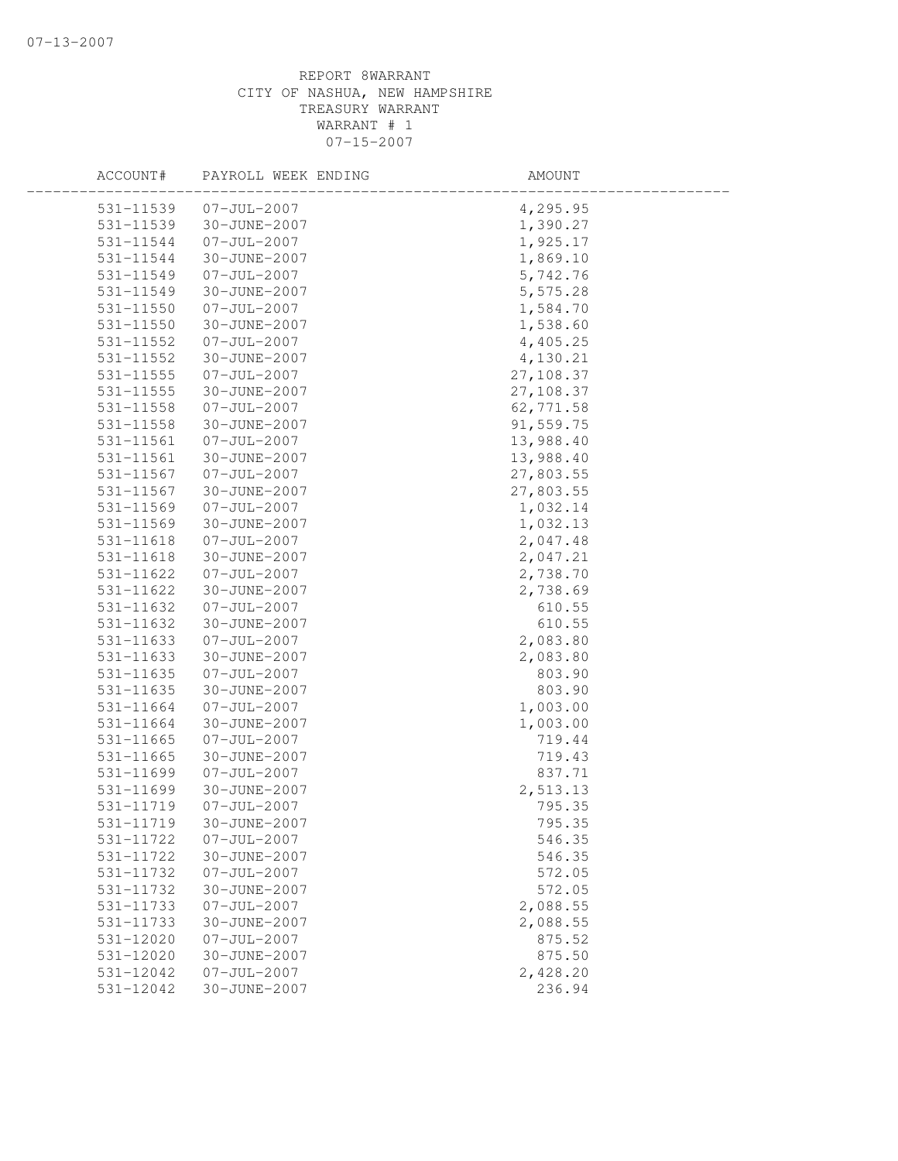| ACCOUNT#      | PAYROLL WEEK ENDING | AMOUNT    |  |
|---------------|---------------------|-----------|--|
| 531-11539     | $07 - JUL - 2007$   | 4,295.95  |  |
| 531-11539     | 30-JUNE-2007        | 1,390.27  |  |
| 531-11544     | $07 - JUL - 2007$   | 1,925.17  |  |
| 531-11544     | 30-JUNE-2007        | 1,869.10  |  |
| 531-11549     | $07 - JUL - 2007$   | 5,742.76  |  |
| 531-11549     | 30-JUNE-2007        | 5,575.28  |  |
| 531-11550     | $07 - JUL - 2007$   | 1,584.70  |  |
| 531-11550     | 30-JUNE-2007        | 1,538.60  |  |
| 531-11552     | $07 - JUL - 2007$   | 4,405.25  |  |
| $531 - 11552$ | 30-JUNE-2007        | 4,130.21  |  |
| $531 - 11555$ | $07 - JUL - 2007$   | 27,108.37 |  |
| 531-11555     | 30-JUNE-2007        | 27,108.37 |  |
| 531-11558     | $07 - JUL - 2007$   | 62,771.58 |  |
| 531-11558     | 30-JUNE-2007        | 91,559.75 |  |
| 531-11561     | $07 - JUL - 2007$   | 13,988.40 |  |
| 531-11561     | 30-JUNE-2007        | 13,988.40 |  |
| 531-11567     | $07 - JUL - 2007$   | 27,803.55 |  |
| 531-11567     | 30-JUNE-2007        | 27,803.55 |  |
| 531-11569     | $07 - JUL - 2007$   | 1,032.14  |  |
| 531-11569     | 30-JUNE-2007        | 1,032.13  |  |
| 531-11618     | $07 - JUL - 2007$   | 2,047.48  |  |
| 531-11618     | 30-JUNE-2007        | 2,047.21  |  |
| 531-11622     | $07 - JUL - 2007$   | 2,738.70  |  |
| 531-11622     | 30-JUNE-2007        | 2,738.69  |  |
| 531-11632     | $07 - JUL - 2007$   | 610.55    |  |
| 531-11632     | 30-JUNE-2007        | 610.55    |  |
| 531-11633     | $07 - JUL - 2007$   | 2,083.80  |  |
| 531-11633     | 30-JUNE-2007        | 2,083.80  |  |
| 531-11635     | $07 - JUL - 2007$   | 803.90    |  |
| 531-11635     | 30-JUNE-2007        | 803.90    |  |
| 531-11664     | $07 - JUL - 2007$   | 1,003.00  |  |
| 531-11664     | 30-JUNE-2007        | 1,003.00  |  |
| 531-11665     | $07 - JUL - 2007$   | 719.44    |  |
| $531 - 11665$ | 30-JUNE-2007        | 719.43    |  |
| 531-11699     | $07 - JUL - 2007$   | 837.71    |  |
| 531-11699     | 30-JUNE-2007        | 2,513.13  |  |
| 531-11719     | $07 - JUL - 2007$   | 795.35    |  |
| 531-11719     | 30-JUNE-2007        | 795.35    |  |
| 531-11722     | $07 - JUL - 2007$   | 546.35    |  |
| 531-11722     | 30-JUNE-2007        | 546.35    |  |
| 531-11732     | $07 - JUL - 2007$   | 572.05    |  |
| 531-11732     | 30-JUNE-2007        | 572.05    |  |
| 531-11733     | $07 - JUL - 2007$   | 2,088.55  |  |
| 531-11733     | 30-JUNE-2007        | 2,088.55  |  |
| 531-12020     | $07 - JUL - 2007$   | 875.52    |  |
| 531-12020     | 30-JUNE-2007        | 875.50    |  |
| 531-12042     | $07 - JUL - 2007$   | 2,428.20  |  |
| 531-12042     | 30-JUNE-2007        | 236.94    |  |
|               |                     |           |  |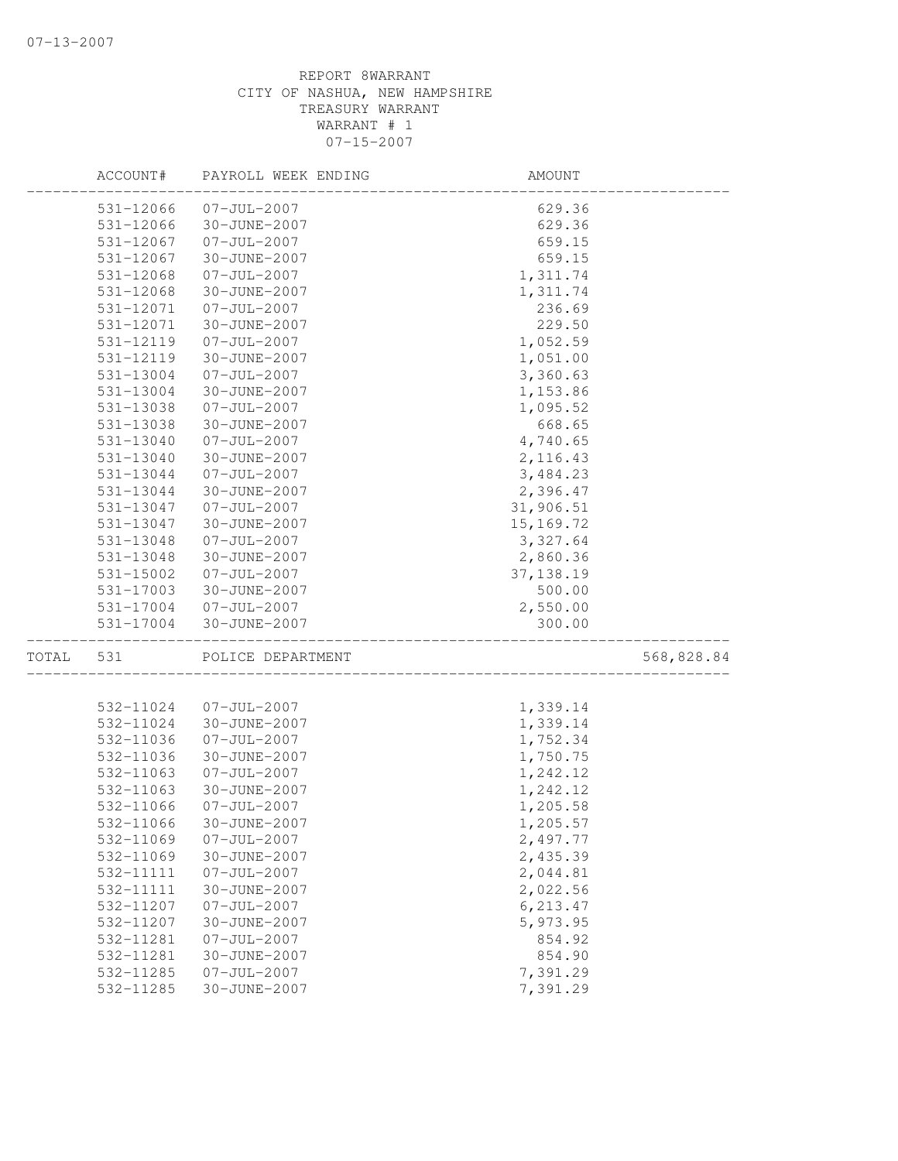|       | ACCOUNT#  | PAYROLL WEEK ENDING | AMOUNT      |            |
|-------|-----------|---------------------|-------------|------------|
|       | 531-12066 | $07 - JUL - 2007$   | 629.36      |            |
|       | 531-12066 | 30-JUNE-2007        | 629.36      |            |
|       | 531-12067 | $07 - JUL - 2007$   | 659.15      |            |
|       | 531-12067 | 30-JUNE-2007        | 659.15      |            |
|       | 531-12068 | $07 - JUL - 2007$   | 1,311.74    |            |
|       | 531-12068 | 30-JUNE-2007        | 1,311.74    |            |
|       | 531-12071 | $07 - JUL - 2007$   | 236.69      |            |
|       | 531-12071 | 30-JUNE-2007        | 229.50      |            |
|       | 531-12119 | $07 - JUL - 2007$   | 1,052.59    |            |
|       | 531-12119 | 30-JUNE-2007        | 1,051.00    |            |
|       | 531-13004 | $07 - JUL - 2007$   | 3,360.63    |            |
|       | 531-13004 | 30-JUNE-2007        | 1,153.86    |            |
|       | 531-13038 | $07 - JUL - 2007$   | 1,095.52    |            |
|       | 531-13038 | 30-JUNE-2007        | 668.65      |            |
|       | 531-13040 | $07 - JUL - 2007$   | 4,740.65    |            |
|       | 531-13040 | 30-JUNE-2007        | 2, 116.43   |            |
|       | 531-13044 | $07 - JUL - 2007$   | 3,484.23    |            |
|       | 531-13044 | 30-JUNE-2007        | 2,396.47    |            |
|       | 531-13047 | $07 - JUL - 2007$   | 31,906.51   |            |
|       | 531-13047 | 30-JUNE-2007        | 15, 169. 72 |            |
|       | 531-13048 | $07 - JUL - 2007$   | 3,327.64    |            |
|       | 531-13048 | 30-JUNE-2007        | 2,860.36    |            |
|       | 531-15002 | $07 - JUL - 2007$   | 37, 138.19  |            |
|       | 531-17003 | 30-JUNE-2007        | 500.00      |            |
|       | 531-17004 | $07 - JUL - 2007$   | 2,550.00    |            |
|       | 531-17004 | 30-JUNE-2007        | 300.00      |            |
| TOTAL | 531       | POLICE DEPARTMENT   |             | 568,828.84 |
|       |           |                     |             |            |
|       | 532-11024 | $07 - JUL - 2007$   | 1,339.14    |            |
|       | 532-11024 | 30-JUNE-2007        | 1,339.14    |            |
|       | 532-11036 | $07 - JUL - 2007$   | 1,752.34    |            |
|       | 532-11036 | 30-JUNE-2007        | 1,750.75    |            |
|       | 532-11063 | $07 - JUL - 2007$   | 1,242.12    |            |
|       | 532-11063 | 30-JUNE-2007        | 1,242.12    |            |
|       | 532-11066 | $07 - JUL - 2007$   | 1,205.58    |            |
|       | 532-11066 | 30-JUNE-2007        | 1,205.57    |            |
|       | 532-11069 | $07 - JUL - 2007$   | 2,497.77    |            |
|       | 532-11069 | 30-JUNE-2007        | 2,435.39    |            |
|       | 532-11111 | $07 - JUL - 2007$   | 2,044.81    |            |
|       | 532-11111 | 30-JUNE-2007        | 2,022.56    |            |
|       | 532-11207 | $07 - JUL - 2007$   | 6,213.47    |            |
|       | 532-11207 | 30-JUNE-2007        | 5,973.95    |            |
|       | 532-11281 | $07 - JUL - 2007$   | 854.92      |            |
|       | 532-11281 | 30-JUNE-2007        | 854.90      |            |
|       | 532-11285 | $07 - JUL - 2007$   | 7,391.29    |            |
|       | 532-11285 | 30-JUNE-2007        | 7,391.29    |            |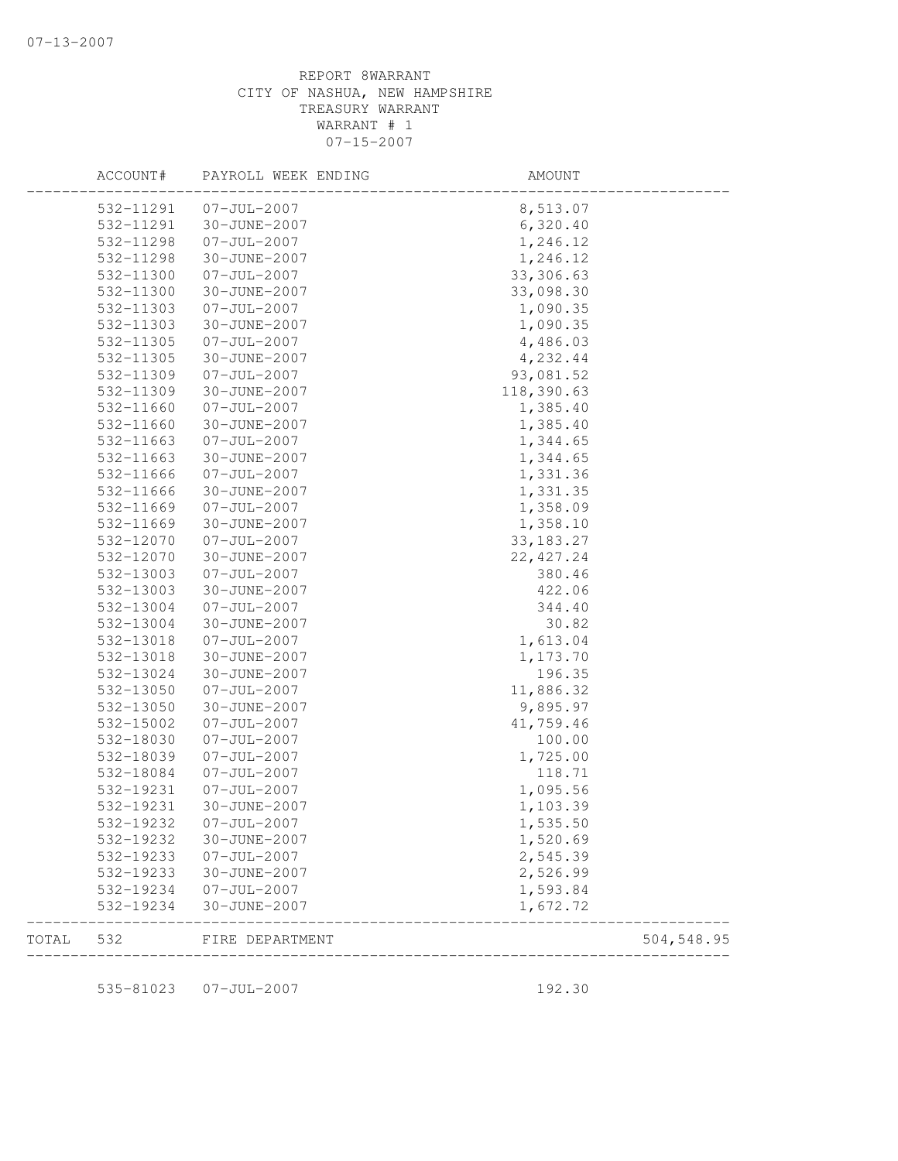|       | ACCOUNT#  | PAYROLL WEEK ENDING | AMOUNT      |            |
|-------|-----------|---------------------|-------------|------------|
|       | 532-11291 | $07 - JUL - 2007$   | 8,513.07    |            |
|       | 532-11291 | 30-JUNE-2007        | 6,320.40    |            |
|       | 532-11298 | $07 - JUL - 2007$   | 1,246.12    |            |
|       | 532-11298 | 30-JUNE-2007        | 1,246.12    |            |
|       | 532-11300 | $07 - JUL - 2007$   | 33, 306.63  |            |
|       | 532-11300 | 30-JUNE-2007        | 33,098.30   |            |
|       | 532-11303 | $07 - JUL - 2007$   | 1,090.35    |            |
|       | 532-11303 | 30-JUNE-2007        | 1,090.35    |            |
|       | 532-11305 | $07 - JUL - 2007$   | 4,486.03    |            |
|       | 532-11305 | 30-JUNE-2007        | 4,232.44    |            |
|       | 532-11309 | $07 - JUL - 2007$   | 93,081.52   |            |
|       | 532-11309 | 30-JUNE-2007        | 118,390.63  |            |
|       | 532-11660 | $07 - JUL - 2007$   | 1,385.40    |            |
|       | 532-11660 | 30-JUNE-2007        | 1,385.40    |            |
|       | 532-11663 | $07 - JUL - 2007$   | 1,344.65    |            |
|       | 532-11663 | 30-JUNE-2007        | 1,344.65    |            |
|       | 532-11666 | $07 - JUL - 2007$   | 1,331.36    |            |
|       | 532-11666 | 30-JUNE-2007        | 1,331.35    |            |
|       | 532-11669 | $07 - JUL - 2007$   | 1,358.09    |            |
|       | 532-11669 | 30-JUNE-2007        | 1,358.10    |            |
|       | 532-12070 | $07 - JUL - 2007$   | 33, 183. 27 |            |
|       | 532-12070 | 30-JUNE-2007        | 22, 427.24  |            |
|       | 532-13003 | $07 - JUL - 2007$   | 380.46      |            |
|       | 532-13003 | 30-JUNE-2007        | 422.06      |            |
|       | 532-13004 | $07 - JUL - 2007$   | 344.40      |            |
|       | 532-13004 | 30-JUNE-2007        | 30.82       |            |
|       | 532-13018 | $07 - JUL - 2007$   | 1,613.04    |            |
|       | 532-13018 | 30-JUNE-2007        | 1,173.70    |            |
|       | 532-13024 | 30-JUNE-2007        | 196.35      |            |
|       | 532-13050 | $07 - JUL - 2007$   | 11,886.32   |            |
|       | 532-13050 | 30-JUNE-2007        | 9,895.97    |            |
|       | 532-15002 | $07 - JUL - 2007$   | 41,759.46   |            |
|       | 532-18030 | $07 - JUL - 2007$   | 100.00      |            |
|       | 532-18039 | $07 - JUL - 2007$   | 1,725.00    |            |
|       | 532-18084 | $07 - JUL - 2007$   | 118.71      |            |
|       | 532-19231 | $07 - JUL - 2007$   | 1,095.56    |            |
|       | 532-19231 | 30-JUNE-2007        | 1,103.39    |            |
|       | 532-19232 | $07 - JUL - 2007$   | 1,535.50    |            |
|       | 532-19232 | 30-JUNE-2007        | 1,520.69    |            |
|       | 532-19233 | $07 - JUL - 2007$   | 2,545.39    |            |
|       | 532-19233 | 30-JUNE-2007        | 2,526.99    |            |
|       | 532-19234 | $07 - JUL - 2007$   | 1,593.84    |            |
|       | 532-19234 | 30-JUNE-2007        | 1,672.72    |            |
| TOTAL | 532       | FIRE DEPARTMENT     |             | 504,548.95 |

535-81023 07-JUL-2007 192.30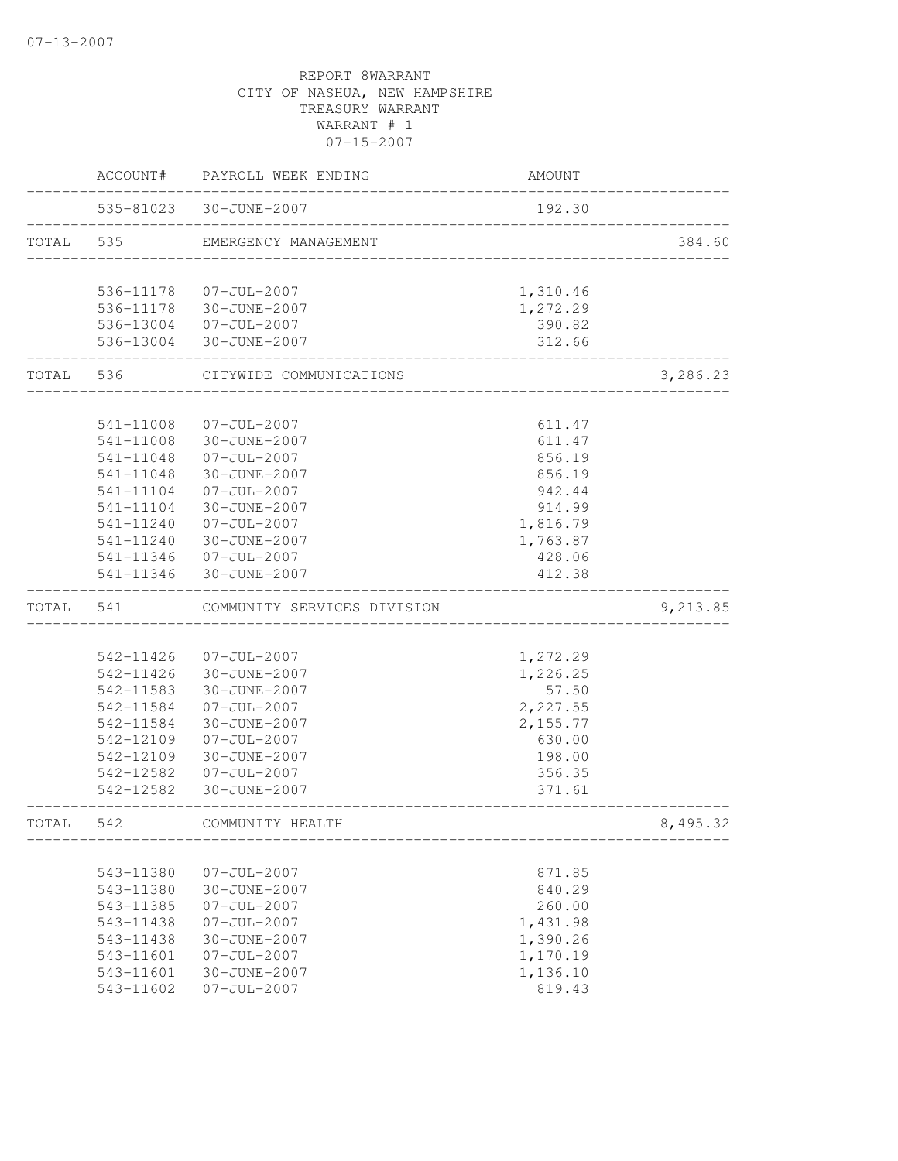|           |                        | ACCOUNT# PAYROLL WEEK ENDING                    | AMOUNT                     |          |
|-----------|------------------------|-------------------------------------------------|----------------------------|----------|
|           |                        | 535-81023 30-JUNE-2007                          | 192.30                     |          |
| TOTAL 535 |                        | EMERGENCY MANAGEMENT                            | __________________________ | 384.60   |
|           |                        |                                                 |                            |          |
|           |                        | 536-11178  07-JUL-2007                          | 1,310.46                   |          |
|           |                        | 536-11178 30-JUNE-2007<br>536-13004 07-JUL-2007 | 1,272.29<br>390.82         |          |
|           |                        | 536-13004 30-JUNE-2007                          | 312.66                     |          |
|           | TOTAL 536              | CITYWIDE COMMUNICATIONS                         | -------------------        | 3,286.23 |
|           |                        |                                                 |                            |          |
|           | 541-11008              | 07-JUL-2007                                     | 611.47                     |          |
|           | 541-11008              | 30-JUNE-2007                                    | 611.47                     |          |
|           | 541-11048              | $07 - JUL - 2007$<br>30-JUNE-2007               | 856.19                     |          |
|           | 541-11048<br>541-11104 | $07 - JUL - 2007$                               | 856.19<br>942.44           |          |
|           | 541-11104              | 30-JUNE-2007                                    | 914.99                     |          |
|           | 541-11240              | $07 - JUL - 2007$                               | 1,816.79                   |          |
|           |                        | 541-11240 30-JUNE-2007                          | 1,763.87                   |          |
|           |                        | 541-11346 07-JUL-2007                           | 428.06                     |          |
|           |                        | 541-11346 30-JUNE-2007                          | 412.38                     |          |
| TOTAL     | 541                    | COMMUNITY SERVICES DIVISION                     |                            | 9,213.85 |
|           |                        |                                                 |                            |          |
|           | 542-11426              | $07 - JUL - 2007$                               | 1,272.29                   |          |
|           | 542-11426              | 30-JUNE-2007                                    | 1,226.25                   |          |
|           | 542-11583              | 30-JUNE-2007                                    | 57.50                      |          |
|           | 542-11584              | $07 - JUL - 2007$                               | 2,227.55                   |          |
|           | 542-11584              | 30-JUNE-2007                                    | 2,155.77                   |          |
|           | 542-12109              | $07 - JUL - 2007$                               | 630.00                     |          |
|           | 542-12109              | 30-JUNE-2007                                    | 198.00                     |          |
|           | 542-12582              | $07 - JUL - 2007$                               | 356.35                     |          |
|           | 542-12582              | 30-JUNE-2007                                    | 371.61                     |          |
| TOTAL     | 542                    | COMMUNITY HEALTH                                |                            | 8,495.32 |
|           |                        |                                                 |                            |          |
|           | 543-11380              | $07 - JUL - 2007$                               | 871.85                     |          |
|           | 543-11380              | 30-JUNE-2007                                    | 840.29                     |          |
|           | 543-11385              | $07 - JUL - 2007$                               | 260.00                     |          |
|           | 543-11438              | $07 - JUL - 2007$                               | 1,431.98                   |          |
|           | 543-11438              | 30-JUNE-2007                                    | 1,390.26                   |          |
|           | 543-11601              | $07 - JUL - 2007$                               | 1,170.19                   |          |
|           | 543-11601              | 30-JUNE-2007                                    | 1,136.10                   |          |
|           | 543-11602              | $07 - JUL - 2007$                               | 819.43                     |          |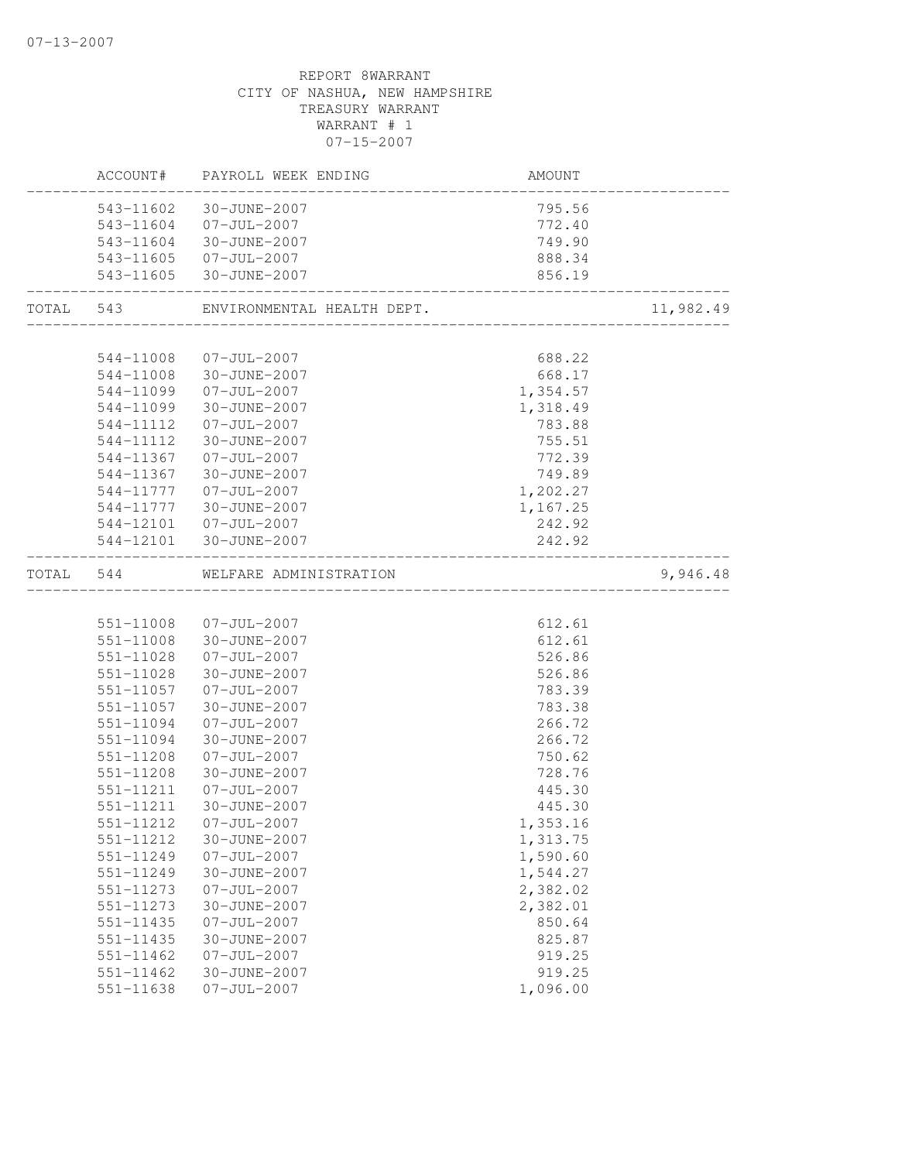|       | ACCOUNT#                   | PAYROLL WEEK ENDING               | AMOUNT           |           |
|-------|----------------------------|-----------------------------------|------------------|-----------|
|       | 543-11602                  | 30-JUNE-2007                      | 795.56           |           |
|       |                            | 543-11604 07-JUL-2007             | 772.40           |           |
|       |                            | 543-11604 30-JUNE-2007            | 749.90           |           |
|       |                            | 543-11605 07-JUL-2007             | 888.34           |           |
|       |                            | 543-11605 30-JUNE-2007            | 856.19           |           |
| TOTAL | 543                        | ENVIRONMENTAL HEALTH DEPT.        |                  | 11,982.49 |
|       |                            |                                   |                  |           |
|       | 544-11008                  | $07 - JUL - 2007$                 | 688.22           |           |
|       |                            | 544-11008 30-JUNE-2007            | 668.17           |           |
|       | 544-11099                  | $07 - JUL - 2007$                 | 1,354.57         |           |
|       | 544-11099                  | 30-JUNE-2007                      | 1,318.49         |           |
|       | 544-11112                  | $07 - JUL - 2007$                 | 783.88           |           |
|       | 544-11112<br>544-11367     | 30-JUNE-2007<br>$07 - JUL - 2007$ | 755.51<br>772.39 |           |
|       | 544-11367                  | 30-JUNE-2007                      | 749.89           |           |
|       | 544-11777                  | $07 - JUL - 2007$                 | 1,202.27         |           |
|       | 544-11777                  | 30-JUNE-2007                      | 1,167.25         |           |
|       |                            | 544-12101  07-JUL-2007            | 242.92           |           |
|       |                            | 544-12101 30-JUNE-2007            | 242.92           |           |
| TOTAL | 544                        | WELFARE ADMINISTRATION            |                  | 9,946.48  |
|       |                            |                                   |                  |           |
|       | 551-11008                  | $07 - JUL - 2007$                 | 612.61           |           |
|       | 551-11008                  | 30-JUNE-2007                      | 612.61           |           |
|       | 551-11028                  | $07 - JUL - 2007$                 | 526.86           |           |
|       | 551-11028                  | 30-JUNE-2007                      | 526.86           |           |
|       | 551-11057                  | $07 - JUL - 2007$                 | 783.39           |           |
|       | 551-11057                  | 30-JUNE-2007                      | 783.38           |           |
|       | 551-11094                  | $07 - JUL - 2007$                 | 266.72           |           |
|       | 551-11094                  | 30-JUNE-2007                      | 266.72           |           |
|       | 551-11208                  | $07 - JUL - 2007$                 | 750.62           |           |
|       | 551-11208                  | 30-JUNE-2007                      | 728.76           |           |
|       | 551-11211                  | $07 - JUL - 2007$                 | 445.30           |           |
|       | 551-11211                  | 30-JUNE-2007                      | 445.30           |           |
|       | 551-11212                  | $07 - JUL - 2007$                 | 1,353.16         |           |
|       | 551-11212                  | 30-JUNE-2007                      | 1,313.75         |           |
|       | 551-11249                  | $07 - JUL - 2007$                 | 1,590.60         |           |
|       | 551-11249                  | 30-JUNE-2007                      | 1,544.27         |           |
|       | 551-11273                  | $07 - JUL - 2007$                 | 2,382.02         |           |
|       | 551-11273                  | 30-JUNE-2007                      | 2,382.01         |           |
|       | 551-11435                  | $07 - JUL - 2007$                 | 850.64           |           |
|       | 551-11435<br>$551 - 11462$ | 30-JUNE-2007                      | 825.87           |           |
|       | $551 - 11462$              | $07 - JUL - 2007$<br>30-JUNE-2007 | 919.25<br>919.25 |           |
|       | 551-11638                  | $07 - JUL - 2007$                 | 1,096.00         |           |
|       |                            |                                   |                  |           |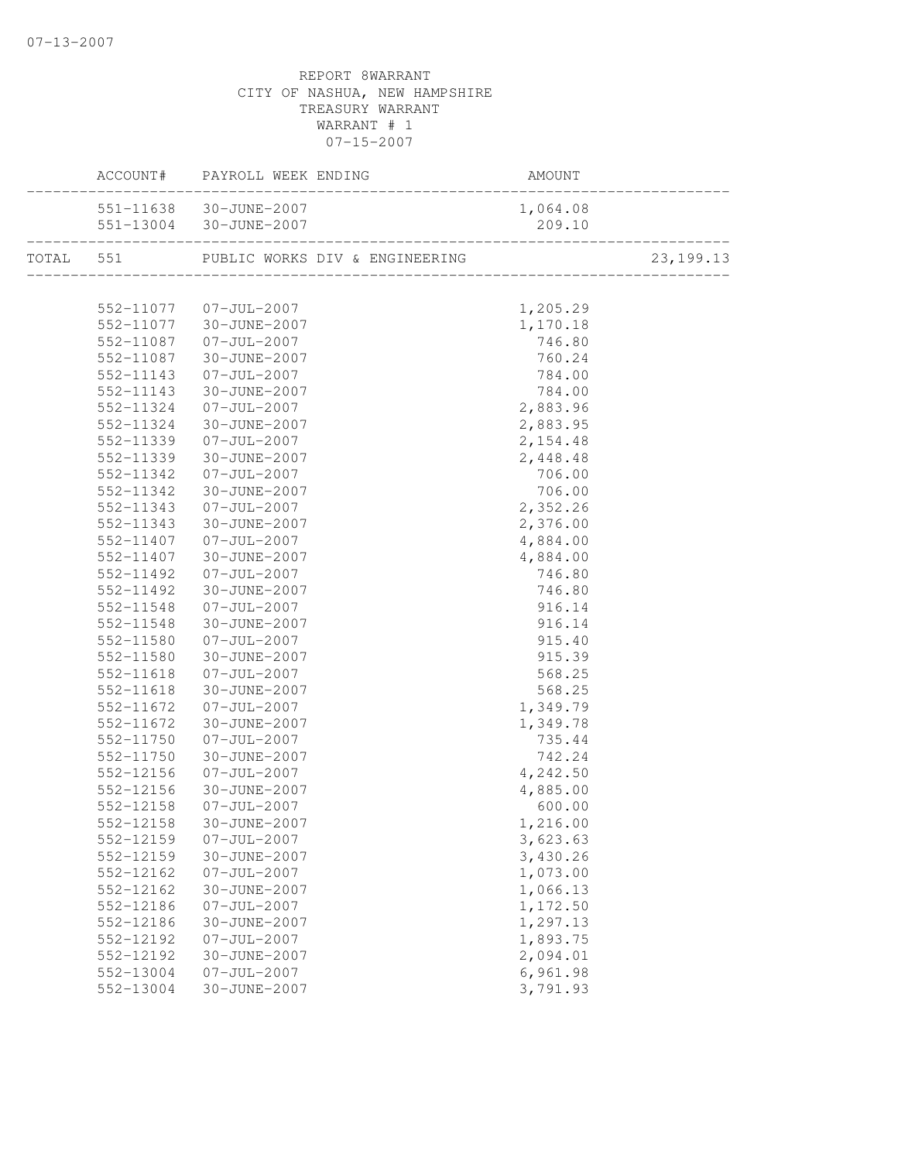|               | ACCOUNT# PAYROLL WEEK ENDING | AMOUNT   |             |
|---------------|------------------------------|----------|-------------|
|               | 551-11638 30-JUNE-2007       | 1,064.08 |             |
|               | 551-13004 30-JUNE-2007       |          |             |
|               |                              |          | 23, 199. 13 |
|               |                              |          |             |
|               | 552-11077 07-JUL-2007        | 1,205.29 |             |
| 552-11077     | 30-JUNE-2007                 | 1,170.18 |             |
| 552-11087     | $07 - JUL - 2007$            | 746.80   |             |
| 552-11087     | 30-JUNE-2007                 | 760.24   |             |
| 552-11143     | $07 - JUL - 2007$            | 784.00   |             |
| 552-11143     | 30-JUNE-2007                 | 784.00   |             |
| 552-11324     | 07-JUL-2007                  | 2,883.96 |             |
| 552-11324     | 30-JUNE-2007                 | 2,883.95 |             |
| 552-11339     | $07 - JUL - 2007$            | 2,154.48 |             |
| 552-11339     | 30-JUNE-2007                 | 2,448.48 |             |
| 552-11342     | $07 - JUL - 2007$            | 706.00   |             |
| 552-11342     | 30-JUNE-2007                 | 706.00   |             |
| 552-11343     | $07 - JUL - 2007$            | 2,352.26 |             |
| 552-11343     | 30-JUNE-2007                 | 2,376.00 |             |
| 552-11407     | 07-JUL-2007                  | 4,884.00 |             |
| 552-11407     | 30-JUNE-2007                 | 4,884.00 |             |
| 552-11492     | $07 - JUL - 2007$            | 746.80   |             |
| 552-11492     | 30-JUNE-2007                 | 746.80   |             |
| 552-11548     | $07 - JUL - 2007$            | 916.14   |             |
| 552-11548     | 30-JUNE-2007                 | 916.14   |             |
| 552-11580     | $07 - JUL - 2007$            | 915.40   |             |
| 552-11580     | 30-JUNE-2007                 | 915.39   |             |
| 552-11618     | $07 - JUL - 2007$            | 568.25   |             |
| $552 - 11618$ | 30-JUNE-2007                 | 568.25   |             |
| 552-11672     | 07-JUL-2007                  | 1,349.79 |             |
| 552-11672     | 30-JUNE-2007                 | 1,349.78 |             |
| 552-11750     | $07 - JUL - 2007$            | 735.44   |             |
| 552-11750     | 30-JUNE-2007                 | 742.24   |             |
| 552-12156     | $07 - JUL - 2007$            | 4,242.50 |             |
| 552-12156     | 30-JUNE-2007                 | 4,885.00 |             |
| 552-12158     | $07 - JUL - 2007$            | 600.00   |             |
| 552-12158     | 30-JUNE-2007                 | 1,216.00 |             |
| 552-12159     | $07 - JUL - 2007$            | 3,623.63 |             |
| 552-12159     | 30-JUNE-2007                 | 3,430.26 |             |
| 552-12162     | $07 - JUL - 2007$            | 1,073.00 |             |
| 552-12162     | 30-JUNE-2007                 | 1,066.13 |             |
| 552-12186     | $07 - JUL - 2007$            | 1,172.50 |             |
| 552-12186     | 30-JUNE-2007                 | 1,297.13 |             |
| 552-12192     | $07 - JUL - 2007$            | 1,893.75 |             |
| 552-12192     | 30-JUNE-2007                 | 2,094.01 |             |
| 552-13004     | $07 - JUL - 2007$            | 6,961.98 |             |
| 552-13004     | 30-JUNE-2007                 | 3,791.93 |             |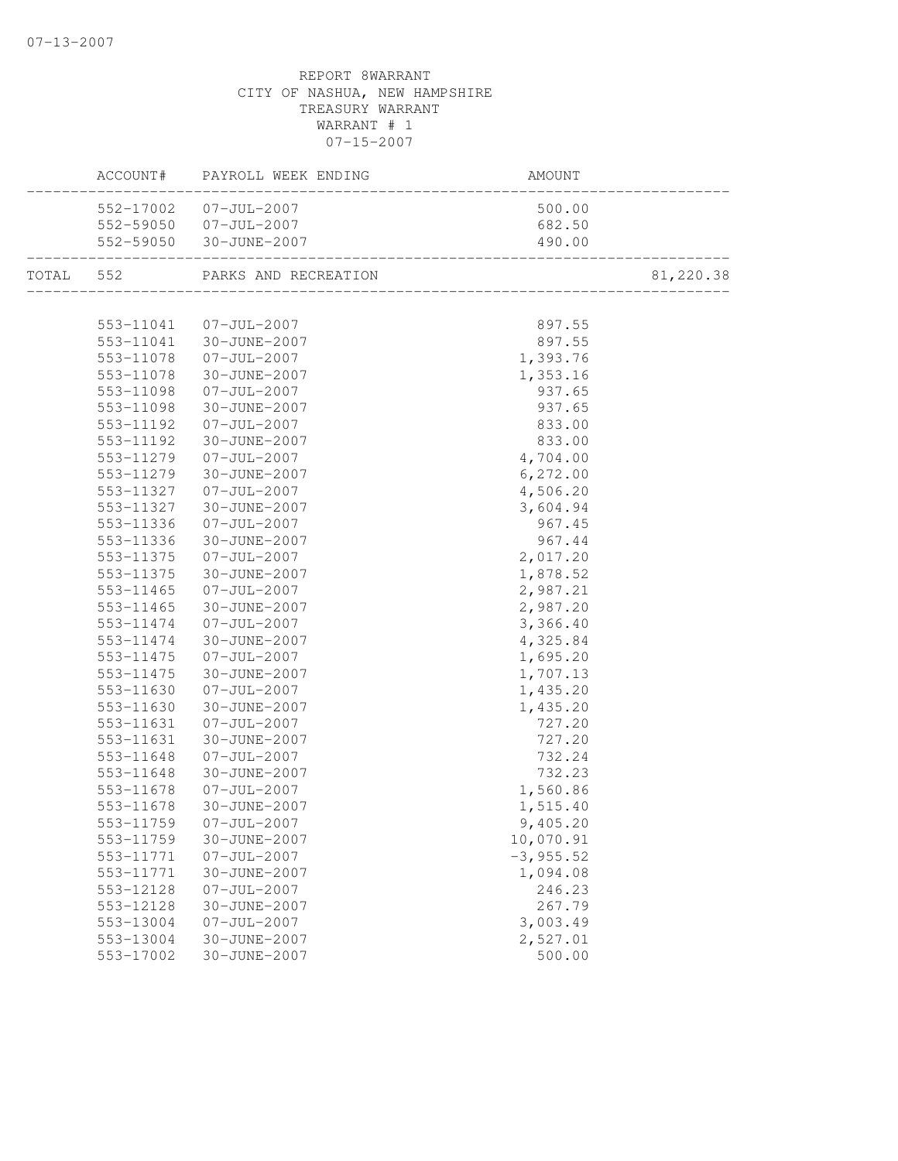| ACCOUNT#               | PAYROLL WEEK ENDING            | AMOUNT                                     |           |
|------------------------|--------------------------------|--------------------------------------------|-----------|
|                        | 552-17002 07-JUL-2007          | 500.00                                     |           |
|                        | 552-59050 07-JUL-2007          | 682.50                                     |           |
|                        | 552-59050 30-JUNE-2007         | 490.00                                     |           |
|                        | TOTAL 552 PARKS AND RECREATION | LON<br>----------------------------------- | 81,220.38 |
|                        |                                |                                            |           |
|                        | 553-11041 07-JUL-2007          | 897.55                                     |           |
|                        | 553-11041 30-JUNE-2007         | 897.55                                     |           |
|                        | 553-11078 07-JUL-2007          | 1,393.76                                   |           |
| 553-11078              | 30-JUNE-2007                   | 1,353.16                                   |           |
| 553-11098              | $07 - JUL - 2007$              | 937.65                                     |           |
| 553-11098              | 30-JUNE-2007                   | 937.65                                     |           |
| 553-11192              | $07 - JUL - 2007$              | 833.00                                     |           |
| 553-11192              | 30-JUNE-2007                   | 833.00                                     |           |
| 553-11279              | $07 - JUL - 2007$              | 4,704.00                                   |           |
| 553-11279              | 30-JUNE-2007                   | 6, 272.00                                  |           |
| 553-11327              | 07-JUL-2007                    | 4,506.20                                   |           |
| 553-11327              | 30-JUNE-2007                   | 3,604.94                                   |           |
| 553-11336              | 07-JUL-2007                    | 967.45                                     |           |
| 553-11336              | 30-JUNE-2007                   | 967.44                                     |           |
| 553-11375              | $07 - JUL - 2007$              | 2,017.20                                   |           |
| 553-11375              | 30-JUNE-2007                   | 1,878.52                                   |           |
| 553-11465              | $07 - JUL - 2007$              | 2,987.21                                   |           |
| 553-11465<br>553-11474 | 30-JUNE-2007<br>07-JUL-2007    | 2,987.20<br>3,366.40                       |           |
| 553-11474              | 30-JUNE-2007                   | 4,325.84                                   |           |
| 553-11475              | 07-JUL-2007                    | 1,695.20                                   |           |
| 553-11475              | 30-JUNE-2007                   | 1,707.13                                   |           |
| 553-11630              | $07 - JUL - 2007$              | 1,435.20                                   |           |
| 553-11630              | 30-JUNE-2007                   | 1,435.20                                   |           |
| 553-11631              | $07 - JUL - 2007$              | 727.20                                     |           |
| 553-11631              | 30-JUNE-2007                   | 727.20                                     |           |
| 553-11648              | $07 - JUL - 2007$              | 732.24                                     |           |
| 553-11648              | 30-JUNE-2007                   | 732.23                                     |           |
| 553-11678              | 07-JUL-2007                    | 1,560.86                                   |           |
| 553-11678              | 30-JUNE-2007                   | 1,515.40                                   |           |
| 553-11759              | $07 - JUL - 2007$              | 9,405.20                                   |           |
| 553-11759              | 30-JUNE-2007                   | 10,070.91                                  |           |
| 553-11771              | $07 - JUL - 2007$              | $-3, 955.52$                               |           |
| 553-11771              | 30-JUNE-2007                   | 1,094.08                                   |           |
| 553-12128              | $07 - JUL - 2007$              | 246.23                                     |           |
| 553-12128              | 30-JUNE-2007                   | 267.79                                     |           |
| 553-13004              | $07 - JUL - 2007$              | 3,003.49                                   |           |
| 553-13004              | 30-JUNE-2007                   | 2,527.01                                   |           |
| 553-17002              | 30-JUNE-2007                   | 500.00                                     |           |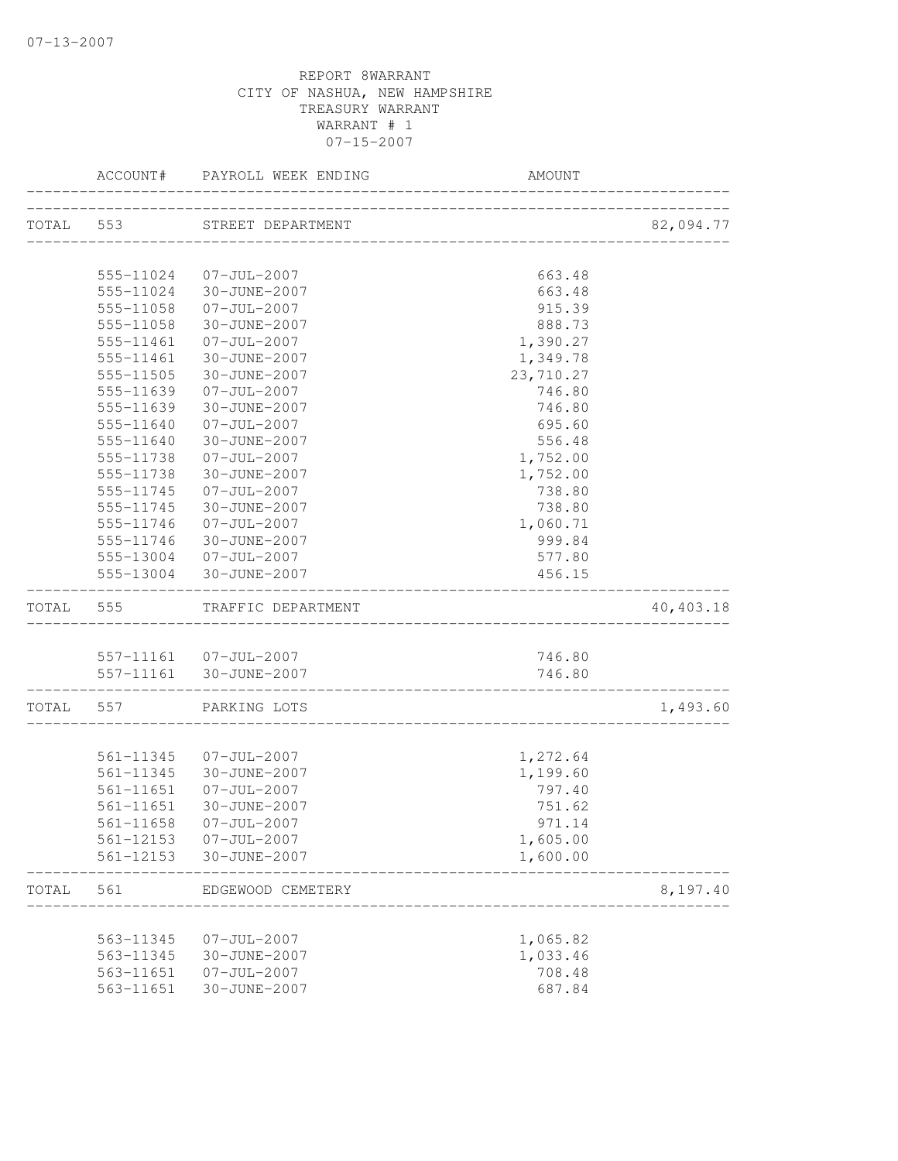|           | ACCOUNT#               | PAYROLL WEEK ENDING               | AMOUNT                               |           |
|-----------|------------------------|-----------------------------------|--------------------------------------|-----------|
|           |                        | TOTAL 553 STREET DEPARTMENT       |                                      | 82,094.77 |
|           |                        |                                   | ____________________________________ |           |
|           |                        | 555-11024 07-JUL-2007             | 663.48                               |           |
|           |                        | 555-11024 30-JUNE-2007            | 663.48                               |           |
|           | 555-11058              | 07-JUL-2007                       | 915.39                               |           |
|           | 555-11058              | 30-JUNE-2007                      | 888.73                               |           |
|           | 555-11461              | $07 - JUL - 2007$                 | 1,390.27                             |           |
|           | 555-11461              | 30-JUNE-2007                      | 1,349.78                             |           |
|           | 555-11505              | 30-JUNE-2007                      | 23,710.27                            |           |
|           | 555-11639              | $07 - JUL - 2007$                 | 746.80                               |           |
|           | 555-11639              | 30-JUNE-2007                      | 746.80                               |           |
|           | 555-11640              | $07 - JUL - 2007$                 | 695.60                               |           |
|           | 555-11640              | 30-JUNE-2007                      | 556.48                               |           |
|           | 555-11738              | $07 - JUL - 2007$                 | 1,752.00                             |           |
|           | 555-11738              | 30-JUNE-2007                      | 1,752.00                             |           |
|           | 555-11745              | $07 - JUL - 2007$                 | 738.80                               |           |
|           | 555-11745              | 30-JUNE-2007                      | 738.80                               |           |
|           | 555-11746              | $07 - JUL - 2007$                 | 1,060.71                             |           |
|           | 555-11746              | 30-JUNE-2007                      | 999.84                               |           |
|           |                        | 555-13004 07-JUL-2007             | 577.80                               |           |
|           |                        | 555-13004 30-JUNE-2007            | 456.15                               |           |
| TOTAL 555 |                        | TRAFFIC DEPARTMENT                |                                      | 40,403.18 |
|           |                        |                                   |                                      |           |
|           |                        | 557-11161 07-JUL-2007             | 746.80                               |           |
|           | __________________     | 557-11161 30-JUNE-2007            | 746.80                               |           |
|           |                        | TOTAL 557 PARKING LOTS            |                                      | 1,493.60  |
|           |                        |                                   |                                      |           |
|           |                        | 561-11345 07-JUL-2007             | 1,272.64                             |           |
|           | 561-11345              | 30-JUNE-2007                      | 1,199.60                             |           |
|           | 561-11651              | 07-JUL-2007                       | 797.40                               |           |
|           | 561-11651              | 30-JUNE-2007                      | 751.62                               |           |
|           |                        | 561-11658 07-JUL-2007             | 971.14                               |           |
|           | 561-12153              | 07-JUL-2007                       | 1,605.00                             |           |
|           | 561-12153              | 30-JUNE-2007                      | 1,600.00                             |           |
| TOTAL     | 561                    | EDGEWOOD CEMETERY                 |                                      | 8,197.40  |
|           |                        |                                   |                                      |           |
|           | 563-11345              | $07 - JUL - 2007$                 | 1,065.82                             |           |
|           | 563-11345<br>563-11651 | 30-JUNE-2007<br>$07 - JUL - 2007$ | 1,033.46<br>708.48                   |           |
|           | 563-11651              | 30-JUNE-2007                      | 687.84                               |           |
|           |                        |                                   |                                      |           |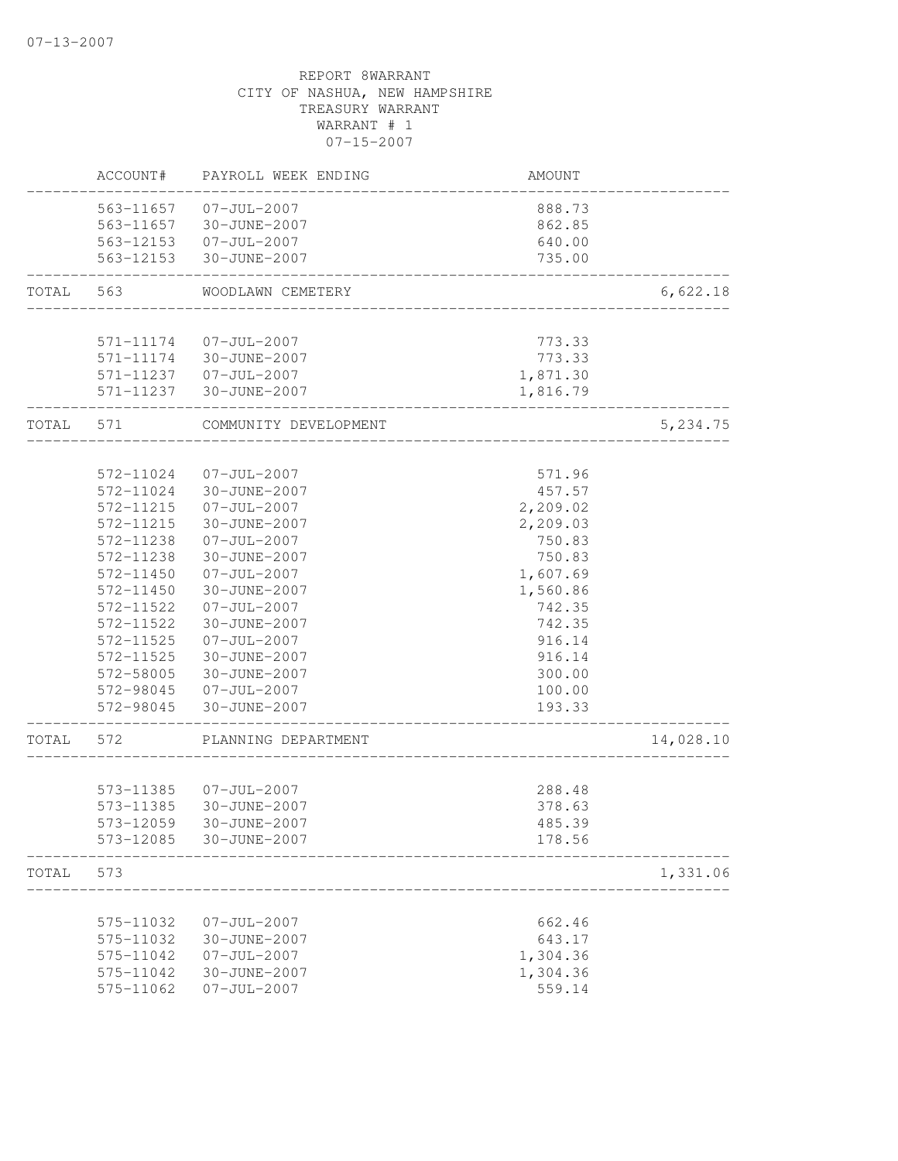|           | ACCOUNT#  | PAYROLL WEEK ENDING                             | AMOUNT                       |           |
|-----------|-----------|-------------------------------------------------|------------------------------|-----------|
|           |           | 563-11657 07-JUL-2007                           | 888.73                       |           |
|           |           | 563-11657 30-JUNE-2007                          | 862.85                       |           |
|           |           | 563-12153  07-JUL-2007                          | 640.00                       |           |
|           |           | 563-12153 30-JUNE-2007                          | 735.00<br>__________________ |           |
| TOTAL     | 563       | WOODLAWN CEMETERY                               |                              | 6,622.18  |
|           |           |                                                 |                              |           |
|           | 571-11174 | 07-JUL-2007<br>571-11174 30-JUNE-2007           | 773.33<br>773.33             |           |
|           |           | 571-11237 07-JUL-2007                           | 1,871.30                     |           |
|           |           | 571-11237 30-JUNE-2007                          | 1,816.79                     |           |
| TOTAL 571 |           | COMMUNITY DEVELOPMENT                           |                              | 5,234.75  |
|           |           |                                                 |                              |           |
|           | 572-11024 | $07 - JUL - 2007$                               | 571.96                       |           |
|           | 572-11024 | 30-JUNE-2007                                    | 457.57                       |           |
|           | 572-11215 | $07 - JUL - 2007$                               | 2,209.02                     |           |
|           | 572-11215 | 30-JUNE-2007                                    | 2,209.03                     |           |
|           | 572-11238 | 07-JUL-2007                                     | 750.83                       |           |
|           | 572-11238 | 30-JUNE-2007                                    | 750.83                       |           |
|           | 572-11450 | $07 - JUL - 2007$                               | 1,607.69                     |           |
|           | 572-11450 | 30-JUNE-2007                                    | 1,560.86                     |           |
|           | 572-11522 | $07 - JUL - 2007$                               | 742.35                       |           |
|           | 572-11522 | 30-JUNE-2007                                    | 742.35                       |           |
|           | 572-11525 | $07 - JUL - 2007$                               | 916.14                       |           |
|           | 572-11525 | 30-JUNE-2007                                    | 916.14                       |           |
|           | 572-58005 | 30-JUNE-2007                                    | 300.00                       |           |
|           |           | 572-98045 07-JUL-2007<br>572-98045 30-JUNE-2007 | 100.00<br>193.33             |           |
|           |           |                                                 | __________________           |           |
| TOTAL     | 572       | PLANNING DEPARTMENT                             |                              | 14,028.10 |
|           |           | 573-11385 07-JUL-2007                           | 288.48                       |           |
|           | 573-11385 | 30-JUNE-2007                                    | 378.63                       |           |
|           | 573-12059 | 30-JUNE-2007                                    | 485.39                       |           |
|           | 573-12085 | 30-JUNE-2007                                    | 178.56                       |           |
| TOTAL     | 573       |                                                 |                              | 1,331.06  |
|           |           |                                                 |                              |           |
|           | 575-11032 | $07 - JUL - 2007$                               | 662.46                       |           |
|           | 575-11032 | 30-JUNE-2007                                    | 643.17                       |           |
|           | 575-11042 | $07 - JUL - 2007$                               | 1,304.36                     |           |
|           | 575-11042 | 30-JUNE-2007                                    | 1,304.36                     |           |
|           | 575-11062 | $07 - JUL - 2007$                               | 559.14                       |           |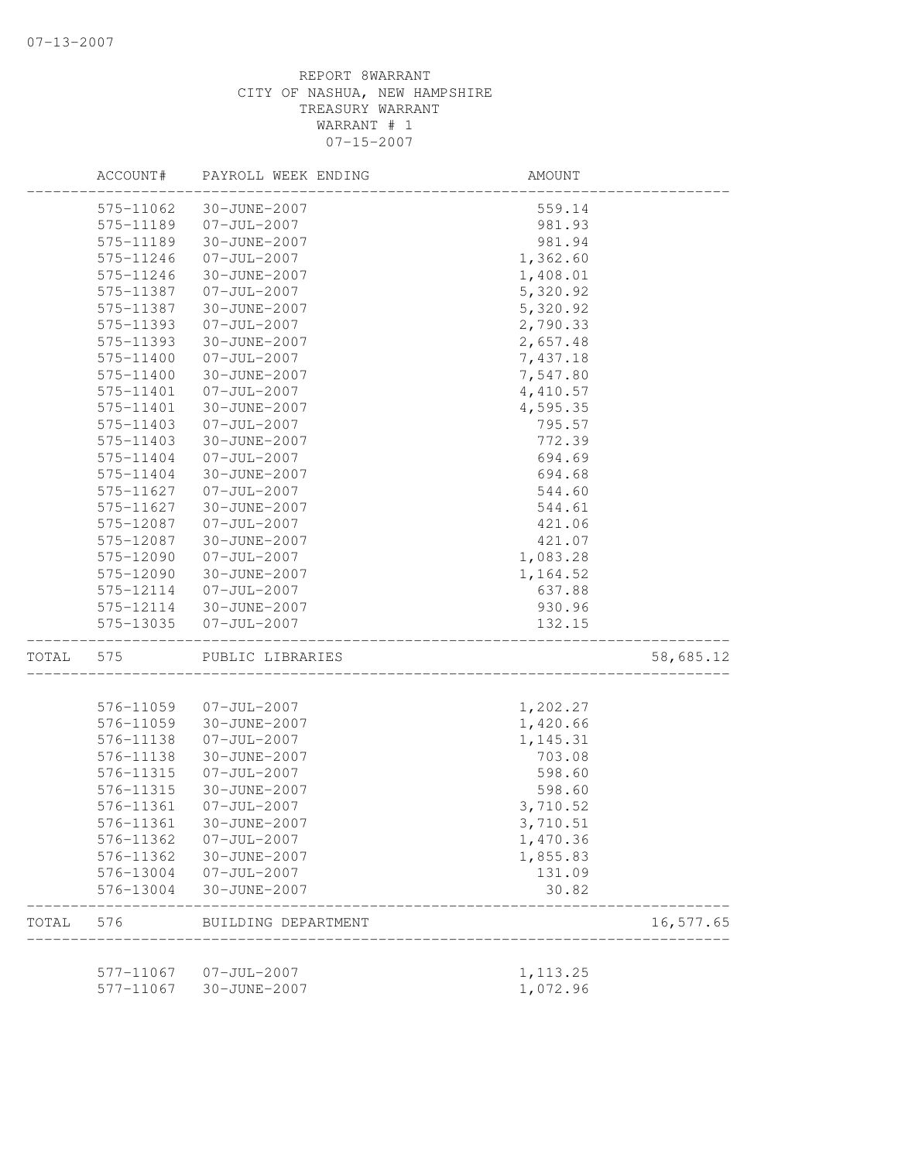|       | ACCOUNT#  | PAYROLL WEEK ENDING               | AMOUNT                |           |
|-------|-----------|-----------------------------------|-----------------------|-----------|
|       | 575-11062 | 30-JUNE-2007                      | 559.14                |           |
|       | 575-11189 | $07 - JUL - 2007$                 | 981.93                |           |
|       | 575-11189 | 30-JUNE-2007                      | 981.94                |           |
|       | 575-11246 | $07 - JUL - 2007$                 | 1,362.60              |           |
|       | 575-11246 | 30-JUNE-2007                      | 1,408.01              |           |
|       | 575-11387 | $07 - JUL - 2007$                 | 5,320.92              |           |
|       | 575-11387 | 30-JUNE-2007                      | 5,320.92              |           |
|       | 575-11393 | $07 - JUL - 2007$                 | 2,790.33              |           |
|       | 575-11393 | 30-JUNE-2007                      | 2,657.48              |           |
|       | 575-11400 | $07 - JUL - 2007$                 | 7,437.18              |           |
|       | 575-11400 | 30-JUNE-2007                      | 7,547.80              |           |
|       | 575-11401 | $07 - JUL - 2007$                 | 4,410.57              |           |
|       | 575-11401 | 30-JUNE-2007                      | 4,595.35              |           |
|       | 575-11403 | $07 - JUL - 2007$                 | 795.57                |           |
|       | 575-11403 | 30-JUNE-2007                      | 772.39                |           |
|       | 575-11404 | $07 - JUL - 2007$                 | 694.69                |           |
|       | 575-11404 | 30-JUNE-2007                      | 694.68                |           |
|       | 575-11627 | $07 - JUL - 2007$                 | 544.60                |           |
|       | 575-11627 | 30-JUNE-2007                      | 544.61                |           |
|       | 575-12087 | $07 - JUL - 2007$                 | 421.06                |           |
|       | 575-12087 | 30-JUNE-2007                      | 421.07                |           |
|       | 575-12090 | $07 - JUL - 2007$                 | 1,083.28              |           |
|       | 575-12090 | 30-JUNE-2007                      | 1,164.52              |           |
|       | 575-12114 | $07 - JUL - 2007$                 | 637.88                |           |
|       | 575-12114 | 30-JUNE-2007                      | 930.96                |           |
|       | 575-13035 | $07 - JUL - 2007$                 | 132.15                |           |
|       |           |                                   |                       |           |
| TOTAL | 575       | PUBLIC LIBRARIES                  |                       | 58,685.12 |
|       | 576-11059 | $07 - JUL - 2007$                 | 1,202.27              |           |
|       | 576-11059 | 30-JUNE-2007                      | 1,420.66              |           |
|       | 576-11138 | $07 - JUL - 2007$                 | 1,145.31              |           |
|       | 576-11138 | 30-JUNE-2007                      | 703.08                |           |
|       | 576-11315 | $07 - JUL - 2007$                 | 598.60                |           |
|       | 576-11315 | 30-JUNE-2007                      | 598.60                |           |
|       | 576-11361 | $07 - JUL - 2007$                 | 3,710.52              |           |
|       | 576-11361 |                                   |                       |           |
|       |           | 30-JUNE-2007<br>$07 - JUL - 2007$ | 3,710.51              |           |
|       | 576-11362 |                                   | 1,470.36              |           |
|       | 576-11362 | 30-JUNE-2007                      | 1,855.83              |           |
|       | 576-13004 | $07 - JUL - 2007$                 | 131.09                |           |
|       | 576-13004 | 30-JUNE-2007                      | 30.82                 |           |
| TOTAL | 576       | BUILDING DEPARTMENT               | _____________________ | 16,577.65 |
|       |           | 577-11067 07-JUL-2007             | 1, 113.25             |           |
|       | 577-11067 | 30-JUNE-2007                      | 1,072.96              |           |
|       |           |                                   |                       |           |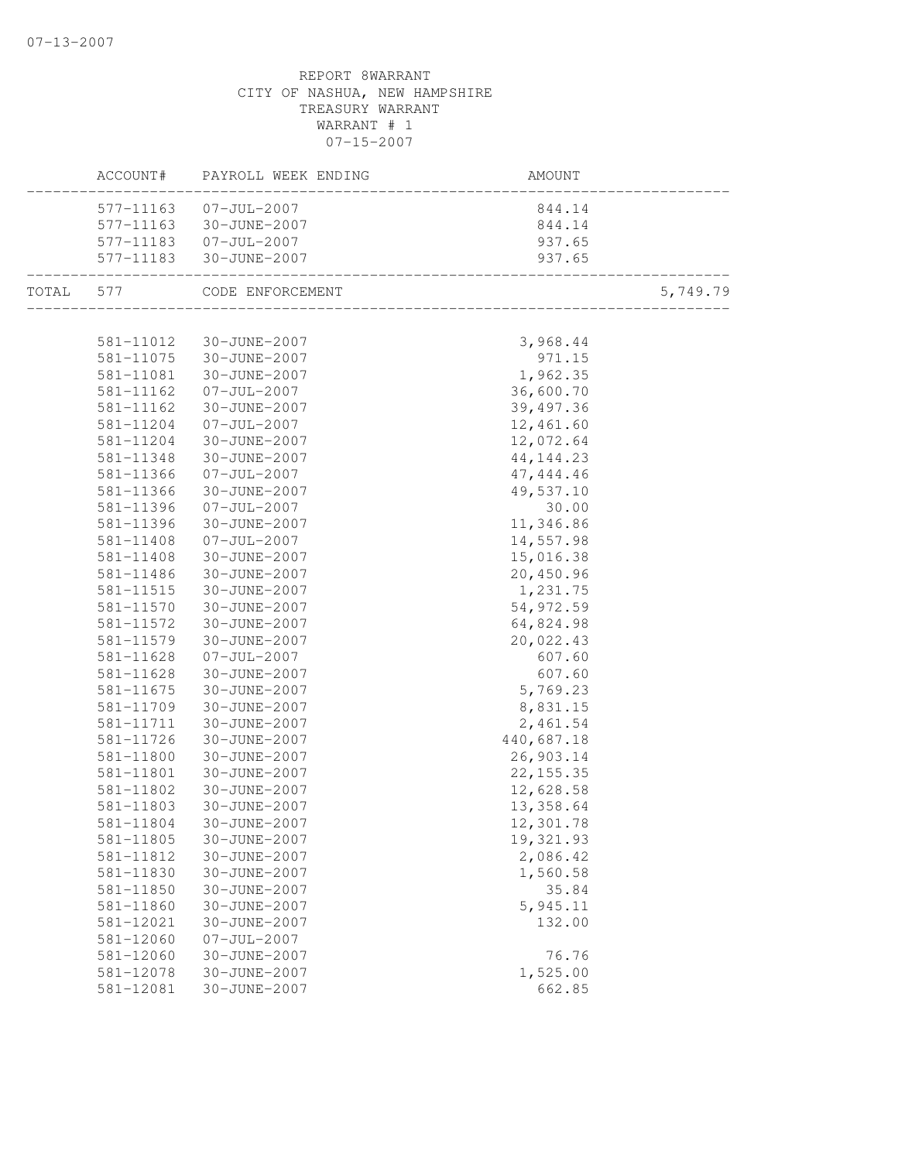|           |               | ACCOUNT# PAYROLL WEEK ENDING | AMOUNT     |          |
|-----------|---------------|------------------------------|------------|----------|
|           |               | 577-11163  07-JUL-2007       | 844.14     |          |
|           | 577-11163     | 30-JUNE-2007                 | 844.14     |          |
|           |               | 577-11183  07-JUL-2007       | 937.65     |          |
|           |               | 577-11183 30-JUNE-2007       | 937.65     |          |
| TOTAL 577 |               | CODE ENFORCEMENT             |            | 5,749.79 |
|           | 581-11012     | 30-JUNE-2007                 | 3,968.44   |          |
|           | 581-11075     | 30-JUNE-2007                 | 971.15     |          |
|           | 581-11081     | 30-JUNE-2007                 | 1,962.35   |          |
|           | 581-11162     | $07 - JUL - 2007$            | 36,600.70  |          |
|           | 581-11162     | 30-JUNE-2007                 | 39, 497.36 |          |
|           | 581-11204     | $07 - JUL - 2007$            | 12,461.60  |          |
|           | 581-11204     | 30-JUNE-2007                 | 12,072.64  |          |
|           | 581-11348     | 30-JUNE-2007                 | 44, 144.23 |          |
|           | 581-11366     | $07 - JUL - 2007$            | 47, 444.46 |          |
|           | 581-11366     | 30-JUNE-2007                 | 49,537.10  |          |
|           | 581-11396     | $07 - JUL - 2007$            | 30.00      |          |
|           | 581-11396     | 30-JUNE-2007                 | 11,346.86  |          |
|           | 581-11408     | $07 - JUL - 2007$            | 14,557.98  |          |
|           | 581-11408     | 30-JUNE-2007                 | 15,016.38  |          |
|           | 581-11486     | 30-JUNE-2007                 | 20,450.96  |          |
|           | 581-11515     | 30-JUNE-2007                 | 1,231.75   |          |
|           | 581-11570     | 30-JUNE-2007                 | 54,972.59  |          |
|           | 581-11572     | 30-JUNE-2007                 | 64,824.98  |          |
|           | 581-11579     | 30-JUNE-2007                 | 20,022.43  |          |
|           | 581-11628     | $07 - JUL - 2007$            | 607.60     |          |
|           | 581-11628     | 30-JUNE-2007                 | 607.60     |          |
|           | $581 - 11675$ | 30-JUNE-2007                 | 5,769.23   |          |
|           | 581-11709     | 30-JUNE-2007                 | 8,831.15   |          |
|           | 581-11711     | 30-JUNE-2007                 | 2,461.54   |          |
|           | 581-11726     | 30-JUNE-2007                 | 440,687.18 |          |
|           | 581-11800     | 30-JUNE-2007                 | 26,903.14  |          |
|           | 581-11801     | 30-JUNE-2007                 | 22, 155.35 |          |
|           | 581-11802     | 30-JUNE-2007                 | 12,628.58  |          |
|           | 581-11803     | 30-JUNE-2007                 | 13,358.64  |          |
|           | 581-11804     | 30-JUNE-2007                 | 12,301.78  |          |
|           | 581-11805     | 30-JUNE-2007                 | 19,321.93  |          |
|           | 581-11812     | 30-JUNE-2007                 | 2,086.42   |          |
|           | 581-11830     | 30-JUNE-2007                 | 1,560.58   |          |
|           | 581-11850     | 30-JUNE-2007                 | 35.84      |          |
|           | 581-11860     | 30-JUNE-2007                 | 5,945.11   |          |
|           | 581-12021     | 30-JUNE-2007                 | 132.00     |          |
|           | 581-12060     | $07 - JUL - 2007$            |            |          |
|           | 581-12060     | 30-JUNE-2007                 | 76.76      |          |
|           | 581-12078     | 30-JUNE-2007                 | 1,525.00   |          |
|           | 581-12081     | 30-JUNE-2007                 | 662.85     |          |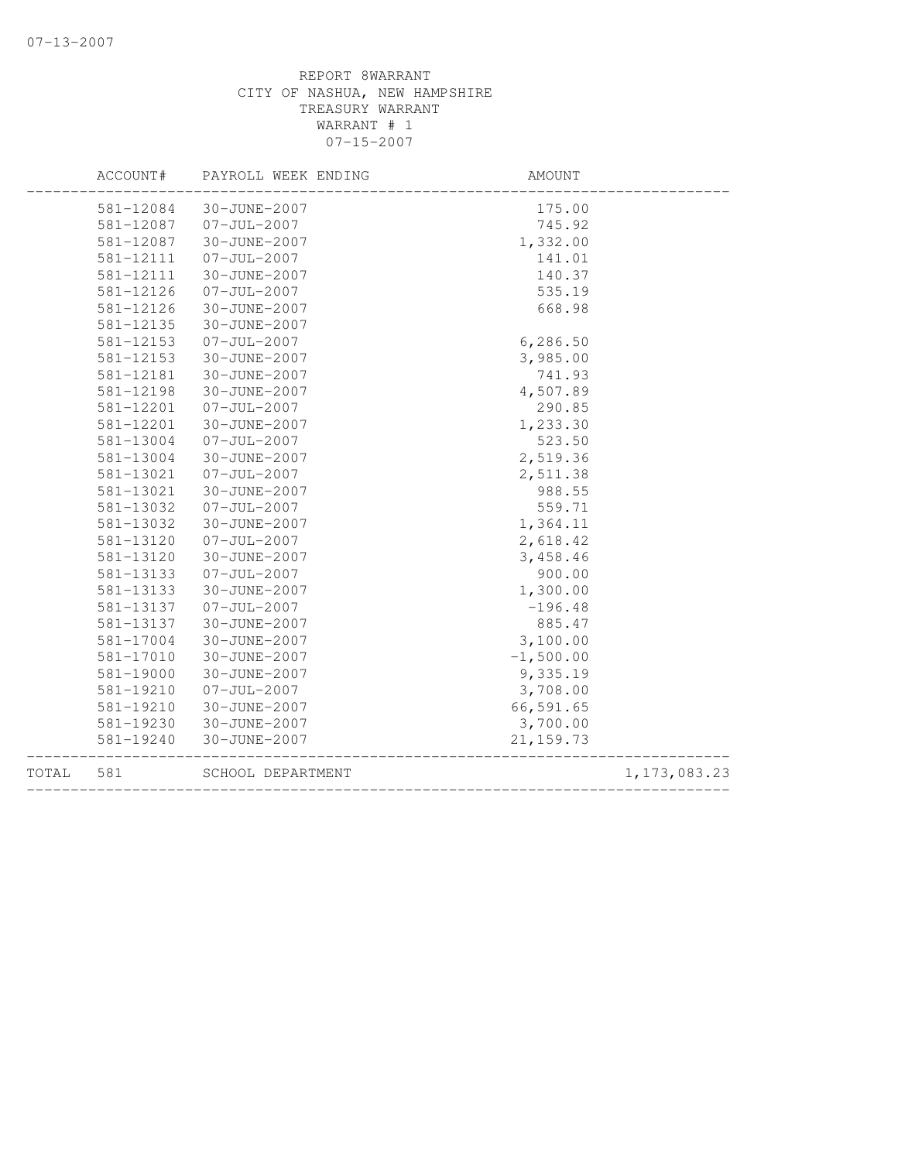| TOTAL | 581       | SCHOOL DEPARTMENT   | __________________________________ | 1, 173, 083.23 |
|-------|-----------|---------------------|------------------------------------|----------------|
|       | 581-19240 | 30-JUNE-2007        | 21, 159.73                         |                |
|       | 581-19230 | 30-JUNE-2007        | 3,700.00                           |                |
|       | 581-19210 | 30-JUNE-2007        | 66,591.65                          |                |
|       | 581-19210 | $07 - JUL - 2007$   | 3,708.00                           |                |
|       | 581-19000 | 30-JUNE-2007        | 9,335.19                           |                |
|       | 581-17010 | 30-JUNE-2007        | $-1,500.00$                        |                |
|       | 581-17004 | 30-JUNE-2007        | 3,100.00                           |                |
|       | 581-13137 | 30-JUNE-2007        | 885.47                             |                |
|       | 581-13137 | $07 - JUL - 2007$   | $-196.48$                          |                |
|       | 581-13133 | 30-JUNE-2007        | 1,300.00                           |                |
|       | 581-13133 | $07 - JUL - 2007$   | 900.00                             |                |
|       | 581-13120 | 30-JUNE-2007        | 3,458.46                           |                |
|       | 581-13120 | $07 - JUL - 2007$   | 2,618.42                           |                |
|       | 581-13032 | 30-JUNE-2007        | 1,364.11                           |                |
|       | 581-13032 | $07 - JUL - 2007$   | 559.71                             |                |
|       | 581-13021 | 30-JUNE-2007        | 988.55                             |                |
|       | 581-13021 | $07 - JUL - 2007$   | 2,511.38                           |                |
|       | 581-13004 | 30-JUNE-2007        | 2,519.36                           |                |
|       | 581-13004 | $07 - JUL - 2007$   | 523.50                             |                |
|       | 581-12201 | 30-JUNE-2007        | 1,233.30                           |                |
|       | 581-12201 | $07 - JUL - 2007$   | 290.85                             |                |
|       | 581-12198 | 30-JUNE-2007        | 4,507.89                           |                |
|       | 581-12181 | 30-JUNE-2007        | 741.93                             |                |
|       | 581-12153 | 30-JUNE-2007        | 3,985.00                           |                |
|       | 581-12153 | $07 - JUL - 2007$   | 6,286.50                           |                |
|       | 581-12135 | 30-JUNE-2007        |                                    |                |
|       | 581-12126 | 30-JUNE-2007        | 668.98                             |                |
|       | 581-12126 | $07 - JUL - 2007$   | 535.19                             |                |
|       | 581-12111 | 30-JUNE-2007        | 140.37                             |                |
|       | 581-12111 | $07 - JUL - 2007$   | 141.01                             |                |
|       | 581-12087 | 30-JUNE-2007        | 1,332.00                           |                |
|       | 581-12087 | $07 - JUL - 2007$   | 745.92                             |                |
|       | 581-12084 | 30-JUNE-2007        | 175.00                             |                |
|       |           |                     |                                    |                |
|       | ACCOUNT#  | PAYROLL WEEK ENDING | AMOUNT                             |                |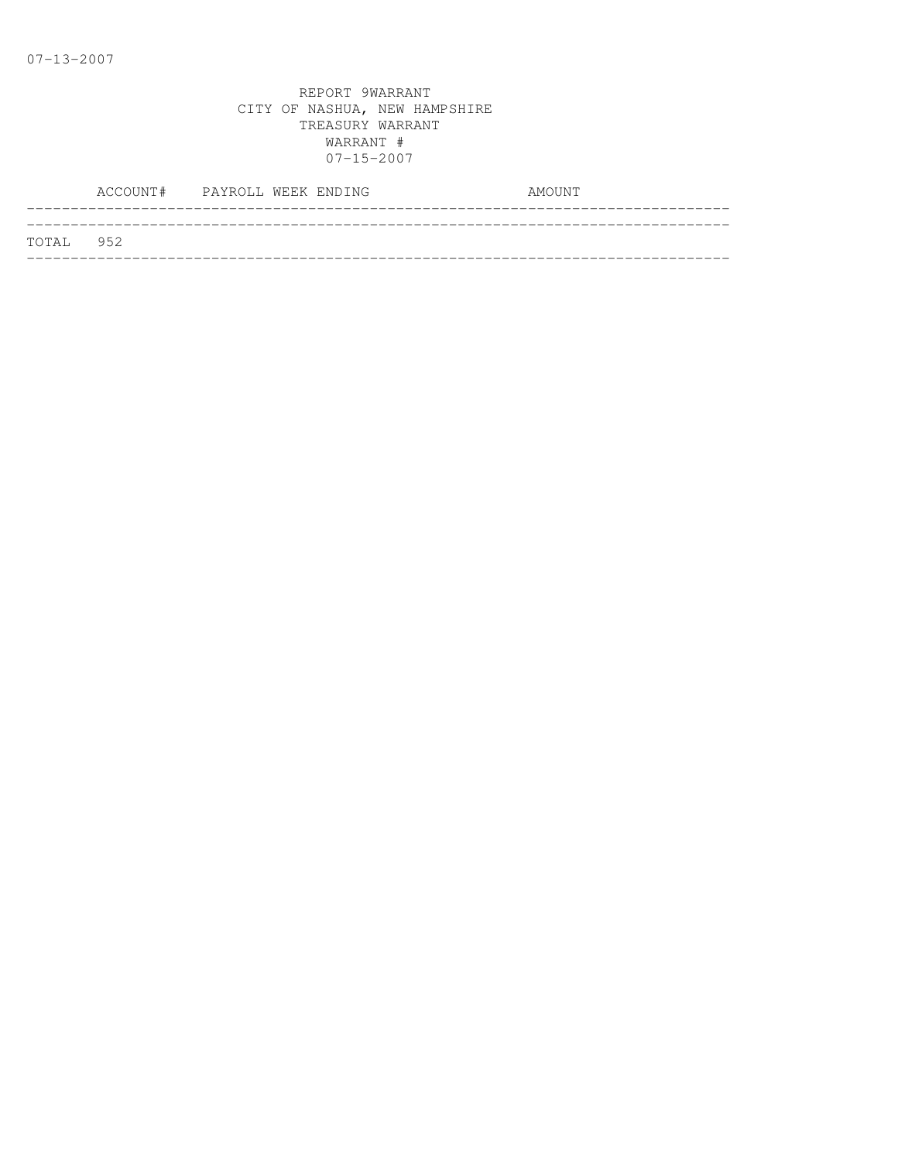|           | ACCOUNT# PAYROLL WEEK ENDING |  |  | AMOUNT |
|-----------|------------------------------|--|--|--------|
|           |                              |  |  |        |
| TOTAL 952 |                              |  |  |        |
|           |                              |  |  |        |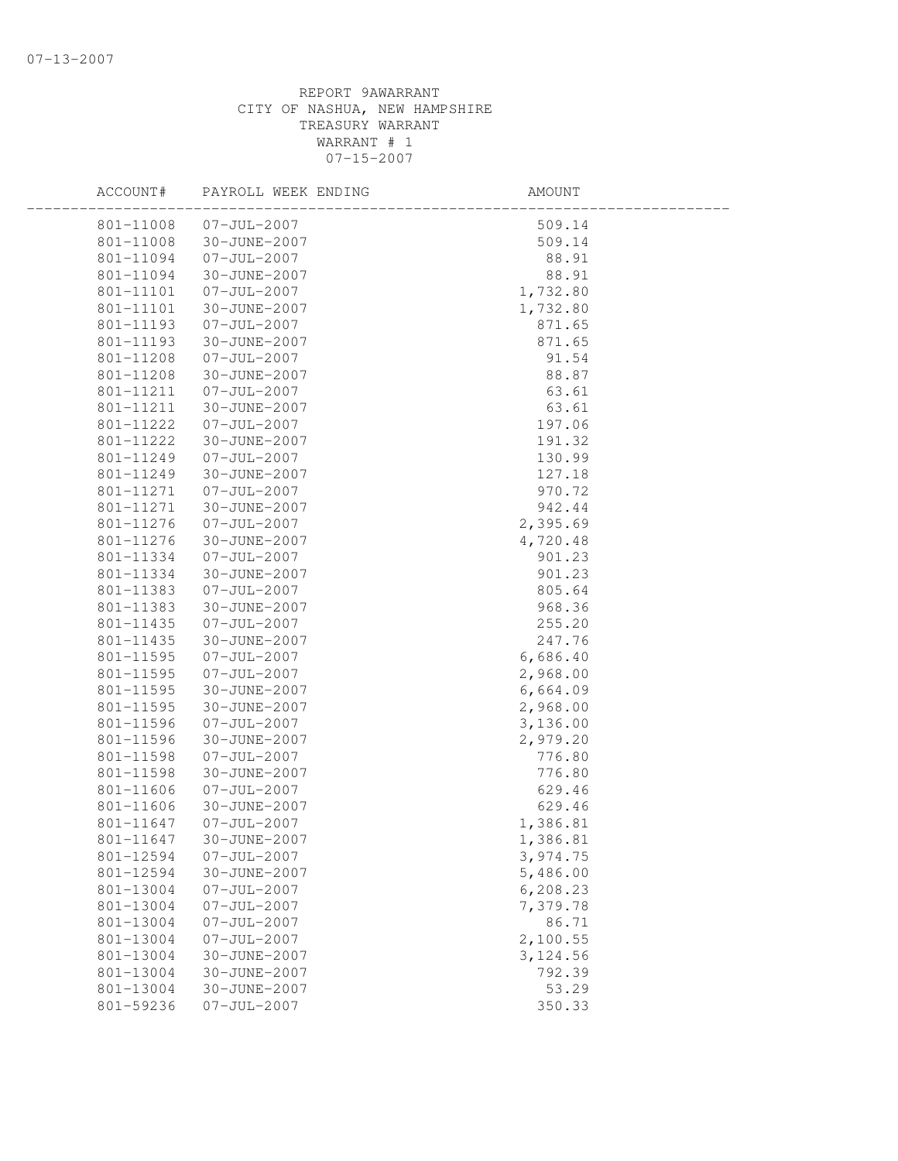| ACCOUNT#  | PAYROLL WEEK ENDING    | AMOUNT    |  |
|-----------|------------------------|-----------|--|
|           | 801-11008 07-JUL-2007  | 509.14    |  |
|           | 801-11008 30-JUNE-2007 | 509.14    |  |
| 801-11094 | $07 - JUL - 2007$      | 88.91     |  |
| 801-11094 | 30-JUNE-2007           | 88.91     |  |
| 801-11101 | 07-JUL-2007            | 1,732.80  |  |
| 801-11101 | 30-JUNE-2007           | 1,732.80  |  |
| 801-11193 | 07-JUL-2007            | 871.65    |  |
| 801-11193 | 30-JUNE-2007           | 871.65    |  |
| 801-11208 | 07-JUL-2007            | 91.54     |  |
| 801-11208 | 30-JUNE-2007           | 88.87     |  |
| 801-11211 | 07-JUL-2007            | 63.61     |  |
| 801-11211 | 30-JUNE-2007           | 63.61     |  |
| 801-11222 | $07 - JUL - 2007$      | 197.06    |  |
| 801-11222 | 30-JUNE-2007           | 191.32    |  |
| 801-11249 | $07 - JUL - 2007$      | 130.99    |  |
| 801-11249 | 30-JUNE-2007           | 127.18    |  |
| 801-11271 | $07 - JUL - 2007$      | 970.72    |  |
| 801-11271 | 30-JUNE-2007           | 942.44    |  |
| 801-11276 | $07 - JUL - 2007$      | 2,395.69  |  |
| 801-11276 | 30-JUNE-2007           | 4,720.48  |  |
| 801-11334 | $07 - JUL - 2007$      | 901.23    |  |
| 801-11334 | 30-JUNE-2007           | 901.23    |  |
| 801-11383 | $07 - JUL - 2007$      | 805.64    |  |
| 801-11383 | 30-JUNE-2007           | 968.36    |  |
| 801-11435 | 07-JUL-2007            | 255.20    |  |
| 801-11435 | 30-JUNE-2007           | 247.76    |  |
| 801-11595 | $07 - JUL - 2007$      | 6,686.40  |  |
| 801-11595 | 07-JUL-2007            | 2,968.00  |  |
| 801-11595 | 30-JUNE-2007           | 6,664.09  |  |
| 801-11595 | 30-JUNE-2007           | 2,968.00  |  |
| 801-11596 | $07 - JUL - 2007$      | 3,136.00  |  |
| 801-11596 | 30-JUNE-2007           | 2,979.20  |  |
| 801-11598 | $07 - JUL - 2007$      | 776.80    |  |
| 801-11598 | 30-JUNE-2007           | 776.80    |  |
| 801-11606 | $07 - JUL - 2007$      | 629.46    |  |
| 801-11606 | 30-JUNE-2007           | 629.46    |  |
| 801-11647 | 07-JUL-2007            | 1,386.81  |  |
| 801-11647 | 30-JUNE-2007           | 1,386.81  |  |
| 801-12594 | $07 - JUL - 2007$      | 3,974.75  |  |
| 801-12594 | 30-JUNE-2007           | 5,486.00  |  |
| 801-13004 | $07 - JUL - 2007$      | 6,208.23  |  |
| 801-13004 | $07 - JUL - 2007$      | 7,379.78  |  |
| 801-13004 | $07 - JUL - 2007$      | 86.71     |  |
| 801-13004 | $07 - JUL - 2007$      | 2,100.55  |  |
| 801-13004 | 30-JUNE-2007           | 3, 124.56 |  |
| 801-13004 | 30-JUNE-2007           | 792.39    |  |
| 801-13004 | 30-JUNE-2007           | 53.29     |  |
| 801-59236 | $07 - JUL - 2007$      | 350.33    |  |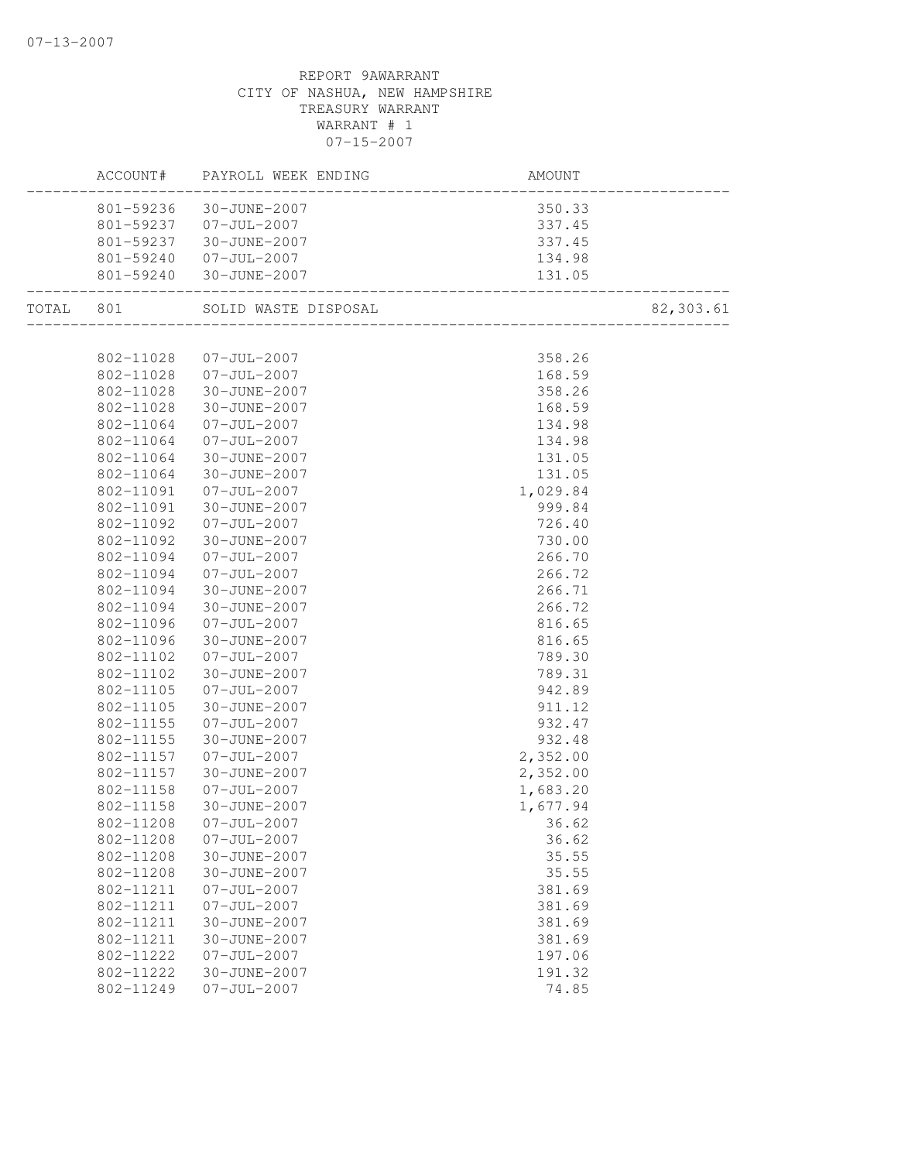|           |           |                        | AMOUNT   |           |
|-----------|-----------|------------------------|----------|-----------|
|           |           | 801-59236 30-JUNE-2007 | 350.33   |           |
|           |           | 801-59237 07-JUL-2007  | 337.45   |           |
|           |           | 801-59237 30-JUNE-2007 | 337.45   |           |
|           |           | 801-59240 07-JUL-2007  | 134.98   |           |
|           |           | 801-59240 30-JUNE-2007 |          |           |
| TOTAL 801 |           |                        |          | 82,303.61 |
|           |           |                        |          |           |
|           |           | 802-11028 07-JUL-2007  | 358.26   |           |
|           |           | 802-11028 07-JUL-2007  | 168.59   |           |
|           | 802-11028 | 30-JUNE-2007           | 358.26   |           |
|           | 802-11028 | 30-JUNE-2007           | 168.59   |           |
|           | 802-11064 | $07 - JUL - 2007$      | 134.98   |           |
|           | 802-11064 | $07 - JUL - 2007$      | 134.98   |           |
|           | 802-11064 | 30-JUNE-2007           | 131.05   |           |
|           | 802-11064 | 30-JUNE-2007           | 131.05   |           |
|           | 802-11091 | $07 - JUL - 2007$      | 1,029.84 |           |
|           | 802-11091 | 30-JUNE-2007           | 999.84   |           |
|           | 802-11092 | $07 - JUL - 2007$      | 726.40   |           |
|           | 802-11092 | 30-JUNE-2007           | 730.00   |           |
|           | 802-11094 | $07 - JUL - 2007$      | 266.70   |           |
|           | 802-11094 | $07 - JUL - 2007$      | 266.72   |           |
|           | 802-11094 | 30-JUNE-2007           | 266.71   |           |
|           | 802-11094 | 30-JUNE-2007           | 266.72   |           |
|           | 802-11096 | $07 - JUL - 2007$      | 816.65   |           |
|           | 802-11096 | 30-JUNE-2007           | 816.65   |           |
|           | 802-11102 | $07 - JUL - 2007$      | 789.30   |           |
|           | 802-11102 | 30-JUNE-2007           | 789.31   |           |
|           | 802-11105 | $07 - JUL - 2007$      | 942.89   |           |
|           | 802-11105 | 30-JUNE-2007           | 911.12   |           |
|           | 802-11155 | $07 - JUL - 2007$      | 932.47   |           |
|           | 802-11155 | 30-JUNE-2007           | 932.48   |           |
|           | 802-11157 | $07 - JUL - 2007$      | 2,352.00 |           |
|           | 802-11157 | 30-JUNE-2007           | 2,352.00 |           |
|           | 802-11158 | $07 - JUL - 2007$      | 1,683.20 |           |
|           | 802-11158 | 30-JUNE-2007           | 1,677.94 |           |
|           | 802-11208 | 07-JUL-2007            | 36.62    |           |
|           | 802-11208 | $07 - JUL - 2007$      | 36.62    |           |
|           | 802-11208 | 30-JUNE-2007           | 35.55    |           |
|           | 802-11208 | 30-JUNE-2007           | 35.55    |           |
|           | 802-11211 | $07 - JUL - 2007$      | 381.69   |           |
|           | 802-11211 | $07 - JUL - 2007$      | 381.69   |           |
|           | 802-11211 | 30-JUNE-2007           | 381.69   |           |
|           | 802-11211 | 30-JUNE-2007           | 381.69   |           |
|           | 802-11222 | $07 - JUL - 2007$      | 197.06   |           |
|           | 802-11222 | 30-JUNE-2007           | 191.32   |           |
|           | 802-11249 | $07 - JUL - 2007$      | 74.85    |           |
|           |           |                        |          |           |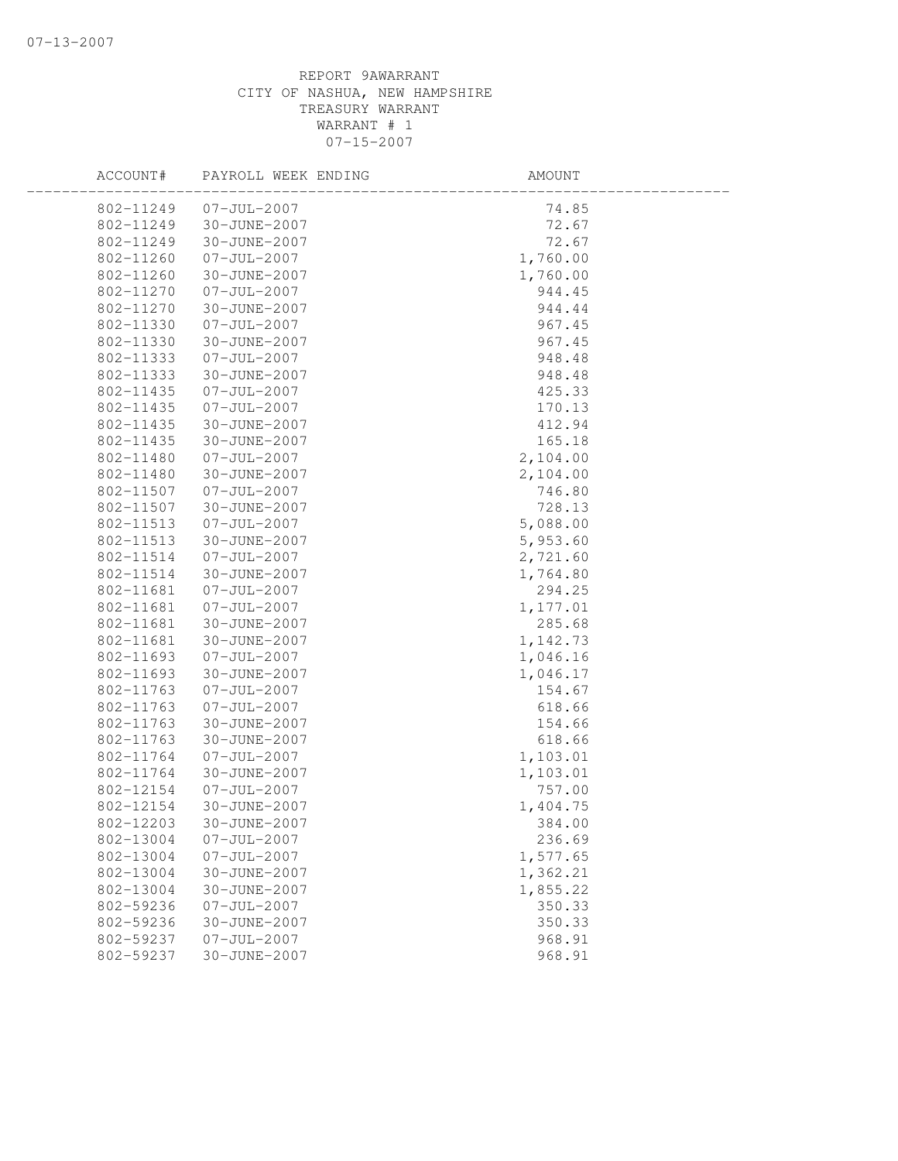| ACCOUNT#               | PAYROLL WEEK ENDING                    | AMOUNT               |  |
|------------------------|----------------------------------------|----------------------|--|
| 802-11249              | $07 - JUL - 2007$                      | 74.85                |  |
| 802-11249              | 30-JUNE-2007                           | 72.67                |  |
| 802-11249              | 30-JUNE-2007                           | 72.67                |  |
| 802-11260              | $07 - JUL - 2007$                      | 1,760.00             |  |
| 802-11260              | 30-JUNE-2007                           | 1,760.00             |  |
| 802-11270              | $07 - JUL - 2007$                      | 944.45               |  |
| 802-11270              | 30-JUNE-2007                           | 944.44               |  |
| 802-11330              | $07 - JUL - 2007$                      | 967.45               |  |
| 802-11330              | 30-JUNE-2007                           | 967.45               |  |
| 802-11333              | $07 - JUL - 2007$                      | 948.48               |  |
| 802-11333              | 30-JUNE-2007                           | 948.48               |  |
| 802-11435              | $07 - JUL - 2007$                      | 425.33               |  |
| 802-11435              | $07 - JUL - 2007$                      | 170.13               |  |
| 802-11435              | 30-JUNE-2007                           | 412.94               |  |
| 802-11435              | 30-JUNE-2007                           | 165.18               |  |
| 802-11480              | $07 - JUL - 2007$                      | 2,104.00             |  |
| 802-11480              | 30-JUNE-2007                           | 2,104.00             |  |
| 802-11507              | $07 - JUL - 2007$                      | 746.80               |  |
| 802-11507              | 30-JUNE-2007                           | 728.13               |  |
| 802-11513              | $07 - JUL - 2007$                      | 5,088.00             |  |
| 802-11513              | 30-JUNE-2007                           | 5,953.60             |  |
| 802-11514              | $07 - JUL - 2007$                      | 2,721.60             |  |
| 802-11514              | 30-JUNE-2007                           | 1,764.80             |  |
| 802-11681              | $07 - JUL - 2007$                      | 294.25               |  |
| 802-11681              | $07 - JUL - 2007$                      | 1,177.01             |  |
| 802-11681              | 30-JUNE-2007                           | 285.68               |  |
| 802-11681              | 30-JUNE-2007                           | 1,142.73             |  |
| 802-11693              | $07 - JUL - 2007$                      | 1,046.16             |  |
| 802-11693              | 30-JUNE-2007                           | 1,046.17             |  |
| 802-11763              | $07 - JUL - 2007$                      | 154.67               |  |
| 802-11763              | $07 - JUL - 2007$                      | 618.66               |  |
| 802-11763              | 30-JUNE-2007                           | 154.66               |  |
| 802-11763              | 30-JUNE-2007                           | 618.66               |  |
| 802-11764              | $07 - JUL - 2007$                      | 1,103.01             |  |
| 802-11764              | 30-JUNE-2007                           | 1,103.01             |  |
| 802-12154              | $07 - JUL - 2007$                      | 757.00               |  |
| 802-12154              | 30-JUNE-2007                           | 1,404.75             |  |
| 802-12203              | 30-JUNE-2007                           | 384.00               |  |
| 802-13004<br>802-13004 | $07 - JUL - 2007$<br>$07 - JUL - 2007$ | 236.69               |  |
| 802-13004              | 30-JUNE-2007                           | 1,577.65<br>1,362.21 |  |
|                        |                                        |                      |  |
| 802-13004              | 30-JUNE-2007<br>$07 - JUL - 2007$      | 1,855.22<br>350.33   |  |
| 802-59236              | 30-JUNE-2007                           |                      |  |
| 802-59236              |                                        | 350.33               |  |
| 802-59237<br>802-59237 | $07 - JUL - 2007$<br>30-JUNE-2007      | 968.91<br>968.91     |  |
|                        |                                        |                      |  |